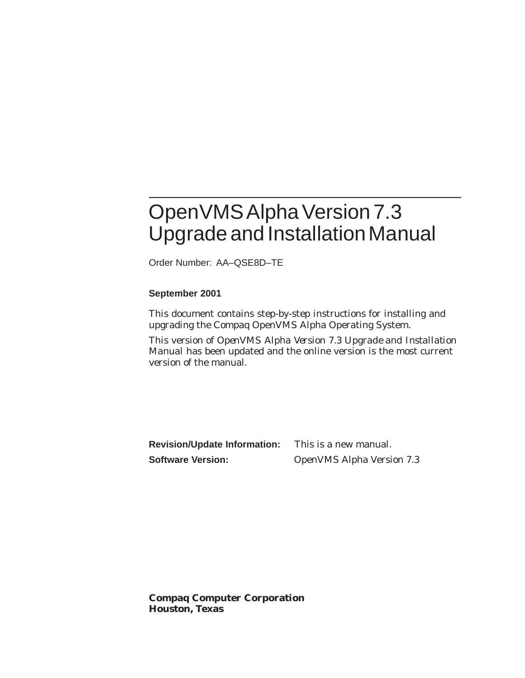# OpenVMS Alpha Version 7.3 Upgrade and Installation Manual

Order Number: AA–QSE8D–TE

#### **September 2001**

This document contains step-by-step instructions for installing and upgrading the Compaq OpenVMS Alpha Operating System.

This version of *OpenVMS Alpha Version 7.3 Upgrade and Installation Manual* has been updated and the online version is the most current version of the manual.

**Revision/Update Information:** This is a new manual. **Software Version:** OpenVMS Alpha Version 7.3

**Compaq Computer Corporation Houston, Texas**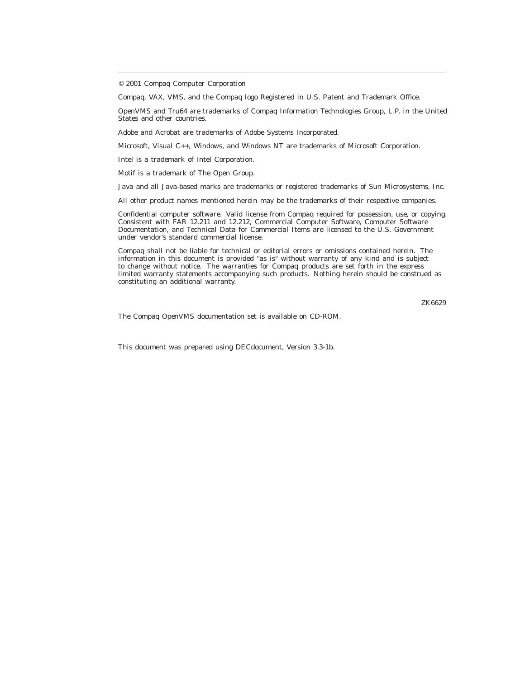Compaq, VAX, VMS, and the Compaq logo Registered in U.S. Patent and Trademark Office.

OpenVMS and Tru64 are trademarks of Compaq Information Technologies Group, L.P. in the United States and other countries.

Adobe and Acrobat are trademarks of Adobe Systems Incorporated.

Microsoft, Visual C++, Windows, and Windows NT are trademarks of Microsoft Corporation.

Intel is a trademark of Intel Corporation.

Motif is a trademark of The Open Group.

Java and all Java-based marks are trademarks or registered trademarks of Sun Microsystems, Inc.

All other product names mentioned herein may be the trademarks of their respective companies.

Confidential computer software. Valid license from Compaq required for possession, use, or copying. Consistent with FAR 12.211 and 12.212, Commercial Computer Software, Computer Software Documentation, and Technical Data for Commercial Items are licensed to the U.S. Government under vendor's standard commercial license.

Compaq shall not be liable for technical or editorial errors or omissions contained herein. The information in this document is provided "as is" without warranty of any kind and is subject to change without notice. The warranties for Compaq products are set forth in the express limited warranty statements accompanying such products. Nothing herein should be construed as constituting an additional warranty.

ZK6629

The Compaq *OpenVMS* documentation set is available on CD-ROM.

This document was prepared using DECdocument, Version 3.3-1b.

<sup>© 2001</sup> Compaq Computer Corporation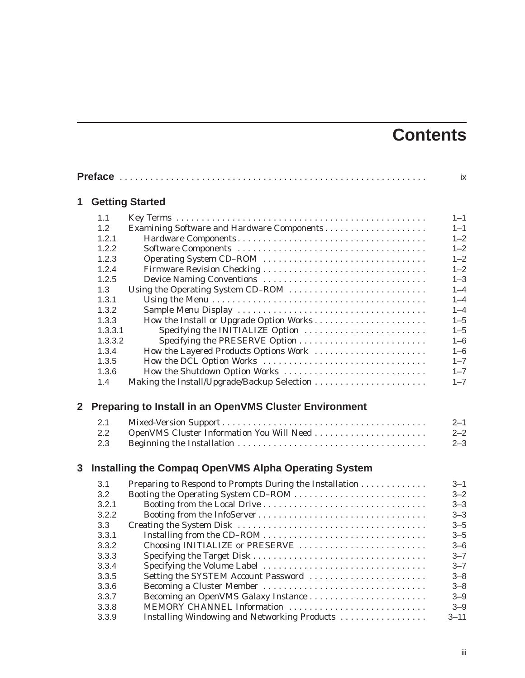# **Contents**

|                |         | <b>ix</b>                                               |          |
|----------------|---------|---------------------------------------------------------|----------|
| 1              |         | <b>Getting Started</b>                                  |          |
|                | 1.1     |                                                         | $1 - 1$  |
|                | 1.2     | Examining Software and Hardware Components              | $1 - 1$  |
|                | 1.2.1   |                                                         | $1 - 2$  |
|                | 1.2.2   |                                                         | $1 - 2$  |
|                | 1.2.3   |                                                         | $1 - 2$  |
|                | 1.2.4   |                                                         | $1 - 2$  |
|                | 1.2.5   |                                                         | $1 - 3$  |
|                | 1.3     |                                                         | $1 - 4$  |
|                | 1.3.1   |                                                         | $1 - 4$  |
|                | 1.3.2   |                                                         | $1 - 4$  |
|                | 1.3.3   | How the Install or Upgrade Option Works                 | $1 - 5$  |
|                | 1.3.3.1 | Specifying the INITIALIZE Option                        | $1 - 5$  |
|                | 1.3.3.2 |                                                         | $1 - 6$  |
|                | 1.3.4   | How the Layered Products Options Work                   | $1 - 6$  |
|                | 1.3.5   |                                                         | $1 - 7$  |
|                | 1.3.6   | How the Shutdown Option Works                           | $1 - 7$  |
|                | 1.4     |                                                         | $1 - 7$  |
| $\overline{2}$ |         | Preparing to Install in an OpenVMS Cluster Environment  |          |
|                | 2.1     |                                                         | $2 - 1$  |
|                | 2.2     |                                                         | $2 - 2$  |
|                | 2.3     |                                                         | $2 - 3$  |
| 3              |         | Installing the Compaq OpenVMS Alpha Operating System    |          |
|                | 3.1     | Preparing to Respond to Prompts During the Installation | $3 - 1$  |
|                | 3.2     |                                                         | $3 - 2$  |
|                | 3.2.1   |                                                         | $3 - 3$  |
|                | 3.2.2   |                                                         | $3 - 3$  |
|                | 3.3     |                                                         | $3 - 5$  |
|                | 3.3.1   |                                                         | $3 - 5$  |
|                | 3.3.2   | Choosing INITIALIZE or PRESERVE                         | $3 - 6$  |
|                | 3.3.3   |                                                         | $3 - 7$  |
|                | 3.3.4   | Specifying the Volume Label                             | $3 - 7$  |
|                | 3.3.5   | Setting the SYSTEM Account Password                     | $3 - 8$  |
|                | 3.3.6   |                                                         | $3 - 8$  |
|                | 3.3.7   |                                                         | $3 - 9$  |
|                |         |                                                         |          |
|                | 3.3.8   | MEMORY CHANNEL Information                              | $3 - 9$  |
|                | 3.3.9   | Installing Windowing and Networking Products            | $3 - 11$ |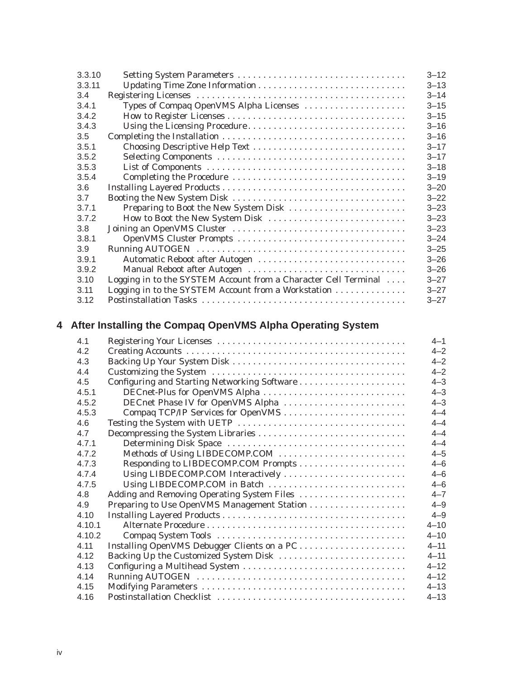| 3.3.10 |                                                                 | $3 - 12$ |
|--------|-----------------------------------------------------------------|----------|
| 3.3.11 |                                                                 | $3 - 13$ |
| 3.4    |                                                                 | $3 - 14$ |
| 3.4.1  | Types of Compaq OpenVMS Alpha Licenses                          | $3 - 15$ |
| 3.4.2  |                                                                 | $3 - 15$ |
| 3.4.3  | Using the Licensing Procedure                                   | $3 - 16$ |
| 3.5    |                                                                 | $3 - 16$ |
| 3.5.1  | Choosing Descriptive Help Text                                  | $3 - 17$ |
| 3.5.2  |                                                                 | $3 - 17$ |
| 3.5.3  |                                                                 | $3 - 18$ |
| 3.5.4  |                                                                 | $3 - 19$ |
| 3.6    |                                                                 | $3 - 20$ |
| 3.7    |                                                                 | $3 - 22$ |
| 3.7.1  | Preparing to Boot the New System Disk                           | $3 - 23$ |
| 3.7.2  | How to Boot the New System Disk                                 | $3 - 23$ |
| 3.8    |                                                                 | $3 - 23$ |
| 3.8.1  |                                                                 | $3 - 24$ |
| 3.9    |                                                                 | $3 - 25$ |
| 3.9.1  | Automatic Reboot after Autogen                                  | $3 - 26$ |
| 3.9.2  | Manual Reboot after Autogen                                     | $3 - 26$ |
| 3.10   | Logging in to the SYSTEM Account from a Character Cell Terminal | $3 - 27$ |
| 3.11   | Logging in to the SYSTEM Account from a Workstation             | $3 - 27$ |
| 3.12   |                                                                 | $3 - 27$ |

# **4 After Installing the Compaq OpenVMS Alpha Operating System**

| 4.1    |                                             | $4 - 1$  |
|--------|---------------------------------------------|----------|
| 4.2    |                                             | $4 - 2$  |
| 4.3    |                                             | $4 - 2$  |
| 4.4    |                                             | $4 - 2$  |
| 4.5    |                                             | $4 - 3$  |
| 4.5.1  | DECnet-Plus for OpenVMS Alpha               | $4 - 3$  |
| 4.5.2  | DECnet Phase IV for OpenVMS Alpha           | $4 - 3$  |
| 4.5.3  |                                             | $4 - 4$  |
| 4.6    |                                             | $4 - 4$  |
| 4.7    |                                             | $4 - 4$  |
| 471    |                                             | $4 - 4$  |
| 4.7.2  | Methods of Using LIBDECOMP.COM              | $4 - 5$  |
| 4.7.3  |                                             | $4 - 6$  |
| 4.7.4  | Using LIBDECOMP.COM Interactively           | $4 - 6$  |
| 4.7.5  | Using LIBDECOMP.COM in Batch                | $4 - 6$  |
| 4.8    | Adding and Removing Operating System Files  | $4 - 7$  |
| 4.9    |                                             | $4 - 9$  |
| 4.10   |                                             | $4 - 9$  |
| 4.10.1 |                                             | $4 - 10$ |
| 4.10.2 |                                             | $4 - 10$ |
| 4.11   | Installing OpenVMS Debugger Clients on a PC | $4 - 11$ |
| 4.12   |                                             | $4 - 11$ |
| 4.13   |                                             | $4 - 12$ |
| 4.14   |                                             | $4 - 12$ |
| 4.15   |                                             | $4 - 13$ |
| 4.16   |                                             | $4 - 13$ |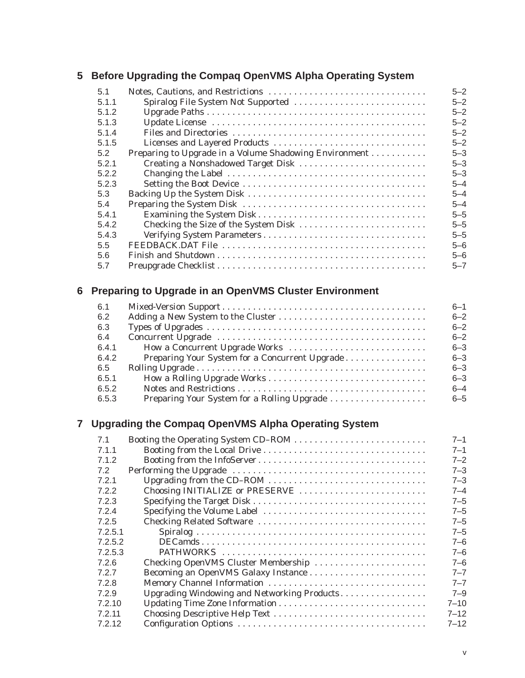#### **5 Before Upgrading the Compaq OpenVMS Alpha Operating System**

| 5.1   |                                                        | $5 - 2$ |
|-------|--------------------------------------------------------|---------|
| 5.1.1 | Spiralog File System Not Supported                     | $5 - 2$ |
| 5.1.2 |                                                        | $5 - 2$ |
| 5.1.3 |                                                        | $5 - 2$ |
| 5.1.4 |                                                        | $5 - 2$ |
| 5.1.5 |                                                        | $5 - 2$ |
| 5.2   | Preparing to Upgrade in a Volume Shadowing Environment | $5 - 3$ |
| 5.2.1 | Creating a Nonshadowed Target Disk                     | $5 - 3$ |
| 5.2.2 |                                                        | $5 - 3$ |
| 5.2.3 |                                                        | $5 - 4$ |
| 5.3   |                                                        | $5 - 4$ |
| 5.4   |                                                        | $5 - 4$ |
| 5.4.1 |                                                        | $5 - 5$ |
| 5.4.2 |                                                        | $5 - 5$ |
| 5.4.3 |                                                        | $5 - 5$ |
| 5.5   |                                                        | $5 - 6$ |
| 5.6   |                                                        | $5 - 6$ |
| 5.7   |                                                        | $5 - 7$ |

# **6 Preparing to Upgrade in an OpenVMS Cluster Environment**

| 6.1   |                                                | $6 - 1$ |
|-------|------------------------------------------------|---------|
| 6.2   |                                                | $6 - 2$ |
| 6.3   |                                                | $6 - 2$ |
| 6.4   |                                                | $6 - 2$ |
| 6.4.1 | How a Concurrent Upgrade Works                 | $6 - 3$ |
| 6.4.2 | Preparing Your System for a Concurrent Upgrade | $6 - 3$ |
| 6.5   |                                                | $6 - 3$ |
| 6.5.1 |                                                | $6 - 3$ |
| 6.5.2 |                                                | $6 - 4$ |
| 6.5.3 | Preparing Your System for a Rolling Upgrade    | $6 - 5$ |
|       |                                                |         |

## **7 Upgrading the Compaq OpenVMS Alpha Operating System**

| 7.1     |                                             | $7 - 1$  |
|---------|---------------------------------------------|----------|
| 7.1.1   |                                             | $7 - 1$  |
| 7.1.2   |                                             | $7 - 2$  |
| 7.2     |                                             | $7 - 3$  |
| 7.2.1   |                                             | $7 - 3$  |
| 7.2.2   | Choosing INITIALIZE or PRESERVE             | $7 - 4$  |
| 7.2.3   |                                             | $7 - 5$  |
| 7.2.4   | Specifying the Volume Label                 | $7 - 5$  |
| 7.2.5   |                                             | $7 - 5$  |
| 7.2.5.1 |                                             | $7 - 5$  |
| 7.2.5.2 |                                             | $7 - 6$  |
| 7.2.5.3 |                                             | $7 - 6$  |
| 7.2.6   | Checking OpenVMS Cluster Membership         | $7 - 6$  |
| 7.2.7   |                                             | $7 - 7$  |
| 7.2.8   | Memory Channel Information                  | $7 - 7$  |
| 7.2.9   | Upgrading Windowing and Networking Products | $7 - 9$  |
| 7.2.10  |                                             | $7 - 10$ |
| 7.2.11  |                                             | $7 - 12$ |
| 7.2.12  |                                             | $7 - 12$ |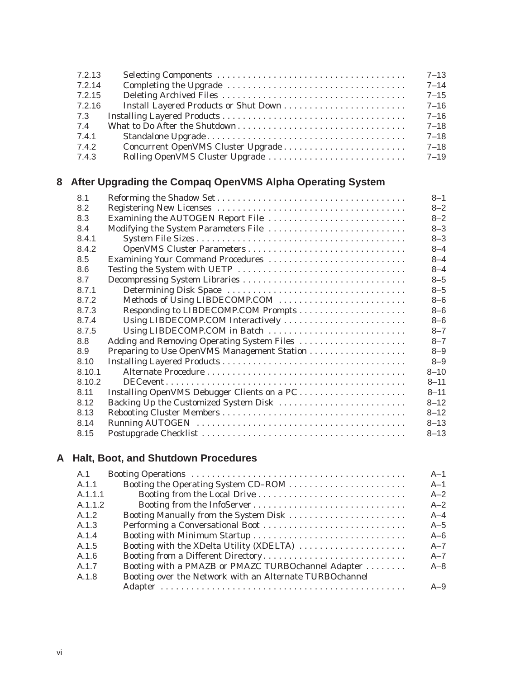| 7.2.13 | $7 - 13$ |
|--------|----------|
| 7.2.14 | $7 - 14$ |
| 7.2.15 | $7 - 15$ |
| 7.2.16 | $7 - 16$ |
| 7.3    | $7 - 16$ |
| 7.4    | $7 - 18$ |
| 7.4.1  | $7 - 18$ |
| 7.4.2  | $7 - 18$ |
| 7.4.3  | 7–19     |

# **8 After Upgrading the Compaq OpenVMS Alpha Operating System**

| 8.1    |                                             | $8 - 1$  |
|--------|---------------------------------------------|----------|
| 8.2    |                                             | $8 - 2$  |
| 8.3    | Examining the AUTOGEN Report File           | $8 - 2$  |
| 8.4    |                                             | $8 - 3$  |
| 8.4.1  |                                             | $8 - 3$  |
| 8.4.2  |                                             | $8 - 4$  |
| 8.5    | Examining Your Command Procedures           | $8 - 4$  |
| 8.6    |                                             | $8 - 4$  |
| 8.7    |                                             | $8 - 5$  |
| 8.7.1  |                                             | $8 - 5$  |
| 8.7.2  | Methods of Using LIBDECOMP.COM              | $8 - 6$  |
| 8.7.3  |                                             | $8 - 6$  |
| 8.7.4  | Using LIBDECOMP.COM Interactively           | $8 - 6$  |
| 8.7.5  | Using LIBDECOMP.COM in Batch                | $8 - 7$  |
| 8.8    | Adding and Removing Operating System Files  | $8 - 7$  |
| 8.9    |                                             | $8 - 9$  |
| 8.10   |                                             | $8 - 9$  |
| 8.10.1 |                                             | $8 - 10$ |
| 8.10.2 |                                             | $8 - 11$ |
| 8.11   | Installing OpenVMS Debugger Clients on a PC | $8 - 11$ |
| 8.12   |                                             | $8 - 12$ |
| 8.13   |                                             | $8 - 12$ |
| 8.14   |                                             | $8 - 13$ |
| 8.15   |                                             | $8 - 13$ |

# **A Halt, Boot, and Shutdown Procedures**

| A.1     |                                                         | $A-1$   |
|---------|---------------------------------------------------------|---------|
| A.1.1   |                                                         | $A-1$   |
| A.1.1.1 |                                                         | $A-2$   |
| A.1.1.2 |                                                         | $A-2$   |
| A.1.2   | Booting Manually from the System Disk                   | $A-4$   |
| A.1.3   |                                                         | $A-5$   |
| A.1.4   |                                                         | $A-6$   |
| A.1.5   | Booting with the XDelta Utility (XDELTA)                | $A - 7$ |
| A.1.6   | Booting from a Different Directory                      | $A - 7$ |
| A.1.7   | Booting with a PMAZB or PMAZC TURBOchannel Adapter      | $A - 8$ |
| A.1.8   | Booting over the Network with an Alternate TURBOchannel |         |
|         |                                                         | $A - 9$ |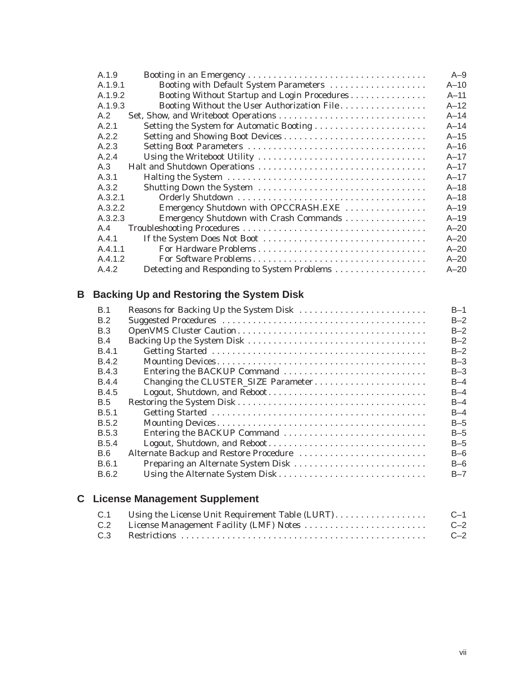| A.1.9                                                   | $A-9$    |
|---------------------------------------------------------|----------|
| Booting with Default System Parameters<br>A.1.9.1       | $A-10$   |
| Booting Without Startup and Login Procedures<br>A.1.9.2 | $A - 11$ |
| A.1.9.3<br>Booting Without the User Authorization File  | $A-12$   |
| A.2                                                     | $A-14$   |
| A.2.1<br>Setting the System for Automatic Booting       | $A-14$   |
| A.2.2                                                   | $A-15$   |
| A.2.3                                                   | $A-16$   |
| A.2.4                                                   | $A - 17$ |
| A.3                                                     | $A-17$   |
| A.3.1                                                   | $A-17$   |
| A.3.2                                                   | $A-18$   |
| A.3.2.1                                                 | $A-18$   |
| A.3.2.2<br>Emergency Shutdown with OPCCRASH.EXE         | $A - 19$ |
| A.3.2.3<br>Emergency Shutdown with Crash Commands       | $A - 19$ |
| A.4                                                     | $A - 20$ |
| A.4.1                                                   | $A - 20$ |
| A.4.1.1                                                 | $A - 20$ |
| A.4.1.2<br>For Software Problems                        | $A - 20$ |
| A.4.2<br>Detecting and Responding to System Problems    | $A - 20$ |

# **B Backing Up and Restoring the System Disk**

| <b>B.1</b>   | Reasons for Backing Up the System Disk | $B-1$   |
|--------------|----------------------------------------|---------|
| B.2          |                                        | $B-2$   |
| B.3          |                                        | $B-2$   |
| B.4          |                                        | $B-2$   |
| <b>B.4.1</b> |                                        | $B-2$   |
| B.4.2        |                                        | $B-3$   |
| <b>B.4.3</b> | Entering the BACKUP Command            | $B-3$   |
| <b>B.4.4</b> | Changing the CLUSTER_SIZE Parameter    | $B-4$   |
| B.4.5        | Logout, Shutdown, and Reboot           | $B-4$   |
| B.5          |                                        | $B-4$   |
| B.5.1        |                                        | $B-4$   |
| B.5.2        |                                        | $B-5$   |
| <b>B.5.3</b> | Entering the BACKUP Command            | $B-5$   |
| B.5.4        | Logout, Shutdown, and Reboot           | $B-5$   |
| B.6          | Alternate Backup and Restore Procedure | $B-6$   |
| B.6.1        | Preparing an Alternate System Disk     | $B-6$   |
| B.6.2        |                                        | $B - 7$ |
|              |                                        |         |

# **C License Management Supplement**

| C.1 | $C-1$ |
|-----|-------|
|     | $C-2$ |
| C.3 | $C-2$ |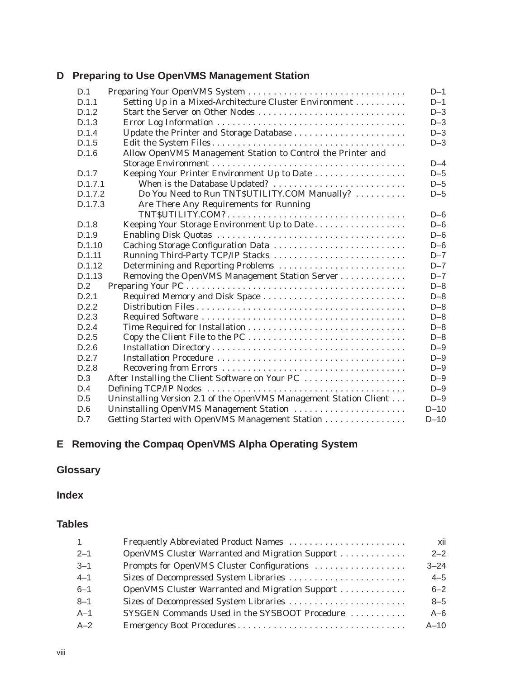## **D Preparing to Use OpenVMS Management Station**

| D.1     | Preparing Your OpenVMS System                                     | $D-1$   |
|---------|-------------------------------------------------------------------|---------|
| D.1.1   | Setting Up in a Mixed-Architecture Cluster Environment            | $D-1$   |
| D.1.2   | Start the Server on Other Nodes                                   | $D-3$   |
| D.1.3   |                                                                   | $D-3$   |
| D.1.4   |                                                                   | $D-3$   |
| D.1.5   |                                                                   | $D-3$   |
| D.1.6   | Allow OpenVMS Management Station to Control the Printer and       |         |
|         |                                                                   | $D-4$   |
| D.1.7   | Keeping Your Printer Environment Up to Date                       | $D-5$   |
| D.1.7.1 | When is the Database Updated?                                     | $D-5$   |
| D.1.7.2 | Do You Need to Run TNT\$UTILITY.COM Manually?                     | $D-5$   |
| D.1.7.3 | Are There Any Requirements for Running                            |         |
|         |                                                                   | $D-6$   |
| D.1.8   | Keeping Your Storage Environment Up to Date                       | $D-6$   |
| D.1.9   |                                                                   | $D-6$   |
| D.1.10  | Caching Storage Configuration Data                                | $D-6$   |
| D.1.11  | Running Third-Party TCP/IP Stacks                                 | $D - 7$ |
| D.1.12  | Determining and Reporting Problems                                | $D - 7$ |
| D.1.13  | Removing the OpenVMS Management Station Server                    | $D - 7$ |
| D.2     |                                                                   | $D-8$   |
| D.2.1   |                                                                   | $D-8$   |
| D.2.2   |                                                                   | $D-8$   |
| D.2.3   |                                                                   | $D-8$   |
| D.2.4   |                                                                   | $D-8$   |
| D.2.5   |                                                                   | $D-8$   |
| D.2.6   |                                                                   | $D-9$   |
| D.2.7   |                                                                   | $D-9$   |
| D.2.8   |                                                                   | $D-9$   |
| D.3     | After Installing the Client Software on Your PC                   | $D-9$   |
| D.4     |                                                                   | $D-9$   |
| D.5     | Uninstalling Version 2.1 of the OpenVMS Management Station Client | $D-9$   |
| D.6     | Uninstalling OpenVMS Management Station                           | $D-10$  |
| D.7     | Getting Started with OpenVMS Management Station                   | $D-10$  |

# **E Removing the Compaq OpenVMS Alpha Operating System**

# **Glossary**

### **Index**

#### **Tables**

| $\mathbf{1}$ | Frequently Abbreviated Product Names            | xii      |
|--------------|-------------------------------------------------|----------|
| $2 - 1$      | OpenVMS Cluster Warranted and Migration Support | $2 - 2$  |
| $3 - 1$      | Prompts for OpenVMS Cluster Configurations      | $3 - 24$ |
| $4 - 1$      | Sizes of Decompressed System Libraries          | $4 - 5$  |
| $6 - 1$      | OpenVMS Cluster Warranted and Migration Support | $6 - 2$  |
| $8 - 1$      | Sizes of Decompressed System Libraries          | $8 - 5$  |
| $A-1$        | SYSGEN Commands Used in the SYSBOOT Procedure   | $A-6$    |
| $A-2$        |                                                 | $A-10$   |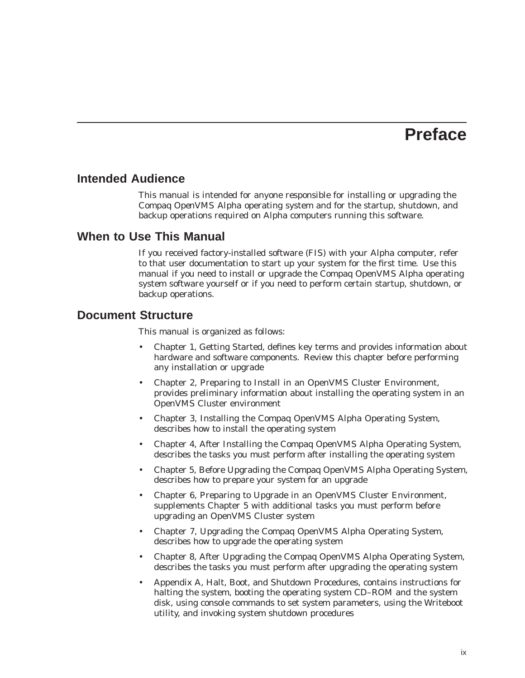# **Preface**

#### **Intended Audience**

This manual is intended for anyone responsible for installing or upgrading the Compaq *OpenVMS Alpha* operating system and for the startup, shutdown, and backup operations required on Alpha computers running this software.

#### **When to Use This Manual**

If you received factory-installed software (FIS) with your Alpha computer, refer to that user documentation to start up your system for the first time. Use this manual if you need to install or upgrade the Compaq OpenVMS Alpha operating system software yourself or if you need to perform certain startup, shutdown, or backup operations.

#### **Document Structure**

This manual is organized as follows:

- Chapter 1, Getting Started, defines key terms and provides information about hardware and software components. Review this chapter before performing any installation or upgrade
- Chapter 2, Preparing to Install in an OpenVMS Cluster Environment, provides preliminary information about installing the operating system in an OpenVMS Cluster environment
- Chapter 3, Installing the Compaq OpenVMS Alpha Operating System, describes how to install the operating system
- Chapter 4, After Installing the Compaq OpenVMS Alpha Operating System, describes the tasks you must perform after installing the operating system
- Chapter 5, Before Upgrading the Compaq OpenVMS Alpha Operating System, describes how to prepare your system for an upgrade
- Chapter 6, Preparing to Upgrade in an OpenVMS Cluster Environment, supplements Chapter 5 with additional tasks you must perform before upgrading an OpenVMS Cluster system
- Chapter 7, Upgrading the Compaq OpenVMS Alpha Operating System, describes how to upgrade the operating system
- Chapter 8, After Upgrading the Compaq OpenVMS Alpha Operating System, describes the tasks you must perform after upgrading the operating system
- Appendix A, Halt, Boot, and Shutdown Procedures, contains instructions for halting the system, booting the operating system CD–ROM and the system disk, using console commands to set system parameters, using the Writeboot utility, and invoking system shutdown procedures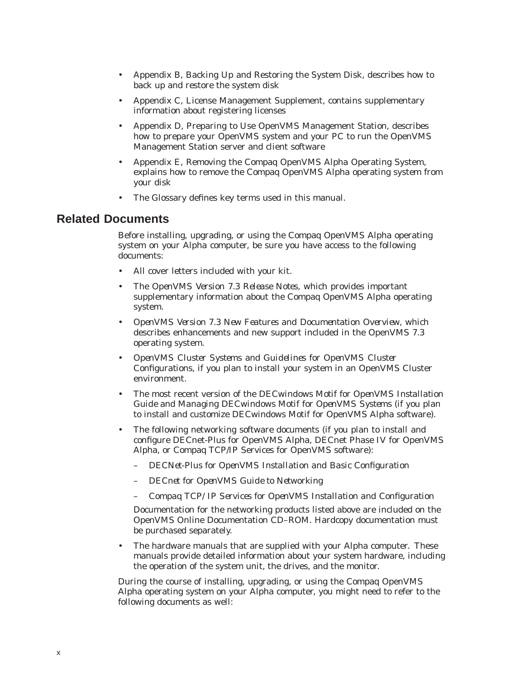- Appendix B, Backing Up and Restoring the System Disk, describes how to back up and restore the system disk
- Appendix C, License Management Supplement, contains supplementary information about registering licenses
- Appendix D, Preparing to Use OpenVMS Management Station, describes how to prepare your OpenVMS system and your PC to run the OpenVMS Management Station server and client software
- Appendix E, Removing the Compaq OpenVMS Alpha Operating System, explains how to remove the Compaq OpenVMS Alpha operating system from your disk
- The Glossary defines key terms used in this manual.

#### **Related Documents**

Before installing, upgrading, or using the Compaq OpenVMS Alpha operating system on your Alpha computer, be sure you have access to the following documents:

- All cover letters included with your kit.
- The *OpenVMS Version 7.3 Release Notes*, which provides important supplementary information about the Compaq OpenVMS Alpha operating system.
- *OpenVMS Version 7.3 New Features and Documentation Overview*, which describes enhancements and new support included in the OpenVMS 7.3 operating system.
- *OpenVMS Cluster Systems* and *Guidelines for OpenVMS Cluster Configurations*, if you plan to install your system in an OpenVMS Cluster environment.
- The most recent version of the *DECwindows Motif for OpenVMS Installation Guide* and *Managing DECwindows Motif for OpenVMS Systems* (if you plan to install and customize DECwindows Motif for OpenVMS Alpha software).
- The following networking software documents (if you plan to install and configure DECnet-Plus for OpenVMS Alpha, DECnet Phase IV for OpenVMS Alpha, or Compaq TCP/IP Services for OpenVMS software):
	- *DECNet-Plus for OpenVMS Installation and Basic Configuration*
	- *DECnet for OpenVMS Guide to Networking*
	- *Compaq TCP/IP Services for OpenVMS Installation and Configuration*

Documentation for the networking products listed above are included on the OpenVMS Online Documentation CD–ROM. Hardcopy documentation must be purchased separately.

The hardware manuals that are supplied with your Alpha computer. These manuals provide detailed information about your system hardware, including the operation of the system unit, the drives, and the monitor.

During the course of installing, upgrading, or using the Compaq OpenVMS Alpha operating system on your Alpha computer, you might need to refer to the following documents as well: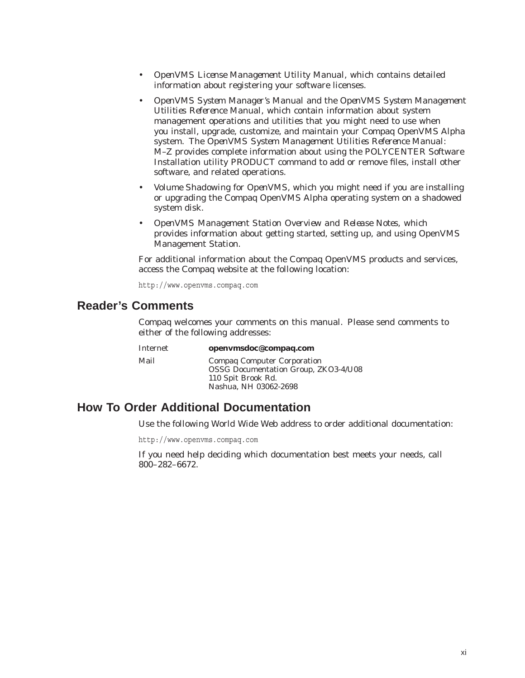- *OpenVMS License Management Utility Manual*, which contains detailed information about registering your software licenses.
- *OpenVMS System Manager's Manual* and the *OpenVMS System Management Utilities Reference Manual*, which contain information about system management operations and utilities that you might need to use when you install, upgrade, customize, and maintain your Compaq OpenVMS Alpha system. The *OpenVMS System Management Utilities Reference Manual: M–Z* provides complete information about using the POLYCENTER Software Installation utility PRODUCT command to add or remove files, install other software, and related operations.
- *Volume Shadowing for OpenVMS*, which you might need if you are installing or upgrading the Compaq OpenVMS Alpha operating system on a shadowed system disk.
- *OpenVMS Management Station Overview and Release Notes*, which provides information about getting started, setting up, and using OpenVMS Management Station.

For additional information about the Compaq OpenVMS products and services, access the Compaq website at the following location:

http://www.openvms.compaq.com

#### **Reader's Comments**

Compaq welcomes your comments on this manual. Please send comments to either of the following addresses:

| Internet | openvmsdoc@compaq.com                       |
|----------|---------------------------------------------|
| Mail     | <b>Compag Computer Corporation</b>          |
|          | <b>OSSG Documentation Group, ZKO3-4/U08</b> |
|          | 110 Spit Brook Rd.                          |
|          | Nashua, NH 03062-2698                       |

## **How To Order Additional Documentation**

Use the following World Wide Web address to order additional documentation:

http://www.openvms.compaq.com

If you need help deciding which documentation best meets your needs, call 800–282–6672.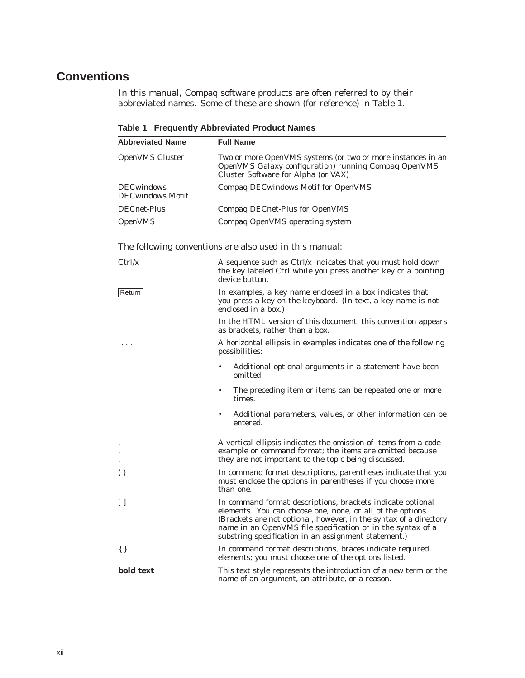# **Conventions**

In this manual, Compaq software products are often referred to by their abbreviated names. Some of these are shown (for reference) in Table 1.

| <b>Abbreviated Name</b>                      | <b>Full Name</b>                                                                                                                                           |
|----------------------------------------------|------------------------------------------------------------------------------------------------------------------------------------------------------------|
| <b>OpenVMS Cluster</b>                       | Two or more OpenVMS systems (or two or more instances in an<br>OpenVMS Galaxy configuration) running Compaq OpenVMS<br>Cluster Software for Alpha (or VAX) |
| <b>DECwindows</b><br><b>DECwindows Motif</b> | Compag DECwindows Motif for OpenVMS                                                                                                                        |
| <b>DECnet-Plus</b>                           | Compaq DECnet-Plus for OpenVMS                                                                                                                             |
| <b>OpenVMS</b>                               | Compaq OpenVMS operating system                                                                                                                            |

**Table 1 Frequently Abbreviated Product Names**

The following conventions are also used in this manual:

| Ctrl/x           | A sequence such as $Ctrl/x$ indicates that you must hold down<br>the key labeled Ctrl while you press another key or a pointing<br>device button.                                                                                                                                                                    |
|------------------|----------------------------------------------------------------------------------------------------------------------------------------------------------------------------------------------------------------------------------------------------------------------------------------------------------------------|
| Return           | In examples, a key name enclosed in a box indicates that<br>you press a key on the keyboard. (In text, a key name is not<br>enclosed in a box.)                                                                                                                                                                      |
|                  | In the HTML version of this document, this convention appears<br>as brackets, rather than a box.                                                                                                                                                                                                                     |
| .                | A horizontal ellipsis in examples indicates one of the following<br>possibilities:                                                                                                                                                                                                                                   |
|                  | Additional optional arguments in a statement have been<br>omitted.                                                                                                                                                                                                                                                   |
|                  | The preceding item or items can be repeated one or more<br>times.                                                                                                                                                                                                                                                    |
|                  | Additional parameters, values, or other information can be<br>$\bullet$<br>entered.                                                                                                                                                                                                                                  |
|                  | A vertical ellipsis indicates the omission of items from a code<br>example or command format; the items are omitted because<br>they are not important to the topic being discussed.                                                                                                                                  |
| $\left( \right)$ | In command format descriptions, parentheses indicate that you<br>must enclose the options in parentheses if you choose more<br>than one.                                                                                                                                                                             |
| $\Box$           | In command format descriptions, brackets indicate optional<br>elements. You can choose one, none, or all of the options.<br>(Brackets are not optional, however, in the syntax of a directory<br>name in an OpenVMS file specification or in the syntax of a<br>substring specification in an assignment statement.) |
| $\{\}$           | In command format descriptions, braces indicate required<br>elements; you must choose one of the options listed.                                                                                                                                                                                                     |
| bold text        | This text style represents the introduction of a new term or the<br>name of an argument, an attribute, or a reason.                                                                                                                                                                                                  |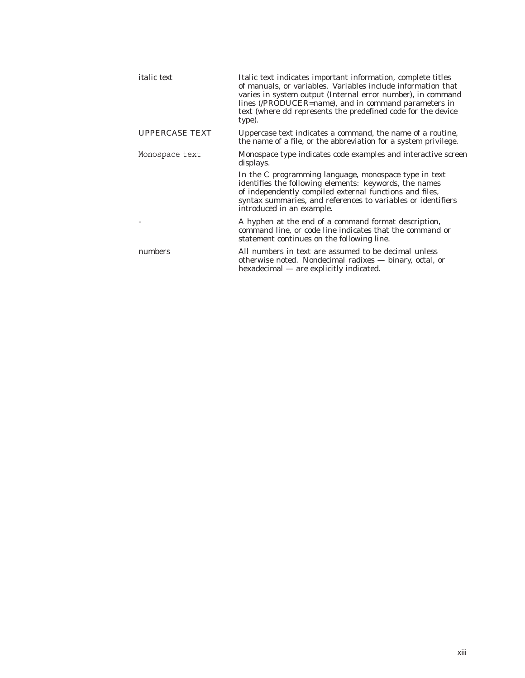| <i>italic</i> text    | Italic text indicates important information, complete titles<br>of manuals, or variables. Variables include information that<br>varies in system output (Internal error <i>number</i> ), in command<br>lines (/PRODUCER=name), and in command parameters in<br>text (where dd represents the predefined code for the device<br>type). |
|-----------------------|---------------------------------------------------------------------------------------------------------------------------------------------------------------------------------------------------------------------------------------------------------------------------------------------------------------------------------------|
| <b>UPPERCASE TEXT</b> | Uppercase text indicates a command, the name of a routine,<br>the name of a file, or the abbreviation for a system privilege.                                                                                                                                                                                                         |
| Monospace text        | Monospace type indicates code examples and interactive screen<br>displays.                                                                                                                                                                                                                                                            |
|                       | In the C programming language, monospace type in text<br>identifies the following elements: keywords, the names<br>of independently compiled external functions and files,<br>syntax summaries, and references to variables or identifiers<br>introduced in an example.                                                               |
|                       | A hyphen at the end of a command format description,<br>command line, or code line indicates that the command or<br>statement continues on the following line.                                                                                                                                                                        |
| numbers               | All numbers in text are assumed to be decimal unless<br>otherwise noted. Nondecimal radixes — binary, octal, or<br>hexadecimal — are explicitly indicated.                                                                                                                                                                            |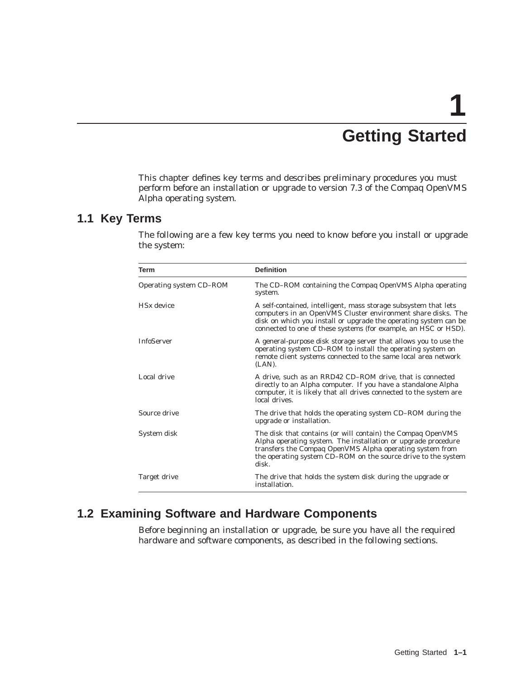# **1 Getting Started**

This chapter defines key terms and describes preliminary procedures you must perform before an installation or upgrade to version 7.3 of the Compaq OpenVMS Alpha operating system.

#### **1.1 Key Terms**

The following are a few key terms you need to know before you install or upgrade the system:

| Term                    | <b>Definition</b>                                                                                                                                                                                                                                                      |  |
|-------------------------|------------------------------------------------------------------------------------------------------------------------------------------------------------------------------------------------------------------------------------------------------------------------|--|
| Operating system CD-ROM | The CD-ROM containing the Compaq OpenVMS Alpha operating<br>system.                                                                                                                                                                                                    |  |
| $H S x$ device          | A self-contained, intelligent, mass storage subsystem that lets<br>computers in an OpenVMS Cluster environment share disks. The<br>disk on which you install or upgrade the operating system can be<br>connected to one of these systems (for example, an HSC or HSD). |  |
| <b>InfoServer</b>       | A general-purpose disk storage server that allows you to use the<br>operating system CD–ROM to install the operating system on<br>remote client systems connected to the same local area network<br>$(LAN)$ .                                                          |  |
| Local drive             | A drive, such as an RRD42 CD–ROM drive, that is connected<br>directly to an Alpha computer. If you have a standalone Alpha<br>computer, it is likely that all drives connected to the system are<br>local drives.                                                      |  |
| Source drive            | The drive that holds the operating system CD–ROM during the<br>upgrade or installation.                                                                                                                                                                                |  |
| System disk             | The disk that contains (or will contain) the Compaq OpenVMS<br>Alpha operating system. The installation or upgrade procedure<br>transfers the Compaq OpenVMS Alpha operating system from<br>the operating system CD-ROM on the source drive to the system<br>disk.     |  |
| Target drive            | The drive that holds the system disk during the upgrade or<br>installation.                                                                                                                                                                                            |  |

## **1.2 Examining Software and Hardware Components**

Before beginning an installation or upgrade, be sure you have all the required hardware and software components, as described in the following sections.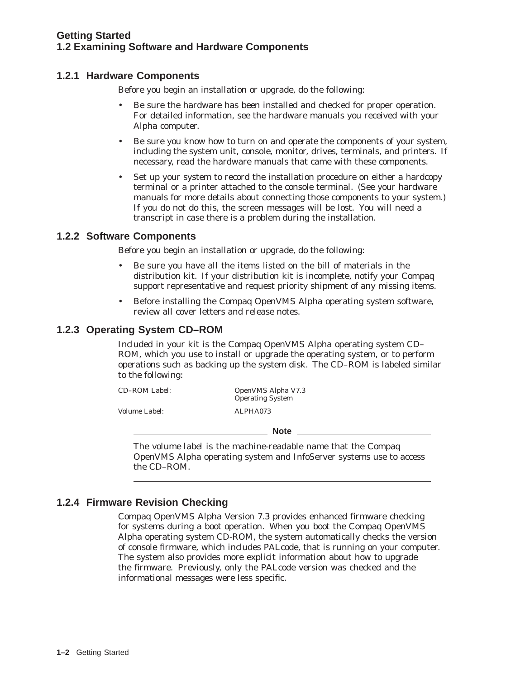#### **Getting Started 1.2 Examining Software and Hardware Components**

#### **1.2.1 Hardware Components**

Before you begin an installation or upgrade, do the following:

- Be sure the hardware has been installed and checked for proper operation. For detailed information, see the hardware manuals you received with your Alpha computer.
- Be sure you know how to turn on and operate the components of your system, including the system unit, console, monitor, drives, terminals, and printers. If necessary, read the hardware manuals that came with these components.
- Set up your system to record the installation procedure on either a hardcopy terminal or a printer attached to the console terminal. (See your hardware manuals for more details about connecting those components to your system.) If you do not do this, the screen messages will be lost. You will need a transcript in case there is a problem during the installation.

#### **1.2.2 Software Components**

Before you begin an installation or upgrade, do the following:

- Be sure you have all the items listed on the bill of materials in the distribution kit. If your distribution kit is incomplete, notify your Compaq support representative and request priority shipment of any missing items.
- Before installing the Compaq OpenVMS Alpha operating system software, review all cover letters and release notes.

#### **1.2.3 Operating System CD–ROM**

Included in your kit is the Compaq OpenVMS Alpha operating system CD– ROM, which you use to install or upgrade the operating system, or to perform operations such as backing up the system disk. The CD–ROM is labeled similar to the following:

| CD-ROM Label: | OpenVMS Alpha V7.3<br><b>Operating System</b> |  |
|---------------|-----------------------------------------------|--|
| Volume Label: | ALPHA073                                      |  |
|               | <b>Note</b>                                   |  |

The *volume label* is the machine-readable name that the Compaq OpenVMS Alpha operating system and InfoServer systems use to access the CD–ROM.

#### **1.2.4 Firmware Revision Checking**

Compaq OpenVMS Alpha Version 7.3 provides enhanced firmware checking for systems during a boot operation. When you boot the Compaq OpenVMS Alpha operating system CD-ROM, the system automatically checks the version of console firmware, which includes PALcode, that is running on your computer. The system also provides more explicit information about how to upgrade the firmware. Previously, only the PALcode version was checked and the informational messages were less specific.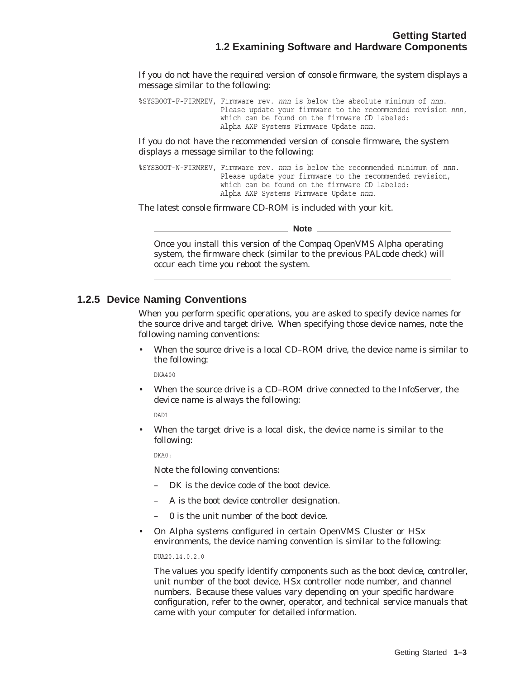If you do not have the *required* version of console firmware, the system displays a message similar to the following:

%SYSBOOT-F-FIRMREV, Firmware rev. *nnn* is below the absolute minimum of *nnn*. Please update your firmware to the recommended revision *nnn*, which can be found on the firmware CD labeled: Alpha AXP Systems Firmware Update *nnn*.

If you do not have the *recommended* version of console firmware, the system displays a message similar to the following:

%SYSBOOT-W-FIRMREV, Firmware rev. *nnn* is below the recommended minimum of *nnn*. Please update your firmware to the recommended revision, which can be found on the firmware CD labeled: Alpha AXP Systems Firmware Update *nnn*.

The latest console firmware CD-ROM is included with your kit.

**Note**

Once you install this version of the Compaq OpenVMS Alpha operating system, the firmware check (similar to the previous PALcode check) will occur each time you reboot the system.

#### **1.2.5 Device Naming Conventions**

When you perform specific operations, you are asked to specify device names for the source drive and target drive. When specifying those device names, note the following naming conventions:

• When the source drive is a local CD–ROM drive, the device name is similar to the following:

DKA400

• When the source drive is a CD–ROM drive connected to the InfoServer, the device name is *always* the following:

DAD1

When the target drive is a local disk, the device name is similar to the following:

DKA0:

Note the following conventions:

- DK is the device code of the boot device.
- *A* is the boot device controller designation.
- $\theta$  is the unit number of the boot device.
- On Alpha systems configured in certain OpenVMS Cluster or HS*x* environments, the device naming convention is similar to the following:

DUA20.14.0.2.0

The values you specify identify components such as the boot device, controller, unit number of the boot device, HS*x* controller node number, and channel numbers. Because these values vary depending on your specific hardware configuration, refer to the owner, operator, and technical service manuals that came with your computer for detailed information.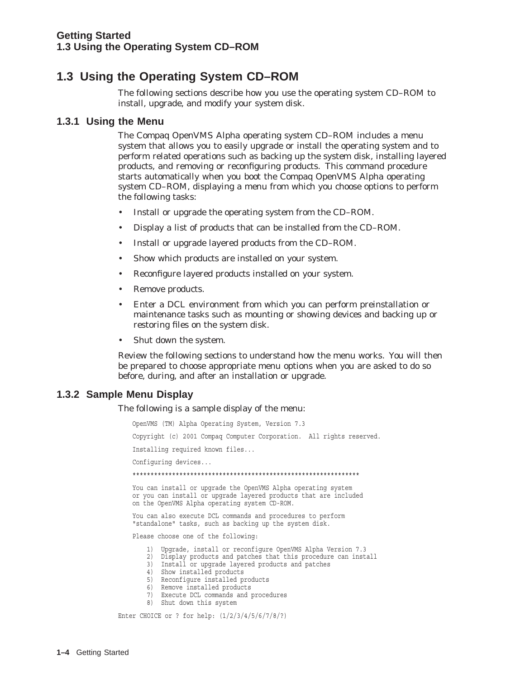# **1.3 Using the Operating System CD–ROM**

The following sections describe how you use the operating system CD–ROM to install, upgrade, and modify your system disk.

#### **1.3.1 Using the Menu**

The Compaq OpenVMS Alpha operating system CD–ROM includes a menu system that allows you to easily upgrade or install the operating system and to perform related operations such as backing up the system disk, installing layered products, and removing or reconfiguring products. This command procedure starts automatically when you boot the Compaq OpenVMS Alpha operating system CD–ROM, displaying a menu from which you choose options to perform the following tasks:

- Install or upgrade the operating system from the CD–ROM.
- Display a list of products that can be installed from the CD–ROM.
- Install or upgrade layered products from the CD–ROM.
- Show which products are installed on your system.
- Reconfigure layered products installed on your system.
- Remove products.
- Enter a DCL environment from which you can perform preinstallation or maintenance tasks such as mounting or showing devices and backing up or restoring files on the system disk.
- Shut down the system.

Review the following sections to understand how the menu works. You will then be prepared to choose appropriate menu options when you are asked to do so before, during, and after an installation or upgrade.

#### **1.3.2 Sample Menu Display**

The following is a sample display of the menu:

OpenVMS (TM) Alpha Operating System, Version 7.3 Copyright (c) 2001 Compaq Computer Corporation. All rights reserved. Installing required known files... Configuring devices... \*\*\*\*\*\*\*\*\*\*\*\*\*\*\*\*\*\*\*\*\*\*\*\*\*\*\*\*\*\*\*\*\*\*\*\*\*\*\*\*\*\*\*\*\*\*\*\*\*\*\*\*\*\*\*\*\*\*\*\*\*\*\* You can install or upgrade the OpenVMS Alpha operating system or you can install or upgrade layered products that are included on the OpenVMS Alpha operating system CD-ROM. You can also execute DCL commands and procedures to perform "standalone" tasks, such as backing up the system disk. Please choose one of the following: 1) Upgrade, install or reconfigure OpenVMS Alpha Version 7.3 2) Display products and patches that this procedure can install 3) Install or upgrade layered products and patches 4) Show installed products 5) Reconfigure installed products

- 6) Remove installed products
- 7) Execute DCL commands and procedures
- 8) Shut down this system

Enter CHOICE or ? for help: (1/2/3/4/5/6/7/8/?)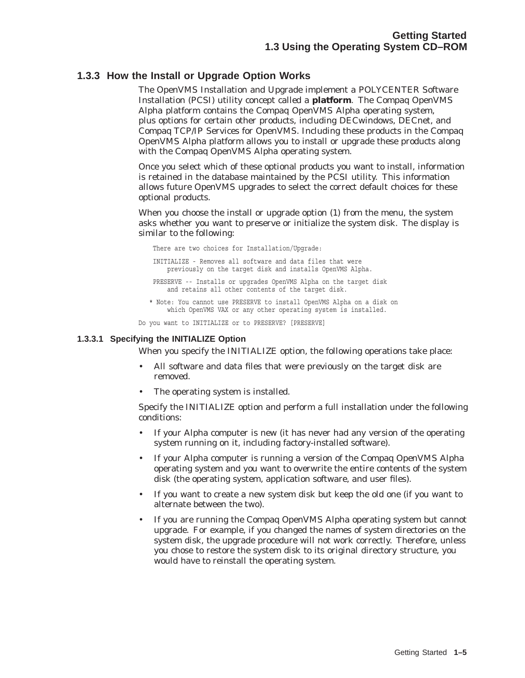#### **1.3.3 How the Install or Upgrade Option Works**

The OpenVMS Installation and Upgrade implement a POLYCENTER Software Installation (PCSI) utility concept called a **platform**. The Compaq OpenVMS Alpha platform contains the Compaq OpenVMS Alpha operating system, plus options for certain other products, including DECwindows, DECnet, and Compaq TCP/IP Services for OpenVMS. Including these products in the Compaq OpenVMS Alpha platform allows you to install or upgrade these products along with the Compaq OpenVMS Alpha operating system.

Once you select which of these optional products you want to install, information is retained in the database maintained by the PCSI utility. This information allows future OpenVMS upgrades to select the correct default choices for these optional products.

When you choose the install or upgrade option (1) from the menu, the system asks whether you want to preserve or initialize the system disk. The display is similar to the following:

There are two choices for Installation/Upgrade: INITIALIZE - Removes all software and data files that were previously on the target disk and installs OpenVMS Alpha. PRESERVE -- Installs or upgrades OpenVMS Alpha on the target disk and retains all other contents of the target disk. \* Note: You cannot use PRESERVE to install OpenVMS Alpha on a disk on which OpenVMS VAX or any other operating system is installed.

Do you want to INITIALIZE or to PRESERVE? [PRESERVE]

#### **1.3.3.1 Specifying the INITIALIZE Option**

When you specify the INITIALIZE option, the following operations take place:

- All software and data files that were previously on the target disk are removed.
- The operating system is installed.

Specify the INITIALIZE option and perform a full installation under the following conditions:

- If your Alpha computer is new (it has never had any version of the operating system running on it, including factory-installed software).
- If your Alpha computer is running a version of the Compaq OpenVMS Alpha operating system and you want to overwrite the entire contents of the system disk (the operating system, application software, and user files).
- If you want to create a new system disk but keep the old one (if you want to alternate between the two).
- If you are running the Compaq OpenVMS Alpha operating system but cannot upgrade. For example, if you changed the names of system directories on the system disk, the upgrade procedure will not work correctly. Therefore, unless you chose to restore the system disk to its original directory structure, you would have to reinstall the operating system.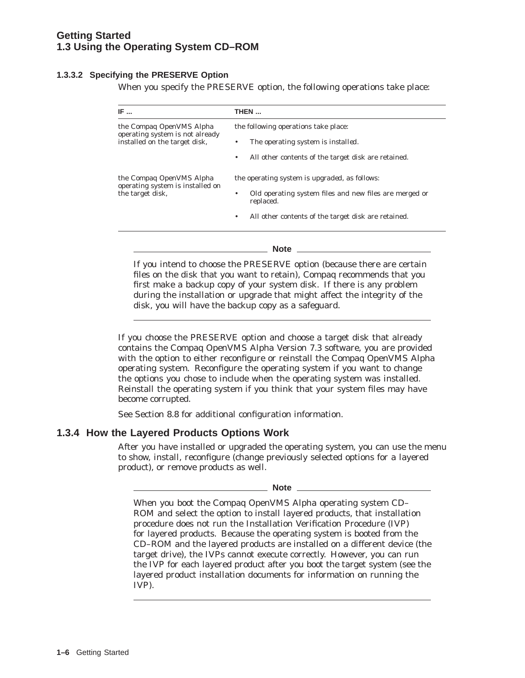#### **Getting Started 1.3 Using the Operating System CD–ROM**

#### **1.3.3.2 Specifying the PRESERVE Option**

When you specify the PRESERVE option, the following operations take place:

| IF $\ldots$                                                                                         | THEN                                                                                                                                                                                                                                     |  |  |
|-----------------------------------------------------------------------------------------------------|------------------------------------------------------------------------------------------------------------------------------------------------------------------------------------------------------------------------------------------|--|--|
| the Compaq OpenVMS Alpha<br>operating system is <i>not</i> already<br>installed on the target disk, | the following operations take place:<br>The operating system is <i>installed</i> .<br>٠<br>All other contents of the target disk are retained.<br>٠                                                                                      |  |  |
| the Compag OpenVMS Alpha<br>operating system is installed on<br>the target disk,                    | the operating system is <i>upgraded</i> , as follows:<br>Old operating system files and new files are merged or<br>٠<br>replaced.<br>All other contents of the target disk are retained.<br>٠                                            |  |  |
|                                                                                                     | Note $\_\_$<br>If you intend to choose the PRESERVE option (because there are certain<br>files on the disk that you want to retain), Compaq recommends that you<br>first make a backup copy of your system disk. If there is any problem |  |  |

If you choose the PRESERVE option and choose a target disk that already contains the Compaq OpenVMS Alpha Version 7.3 software, you are provided with the option to either reconfigure or reinstall the Compaq OpenVMS Alpha operating system. Reconfigure the operating system if you want to change the options you chose to include when the operating system was installed. Reinstall the operating system if you think that your system files may have become corrupted.

during the installation or upgrade that might affect the integrity of the

See Section 8.8 for additional configuration information.

disk, you will have the backup copy as a safeguard.

#### **1.3.4 How the Layered Products Options Work**

After you have installed or upgraded the operating system, you can use the menu to show, install, reconfigure (change previously selected options for a layered product), or remove products as well.

| ×<br>×<br>۹<br>۰.<br>w<br>۰.<br>۰. |
|------------------------------------|
|------------------------------------|

When you boot the Compaq OpenVMS Alpha operating system CD– ROM and select the option to install layered products, that installation procedure does not run the Installation Verification Procedure (IVP) for layered products. Because the operating system is booted from the CD–ROM and the layered products are installed on a different device (the target drive), the IVPs cannot execute correctly. However, you can run the IVP for each layered product after you boot the target system (see the layered product installation documents for information on running the IVP).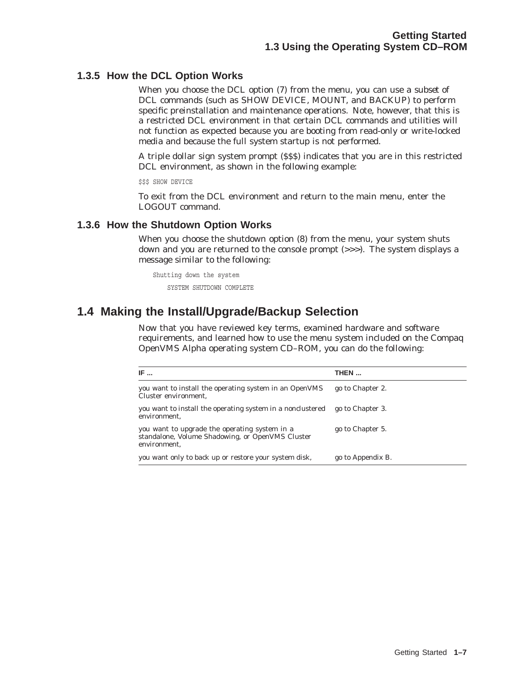#### **1.3.5 How the DCL Option Works**

When you choose the DCL option (7) from the menu, you can use a *subset* of DCL commands (such as SHOW DEVICE, MOUNT, and BACKUP) to perform specific preinstallation and maintenance operations. Note, however, that this is a restricted DCL environment in that certain DCL commands and utilities will not function as expected because you are booting from read-only or write-locked media and because the full system startup is not performed.

A triple dollar sign system prompt (\$\$\$) indicates that you are in this restricted DCL environment, as shown in the following example:

\$\$\$ SHOW DEVICE

To exit from the DCL environment and return to the main menu, enter the LOGOUT command.

#### **1.3.6 How the Shutdown Option Works**

When you choose the shutdown option (8) from the menu, your system shuts down and you are returned to the console prompt (>>>). The system displays a message similar to the following:

Shutting down the system SYSTEM SHUTDOWN COMPLETE

# **1.4 Making the Install/Upgrade/Backup Selection**

Now that you have reviewed key terms, examined hardware and software requirements, and learned how to use the menu system included on the Compaq OpenVMS Alpha operating system CD–ROM, you can do the following:

| IF $\ldots$                                                                                                       | THEN              |
|-------------------------------------------------------------------------------------------------------------------|-------------------|
| you want to install the operating system in an OpenVMS<br>Cluster environment,                                    | go to Chapter 2.  |
| you want to install the operating system in a nonclustered<br>environment.                                        | go to Chapter 3.  |
| you want to upgrade the operating system in a<br>standalone, Volume Shadowing, or OpenVMS Cluster<br>environment, | go to Chapter 5.  |
| you want only to back up or restore your system disk,                                                             | go to Appendix B. |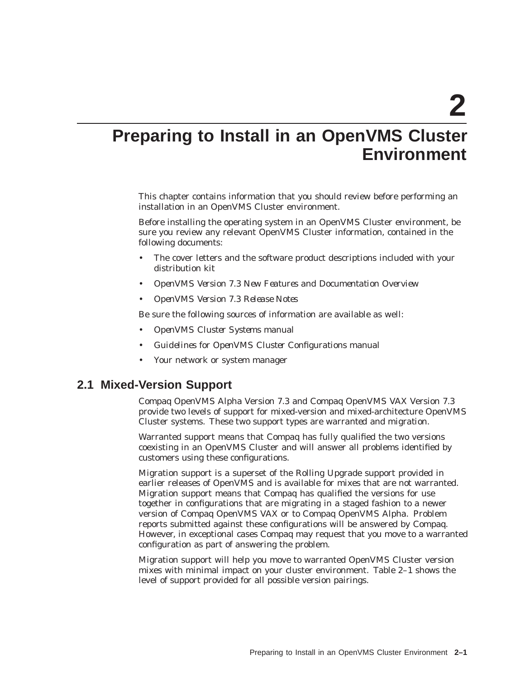**2**

# **Preparing to Install in an OpenVMS Cluster Environment**

This chapter contains information that you should review before performing an installation in an OpenVMS Cluster environment.

Before installing the operating system in an OpenVMS Cluster environment, be sure you review any relevant OpenVMS Cluster information, contained in the following documents:

- The cover letters and the software product descriptions included with your distribution kit
- *OpenVMS Version 7.3 New Features and Documentation Overview*
- *OpenVMS Version 7.3 Release Notes*

Be sure the following sources of information are available as well:

- *OpenVMS Cluster Systems* manual
- *Guidelines for OpenVMS Cluster Configurations* manual
- Your network or system manager

#### **2.1 Mixed-Version Support**

Compaq OpenVMS Alpha Version 7.3 and Compaq OpenVMS VAX Version 7.3 provide two levels of support for mixed-version and mixed-architecture OpenVMS Cluster systems. These two support types are *warranted* and *migration*.

Warranted support means that Compaq has fully qualified the two versions coexisting in an OpenVMS Cluster and will answer all problems identified by customers using these configurations.

Migration support is a superset of the Rolling Upgrade support provided in earlier releases of OpenVMS and is available for mixes that are not warranted. Migration support means that Compaq has qualified the versions for use together in configurations that are migrating in a staged fashion to a newer version of Compaq OpenVMS VAX or to Compaq OpenVMS Alpha. Problem reports submitted against these configurations will be answered by Compaq. However, in exceptional cases Compaq may request that you move to a warranted configuration as part of answering the problem.

Migration support will help you move to warranted OpenVMS Cluster version mixes with minimal impact on your cluster environment. Table 2–1 shows the level of support provided for all possible version pairings.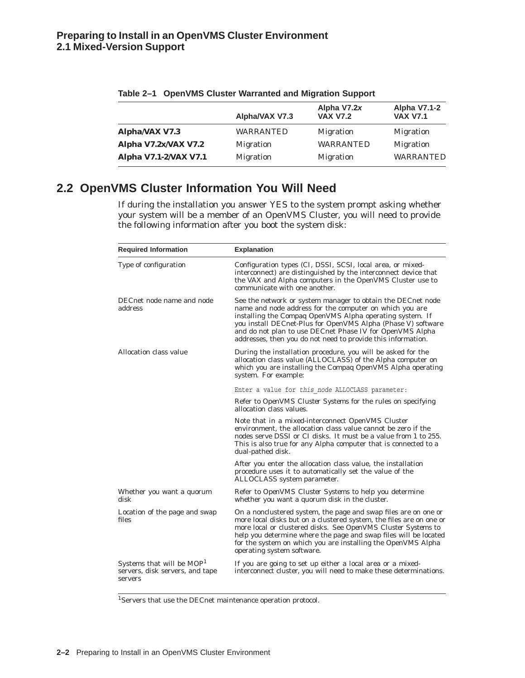|                       | Alpha/VAX V7.3   | Alpha V7.2x<br><b>VAX V7.2</b> | <b>Alpha V7.1-2</b><br><b>VAX V7.1</b> |
|-----------------------|------------------|--------------------------------|----------------------------------------|
| Alpha/VAX V7.3        | <b>WARRANTED</b> | <b>Migration</b>               | <b>Migration</b>                       |
| Alpha V7.2x/VAX V7.2  | <b>Migration</b> | <b>WARRANTED</b>               | <b>Migration</b>                       |
| Alpha V7.1-2/VAX V7.1 | <b>Migration</b> | <b>Migration</b>               | <b>WARRANTED</b>                       |

| Table 2-1 OpenVMS Cluster Warranted and Migration Support |  |  |  |  |  |
|-----------------------------------------------------------|--|--|--|--|--|
|-----------------------------------------------------------|--|--|--|--|--|

# **2.2 OpenVMS Cluster Information You Will Need**

If during the installation you answer YES to the system prompt asking whether your system will be a member of an OpenVMS Cluster, you will need to provide the following information after you boot the system disk:

| <b>Required Information</b>                                                         | <b>Explanation</b>                                                                                                                                                                                                                                                                                                                                                             |
|-------------------------------------------------------------------------------------|--------------------------------------------------------------------------------------------------------------------------------------------------------------------------------------------------------------------------------------------------------------------------------------------------------------------------------------------------------------------------------|
| Type of configuration                                                               | Configuration types (CI, DSSI, SCSI, local area, or mixed-<br>interconnect) are distinguished by the interconnect device that<br>the VAX and Alpha computers in the OpenVMS Cluster use to<br>communicate with one another.                                                                                                                                                    |
| DECnet node name and node<br>address                                                | See the network or system manager to obtain the DECnet node<br>name and node address for the computer on which you are<br>installing the Compaq OpenVMS Alpha operating system. If<br>you install DECnet-Plus for OpenVMS Alpha (Phase V) software<br>and do not plan to use DECnet Phase IV for OpenVMS Alpha<br>addresses, then you do not need to provide this information. |
| Allocation class value                                                              | During the installation procedure, you will be asked for the<br>allocation class value (ALLOCLASS) of the Alpha computer on<br>which you are installing the Compaq OpenVMS Alpha operating<br>system. For example:                                                                                                                                                             |
|                                                                                     | Enter a value for this node ALLOCLASS parameter:                                                                                                                                                                                                                                                                                                                               |
|                                                                                     | Refer to <i>OpenVMS Cluster Systems</i> for the rules on specifying<br>allocation class values.                                                                                                                                                                                                                                                                                |
|                                                                                     | Note that in a mixed-interconnect OpenVMS Cluster<br>environment, the allocation class value cannot be zero if the<br>nodes serve DSSI or CI disks. It must be a value from 1 to 255.<br>This is also true for any Alpha computer that is connected to a<br>dual-pathed disk.                                                                                                  |
|                                                                                     | After you enter the allocation class value, the installation<br>procedure uses it to automatically set the value of the<br>ALLOCLASS system parameter.                                                                                                                                                                                                                         |
| Whether you want a quorum<br>disk                                                   | Refer to <i>OpenVMS Cluster Systems</i> to help you determine<br>whether you want a quorum disk in the cluster.                                                                                                                                                                                                                                                                |
| Location of the page and swap<br>files                                              | On a nonclustered system, the page and swap files are on one or<br>more local disks but on a clustered system, the files are on one or<br>more local or clustered disks. See OpenVMS Cluster Systems to<br>help you determine where the page and swap files will be located<br>for the system on which you are installing the OpenVMS Alpha<br>operating system software.      |
| Systems that will be MOP <sup>1</sup><br>servers, disk servers, and tape<br>servers | If you are going to set up either a local area or a mixed-<br>interconnect cluster, you will need to make these determinations.                                                                                                                                                                                                                                                |

1Servers that use the DECnet maintenance operation protocol.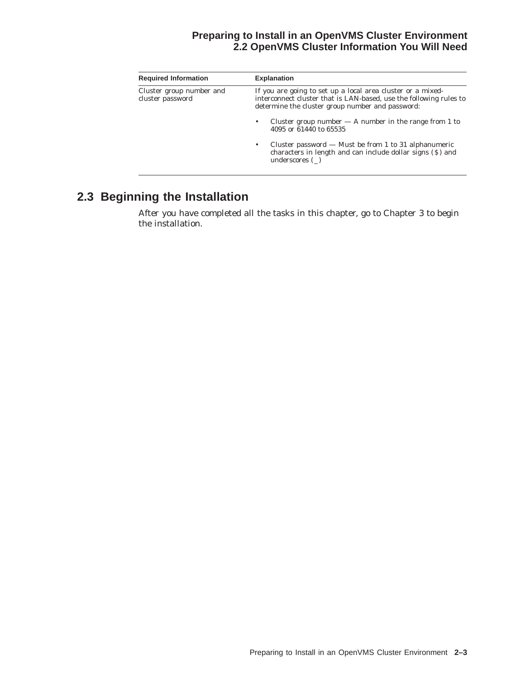#### **Preparing to Install in an OpenVMS Cluster Environment 2.2 OpenVMS Cluster Information You Will Need**

| <b>Required Information</b>                  | <b>Explanation</b>                                                                                                                                                                    |  |  |
|----------------------------------------------|---------------------------------------------------------------------------------------------------------------------------------------------------------------------------------------|--|--|
| Cluster group number and<br>cluster password | If you are going to set up a local area cluster or a mixed-<br>interconnect cluster that is LAN-based, use the following rules to<br>determine the cluster group number and password: |  |  |
|                                              | Cluster group number $- A$ number in the range from 1 to<br>4095 or 61440 to 65535                                                                                                    |  |  |
|                                              | Cluster password $-$ Must be from 1 to 31 alphanumeric<br>characters in length and can include dollar signs (\$) and<br>underscores ()                                                |  |  |

# **2.3 Beginning the Installation**

After you have completed all the tasks in this chapter, go to Chapter 3 to begin the installation.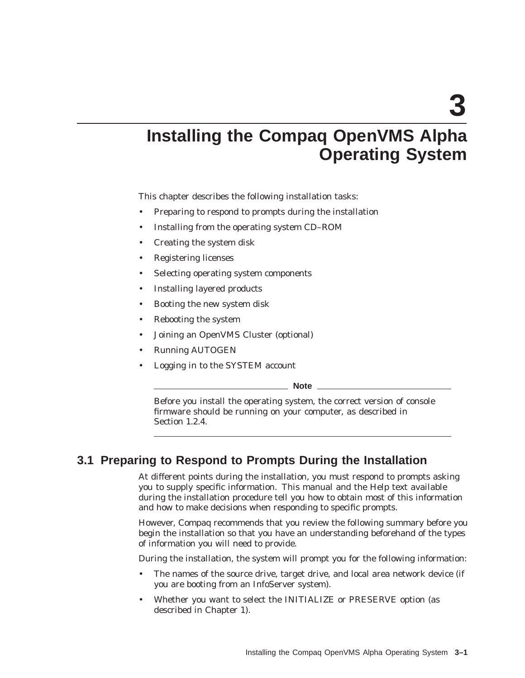**3**

# **Installing the Compaq OpenVMS Alpha Operating System**

This chapter describes the following installation tasks:

- Preparing to respond to prompts during the installation
- Installing from the operating system CD–ROM
- Creating the system disk
- Registering licenses
- Selecting operating system components
- Installing layered products
- Booting the new system disk
- Rebooting the system
- Joining an OpenVMS Cluster (optional)
- Running AUTOGEN
- Logging in to the SYSTEM account

**Note**

Before you install the operating system, the correct version of console firmware should be running on your computer, as described in Section 1.2.4.

# **3.1 Preparing to Respond to Prompts During the Installation**

At different points during the installation, you must respond to prompts asking you to supply specific information. This manual and the Help text available during the installation procedure tell you how to obtain most of this information and how to make decisions when responding to specific prompts.

However, Compaq recommends that you review the following summary before you begin the installation so that you have an understanding beforehand of the types of information you will need to provide.

During the installation, the system will prompt you for the following information:

- The names of the source drive, target drive, and local area network device (if you are booting from an InfoServer system).
- Whether you want to select the INITIALIZE or PRESERVE option (as described in Chapter 1).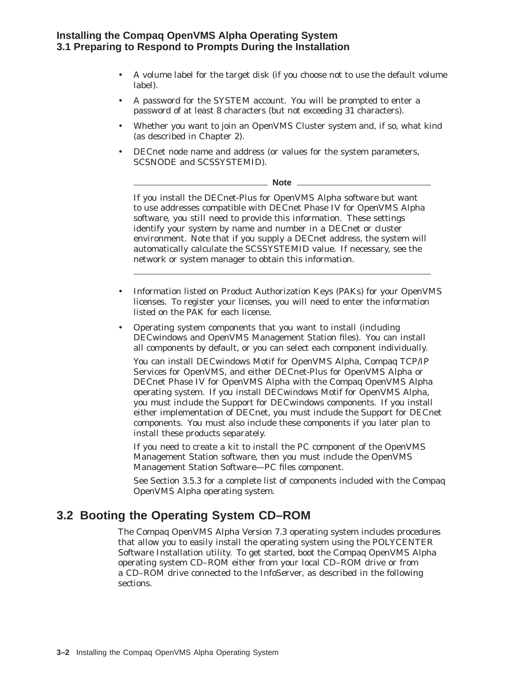- A volume label for the target disk (if you choose not to use the default volume label).
- A password for the SYSTEM account. You will be prompted to enter a password of at least 8 characters (but not exceeding 31 characters).
- Whether you want to join an OpenVMS Cluster system and, if so, what kind (as described in Chapter 2).
- DECnet node name and address (or values for the system parameters, SCSNODE and SCSSYSTEMID).

**Note**

If you install the DECnet-Plus for OpenVMS Alpha software but want to use addresses compatible with DECnet Phase IV for OpenVMS Alpha software, you still need to provide this information. These settings identify your system by name and number in a DECnet or cluster environment. Note that if you supply a DECnet address, the system will automatically calculate the SCSSYSTEMID value. If necessary, see the network or system manager to obtain this information.

- Information listed on Product Authorization Keys (PAKs) for your OpenVMS licenses. To register your licenses, you will need to enter the information listed on the PAK for each license.
- Operating system components that you want to install (including DECwindows and OpenVMS Management Station files). You can install all components by default, or you can select each component individually.

You can install DECwindows Motif for OpenVMS Alpha, Compaq TCP/IP Services for OpenVMS, and either DECnet-Plus for OpenVMS Alpha or DECnet Phase IV for OpenVMS Alpha with the Compaq OpenVMS Alpha operating system. If you install DECwindows Motif for OpenVMS Alpha, you must include the Support for DECwindows components. If you install either implementation of DECnet, you must include the Support for DECnet components. You must also include these components if you later plan to install these products separately.

If you need to create a kit to install the PC component of the OpenVMS Management Station software, then you must include the OpenVMS Management Station Software—PC files component.

See Section 3.5.3 for a complete list of components included with the Compaq OpenVMS Alpha operating system.

# **3.2 Booting the Operating System CD–ROM**

The Compaq OpenVMS Alpha Version 7.3 operating system includes procedures that allow you to easily install the operating system using the POLYCENTER Software Installation utility. To get started, boot the Compaq OpenVMS Alpha operating system CD–ROM either from your local CD–ROM drive or from a CD–ROM drive connected to the InfoServer, as described in the following sections.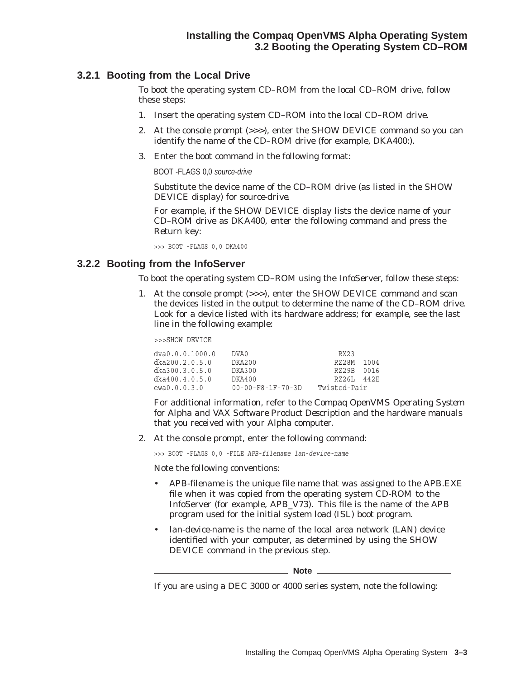#### **3.2.1 Booting from the Local Drive**

To boot the operating system CD–ROM from the local CD–ROM drive, follow these steps:

- 1. Insert the operating system CD–ROM into the local CD–ROM drive.
- 2. At the console prompt (>>>), enter the SHOW DEVICE command so you can identify the name of the CD–ROM drive (for example, DKA400:).
- 3. Enter the boot command in the following format:

BOOT -FLAGS 0,0 source-drive

Substitute the device name of the CD–ROM drive (as listed in the SHOW DEVICE display) for *source-drive*.

For example, if the SHOW DEVICE display lists the device name of your CD–ROM drive as DKA400, enter the following command and press the Return key:

>>> BOOT -FLAGS 0,0 DKA400

#### **3.2.2 Booting from the InfoServer**

To boot the operating system CD–ROM using the InfoServer, follow these steps:

1. At the console prompt (>>>), enter the SHOW DEVICE command and scan the devices listed in the output to determine the name of the CD–ROM drive. Look for a device listed with its hardware address; for example, see the last line in the following example:

>>>SHOW DEVICE

| dva0.0.0.1000.0 | DVA0.                         | RX23         |      |
|-----------------|-------------------------------|--------------|------|
| dka200.2.0.5.0  | DKA200                        | RZ28M        | 1004 |
| dka300.3.0.5.0  | DKA300                        | RZ29B        | 0016 |
| dka400.4.0.5.0  | DKA400                        | RZ26L        | 442F |
| ewa0.0.0.3.0    | $00 - 00 - F8 - 1F - 70 - 3D$ | Twisted-Pair |      |

For additional information, refer to the *Compaq OpenVMS Operating System for Alpha and VAX Software Product Description* and the hardware manuals that you received with your Alpha computer.

2. At the console prompt, enter the following command:

>>> BOOT -FLAGS 0,0 -FILE *APB-filename lan-device-name*

Note the following conventions:

- *APB-filename* is the unique file name that was assigned to the APB.EXE file when it was copied from the operating system CD-ROM to the InfoServer (for example, APB\_V73). This file is the name of the APB program used for the initial system load (ISL) boot program.
- *lan-device-name* is the name of the local area network (LAN) device identified with your computer, as determined by using the SHOW DEVICE command in the previous step.

**Note**

If you are using a DEC 3000 or 4000 series system, note the following: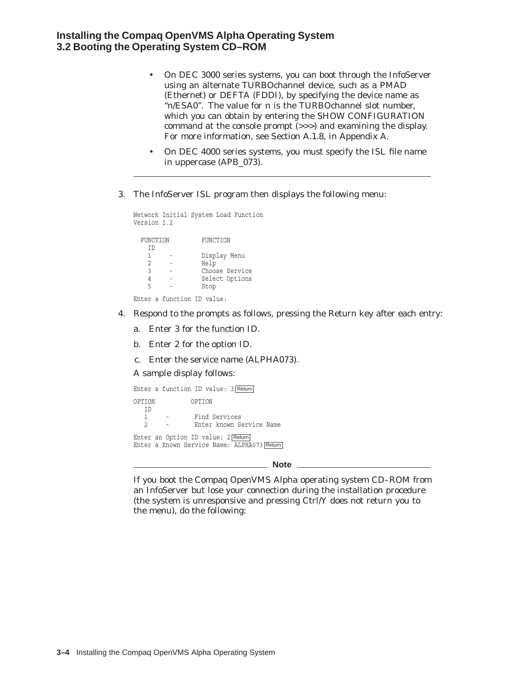#### **Installing the Compaq OpenVMS Alpha Operating System 3.2 Booting the Operating System CD–ROM**

- On DEC 3000 series systems, you can boot through the InfoServer using an alternate TURBOchannel device, such as a PMAD (Ethernet) or DEFTA (FDDI), by specifying the device name as "*n*/ESA0". The value for *n* is the TURBOchannel slot number, which you can obtain by entering the SHOW CONFIGURATION command at the console prompt (>>>) and examining the display. For more information, see Section A.1.8, in Appendix A.
- On DEC 4000 series systems, you *must* specify the ISL file name in uppercase (APB\_073).
- 3. The InfoServer ISL program then displays the following menu:

```
Network Initial System Load Function
Version 1.2
 FUNCTION FUNCTION
  ID
   1 - Display Menu
   2 - Help
   3 - Choose Service
   4 - Select Options
  5 - Stop
Enter a function ID value:
```
- 4. Respond to the prompts as follows, pressing the Return key after each entry:
	- a. Enter 3 for the function ID.
	- b. Enter 2 for the option ID.
	- c. Enter the service name (ALPHA073).
	- A sample display follows:

```
Enter a function ID value: 3 Return
OPTION OPTION
 \begin{array}{c} \texttt{ID} \\ 1 \end{array}- Find Services
  2 - Enter known Service Name
Enter an Option ID value: 2 Return
Enter a Known Service Name: ALPHA073 Return
```
\_\_\_\_\_\_\_\_\_\_\_\_\_ Note \_\_

If you boot the Compaq OpenVMS Alpha operating system CD–ROM from an InfoServer but lose your connection during the installation procedure (the system is unresponsive and pressing Ctrl/Y does not return you to the menu), do the following: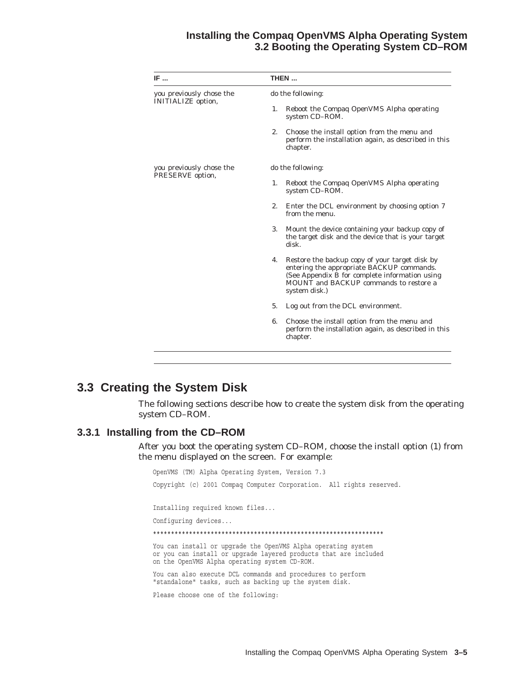#### **Installing the Compaq OpenVMS Alpha Operating System 3.2 Booting the Operating System CD–ROM**

| IF                                                    | THEN                                                                                                                                                                                                           |  |  |  |
|-------------------------------------------------------|----------------------------------------------------------------------------------------------------------------------------------------------------------------------------------------------------------------|--|--|--|
| you previously chose the<br><b>INITIALIZE</b> option, | do the following:                                                                                                                                                                                              |  |  |  |
|                                                       | Reboot the Compaq OpenVMS Alpha operating<br>1.<br>system CD-ROM.                                                                                                                                              |  |  |  |
|                                                       | 2.<br>Choose the install option from the menu and<br>perform the installation again, as described in this<br>chapter.                                                                                          |  |  |  |
| you previously chose the<br>PRESERVE option,          | do the following:                                                                                                                                                                                              |  |  |  |
|                                                       | Reboot the Compaq OpenVMS Alpha operating<br>1.<br>system CD-ROM.                                                                                                                                              |  |  |  |
|                                                       | 2.<br>Enter the DCL environment by choosing option 7<br>from the menu.                                                                                                                                         |  |  |  |
|                                                       | Mount the device containing your backup copy of<br>3.<br>the target disk and the device that is your target<br>disk.                                                                                           |  |  |  |
|                                                       | Restore the backup copy of your target disk by<br>4.<br>entering the appropriate BACKUP commands.<br>(See Appendix B for complete information using<br>MOUNT and BACKUP commands to restore a<br>system disk.) |  |  |  |
|                                                       | 5.<br>Log out from the DCL environment.                                                                                                                                                                        |  |  |  |
|                                                       | Choose the install option from the menu and<br>6.<br>perform the installation again, as described in this<br>chapter.                                                                                          |  |  |  |

# **3.3 Creating the System Disk**

The following sections describe how to create the system disk from the operating system CD–ROM.

#### **3.3.1 Installing from the CD–ROM**

After you boot the operating system CD–ROM, choose the install option (1) from the menu displayed on the screen. For example:

OpenVMS (TM) Alpha Operating System, Version 7.3 Copyright (c) 2001 Compaq Computer Corporation. All rights reserved. Installing required known files... Configuring devices... \*\*\*\*\*\*\*\*\*\*\*\*\*\*\*\*\*\*\*\*\*\*\*\*\*\*\*\*\*\*\*\*\*\*\*\*\*\*\*\*\*\*\*\*\*\*\*\*\*\*\*\*\*\*\*\*\*\*\*\*\*\*\*\* You can install or upgrade the OpenVMS Alpha operating system or you can install or upgrade layered products that are included on the OpenVMS Alpha operating system CD-ROM. You can also execute DCL commands and procedures to perform "standalone" tasks, such as backing up the system disk. Please choose one of the following: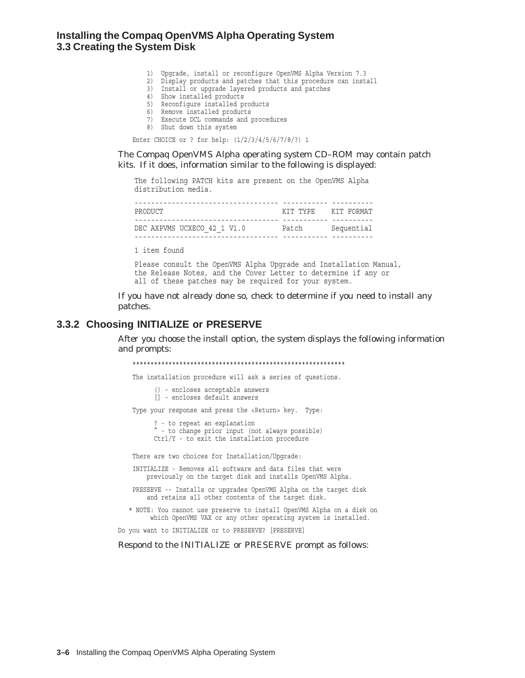#### **Installing the Compaq OpenVMS Alpha Operating System 3.3 Creating the System Disk**

- 1) Upgrade, install or reconfigure OpenVMS Alpha Version 7.3
- 2) Display products and patches that this procedure can install
- 3) Install or upgrade layered products and patches
- 4) Show installed products
- 5) Reconfigure installed products
- 6) Remove installed products
- 7) Execute DCL commands and procedures
- 8) Shut down this system

Enter CHOICE or ? for help: (1/2/3/4/5/6/7/8/?) 1

The Compaq OpenVMS Alpha operating system CD–ROM may contain patch kits. If it does, information similar to the following is displayed:

The following PATCH kits are present on the OpenVMS Alpha distribution media.

| PRODUCT                     | КТТ ТҮРЕ                        | KIT FORMAT |
|-----------------------------|---------------------------------|------------|
| DEC AXPVMS UCXECO 42 1 V1.0 | ----------------------<br>Patch | Sequential |
|                             |                                 |            |

1 item found

Please consult the OpenVMS Alpha Upgrade and Installation Manual, the Release Notes, and the Cover Letter to determine if any or all of these patches may be required for your system.

If you have not already done so, check to determine if you need to install any patches.

#### **3.3.2 Choosing INITIALIZE or PRESERVE**

After you choose the install option, the system displays the following information and prompts:

\*\*\*\*\*\*\*\*\*\*\*\*\*\*\*\*\*\*\*\*\*\*\*\*\*\*\*\*\*\*\*\*\*\*\*\*\*\*\*\*\*\*\*\*\*\*\*\*\*\*\*\*\*\*\*\*\*\*\* The installation procedure will ask a series of questions. () - encloses acceptable answers [] - encloses default answers Type your response and press the <Return> key. Type: ? - to repeat an explanation ^ - to change prior input (not always possible) Ctrl/Y - to exit the installation procedure There are two choices for Installation/Upgrade: INITIALIZE - Removes all software and data files that were previously on the target disk and installs OpenVMS Alpha. PRESERVE -- Installs or upgrades OpenVMS Alpha on the target disk and retains all other contents of the target disk. \* NOTE: You cannot use preserve to install OpenVMS Alpha on a disk on which OpenVMS VAX or any other operating system is installed.

Do you want to INITIALIZE or to PRESERVE? [PRESERVE]

Respond to the INITIALIZE or PRESERVE prompt as follows: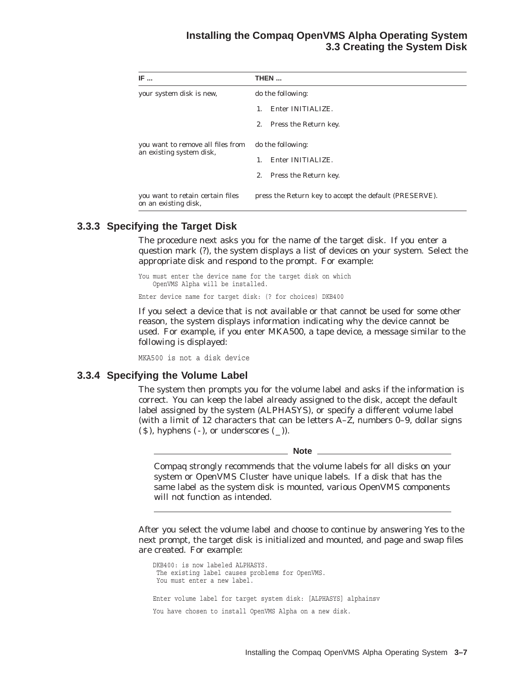#### **Installing the Compaq OpenVMS Alpha Operating System 3.3 Creating the System Disk**

| IF                                                            | THEN                                                   |  |  |
|---------------------------------------------------------------|--------------------------------------------------------|--|--|
| your system disk is new,                                      | do the following:                                      |  |  |
|                                                               | Enter INITIALIZE.<br>$\mathbf{1}$ .                    |  |  |
|                                                               | Press the Return key.<br>2.                            |  |  |
| you want to remove all files from<br>an existing system disk, | do the following:                                      |  |  |
|                                                               | Enter INITIALIZE.<br>$1_{-}$                           |  |  |
|                                                               | Press the Return key.<br>2.                            |  |  |
| you want to retain certain files<br>on an existing disk,      | press the Return key to accept the default (PRESERVE). |  |  |

#### **3.3.3 Specifying the Target Disk**

The procedure next asks you for the name of the target disk. If you enter a question mark (?), the system displays a list of devices on your system. Select the appropriate disk and respond to the prompt. For example:

You must enter the device name for the target disk on which OpenVMS Alpha will be installed.

Enter device name for target disk: (? for choices) DKB400

If you select a device that is not available or that cannot be used for some other reason, the system displays information indicating why the device cannot be used. For example, if you enter MKA500, a tape device, a message similar to the following is displayed:

MKA500 is not a disk device

#### **3.3.4 Specifying the Volume Label**

The system then prompts you for the volume label and asks if the information is correct. You can keep the label already assigned to the disk, accept the default label assigned by the system (ALPHASYS), or specify a different volume label (with a limit of 12 characters that can be letters A–Z, numbers 0–9, dollar signs  $(S)$ , hyphens  $(-)$ , or underscores  $(-)$ ).

**Note** \_

Compaq strongly recommends that the volume labels for all disks on your system or OpenVMS Cluster have unique labels. If a disk that has the same label as the system disk is mounted, various OpenVMS components will not function as intended.

After you select the volume label and choose to continue by answering Yes to the next prompt, the target disk is initialized and mounted, and page and swap files are created. For example:

DKB400: is now labeled ALPHASYS. The existing label causes problems for OpenVMS. You must enter a new label. Enter volume label for target system disk: [ALPHASYS] alphainsv You have chosen to install OpenVMS Alpha on a new disk.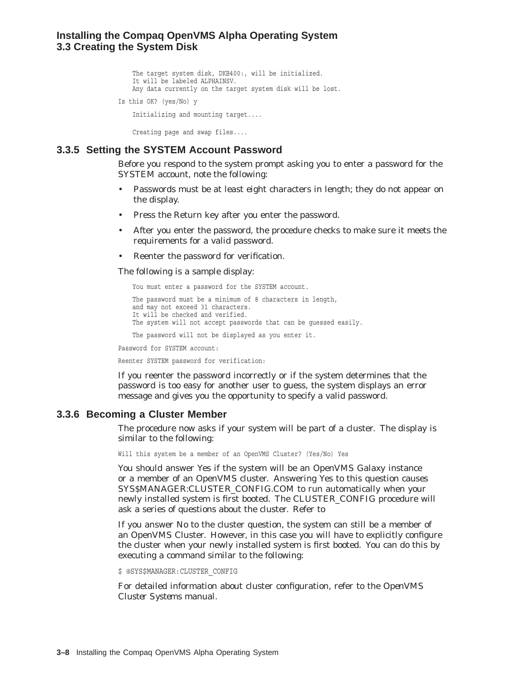#### **Installing the Compaq OpenVMS Alpha Operating System 3.3 Creating the System Disk**

The target system disk, DKB400:, will be initialized. It will be labeled ALPHAINSV. Any data currently on the target system disk will be lost. Is this OK? (yes/No) y Initializing and mounting target....

**3.3.5 Setting the SYSTEM Account Password**

Creating page and swap files....

Before you respond to the system prompt asking you to enter a password for the SYSTEM account, note the following:

- Passwords must be at least eight characters in length; they do not appear on the display.
- Press the Return key after you enter the password.
- After you enter the password, the procedure checks to make sure it meets the requirements for a valid password.
- Reenter the password for verification.

The following is a sample display:

```
You must enter a password for the SYSTEM account.
The password must be a minimum of 8 characters in length,
and may not exceed 31 characters.
It will be checked and verified.
The system will not accept passwords that can be guessed easily.
The password will not be displayed as you enter it.
```
Password for SYSTEM account:

Reenter SYSTEM password for verification:

If you reenter the password incorrectly or if the system determines that the password is too easy for another user to guess, the system displays an error message and gives you the opportunity to specify a valid password.

#### **3.3.6 Becoming a Cluster Member**

The procedure now asks if your system will be part of a cluster. The display is similar to the following:

Will this system be a member of an OpenVMS Cluster? (Yes/No) Yes

You should answer Yes if the system will be an OpenVMS Galaxy instance or a member of an OpenVMS cluster. Answering Yes to this question causes SYS\$MANAGER:CLUSTER\_CONFIG.COM to run automatically when your newly installed system is first booted. The CLUSTER\_CONFIG procedure will ask a series of questions about the cluster. Refer to

If you answer No to the cluster question, the system can still be a member of an OpenVMS Cluster. However, in this case you will have to explicitly configure the cluster when your newly installed system is first booted. You can do this by executing a command similar to the following:

\$ @SYS\$MANAGER:CLUSTER\_CONFIG

For detailed information about cluster configuration, refer to the *OpenVMS Cluster Systems* manual.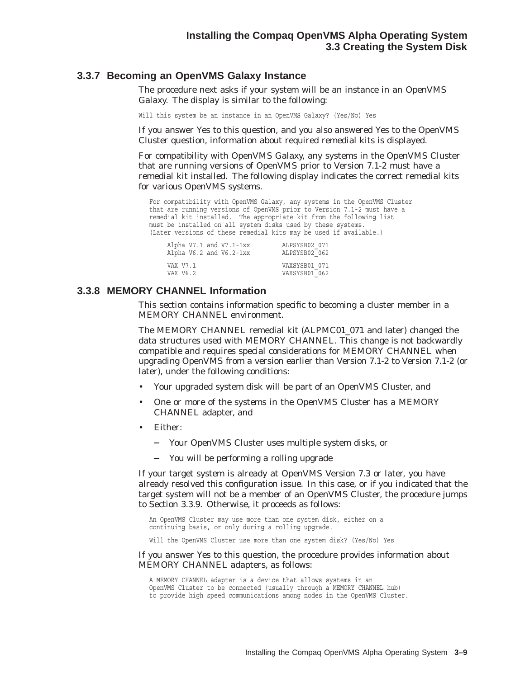#### **3.3.7 Becoming an OpenVMS Galaxy Instance**

The procedure next asks if your system will be an instance in an OpenVMS Galaxy. The display is similar to the following:

Will this system be an instance in an OpenVMS Galaxy? (Yes/No) Yes

If you answer Yes to this question, and you also answered Yes to the OpenVMS Cluster question, information about required remedial kits is displayed.

For compatibility with OpenVMS Galaxy, any systems in the OpenVMS Cluster that are running versions of OpenVMS prior to Version 7.1-2 must have a remedial kit installed. The following display indicates the correct remedial kits for various OpenVMS systems.

For compatibility with OpenVMS Galaxy, any systems in the OpenVMS Cluster that are running versions of OpenVMS prior to Version 7.1-2 must have a remedial kit installed. The appropriate kit from the following list must be installed on all system disks used by these systems. (Later versions of these remedial kits may be used if available.)

| ALPSYSB02 071 |
|---------------|
| ALPSYSB02 062 |
|               |
| VAXSYSB01 071 |
| VAXSYSB01 062 |
|               |

#### **3.3.8 MEMORY CHANNEL Information**

This section contains information specific to becoming a cluster member in a MEMORY CHANNEL environment.

The MEMORY CHANNEL remedial kit (ALPMC01\_071 and later) changed the data structures used with MEMORY CHANNEL. This change is not backwardly compatible and requires special considerations for MEMORY CHANNEL when upgrading OpenVMS from a version earlier than Version 7.1-2 to Version 7.1-2 (or later), under the following conditions:

- Your upgraded system disk will be part of an OpenVMS Cluster, and
- One or more of the systems in the OpenVMS Cluster has a MEMORY CHANNEL adapter, and
- Either:
	- Your OpenVMS Cluster uses multiple system disks, or
	- You will be performing a rolling upgrade

If your target system is already at OpenVMS Version 7.3 or later, you have already resolved this configuration issue. In this case, or if you indicated that the target system will not be a member of an OpenVMS Cluster, the procedure jumps to Section 3.3.9. Otherwise, it proceeds as follows:

An OpenVMS Cluster may use more than one system disk, either on a continuing basis, or only during a rolling upgrade.

Will the OpenVMS Cluster use more than one system disk? (Yes/No) Yes

#### If you answer Yes to this question, the procedure provides information about MEMORY CHANNEL adapters, as follows:

A MEMORY CHANNEL adapter is a device that allows systems in an OpenVMS Cluster to be connected (usually through a MEMORY CHANNEL hub) to provide high speed communications among nodes in the OpenVMS Cluster.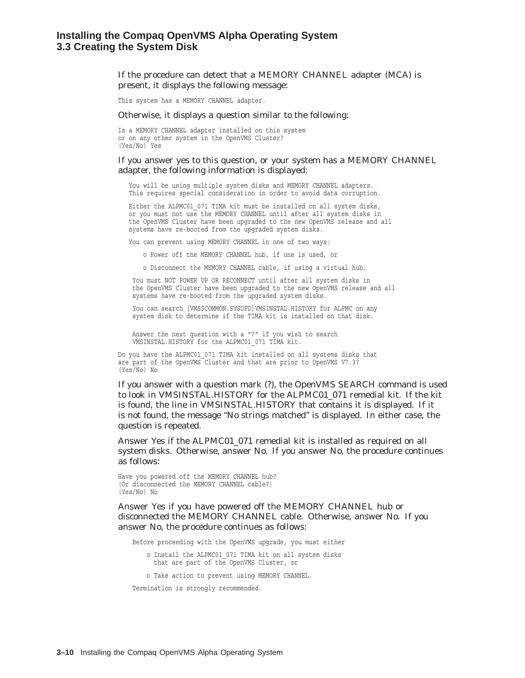If the procedure can detect that a MEMORY CHANNEL adapter (MCA) is present, it displays the following message:

This system has a MEMORY CHANNEL adapter.

Otherwise, it displays a question similar to the following:

Is a MEMORY CHANNEL adapter installed on this system or on any other system in the OpenVMS Cluster? (Yes/No) Yes

#### If you answer yes to this question, or your system has a MEMORY CHANNEL adapter, the following information is displayed:

You will be using multiple system disks and MEMORY CHANNEL adapters. This requires special consideration in order to avoid data corruption.

Either the ALPMC01 071 TIMA kit must be installed on all system disks, or you must not use the MEMORY CHANNEL until after all system disks in the OpenVMS Cluster have been upgraded to the new OpenVMS release and all systems have re-booted from the upgraded system disks.

You can prevent using MEMORY CHANNEL in one of two ways:

o Power off the MEMORY CHANNEL hub, if one is used, or

o Disconnect the MEMORY CHANNEL cable, if using a virtual hub.

You must NOT POWER UP OR RECONNECT until after all system disks in the OpenVMS Cluster have been upgraded to the new OpenVMS release and all systems have re-booted from the upgraded system disks.

You can search [VMS\$COMMON.SYSUPD] VMSINSTAL.HISTORY for ALPMC on any system disk to determine if the TIMA kit is installed on that disk.

Answer the next question with a "?" if you wish to search VMSINSTAL.HISTORY for the ALPMC01\_071 TIMA kit.

Do you have the ALPMC01\_071 TIMA kit installed on all systems disks that are part of the OpenVMS Cluster and that are prior to OpenVMS V7.3? (Yes/No) No

If you answer with a question mark (?), the OpenVMS SEARCH command is used to look in VMSINSTAL.HISTORY for the ALPMC01\_071 remedial kit. If the kit is found, the line in VMSINSTAL.HISTORY that contains it is displayed. If it is not found, the message ''No strings matched'' is displayed. In either case, the question is repeated.

Answer Yes if the ALPMC01\_071 remedial kit is installed as required on all system disks. Otherwise, answer No. If you answer No, the procedure continues as follows:

Have you powered off the MEMORY CHANNEL hub? (Or disconnected the MEMORY CHANNEL cable?) (Yes/No) No

Answer Yes if you have powered off the MEMORY CHANNEL hub or disconnected the MEMORY CHANNEL cable. Otherwise, answer No. If you answer No, the procedure continues as follows:

Before proceeding with the OpenVMS upgrade, you must either

o Install the ALPMC01\_071 TIMA kit on all system disks that are part of the OpenVMS Cluster, or

o Take action to prevent using MEMORY CHANNEL.

Termination is strongly recommended.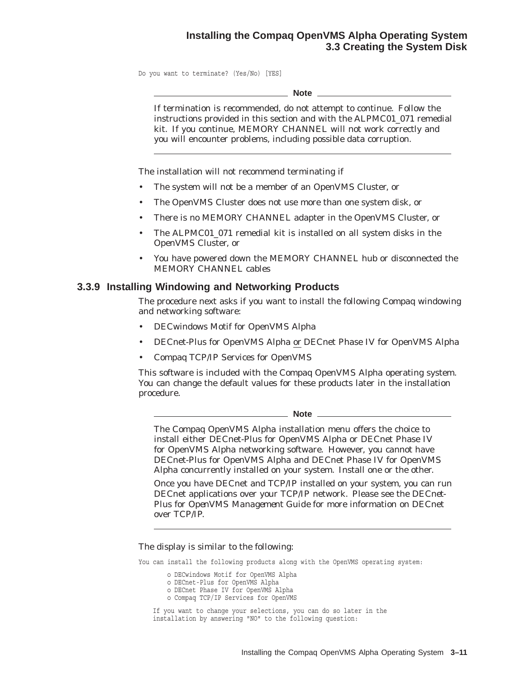#### **Installing the Compaq OpenVMS Alpha Operating System 3.3 Creating the System Disk**

Do you want to terminate? (Yes/No) [YES]

**Note**

If termination is recommended, do not attempt to continue. Follow the instructions provided in this section and with the ALPMC01\_071 remedial kit. If you continue, MEMORY CHANNEL will not work correctly and you will encounter problems, including possible data corruption.

The installation will not recommend terminating if

- The system will not be a member of an OpenVMS Cluster, or
- The OpenVMS Cluster does not use more than one system disk, or
- There is no MEMORY CHANNEL adapter in the OpenVMS Cluster, or
- The ALPMC01\_071 remedial kit is installed on all system disks in the OpenVMS Cluster, or
- You have powered down the MEMORY CHANNEL hub or disconnected the MEMORY CHANNEL cables

#### **3.3.9 Installing Windowing and Networking Products**

The procedure next asks if you want to install the following Compaq windowing and networking software:

- DECwindows Motif for OpenVMS Alpha
- DECnet-Plus for OpenVMS Alpha or DECnet Phase IV for OpenVMS Alpha
- Compaq TCP/IP Services for OpenVMS

This software is included with the Compaq OpenVMS Alpha operating system. You can change the default values for these products later in the installation procedure.

**Note**

The Compaq OpenVMS Alpha installation menu offers the choice to install either DECnet-Plus for OpenVMS Alpha or DECnet Phase IV for OpenVMS Alpha networking software. However, you *cannot* have DECnet-Plus for OpenVMS Alpha and DECnet Phase IV for OpenVMS Alpha concurrently installed on your system. Install one or the other.

Once you have DECnet and TCP/IP installed on your system, you can run DECnet applications over your TCP/IP network. Please see the *DECnet-Plus for OpenVMS Management Guide* for more information on DECnet over TCP/IP.

The display is similar to the following:

You can install the following products along with the OpenVMS operating system:

o DECwindows Motif for OpenVMS Alpha

- o DECnet-Plus for OpenVMS Alpha
- o DECnet Phase IV for OpenVMS Alpha
- o Compaq TCP/IP Services for OpenVMS

If you want to change your selections, you can do so later in the installation by answering "NO" to the following question: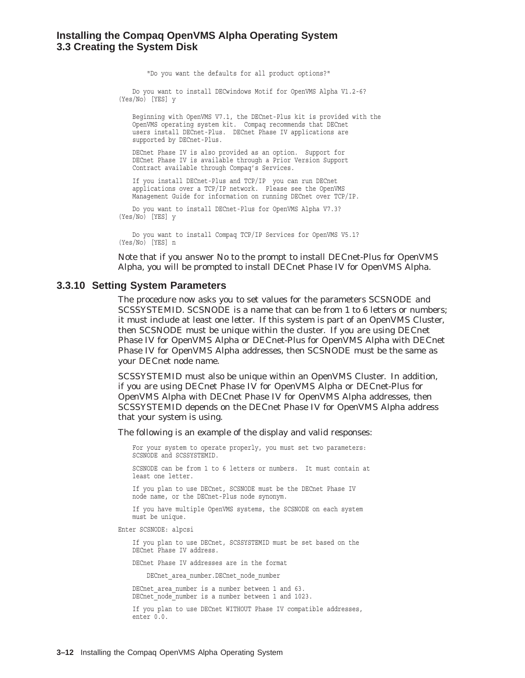#### **Installing the Compaq OpenVMS Alpha Operating System 3.3 Creating the System Disk**

"Do you want the defaults for all product options?"

Do you want to install DECwindows Motif for OpenVMS Alpha V1.2-6? (Yes/No) [YES] y

Beginning with OpenVMS V7.1, the DECnet-Plus kit is provided with the OpenVMS operating system kit. Compaq recommends that DECnet users install DECnet-Plus. DECnet Phase IV applications are supported by DECnet-Plus.

DECnet Phase IV is also provided as an option. Support for DECnet Phase IV is available through a Prior Version Support Contract available through Compaq's Services.

If you install DECnet-Plus and TCP/IP you can run DECnet applications over a TCP/IP network. Please see the OpenVMS Management Guide for information on running DECnet over TCP/IP.

Do you want to install DECnet-Plus for OpenVMS Alpha V7.3? (Yes/No) [YES] y

Do you want to install Compaq TCP/IP Services for OpenVMS V5.1? (Yes/No) [YES] n

Note that if you answer No to the prompt to install DECnet-Plus for OpenVMS Alpha, you will be prompted to install DECnet Phase IV for OpenVMS Alpha.

#### **3.3.10 Setting System Parameters**

The procedure now asks you to set values for the parameters SCSNODE and SCSSYSTEMID. SCSNODE is a name that can be from 1 to 6 letters or numbers; it must include at least one letter. If this system is part of an OpenVMS Cluster, then SCSNODE must be unique within the cluster. If you are using DECnet Phase IV for OpenVMS Alpha or DECnet-Plus for OpenVMS Alpha with DECnet Phase IV for OpenVMS Alpha addresses, then SCSNODE must be the same as your DECnet node name.

SCSSYSTEMID must also be unique within an OpenVMS Cluster. In addition, if you are using DECnet Phase IV for OpenVMS Alpha or DECnet-Plus for OpenVMS Alpha with DECnet Phase IV for OpenVMS Alpha addresses, then SCSSYSTEMID depends on the DECnet Phase IV for OpenVMS Alpha address that your system is using.

The following is an example of the display and valid responses:

For your system to operate properly, you must set two parameters: SCSNODE and SCSSYSTEMID.

SCSNODE can be from 1 to 6 letters or numbers. It must contain at least one letter.

If you plan to use DECnet, SCSNODE must be the DECnet Phase IV node name, or the DECnet-Plus node synonym.

If you have multiple OpenVMS systems, the SCSNODE on each system must be unique.

Enter SCSNODE: alpcsi

If you plan to use DECnet, SCSSYSTEMID must be set based on the DECnet Phase IV address.

DECnet Phase IV addresses are in the format

DECnet area number.DECnet node number

DECnet area number is a number between 1 and 63. DECnet node number is a number between 1 and 1023.

If you plan to use DECnet WITHOUT Phase IV compatible addresses, enter 0.0.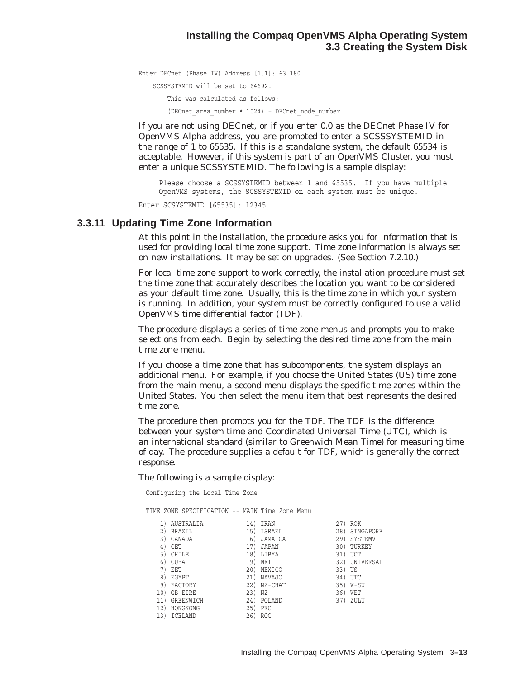Enter DECnet (Phase IV) Address [1.1]: 63.180 SCSSYSTEMID will be set to 64692. This was calculated as follows: (DECnet\_area\_number \* 1024) + DECnet\_node\_number

If you are not using DECnet, or if you enter 0.0 as the DECnet Phase IV for OpenVMS Alpha address, you are prompted to enter a SCSSSYSTEMID in the range of 1 to 65535. If this is a standalone system, the default 65534 is acceptable. However, if this system is part of an OpenVMS Cluster, you must enter a unique SCSSYSTEMID. The following is a sample display:

Please choose a SCSSYSTEMID between 1 and 65535. If you have multiple OpenVMS systems, the SCSSYSTEMID on each system must be unique.

Enter SCSYSTEMID [65535]: 12345

#### **3.3.11 Updating Time Zone Information**

At this point in the installation, the procedure asks you for information that is used for providing local time zone support. Time zone information is *always* set on new installations. It *may* be set on upgrades. (See Section 7.2.10.)

For local time zone support to work correctly, the installation procedure must set the time zone that accurately describes the location you want to be considered as your default time zone. Usually, this is the time zone in which your system is running. In addition, your system must be correctly configured to use a valid OpenVMS time differential factor (TDF).

The procedure displays a series of time zone menus and prompts you to make selections from each. Begin by selecting the desired time zone from the main time zone menu.

If you choose a time zone that has subcomponents, the system displays an additional menu. For example, if you choose the United States (US) time zone from the main menu, a second menu displays the specific time zones within the United States. You then select the menu item that best represents the desired time zone.

The procedure then prompts you for the TDF. The TDF is the difference between your system time and Coordinated Universal Time (UTC), which is an international standard (similar to Greenwich Mean Time) for measuring time of day. The procedure supplies a default for TDF, which is generally the correct response.

The following is a sample display:

Configuring the Local Time Zone

TIME ZONE SPECIFICATION -- MAIN Time Zone Menu

| <b>IRAN</b><br>ISRAEL<br>JAMAICA | 27)<br>28)<br>29) | <b>ROK</b><br>SINGAPORE<br>SYSTEMV |
|----------------------------------|-------------------|------------------------------------|
|                                  |                   |                                    |
|                                  |                   |                                    |
|                                  |                   |                                    |
|                                  | 30)               | TURKEY                             |
| LIBYA                            | 31)               | UCT                                |
| MET                              | 32)               | UNIVERSAL                          |
| MEXICO                           | 33)               | US                                 |
| <b>NAVAJO</b>                    | 34)               | <b>UTC</b>                         |
| NZ-CHAT                          | 35)               | W-SU                               |
| ΝZ                               | 36)               | WET                                |
| POLAND                           | 37)               | ZULU                               |
| PRC                              |                   |                                    |
| ROC                              |                   |                                    |
|                                  | <b>JAPAN</b>      |                                    |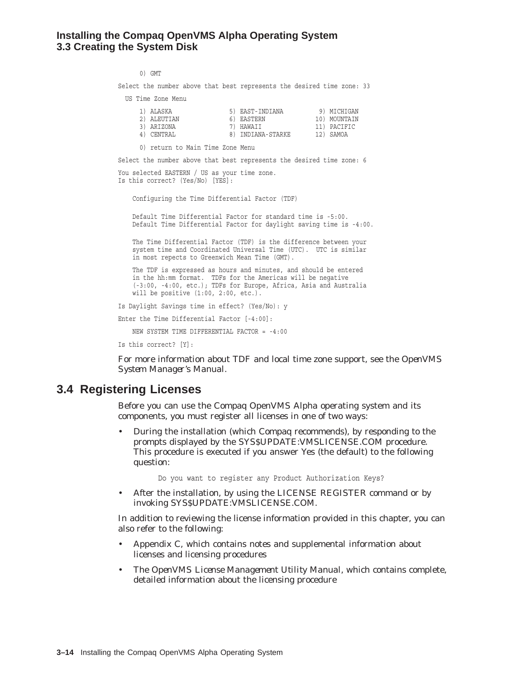#### **Installing the Compaq OpenVMS Alpha Operating System 3.3 Creating the System Disk**

0) GMT

Select the number above that best represents the desired time zone: 33

US Time Zone Menu

| 1) ALASKA   | 5) EAST-INDIANA   | 9) MICHIGAN  |
|-------------|-------------------|--------------|
| 2) ALEUTIAN | 6) EASTERN        | 10) MOUNTAIN |
| 3) ARIZONA  | 7) HAWAII         | 11) PACIFIC  |
| 4) CENTRAL  | 8) INDIANA-STARKE | 12) SAMOA    |

0) return to Main Time Zone Menu

Select the number above that best represents the desired time zone: 6

You selected EASTERN / US as your time zone. Is this correct? (Yes/No) [YES]:

Configuring the Time Differential Factor (TDF)

Default Time Differential Factor for standard time is -5:00. Default Time Differential Factor for daylight saving time is -4:00.

The Time Differential Factor (TDF) is the difference between your system time and Coordinated Universal Time (UTC). UTC is similar in most repects to Greenwich Mean Time (GMT).

The TDF is expressed as hours and minutes, and should be entered in the hh:mm format. TDFs for the Americas will be negative (-3:00, -4:00, etc.); TDFs for Europe, Africa, Asia and Australia will be positive (1:00, 2:00, etc.).

Is Daylight Savings time in effect? (Yes/No): y

Enter the Time Differential Factor [-4:00]:

NEW SYSTEM TIME DIFFERENTIAL FACTOR = -4:00

Is this correct? [Y]:

For more information about TDF and local time zone support, see the *OpenVMS System Manager's Manual*.

### **3.4 Registering Licenses**

Before you can use the Compaq OpenVMS Alpha operating system and its components, you must register all licenses in one of two ways:

• During the installation (which Compaq recommends), by responding to the prompts displayed by the SYS\$UPDATE:VMSLICENSE.COM procedure. This procedure is executed if you answer Yes (the default) to the following question:

Do you want to register any Product Authorization Keys?

• After the installation, by using the LICENSE REGISTER command or by invoking SYS\$UPDATE:VMSLICENSE.COM.

In addition to reviewing the license information provided in this chapter, you can also refer to the following:

- Appendix C, which contains notes and supplemental information about licenses and licensing procedures
- The *OpenVMS License Management Utility Manual*, which contains complete, detailed information about the licensing procedure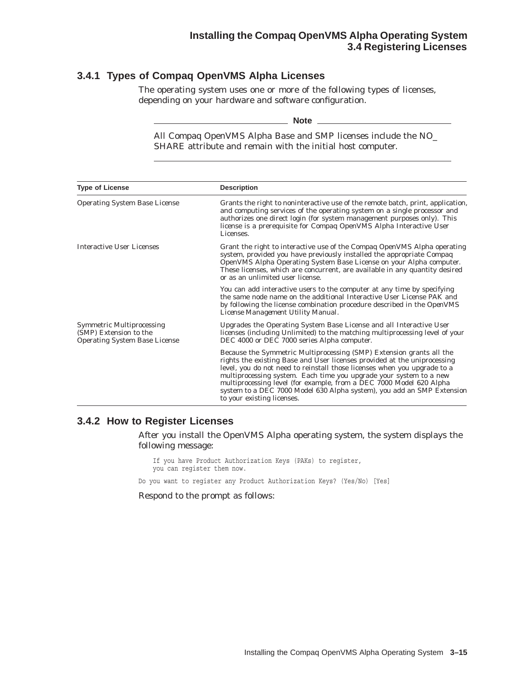### **3.4.1 Types of Compaq OpenVMS Alpha Licenses**

The operating system uses one or more of the following types of licenses, depending on your hardware and software configuration.

\_\_\_ Note \_

All Compaq OpenVMS Alpha Base and SMP licenses include the NO\_ SHARE attribute and remain with the initial host computer.

| <b>Type of License</b>                                                                             | <b>Description</b>                                                                                                                                                                                                                                                                                                                                                                                                                                                                |
|----------------------------------------------------------------------------------------------------|-----------------------------------------------------------------------------------------------------------------------------------------------------------------------------------------------------------------------------------------------------------------------------------------------------------------------------------------------------------------------------------------------------------------------------------------------------------------------------------|
| <b>Operating System Base License</b>                                                               | Grants the right to noninteractive use of the remote batch, print, application,<br>and computing services of the operating system on a single processor and<br>authorizes one direct login (for system management purposes only). This<br>license is a prerequisite for Compaq OpenVMS Alpha Interactive User<br>Licenses.                                                                                                                                                        |
| <b>Interactive User Licenses</b>                                                                   | Grant the right to interactive use of the Compaq OpenVMS Alpha operating<br>system, provided you have previously installed the appropriate Compaq<br>OpenVMS Alpha Operating System Base License on your Alpha computer.<br>These licenses, which are concurrent, are available in any quantity desired<br>or as an unlimited user license.                                                                                                                                       |
|                                                                                                    | You can add interactive users to the computer at any time by specifying<br>the same node name on the additional Interactive User License PAK and<br>by following the license combination procedure described in the OpenVMS<br>License Management Utility Manual.                                                                                                                                                                                                                 |
| <b>Symmetric Multiprocessing</b><br>(SMP) Extension to the<br><b>Operating System Base License</b> | Upgrades the Operating System Base License and all Interactive User<br>licenses (including Unlimited) to the matching multiprocessing level of your<br>DEC 4000 or DEC 7000 series Alpha computer.                                                                                                                                                                                                                                                                                |
|                                                                                                    | Because the Symmetric Multiprocessing (SMP) Extension grants all the<br>rights the existing Base and User licenses provided at the uniprocessing<br>level, you do not need to reinstall those licenses when you upgrade to a<br>multiprocessing system. Each time you upgrade your system to a new<br>multiprocessing level (for example, from a DEC 7000 Model 620 Alpha<br>system to a DEC 7000 Model 630 Alpha system), you add an SMP Extension<br>to your existing licenses. |

#### **3.4.2 How to Register Licenses**

After you install the OpenVMS Alpha operating system, the system displays the following message:

If you have Product Authorization Keys (PAKs) to register, you can register them now.

Do you want to register any Product Authorization Keys? (Yes/No) [Yes]

Respond to the prompt as follows: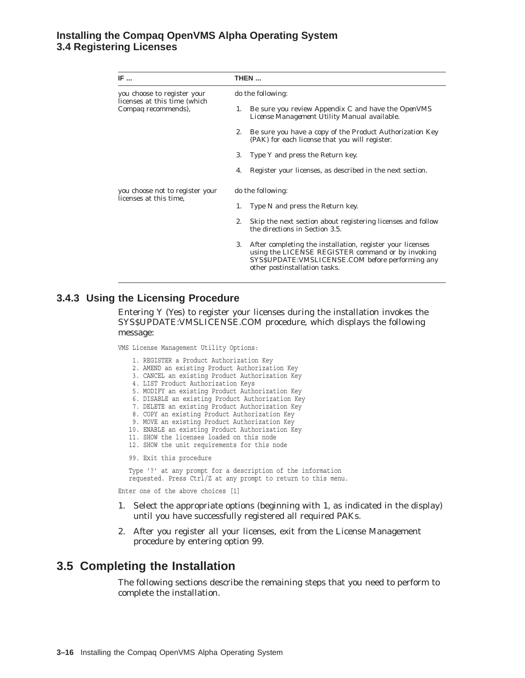#### **Installing the Compaq OpenVMS Alpha Operating System 3.4 Registering Licenses**

| IF                                                               | THEN                                                                                                                                                                                                       |  |  |
|------------------------------------------------------------------|------------------------------------------------------------------------------------------------------------------------------------------------------------------------------------------------------------|--|--|
| you choose to register your                                      | do the following:                                                                                                                                                                                          |  |  |
| licenses at this time (which<br>Compaq recommends),              | Be sure you review Appendix C and have the <i>OpenVMS</i><br>1.<br><i>License Management Utility Manual</i> available.                                                                                     |  |  |
|                                                                  | Be sure you have a copy of the Product Authorization Key<br>2.<br>(PAK) for each license that you will register.                                                                                           |  |  |
|                                                                  | Type Y and press the Return key.<br>3.                                                                                                                                                                     |  |  |
|                                                                  | Register your licenses, as described in the next section.<br>4.                                                                                                                                            |  |  |
| you choose <i>not</i> to register your<br>licenses at this time. | do the following:                                                                                                                                                                                          |  |  |
|                                                                  | Type N and press the Return key.<br>1.                                                                                                                                                                     |  |  |
|                                                                  | 2.<br>Skip the next section about registering licenses and follow<br>the directions in Section 3.5.                                                                                                        |  |  |
|                                                                  | 3.<br>After completing the installation, register your licenses<br>using the LICENSE REGISTER command or by invoking<br>SYS\$UPDATE: VMSLICENSE.COM before performing any<br>other postinstallation tasks. |  |  |

#### **3.4.3 Using the Licensing Procedure**

Entering Y (Yes) to register your licenses during the installation invokes the SYS\$UPDATE:VMSLICENSE.COM procedure, which displays the following message:

VMS License Management Utility Options:

- 1. REGISTER a Product Authorization Key
- 2. AMEND an existing Product Authorization Key
- 3. CANCEL an existing Product Authorization Key
- 4. LIST Product Authorization Keys
- 5. MODIFY an existing Product Authorization Key
- 6. DISABLE an existing Product Authorization Key
- 7. DELETE an existing Product Authorization Key
- 8. COPY an existing Product Authorization Key
- 9. MOVE an existing Product Authorization Key
- 10. ENABLE an existing Product Authorization Key
- 11. SHOW the licenses loaded on this node
- 12. SHOW the unit requirements for this node
- 99. Exit this procedure

Type '?' at any prompt for a description of the information requested. Press Ctrl/Z at any prompt to return to this menu.

Enter one of the above choices [1]

- 1. Select the appropriate options (beginning with 1, as indicated in the display) until you have successfully registered all required PAKs.
- 2. After you register all your licenses, exit from the License Management procedure by entering option 99.

### **3.5 Completing the Installation**

The following sections describe the remaining steps that you need to perform to complete the installation.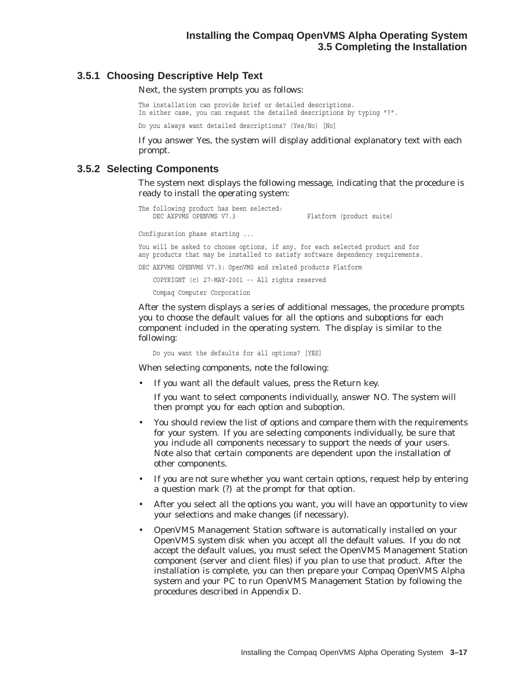#### **3.5.1 Choosing Descriptive Help Text**

Next, the system prompts you as follows:

The installation can provide brief or detailed descriptions. In either case, you can request the detailed descriptions by typing "?".

Do you always want detailed descriptions? (Yes/No) [No]

If you answer Yes, the system will display additional explanatory text with each prompt.

#### **3.5.2 Selecting Components**

The system next displays the following message, indicating that the procedure is ready to install the operating system:

```
The following product has been selected:<br>DEC AXPVMS OPENVMS V7.3
                                                  Platform (product suite)
Configuration phase starting ...
You will be asked to choose options, if any, for each selected product and for
any products that may be installed to satisfy software dependency requirements.
DEC AXPVMS OPENVMS V7.3: OpenVMS and related products Platform
    COPYRIGHT (c) 27-MAY-2001 -- All rights reserved
    Compaq Computer Corporation
```
After the system displays a series of additional messages, the procedure prompts you to choose the default values for all the options and suboptions for each component included in the operating system. The display is similar to the following:

Do you want the defaults for all options? [YES]

When selecting components, note the following:

If you want all the default values, press the Return key.

If you want to select components individually, answer NO. The system will then prompt you for each option and suboption.

- You should review the list of options and compare them with the requirements for your system. If you are selecting components individually, be sure that you include all components necessary to support the needs of your users. Note also that certain components are dependent upon the installation of other components.
- If you are not sure whether you want certain options, request help by entering a question mark (?) at the prompt for that option.
- After you select all the options you want, you will have an opportunity to view your selections and make changes (if necessary).
- OpenVMS Management Station software is automatically installed on your OpenVMS system disk when you accept all the default values. If you do not accept the default values, you must select the OpenVMS Management Station component (server and client files) if you plan to use that product. After the installation is complete, you can then prepare your Compaq OpenVMS Alpha system and your PC to run OpenVMS Management Station by following the procedures described in Appendix D.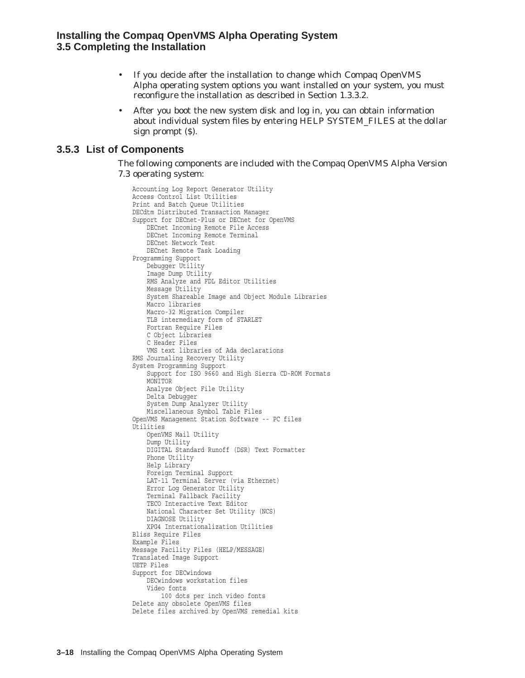- If you decide after the installation to change which Compaq OpenVMS Alpha operating system options you want installed on your system, you must reconfigure the installation as described in Section 1.3.3.2.
- After you boot the new system disk and log in, you can obtain information about individual system files by entering HELP SYSTEM\_FILES at the dollar sign prompt (\$).

#### **3.5.3 List of Components**

The following components are included with the Compaq OpenVMS Alpha Version 7.3 operating system:

Accounting Log Report Generator Utility Access Control List Utilities Print and Batch Queue Utilities DECdtm Distributed Transaction Manager Support for DECnet-Plus or DECnet for OpenVMS DECnet Incoming Remote File Access DECnet Incoming Remote Terminal DECnet Network Test DECnet Remote Task Loading Programming Support Debugger Utility Image Dump Utility RMS Analyze and FDL Editor Utilities Message Utility System Shareable Image and Object Module Libraries Macro libraries Macro-32 Migration Compiler TLB intermediary form of STARLET Fortran Require Files C Object Libraries C Header Files VMS text libraries of Ada declarations RMS Journaling Recovery Utility System Programming Support Support for ISO 9660 and High Sierra CD-ROM Formats **MONTTOR** Analyze Object File Utility Delta Debugger System Dump Analyzer Utility Miscellaneous Symbol Table Files OpenVMS Management Station Software -- PC files Utilities OpenVMS Mail Utility Dump Utility DIGITAL Standard Runoff (DSR) Text Formatter Phone Utility Help Library Foreign Terminal Support LAT-11 Terminal Server (via Ethernet) Error Log Generator Utility Terminal Fallback Facility TECO Interactive Text Editor National Character Set Utility (NCS) DIAGNOSE Utility XPG4 Internationalization Utilities Bliss Require Files Example Files Message Facility Files (HELP/MESSAGE) Translated Image Support UETP Files Support for DECwindows DECwindows workstation files Video fonts 100 dots per inch video fonts Delete any obsolete OpenVMS files Delete files archived by OpenVMS remedial kits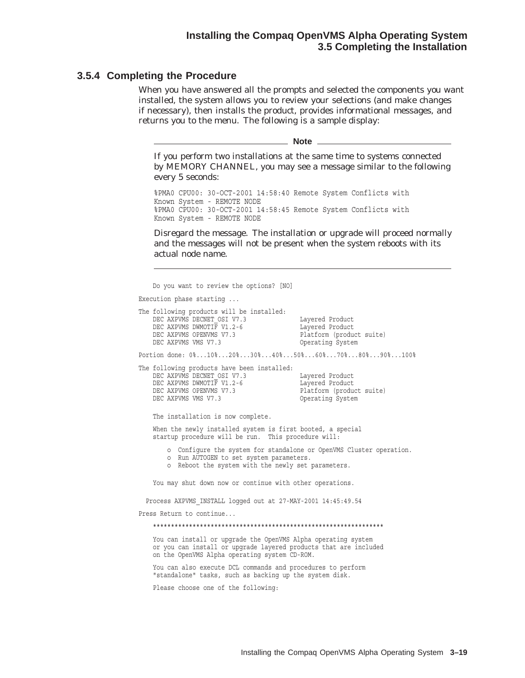#### **Installing the Compaq OpenVMS Alpha Operating System 3.5 Completing the Installation**

#### **3.5.4 Completing the Procedure**

When you have answered all the prompts and selected the components you want installed, the system allows you to review your selections (and make changes if necessary), then installs the product, provides informational messages, and returns you to the menu. The following is a sample display:

\_ Note \_

If you perform two installations at the same time to systems connected by MEMORY CHANNEL, you may see a message similar to the following every 5 seconds:

%PMA0 CPU00: 30-OCT-2001 14:58:40 Remote System Conflicts with Known System - REMOTE NODE %PMA0 CPU00: 30-OCT-2001 14:58:45 Remote System Conflicts with Known System - REMOTE NODE

Disregard the message. The installation or upgrade will proceed normally and the messages will not be present when the system reboots with its actual node name.

Do you want to review the options? [NO] Execution phase starting ... The following products will be installed:<br>
DEC AXPVMS DECNET OSI V7.3<br>
DEC AXPVMS DMMOTIF V1.2-6<br>
DEC AXPVMS OPENIMS V7.2-6<br>
DEC AYPVMS OPENIMS V7.2-DEC AXPVMS DECNET\_OSI V7.3 DEC AXPVMS DWMOTIF V1.2-6 DEC AXPVMS OPENVMS V7.3 DEC AXPVMS OPENVMS V7.3 Platform (product suite)<br>DEC AXPVMS VMS V7.3 Operating System Portion done: 0%...10%...20%...30%...40%...50%...60%...70%...80%...90%...100% The following products have been installed: DEC AXPVMS DECNET\_OSI V7.3 Layered Product DEC AXPVMS DWMOTIF V1.2-6 Layered Product DEC AXPVMS OPENVMS V7.3 Platform (product suite) DEC AXPVMS OPENVMS V7.3 DEC AXPVMS VMS V7.3 DEC AXPVMS VMS V7.3 Operating System The installation is now complete. When the newly installed system is first booted, a special startup procedure will be run. This procedure will: o Configure the system for standalone or OpenVMS Cluster operation. o Run AUTOGEN to set system parameters. o Reboot the system with the newly set parameters. You may shut down now or continue with other operations. Process AXPVMS\_INSTALL logged out at 27-MAY-2001 14:45:49.54 Press Return to continue... \*\*\*\*\*\*\*\*\*\*\*\*\*\*\*\*\*\*\*\*\*\*\*\*\*\*\*\*\*\*\*\*\*\*\*\*\*\*\*\*\*\*\*\*\*\*\*\*\*\*\*\*\*\*\*\*\*\*\*\*\*\*\*\* You can install or upgrade the OpenVMS Alpha operating system or you can install or upgrade layered products that are included on the OpenVMS Alpha operating system CD-ROM. You can also execute DCL commands and procedures to perform "standalone" tasks, such as backing up the system disk. Please choose one of the following: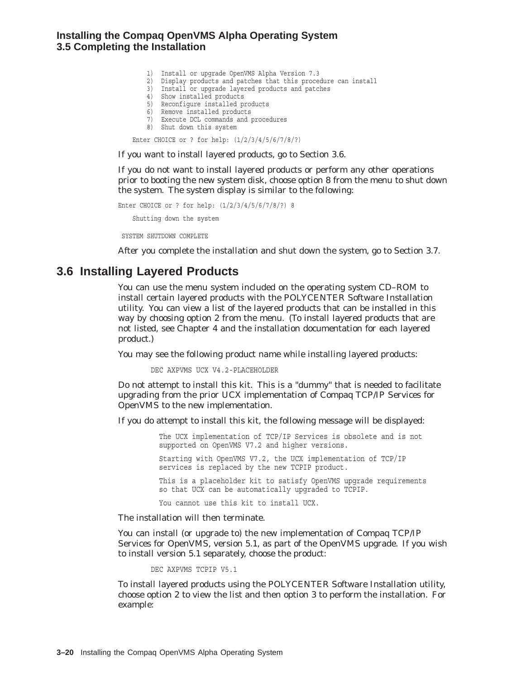#### **Installing the Compaq OpenVMS Alpha Operating System 3.5 Completing the Installation**

- 1) Install or upgrade OpenVMS Alpha Version 7.3
- 2) Display products and patches that this procedure can install
- 3) Install or upgrade layered products and patches
- 4) Show installed products
- 5) Reconfigure installed products
- 6) Remove installed products
- 7) Execute DCL commands and procedures
- 8) Shut down this system

Enter CHOICE or ? for help: (1/2/3/4/5/6/7/8/?)

If you want to install layered products, go to Section 3.6.

If you do not want to install layered products or perform any other operations prior to booting the new system disk, choose option 8 from the menu to shut down the system. The system display is similar to the following:

```
Enter CHOICE or ? for help: (1/2/3/4/5/6/7/8/?) 8
   Shutting down the system
```
SYSTEM SHUTDOWN COMPLETE

After you complete the installation and shut down the system, go to Section 3.7.

### **3.6 Installing Layered Products**

You can use the menu system included on the operating system CD–ROM to install certain layered products with the POLYCENTER Software Installation utility. You can view a list of the layered products that can be installed in this way by choosing option 2 from the menu. (To install layered products that are not listed, see Chapter 4 and the installation documentation for each layered product.)

You may see the following product name while installing layered products:

DEC AXPVMS UCX V4.2-PLACEHOLDER

Do not attempt to install this kit. This is a "dummy" that is needed to facilitate upgrading from the prior UCX implementation of Compaq TCP/IP Services for OpenVMS to the new implementation.

If you do attempt to install this kit, the following message will be displayed:

The UCX implementation of TCP/IP Services is obsolete and is not supported on OpenVMS V7.2 and higher versions.

Starting with OpenVMS V7.2, the UCX implementation of TCP/IP services is replaced by the new TCPIP product.

This is a placeholder kit to satisfy OpenVMS upgrade requirements so that UCX can be automatically upgraded to TCPIP.

You cannot use this kit to install UCX.

The installation will then terminate.

You can install (or upgrade to) the new implementation of Compaq TCP/IP Services for OpenVMS, version 5.1, as part of the OpenVMS upgrade. If you wish to install version 5.1 separately, choose the product:

DEC AXPVMS TCPIP V5.1

To install layered products using the POLYCENTER Software Installation utility, choose option 2 to view the list and then option 3 to perform the installation. For example: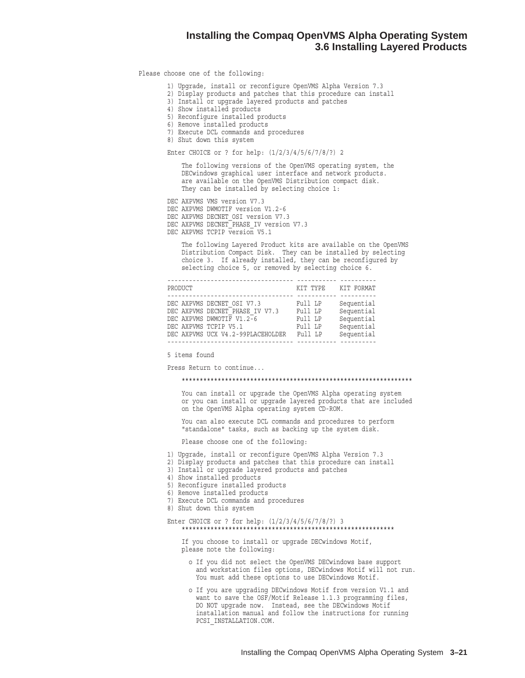#### **Installing the Compaq OpenVMS Alpha Operating System 3.6 Installing Layered Products**

#### Please choose one of the following:

- 1) Upgrade, install or reconfigure OpenVMS Alpha Version 7.3
- 2) Display products and patches that this procedure can install
- 3) Install or upgrade layered products and patches
- 4) Show installed products
- 5) Reconfigure installed products
- 6) Remove installed products
- 7) Execute DCL commands and procedures
- 8) Shut down this system

#### Enter CHOICE or ? for help: (1/2/3/4/5/6/7/8/?) 2

The following versions of the OpenVMS operating system, the DECwindows graphical user interface and network products. are available on the OpenVMS Distribution compact disk. They can be installed by selecting choice 1:

DEC AXPVMS VMS version V7.3

- DEC AXPVMS DWMOTIF version V1.2-6
- DEC AXPVMS DECNET OSI version V7.3
- DEC AXPVMS DECNET PHASE IV version V7.3
- DEC AXPVMS TCPIP version V5.1

The following Layered Product kits are available on the OpenVMS Distribution Compact Disk. They can be installed by selecting choice 3. If already installed, they can be reconfigured by selecting choice 5, or removed by selecting choice 6.

| PRODUCT                         |                                   | KIT TYPE | KIT FORMAT |
|---------------------------------|-----------------------------------|----------|------------|
|                                 |                                   |          |            |
| DEC AXPVMS DECNET OSI V7.3      |                                   | Full LP  | Sequential |
| DEC AXPVMS DECNET PHASE IV V7.3 |                                   | Full LP  | Sequential |
| DEC AXPVMS DWMOTIF V1.2-6       |                                   | Full LP  | Sequential |
| DEC AXPVMS TCPIP V5.1           |                                   | Full LP  | Sequential |
|                                 | DEC AXPVMS UCX V4.2-99PLACEHOLDER | Full LP  | Sequential |
|                                 |                                   |          |            |

5 items found

Press Return to continue...

#### \*\*\*\*\*\*\*\*\*\*\*\*\*\*\*\*\*\*\*\*\*\*\*\*\*\*\*\*\*\*\*\*\*\*\*\*\*\*\*\*\*\*\*\*\*\*\*\*\*\*\*\*\*\*\*\*\*\*\*\*\*\*\*\*

You can install or upgrade the OpenVMS Alpha operating system or you can install or upgrade layered products that are included on the OpenVMS Alpha operating system CD-ROM.

You can also execute DCL commands and procedures to perform "standalone" tasks, such as backing up the system disk.

Please choose one of the following:

- 1) Upgrade, install or reconfigure OpenVMS Alpha Version 7.3
- 2) Display products and patches that this procedure can install
- 3) Install or upgrade layered products and patches
- 4) Show installed products
- 5) Reconfigure installed products
- 6) Remove installed products
- 7) Execute DCL commands and procedures
- 8) Shut down this system

#### Enter CHOICE or ? for help: (1/2/3/4/5/6/7/8/?) 3 \*\*\*\*\*\*\*\*\*\*\*\*\*\*\*\*\*\*\*\*\*\*\*\*\*\*\*\*\*\*\*\*\*\*\*\*\*\*\*\*\*\*\*\*\*\*\*\*\*\*\*\*\*\*\*\*\*\*\*

If you choose to install or upgrade DECwindows Motif, please note the following:

- o If you did not select the OpenVMS DECwindows base support and workstation files options, DECwindows Motif will not run. You must add these options to use DECwindows Motif.
- o If you are upgrading DECwindows Motif from version V1.1 and want to save the OSF/Motif Release 1.1.3 programming files, DO NOT upgrade now. Instead, see the DECwindows Motif installation manual and follow the instructions for running PCSI\_INSTALLATION.COM.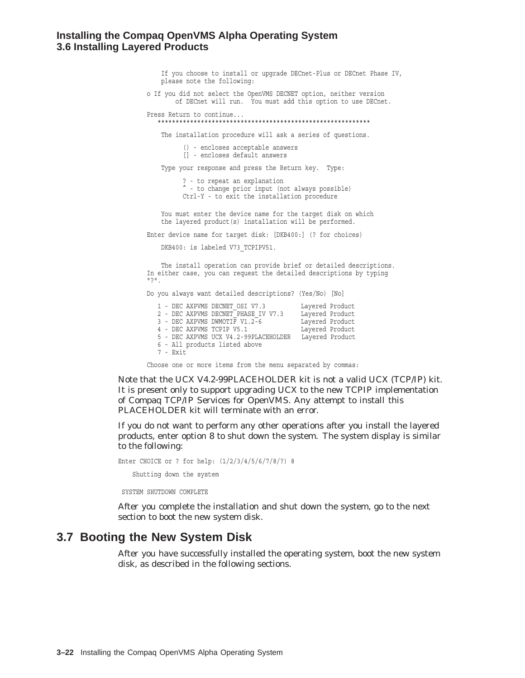#### **Installing the Compaq OpenVMS Alpha Operating System 3.6 Installing Layered Products**

If you choose to install or upgrade DECnet-Plus or DECnet Phase IV, please note the following:

o If you did not select the OpenVMS DECNET option, neither version of DECnet will run. You must add this option to use DECnet.

Press Return to continue... \*\*\*\*\*\*\*\*\*\*\*\*\*\*\*\*\*\*\*\*\*\*\*\*\*\*\*\*\*\*\*\*\*\*\*\*\*\*\*\*\*\*\*\*\*\*\*\*\*\*\*\*\*\*\*\*\*\*\*

The installation procedure will ask a series of questions.

() - encloses acceptable answers [] - encloses default answers

Type your response and press the Return key. Type:

? - to repeat an explanation ^ - to change prior input (not always possible) Ctrl-Y - to exit the installation procedure

You must enter the device name for the target disk on which the layered product(s) installation will be performed.

Enter device name for target disk: [DKB400:] (? for choices)

DKB400: is labeled V73 TCPIPV51.

The install operation can provide brief or detailed descriptions. In either case, you can request the detailed descriptions by typing "?".

Do you always want detailed descriptions? (Yes/No) [No]

1 - DEC AXPVMS DECNET\_OSI V7.3 Layered Product 2 - DEC AXPVMS DECNET\_PHASE\_IV V7.3 Layered Product 3 - DEC AXPVMS DWMOTIF V1.2-6 Layered Product 4 - DEC AXPVMS TCPIP V5.1 Layered Product 5 - DEC AXPVMS UCX V4.2-99PLACEHOLDER Layered Product 6 - All products listed above 7 - Exit

Choose one or more items from the menu separated by commas:

Note that the UCX V4.2-99PLACEHOLDER kit is not a valid UCX (TCP/IP) kit. It is present only to support upgrading UCX to the new TCPIP implementation of Compaq TCP/IP Services for OpenVMS. Any attempt to install this PLACEHOLDER kit will terminate with an error.

If you do not want to perform any other operations after you install the layered products, enter option 8 to shut down the system. The system display is similar to the following:

```
Enter CHOICE or ? for help: (1/2/3/4/5/6/7/8/?) 8
    Shutting down the system
SYSTEM SHUTDOWN COMPLETE
```
After you complete the installation and shut down the system, go to the next section to boot the new system disk.

### **3.7 Booting the New System Disk**

After you have successfully installed the operating system, boot the new system disk, as described in the following sections.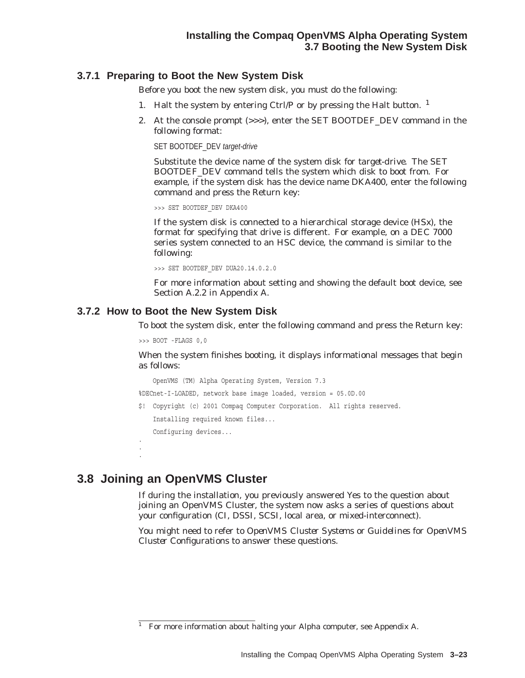### **3.7.1 Preparing to Boot the New System Disk**

Before you boot the new system disk, you must do the following:

- 1. Halt the system by entering Ctrl/P or by pressing the Halt button.  $<sup>1</sup>$ </sup>
- 2. At the console prompt (>>>), enter the SET BOOTDEF\_DEV command in the following format:

SET BOOTDEF\_DEV target-drive

Substitute the device name of the system disk for *target-drive*. The SET BOOTDEF\_DEV command tells the system which disk to boot from. For example, if the system disk has the device name DKA400, enter the following command and press the Return key:

>>> SET BOOTDEF\_DEV DKA400

If the system disk is connected to a hierarchical storage device (HS*x*), the format for specifying that drive is different. For example, on a DEC 7000 series system connected to an HSC device, the command is similar to the following:

>>> SET BOOTDEF\_DEV DUA20.14.0.2.0

For more information about setting and showing the default boot device, see Section A.2.2 in Appendix A.

#### **3.7.2 How to Boot the New System Disk**

To boot the system disk, enter the following command and press the Return key:

>>> BOOT -FLAGS 0,0

When the system finishes booting, it displays informational messages that begin as follows:

OpenVMS (TM) Alpha Operating System, Version 7.3 %DECnet-I-LOADED, network base image loaded, version = 05.0D.00

\$! Copyright (c) 2001 Compaq Computer Corporation. All rights reserved. Installing required known files... Configuring devices... .

## **3.8 Joining an OpenVMS Cluster**

. .

If during the installation, you previously answered Yes to the question about joining an OpenVMS Cluster, the system now asks a series of questions about your configuration (CI, DSSI, SCSI, local area, or mixed-interconnect).

You might need to refer to *OpenVMS Cluster Systems* or *Guidelines for OpenVMS Cluster Configurations* to answer these questions.

<sup>&</sup>lt;sup>1</sup> For more information about halting your Alpha computer, see Appendix A.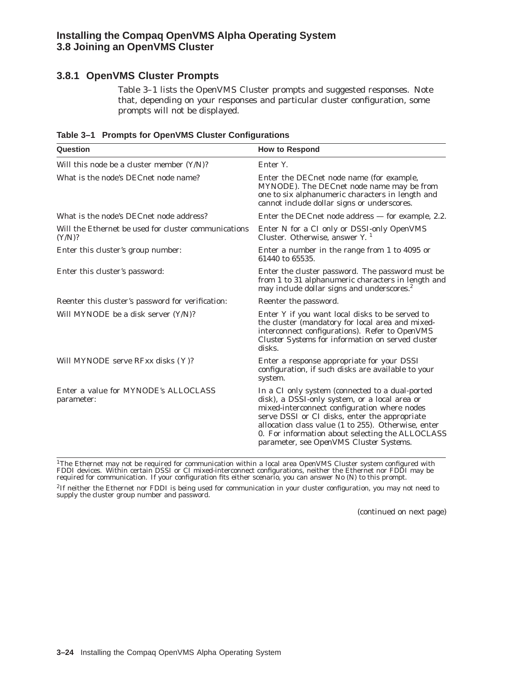### **Installing the Compaq OpenVMS Alpha Operating System 3.8 Joining an OpenVMS Cluster**

### **3.8.1 OpenVMS Cluster Prompts**

Table 3–1 lists the OpenVMS Cluster prompts and suggested responses. Note that, depending on your responses and particular cluster configuration, some prompts will not be displayed.

| Question                                                       | <b>How to Respond</b>                                                                                                                                                                                                                                                                                                                                   |
|----------------------------------------------------------------|---------------------------------------------------------------------------------------------------------------------------------------------------------------------------------------------------------------------------------------------------------------------------------------------------------------------------------------------------------|
| Will this node be a cluster member (Y/N)?                      | Enter Y.                                                                                                                                                                                                                                                                                                                                                |
| What is the node's DECnet node name?                           | Enter the DECnet node name (for example,<br>MYNODE). The DECnet node name may be from<br>one to six alphanumeric characters in length and<br>cannot include dollar signs or underscores.                                                                                                                                                                |
| What is the node's DECnet node address?                        | Enter the DECnet node address $-$ for example, 2.2.                                                                                                                                                                                                                                                                                                     |
| Will the Ethernet be used for cluster communications<br>(Y/N)? | Enter N for a CI only or DSSI-only OpenVMS<br>Cluster. Otherwise, answer $Y1$                                                                                                                                                                                                                                                                           |
| Enter this cluster's group number:                             | Enter a number in the range from 1 to 4095 or<br>61440 to 65535.                                                                                                                                                                                                                                                                                        |
| Enter this cluster's password:                                 | Enter the cluster password. The password must be<br>from 1 to 31 alphanumeric characters in length and<br>may include dollar signs and underscores. <sup>2</sup>                                                                                                                                                                                        |
| Reenter this cluster's password for verification:              | Reenter the password.                                                                                                                                                                                                                                                                                                                                   |
| Will MYNODE be a disk server (Y/N)?                            | Enter Y if you want local disks to be served to<br>the cluster (mandatory for local area and mixed-<br>interconnect configurations). Refer to OpenVMS<br>Cluster Systems for information on served cluster<br>disks.                                                                                                                                    |
| Will MYNODE serve RFxx disks (Y)?                              | Enter a response appropriate for your DSSI<br>configuration, if such disks are available to your<br>system.                                                                                                                                                                                                                                             |
| Enter a value for MYNODE's ALLOCLASS<br>parameter:             | In a CI only system (connected to a dual-ported<br>disk), a DSSI-only system, or a local area or<br>mixed-interconnect configuration where nodes<br>serve DSSI or CI disks, enter the appropriate<br>allocation class value (1 to 255). Otherwise, enter<br>0. For information about selecting the ALLOCLASS<br>parameter, see OpenVMS Cluster Systems. |

**Table 3–1 Prompts for OpenVMS Cluster Configurations**

<sup>1</sup>The Ethernet may not be required for communication within a local area OpenVMS Cluster system configured with<br>FDDI devices. Within certain DSSI or CI mixed-interconnect configurations, neither the Ethernet nor FDDI may

2If neither the Ethernet nor FDDI is being used for communication in your cluster configuration, you may not need to supply the cluster group number and password.

(continued on next page)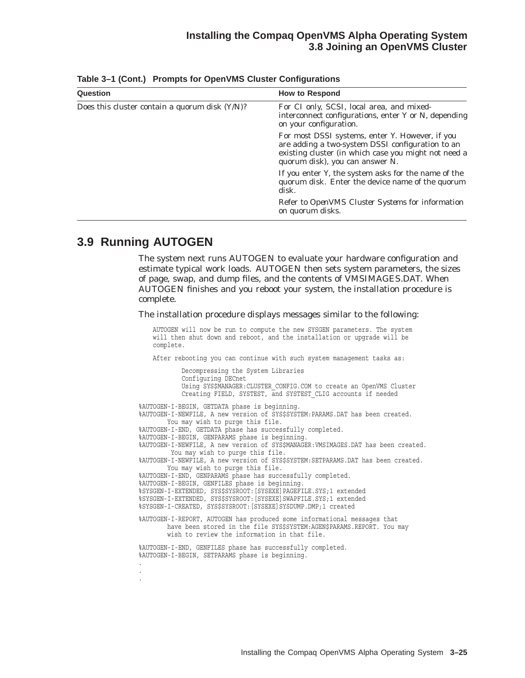#### **Installing the Compaq OpenVMS Alpha Operating System 3.8 Joining an OpenVMS Cluster**

| Question                                       | <b>How to Respond</b>                                                                                                                                                                          |
|------------------------------------------------|------------------------------------------------------------------------------------------------------------------------------------------------------------------------------------------------|
| Does this cluster contain a quorum disk (Y/N)? | For CI only, SCSI, local area, and mixed-<br>interconnect configurations, enter Y or N, depending<br>on your configuration.                                                                    |
|                                                | For most DSSI systems, enter Y. However, if you<br>are adding a two-system DSSI configuration to an<br>existing cluster (in which case you might not need a<br>quorum disk), you can answer N. |
|                                                | If you enter Y, the system asks for the name of the<br>quorum disk. Enter the device name of the quorum<br>disk.                                                                               |
|                                                | Refer to <i>OpenVMS Cluster Systems</i> for information<br>on quorum disks.                                                                                                                    |

**Table 3–1 (Cont.) Prompts for OpenVMS Cluster Configurations**

### **3.9 Running AUTOGEN**

The system next runs AUTOGEN to evaluate your hardware configuration and estimate typical work loads. AUTOGEN then sets system parameters, the sizes of page, swap, and dump files, and the contents of VMSIMAGES.DAT. When AUTOGEN finishes and you reboot your system, the installation procedure is complete.

The installation procedure displays messages similar to the following:

AUTOGEN will now be run to compute the new SYSGEN parameters. The system will then shut down and reboot, and the installation or upgrade will be complete.

After rebooting you can continue with such system management tasks as:

Decompressing the System Libraries Configuring DECnet Using SYS\$MANAGER:CLUSTER\_CONFIG.COM to create an OpenVMS Cluster Creating FIELD, SYSTEST, and SYSTEST CLIG accounts if needed %AUTOGEN-I-BEGIN, GETDATA phase is beginning. %AUTOGEN-I-NEWFILE, A new version of SYS\$SYSTEM:PARAMS.DAT has been created. You may wish to purge this file. %AUTOGEN-I-END, GETDATA phase has successfully completed. %AUTOGEN-I-BEGIN, GENPARAMS phase is beginning. %AUTOGEN-I-NEWFILE, A new version of SYS\$MANAGER:VMSIMAGES.DAT has been created. You may wish to purge this file. %AUTOGEN-I-NEWFILE, A new version of SYS\$SYSTEM:SETPARAMS.DAT has been created. You may wish to purge this file. %AUTOGEN-I-END, GENPARAMS phase has successfully completed. %AUTOGEN-I-BEGIN, GENFILES phase is beginning. %SYSGEN-I-EXTENDED, SYS\$SYSROOT:[SYSEXE]PAGEFILE.SYS;1 extended %SYSGEN-I-EXTENDED, SYS\$SYSROOT:[SYSEXE]SWAPFILE.SYS;1 extended %SYSGEN-I-CREATED, SYS\$SYSROOT:[SYSEXE]SYSDUMP.DMP;1 created %AUTOGEN-I-REPORT, AUTOGEN has produced some informational messages that have been stored in the file SYS\$SYSTEM:AGEN\$PARAMS.REPORT. You may wish to review the information in that file. %AUTOGEN-I-END, GENFILES phase has successfully completed. %AUTOGEN-I-BEGIN, SETPARAMS phase is beginning. . . .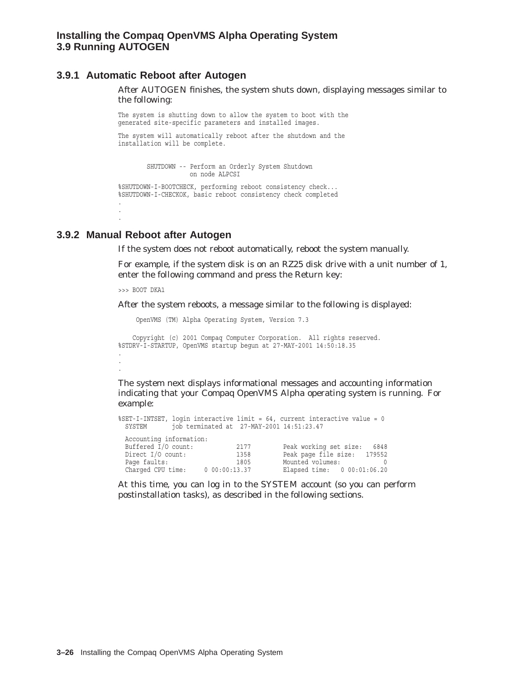#### **3.9.1 Automatic Reboot after Autogen**

After AUTOGEN finishes, the system shuts down, displaying messages similar to the following:

The system is shutting down to allow the system to boot with the generated site-specific parameters and installed images.

The system will automatically reboot after the shutdown and the installation will be complete.

SHUTDOWN -- Perform an Orderly System Shutdown on node ALPCSI %SHUTDOWN-I-BOOTCHECK, performing reboot consistency check... %SHUTDOWN-I-CHECKOK, basic reboot consistency check completed

#### **3.9.2 Manual Reboot after Autogen**

. . .

.

If the system does not reboot automatically, reboot the system manually.

For example, if the system disk is on an RZ25 disk drive with a unit number of 1, enter the following command and press the Return key:

>>> BOOT DKA1

After the system reboots, a message similar to the following is displayed:

OpenVMS (TM) Alpha Operating System, Version 7.3

Copyright (c) 2001 Compaq Computer Corporation. All rights reserved. %STDRV-I-STARTUP, OpenVMS startup begun at 27-MAY-2001 14:50:18.35 . .

The system next displays informational messages and accounting information indicating that your Compaq OpenVMS Alpha operating system is running. For example:

```
%SET-I-INTSET, login interactive limit = 64, current interactive value = 0
 SYSTEM job terminated at 27-MAY-2001 14:51:23.47
 Accounting information:
 Buffered I/O count: 2177 Peak working set size: 6848
 Direct I/O count: 1358 Peak page file size: 179552
 Page faults: 1805 Mounted volumes: 0
 Charged CPU time: 0 00:00:13.37 Elapsed time: 0 00:01:06.20
```
At this time, you can log in to the SYSTEM account (so you can perform postinstallation tasks), as described in the following sections.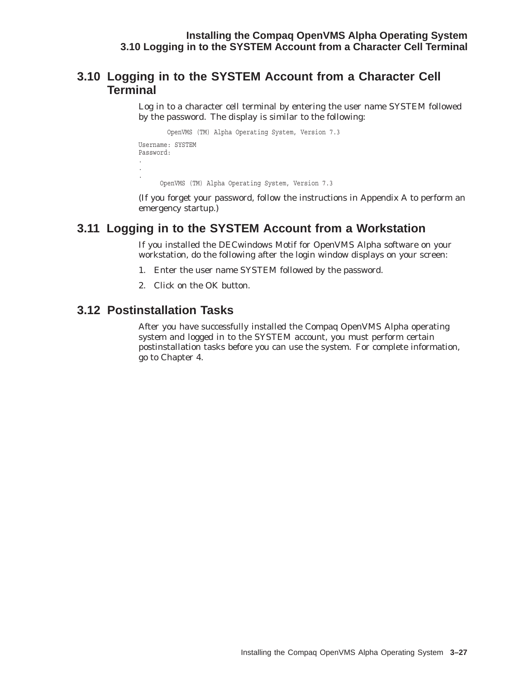### **3.10 Logging in to the SYSTEM Account from a Character Cell Terminal**

Log in to a character cell terminal by entering the user name SYSTEM followed by the password. The display is similar to the following:

```
OpenVMS (TM) Alpha Operating System, Version 7.3
Username: SYSTEM
Password:
.
.
. OpenVMS (TM) Alpha Operating System, Version 7.3
```
(If you forget your password, follow the instructions in Appendix A to perform an emergency startup.)

### **3.11 Logging in to the SYSTEM Account from a Workstation**

If you installed the DECwindows Motif for OpenVMS Alpha software on your workstation, do the following after the login window displays on your screen:

- 1. Enter the user name SYSTEM followed by the password.
- 2. Click on the OK button.

### **3.12 Postinstallation Tasks**

After you have successfully installed the Compaq OpenVMS Alpha operating system and logged in to the SYSTEM account, you must perform certain postinstallation tasks before you can use the system. For complete information, go to Chapter 4.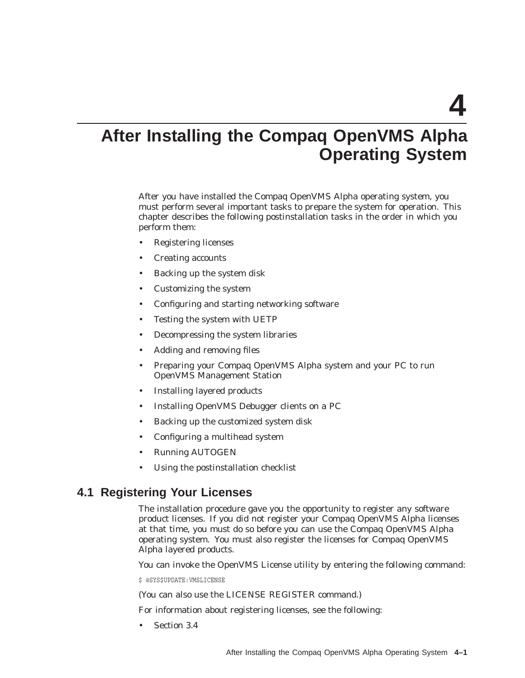**4**

# **After Installing the Compaq OpenVMS Alpha Operating System**

After you have installed the Compaq OpenVMS Alpha operating system, you must perform several important tasks to prepare the system for operation. This chapter describes the following postinstallation tasks in the order in which you perform them:

- Registering licenses
- Creating accounts
- Backing up the system disk
- Customizing the system
- Configuring and starting networking software
- Testing the system with UETP
- Decompressing the system libraries
- Adding and removing files
- Preparing your Compaq OpenVMS Alpha system and your PC to run OpenVMS Management Station
- Installing layered products
- Installing OpenVMS Debugger clients on a PC
- Backing up the customized system disk
- Configuring a multihead system
- Running AUTOGEN
- Using the postinstallation checklist

### **4.1 Registering Your Licenses**

The installation procedure gave you the opportunity to register any software product licenses. If you did not register your Compaq OpenVMS Alpha licenses at that time, you must do so before you can use the Compaq OpenVMS Alpha operating system. You must also register the licenses for Compaq OpenVMS Alpha layered products.

You can invoke the OpenVMS License utility by entering the following command:

\$ @SYS\$UPDATE:VMSLICENSE

(You can also use the LICENSE REGISTER command.)

For information about registering licenses, see the following:

Section 3.4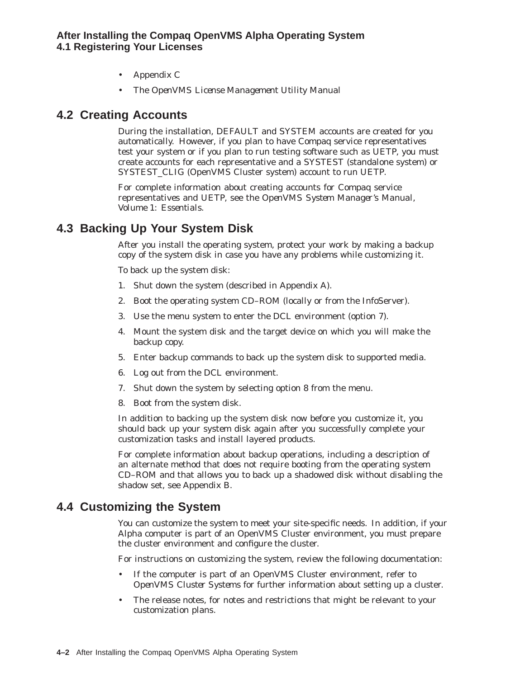- Appendix C
- The *OpenVMS License Management Utility Manual*

### **4.2 Creating Accounts**

During the installation, DEFAULT and SYSTEM accounts are created for you automatically. However, if you plan to have Compaq service representatives test your system or if you plan to run testing software such as UETP, you must create accounts for each representative and a SYSTEST (standalone system) or SYSTEST\_CLIG (OpenVMS Cluster system) account to run UETP.

For complete information about creating accounts for Compaq service representatives and UETP, see the *OpenVMS System Manager's Manual, Volume 1: Essentials*.

### **4.3 Backing Up Your System Disk**

After you install the operating system, protect your work by making a backup copy of the system disk in case you have any problems while customizing it.

To back up the system disk:

- 1. Shut down the system (described in Appendix A).
- 2. Boot the operating system CD–ROM (locally or from the InfoServer).
- 3. Use the menu system to enter the DCL environment (option 7).
- 4. Mount the system disk and the target device on which you will make the backup copy.
- 5. Enter backup commands to back up the system disk to supported media.
- 6. Log out from the DCL environment.
- 7. Shut down the system by selecting option 8 from the menu.
- 8. Boot from the system disk.

In addition to backing up the system disk now before you customize it, you should back up your system disk again after you successfully complete your customization tasks and install layered products.

For complete information about backup operations, including a description of an alternate method that does not require booting from the operating system CD–ROM and that allows you to back up a shadowed disk without disabling the shadow set, see Appendix B.

### **4.4 Customizing the System**

You can customize the system to meet your site-specific needs. In addition, if your Alpha computer is part of an OpenVMS Cluster environment, you must prepare the cluster environment and configure the cluster.

For instructions on customizing the system, review the following documentation:

- If the computer is part of an OpenVMS Cluster environment, refer to *OpenVMS Cluster Systems* for further information about setting up a cluster.
- The release notes, for notes and restrictions that might be relevant to your customization plans.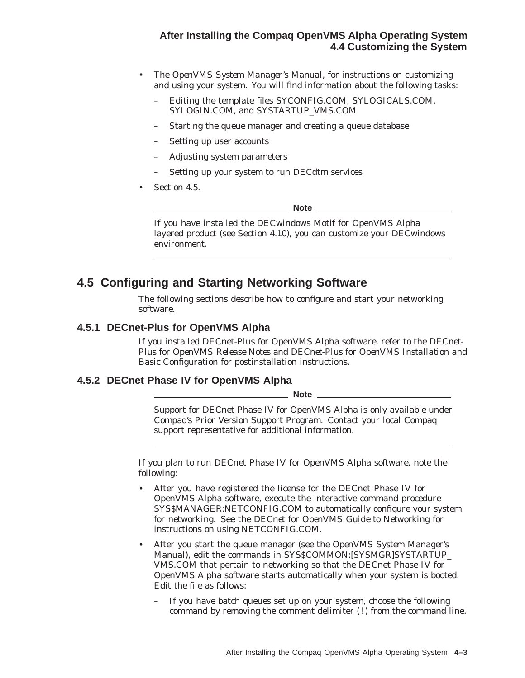#### **After Installing the Compaq OpenVMS Alpha Operating System 4.4 Customizing the System**

- The *OpenVMS System Manager's Manual*, for instructions on customizing and using your system. You will find information about the following tasks:
	- Editing the template files SYCONFIG.COM, SYLOGICALS.COM, SYLOGIN.COM, and SYSTARTUP\_VMS.COM
	- Starting the queue manager and creating a queue database
	- Setting up user accounts
	- Adjusting system parameters
	- Setting up your system to run DECdtm services
- Section 4.5.

\_\_ Note \_

If you have installed the DECwindows Motif for OpenVMS Alpha layered product (see Section 4.10), you can customize your DECwindows environment.

### **4.5 Configuring and Starting Networking Software**

The following sections describe how to configure and start your networking software.

#### **4.5.1 DECnet-Plus for OpenVMS Alpha**

If you installed DECnet-Plus for OpenVMS Alpha software, refer to the *DECnet-Plus for OpenVMS Release Notes* and *DECnet-Plus for OpenVMS Installation and Basic Configuration* for postinstallation instructions.

#### **4.5.2 DECnet Phase IV for OpenVMS Alpha**

**Note** \_

Support for DECnet Phase IV for OpenVMS Alpha is only available under Compaq's Prior Version Support Program. Contact your local Compaq support representative for additional information.

If you plan to run DECnet Phase IV for OpenVMS Alpha software, note the following:

- After you have registered the license for the DECnet Phase IV for OpenVMS Alpha software, execute the interactive command procedure SYS\$MANAGER:NETCONFIG.COM to automatically configure your system for networking. See the *DECnet for OpenVMS Guide to Networking* for instructions on using NETCONFIG.COM.
- After you start the queue manager (see the *OpenVMS System Manager's Manual*), edit the commands in SYS\$COMMON:[SYSMGR]SYSTARTUP\_ VMS.COM that pertain to networking so that the DECnet Phase IV for OpenVMS Alpha software starts automatically when your system is booted. Edit the file as follows:
	- If you have batch queues set up on your system, choose the following command by removing the comment delimiter (!) from the command line.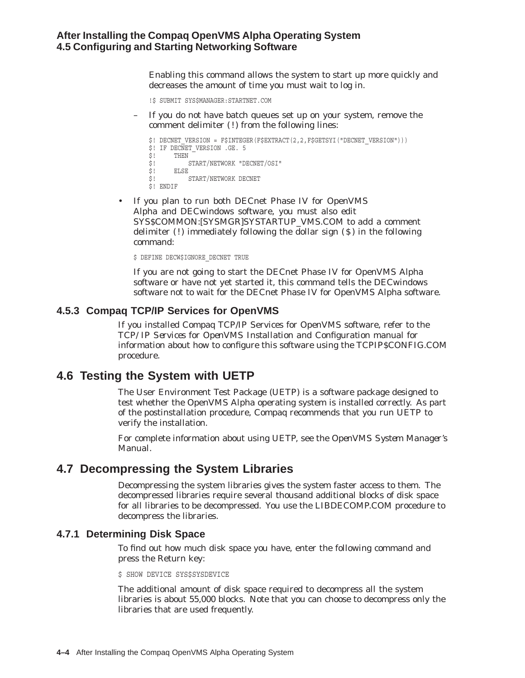Enabling this command allows the system to start up more quickly and decreases the amount of time you must wait to log in.

!\$ SUBMIT SYS\$MANAGER:STARTNET.COM

– If you do *not* have batch queues set up on your system, remove the comment delimiter (!) from the following lines:

```
$! DECNET VERSION = F$INTEGER(F$EXTRACT(2,2,F$GETSYI("DECNET VERSION")))
$! IF DECNET VERSION .GE. 5
\begin{array}{cc} \n \xi & \text{THEN} \\ \n \xi & \text{S} \n \end{array}START/NETWORK "DECNET/OSI"
$! ELSE<br>$! S
            START/NETWORK DECNET
$! ENDIF
```
• If you plan to run both DECnet Phase IV for OpenVMS Alpha and DECwindows software, you must also edit SYS\$COMMON:[SYSMGR]SYSTARTUP\_VMS.COM to *add* a comment delimiter  $(!)$  immediately following the dollar sign  $(§)$  in the following command:

\$ DEFINE DECW\$IGNORE DECNET TRUE

If you are not going to start the DECnet Phase IV for OpenVMS Alpha software or have not yet started it, this command tells the DECwindows software not to wait for the DECnet Phase IV for OpenVMS Alpha software.

#### **4.5.3 Compaq TCP/IP Services for OpenVMS**

If you installed Compaq TCP/IP Services for OpenVMS software, refer to the *TCP/IP Services for OpenVMS Installation and Configuration* manual for information about how to configure this software using the TCPIP\$CONFIG.COM procedure.

### **4.6 Testing the System with UETP**

The User Environment Test Package (UETP) is a software package designed to test whether the OpenVMS Alpha operating system is installed correctly. As part of the postinstallation procedure, Compaq recommends that you run UETP to verify the installation.

For complete information about using UETP, see the *OpenVMS System Manager's Manual*.

### **4.7 Decompressing the System Libraries**

Decompressing the system libraries gives the system faster access to them. The decompressed libraries require several thousand additional blocks of disk space for all libraries to be decompressed. You use the LIBDECOMP.COM procedure to decompress the libraries.

#### **4.7.1 Determining Disk Space**

To find out how much disk space you have, enter the following command and press the Return key:

\$ SHOW DEVICE SYS\$SYSDEVICE

The additional amount of disk space required to decompress all the system libraries is about 55,000 blocks. Note that you can choose to decompress only the libraries that are used frequently.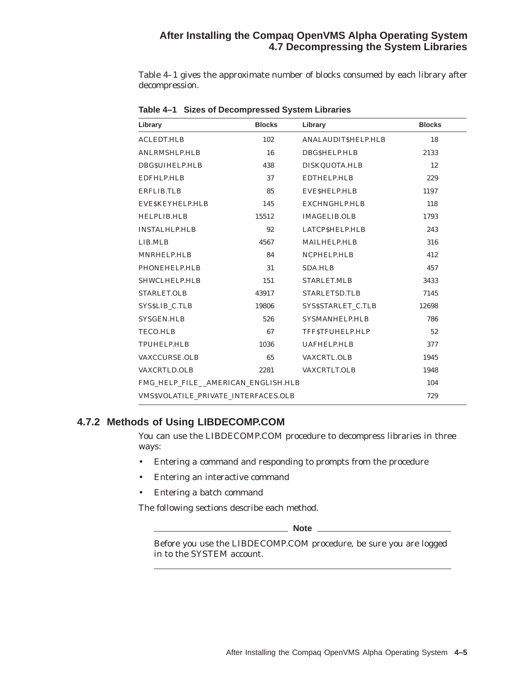### **After Installing the Compaq OpenVMS Alpha Operating System 4.7 Decompressing the System Libraries**

Table 4–1 gives the approximate number of blocks consumed by each library after decompression.

| Library                                    | <b>Blocks</b> | Library             | <b>Blocks</b> |
|--------------------------------------------|---------------|---------------------|---------------|
| <b>ACLEDT.HLB</b>                          | 102           | ANALAUDITSHELP.HLB  | 18            |
| <b>ANLRMSHLP.HLB</b>                       | 16            | DBG\$HELP.HLB       | 2133          |
| DBG\$UIHELP.HLB                            | 438           | DISKQUOTA.HLB       | 12            |
| EDFHLP.HLB                                 | 37            | <b>EDTHELP.HLB</b>  | 229           |
| <b>ERFLIB.TLB</b>                          | 85            | EVESHELP.HLB        | 1197          |
| EVESKEYHELP.HLB                            | 145           | EXCHNGHLP.HLB       | 118           |
| HELPLIB.HLB                                | 15512         | <b>IMAGELIB.OLB</b> | 1793          |
| <b>INSTALHLP.HLB</b>                       | 92            | LATCP\$HELP.HLB     | 243           |
| LIB.MLB                                    | 4567          | <b>MAILHELP.HLB</b> | 316           |
| MNRHELP.HLB                                | 84            | NCPHELP.HLB         | 412           |
| PHONEHELP.HLB                              | 31            | <b>SDA.HLB</b>      | 457           |
| SHWCLHELP.HLB                              | 151           | <b>STARLET.MLB</b>  | 3433          |
| STARLET.OLB                                | 43917         | STARLETSD.TLB       | 7145          |
| SYSSLIB C.TLB                              | 19806         | SYS\$STARLET C.TLB  | 12698         |
| <b>SYSGEN.HLB</b>                          | 526           | SYSMANHELP.HLB      | 786           |
| <b>TECO.HLB</b>                            | 67            | TFF\$TFUHELP.HLP    | 52            |
| <b>TPUHELP.HLB</b>                         | 1036          | <b>UAFHELP.HLB</b>  | 377           |
| <b>VAXCCURSE.OLB</b>                       | 65            | <b>VAXCRTL.OLB</b>  | 1945          |
| <b>VAXCRTLD.OLB</b>                        | 2281          | VAXCRTLT.OLB        | 1948          |
| FMG_HELP_FILE_AMERICAN_ENGLISH.HLB         |               |                     | 104           |
| <b>VMSSVOLATILE PRIVATE INTERFACES.OLB</b> |               |                     | 729           |

**Table 4–1 Sizes of Decompressed System Libraries**

#### **4.7.2 Methods of Using LIBDECOMP.COM**

You can use the LIBDECOMP.COM procedure to decompress libraries in three ways:

- Entering a command and responding to prompts from the procedure
- Entering an interactive command
- Entering a batch command

The following sections describe each method.

**Note**

Before you use the LIBDECOMP.COM procedure, be sure you are logged in to the SYSTEM account.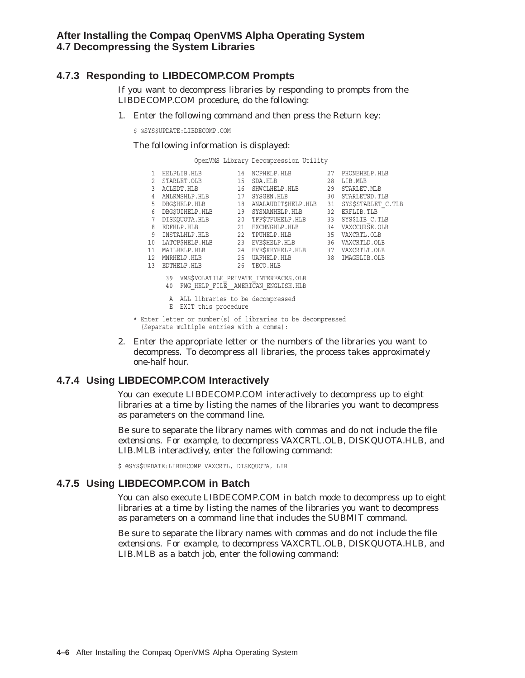### **4.7.3 Responding to LIBDECOMP.COM Prompts**

If you want to decompress libraries by responding to prompts from the LIBDECOMP.COM procedure, do the following:

1. Enter the following command and then press the Return key:

\$ @SYS\$UPDATE:LIBDECOMP.COM

The following information is displayed:

OpenVMS Library Decompression Utility

|                |    | 1 HELPLIB.HLB                                             | 14 NCPHELP.HLB                                                                | 27 | PHONEHELP.HLB      |
|----------------|----|-----------------------------------------------------------|-------------------------------------------------------------------------------|----|--------------------|
| 2              |    |                                                           | STARLET. OLB 15 SDA. HLB 28                                                   |    | LIB.MLB            |
| $\overline{3}$ |    |                                                           | ACLEDT.HLB 16 SHWCLHELP.HLB 29                                                |    | STARLET.MLB        |
| 4              |    |                                                           | ANLRMSHLP.HLB 17 SYSGEN.HLB 30                                                |    | STARLETSD. TLB     |
| 5              |    |                                                           | DBG\$HELP.HLB 18 ANALAUDIT\$HELP.HLB 31                                       |    | SYS\$STARLET C.TLB |
| 6              |    |                                                           | DBG\$UIHELP.HLB 19 SYSMANHELP.HLB 32 ERFLIB.TLB                               |    |                    |
| 7              |    |                                                           | DISKQUOTA.HLB 20 TFF\$TFUHELP.HLB 33 SYS\$LIB_C.TLB                           |    |                    |
| 8              |    |                                                           | EDFHLP.HLB 21 EXCHNGHLP.HLB 34 VAXCCURSE.OLB                                  |    |                    |
| 9              |    |                                                           | INSTALHLP.HLB 22 TPUHELP.HLB 35 VAXCRTL.OLB                                   |    |                    |
|                |    |                                                           | 10 LATCP\$HELP.HLB 23 EVE\$HELP.HLB 36 VAXCRTLD.OLB                           |    |                    |
| 11             |    |                                                           | MAILHELP.HLB 24 EVE\$KEYHELP.HLB 37 VAXCRTLT.OLB                              |    |                    |
| 12             |    | MNRHELP.HLB                                               | 25 UAFHELP.HLB 38 IMAGELIB.OLB                                                |    |                    |
| 13             |    | EDTHELP.HLB 26 TECO.HLB                                   |                                                                               |    |                    |
|                | 40 |                                                           | 39 VMS\$VOLATILE PRIVATE INTERFACES.OLB<br>FMG HELP FILE AMERICAN ENGLISH.HLB |    |                    |
|                | Ε  | A ALL libraries to be decompressed<br>EXIT this procedure |                                                                               |    |                    |
|                |    | (Separate multiple entries with a comma):                 | * Enter letter or number(s) of libraries to be decompressed                   |    |                    |

2. Enter the appropriate letter or the numbers of the libraries you want to decompress. To decompress all libraries, the process takes approximately one-half hour.

### **4.7.4 Using LIBDECOMP.COM Interactively**

You can execute LIBDECOMP.COM interactively to decompress up to eight libraries at a time by listing the names of the libraries you want to decompress as parameters on the command line.

Be sure to separate the library names with commas and do not include the file extensions. For example, to decompress VAXCRTL.OLB, DISKQUOTA.HLB, and LIB.MLB interactively, enter the following command:

\$ @SYS\$UPDATE:LIBDECOMP VAXCRTL, DISKQUOTA, LIB

#### **4.7.5 Using LIBDECOMP.COM in Batch**

You can also execute LIBDECOMP.COM in batch mode to decompress up to eight libraries at a time by listing the names of the libraries you want to decompress as parameters on a command line that includes the SUBMIT command.

Be sure to separate the library names with commas and do not include the file extensions. For example, to decompress VAXCRTL.OLB, DISKQUOTA.HLB, and LIB.MLB as a batch job, enter the following command: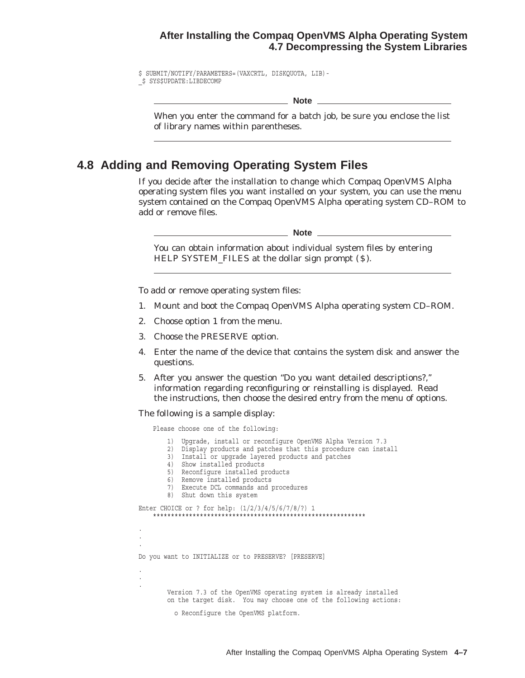#### **After Installing the Compaq OpenVMS Alpha Operating System 4.7 Decompressing the System Libraries**

\$ SUBMIT/NOTIFY/PARAMETERS=(VAXCRTL, DISKQUOTA, LIB)- \_\$ SYS\$UPDATE:LIBDECOMP

\_ Note \_

When you enter the command for a batch job, be sure you enclose the list of library names within parentheses.

### **4.8 Adding and Removing Operating System Files**

If you decide after the installation to change which Compaq OpenVMS Alpha operating system files you want installed on your system, you can use the menu system contained on the Compaq OpenVMS Alpha operating system CD–ROM to add or remove files.

**Note**

You can obtain information about individual system files by entering HELP SYSTEM\_FILES at the dollar sign prompt (\$).

To add or remove operating system files:

- 1. Mount and boot the Compaq OpenVMS Alpha operating system CD–ROM.
- 2. Choose option 1 from the menu.
- 3. Choose the PRESERVE option.
- 4. Enter the name of the device that contains the system disk and answer the questions.
- 5. After you answer the question ''Do you want detailed descriptions?,'' information regarding reconfiguring or reinstalling is displayed. Read the instructions, then choose the desired entry from the menu of options.

The following is a sample display:

Please choose one of the following:

1) Upgrade, install or reconfigure OpenVMS Alpha Version 7.3 2) Display products and patches that this procedure can install 3) Install or upgrade layered products and patches 4) Show installed products 5) Reconfigure installed products 6) Remove installed products 7) Execute DCL commands and procedures 8) Shut down this system Enter CHOICE or ? for help: (1/2/3/4/5/6/7/8/?) 1 \*\*\*\*\*\*\*\*\*\*\*\*\*\*\*\*\*\*\*\*\*\*\*\*\*\*\*\*\*\*\*\*\*\*\*\*\*\*\*\*\*\*\*\*\*\*\*\*\*\*\*\*\*\*\*\*\*\*\* . . . Do you want to INITIALIZE or to PRESERVE? [PRESERVE] . . . Version 7.3 of the OpenVMS operating system is already installed on the target disk. You may choose one of the following actions: o Reconfigure the OpenVMS platform.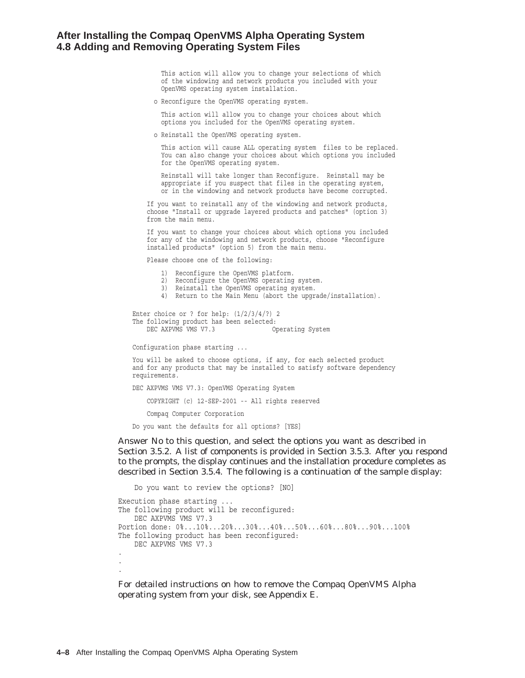#### **After Installing the Compaq OpenVMS Alpha Operating System 4.8 Adding and Removing Operating System Files**

This action will allow you to change your selections of which of the windowing and network products you included with your OpenVMS operating system installation.

o Reconfigure the OpenVMS operating system.

This action will allow you to change your choices about which options you included for the OpenVMS operating system.

o Reinstall the OpenVMS operating system.

This action will cause ALL operating system files to be replaced. You can also change your choices about which options you included for the OpenVMS operating system.

Reinstall will take longer than Reconfigure. Reinstall may be appropriate if you suspect that files in the operating system, or in the windowing and network products have become corrupted.

If you want to reinstall any of the windowing and network products, choose "Install or upgrade layered products and patches" (option 3) from the main menu.

If you want to change your choices about which options you included for any of the windowing and network products, choose "Reconfigure installed products" (option 5) from the main menu.

Please choose one of the following:

- 1) Reconfigure the OpenVMS platform.
- 2) Reconfigure the OpenVMS operating system.
- 3) Reinstall the OpenVMS operating system.
- 4) Return to the Main Menu (abort the upgrade/installation).

Enter choice or ? for help:  $(1/2/3/4/?)$  2 The following product has been selected: DEC AXPVMS VMS V7.3 Operating System

Configuration phase starting ...

You will be asked to choose options, if any, for each selected product and for any products that may be installed to satisfy software dependency requirements.

DEC AXPVMS VMS V7.3: OpenVMS Operating System

COPYRIGHT (c) 12-SEP-2001 -- All rights reserved

Compaq Computer Corporation

Do you want the defaults for all options? [YES]

Answer No to this question, and select the options you want as described in Section 3.5.2. A list of components is provided in Section 3.5.3. After you respond to the prompts, the display continues and the installation procedure completes as described in Section 3.5.4. The following is a continuation of the sample display:

```
Do you want to review the options? [NO]
Execution phase starting ...
The following product will be reconfigured:
   DEC AXPVMS VMS V7.3
Portion done: 0%...10%...20%...30%...40%...50%...60%...80%...90%...100%
The following product has been reconfigured:
   DEC AXPVMS VMS V7.3 .
.
.
```
For detailed instructions on how to remove the Compaq OpenVMS Alpha operating system from your disk, see Appendix E.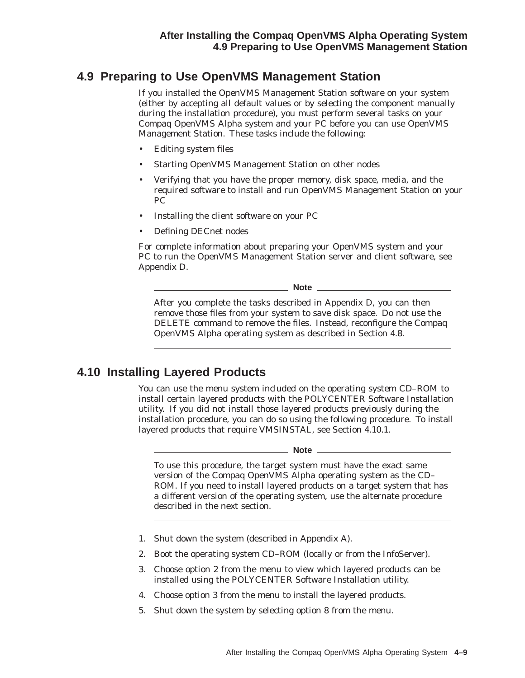## **4.9 Preparing to Use OpenVMS Management Station**

If you installed the OpenVMS Management Station software on your system (either by accepting all default values or by selecting the component manually during the installation procedure), you must perform several tasks on your Compaq OpenVMS Alpha system and your PC before you can use OpenVMS Management Station. These tasks include the following:

- Editing system files
- Starting OpenVMS Management Station on other nodes
- Verifying that you have the proper memory, disk space, media, and the required software to install and run OpenVMS Management Station on your PC
- Installing the client software on your PC
- Defining DECnet nodes

For complete information about preparing your OpenVMS system and your PC to run the OpenVMS Management Station server and client software, see Appendix D.

**Note**

After you complete the tasks described in Appendix D, you can then remove those files from your system to save disk space. Do *not* use the DELETE command to remove the files. Instead, reconfigure the Compaq OpenVMS Alpha operating system as described in Section 4.8.

### **4.10 Installing Layered Products**

You can use the menu system included on the operating system CD–ROM to install certain layered products with the POLYCENTER Software Installation utility. If you did not install those layered products previously during the installation procedure, you can do so using the following procedure. To install layered products that require VMSINSTAL, see Section 4.10.1.

#### \_ Note \_

To use this procedure, the target system must have the exact same version of the Compaq OpenVMS Alpha operating system as the CD– ROM. If you need to install layered products on a target system that has a *different* version of the operating system, use the alternate procedure described in the next section.

- 1. Shut down the system (described in Appendix A).
- 2. Boot the operating system CD–ROM (locally or from the InfoServer).
- 3. Choose option 2 from the menu to view which layered products can be installed using the POLYCENTER Software Installation utility.
- 4. Choose option 3 from the menu to install the layered products.
- 5. Shut down the system by selecting option 8 from the menu.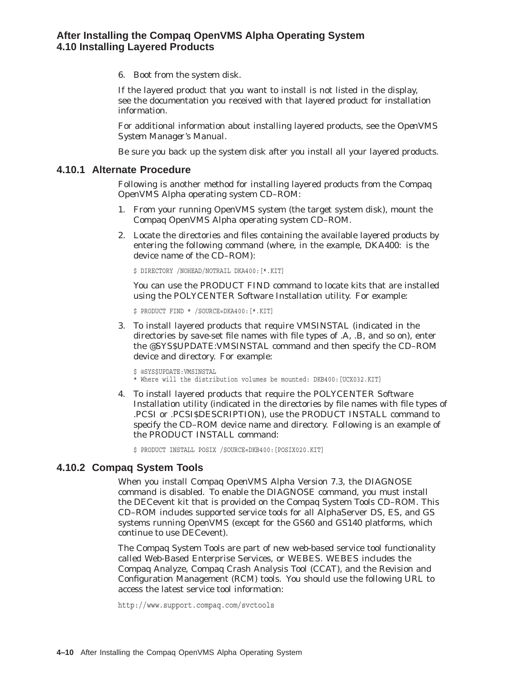6. Boot from the system disk.

If the layered product that you want to install is not listed in the display, see the documentation you received with that layered product for installation information.

For additional information about installing layered products, see the *OpenVMS System Manager's Manual*.

Be sure you back up the system disk after you install all your layered products.

#### **4.10.1 Alternate Procedure**

Following is another method for installing layered products from the Compaq OpenVMS Alpha operating system CD–ROM:

- 1. From your running OpenVMS system (the target system disk), mount the Compaq OpenVMS Alpha operating system CD–ROM.
- 2. Locate the directories and files containing the available layered products by entering the following command (where, in the example, DKA400: is the device name of the CD–ROM):

\$ DIRECTORY /NOHEAD/NOTRAIL DKA400:[\*.KIT]

You can use the PRODUCT FIND command to locate kits that are installed using the POLYCENTER Software Installation utility. For example:

\$ PRODUCT FIND \* /SOURCE=DKA400:[\*.KIT]

3. To install layered products that require VMSINSTAL (indicated in the directories by save-set file names with file types of .A, .B, and so on), enter the @SYS\$UPDATE:VMSINSTAL command and then specify the CD–ROM device and directory. For example:

```
$ @SYS$UPDATE:VMSINSTAL
* Where will the distribution volumes be mounted: DKB400:[UCX032.KIT]
```
4. To install layered products that require the POLYCENTER Software Installation utility (indicated in the directories by file names with file types of .PCSI or .PCSI\$DESCRIPTION), use the PRODUCT INSTALL command to specify the CD–ROM device name and directory. Following is an example of the PRODUCT INSTALL command:

\$ PRODUCT INSTALL POSIX /SOURCE=DKB400:[POSIX020.KIT]

#### **4.10.2 Compaq System Tools**

When you install Compaq OpenVMS Alpha Version 7.3, the DIAGNOSE command is disabled. To enable the DIAGNOSE command, you must install the DECevent kit that is provided on the Compaq System Tools CD–ROM. This CD–ROM includes supported service tools for all AlphaServer DS, ES, and GS systems running OpenVMS (except for the GS60 and GS140 platforms, which continue to use DECevent).

The Compaq System Tools are part of new web-based service tool functionality called Web-Based Enterprise Services, or WEBES. WEBES includes the Compaq Analyze, Compaq Crash Analysis Tool (CCAT), and the Revision and Configuration Management (RCM) tools. You should use the following URL to access the latest service tool information:

http://www.support.compaq.com/svctools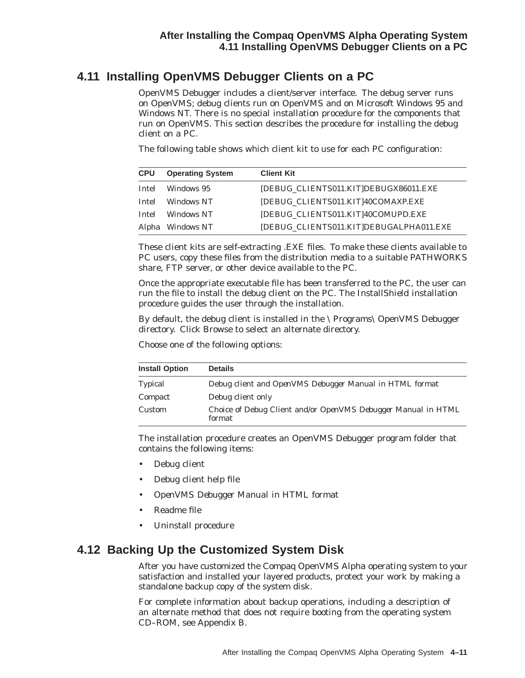## **4.11 Installing OpenVMS Debugger Clients on a PC**

OpenVMS Debugger includes a client/server interface. The debug server runs on OpenVMS; debug clients run on OpenVMS and on Microsoft Windows 95 and Windows NT. There is no special installation procedure for the components that run on OpenVMS. This section describes the procedure for installing the debug client on a PC.

The following table shows which client kit to use for each PC configuration:

| <b>CPU</b>   | <b>Operating System</b> | <b>Client Kit</b>                       |
|--------------|-------------------------|-----------------------------------------|
| Intel        | Windows 95              | [DEBUG_CLIENTS011.KIT]DEBUGX86011.EXE   |
| Intel        | Windows NT              | [DEBUG_CLIENTS011.KIT]40COMAXP.EXE      |
| <b>Intel</b> | Windows NT              | [DEBUG_CLIENTS011.KIT]40COMUPD.EXE      |
|              | Alpha Windows NT        | [DEBUG_CLIENTS011.KIT]DEBUGALPHA011.EXE |

These client kits are self-extracting .EXE files. To make these clients available to PC users, copy these files from the distribution media to a suitable PATHWORKS share, FTP server, or other device available to the PC.

Once the appropriate executable file has been transferred to the PC, the user can run the file to install the debug client on the PC. The InstallShield installation procedure guides the user through the installation.

By default, the debug client is installed in the \Programs\OpenVMS Debugger directory. Click Browse to select an alternate directory.

Choose one of the following options:

| <b>Install Option</b> | <b>Details</b>                                                          |
|-----------------------|-------------------------------------------------------------------------|
| <b>Typical</b>        | Debug client and <i>OpenVMS Debugger Manual</i> in HTML format          |
| Compact               | Debug client only                                                       |
| Custom                | Choice of Debug Client and/or OpenVMS Debugger Manual in HTML<br>format |

The installation procedure creates an OpenVMS Debugger program folder that contains the following items:

- Debug client
- Debug client help file
- *OpenVMS Debugger Manual* in HTML format
- Readme file
- Uninstall procedure

### **4.12 Backing Up the Customized System Disk**

After you have customized the Compaq OpenVMS Alpha operating system to your satisfaction and installed your layered products, protect your work by making a standalone backup copy of the system disk.

For complete information about backup operations, including a description of an alternate method that does not require booting from the operating system CD–ROM, see Appendix B.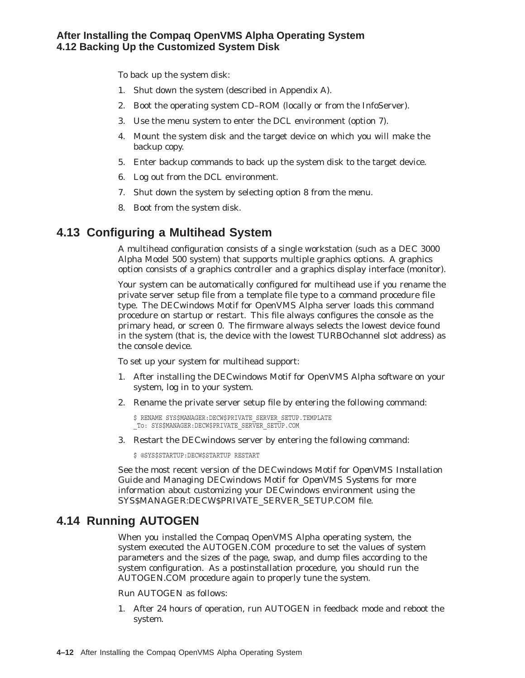#### **After Installing the Compaq OpenVMS Alpha Operating System 4.12 Backing Up the Customized System Disk**

To back up the system disk:

- 1. Shut down the system (described in Appendix A).
- 2. Boot the operating system CD–ROM (locally or from the InfoServer).
- 3. Use the menu system to enter the DCL environment (option 7).
- 4. Mount the system disk and the target device on which you will make the backup copy.
- 5. Enter backup commands to back up the system disk to the target device.
- 6. Log out from the DCL environment.
- 7. Shut down the system by selecting option 8 from the menu.
- 8. Boot from the system disk.

## **4.13 Configuring a Multihead System**

A multihead configuration consists of a single workstation (such as a DEC 3000 Alpha Model 500 system) that supports multiple graphics options. A graphics option consists of a graphics controller and a graphics display interface (monitor).

Your system can be automatically configured for multihead use if you rename the private server setup file from a template file type to a command procedure file type. The DECwindows Motif for OpenVMS Alpha server loads this command procedure on startup or restart. This file always configures the console as the primary head, or screen 0. The firmware always selects the lowest device found in the system (that is, the device with the lowest TURBOchannel slot address) as the console device.

To set up your system for multihead support:

- 1. After installing the DECwindows Motif for OpenVMS Alpha software on your system, log in to your system.
- 2. Rename the private server setup file by entering the following command:

 $$$  RENAME SYS\$MANAGER: DECW\$PRIVATE SERVER SETUP. TEMPLATE \_To: SYS\$MANAGER:DECW\$PRIVATE\_SERVER\_SETUP.COM

3. Restart the DECwindows server by entering the following command:

\$ @SYS\$STARTUP:DECW\$STARTUP RESTART

See the most recent version of the *DECwindows Motif for OpenVMS Installation Guide* and *Managing DECwindows Motif for OpenVMS Systems* for more information about customizing your DECwindows environment using the SYS\$MANAGER:DECW\$PRIVATE\_SERVER\_SETUP.COM file.

### **4.14 Running AUTOGEN**

When you installed the Compaq OpenVMS Alpha operating system, the system executed the AUTOGEN.COM procedure to set the values of system parameters and the sizes of the page, swap, and dump files according to the system configuration. As a postinstallation procedure, you should run the AUTOGEN.COM procedure again to properly tune the system.

Run AUTOGEN as follows:

1. After 24 hours of operation, run AUTOGEN in feedback mode and reboot the system.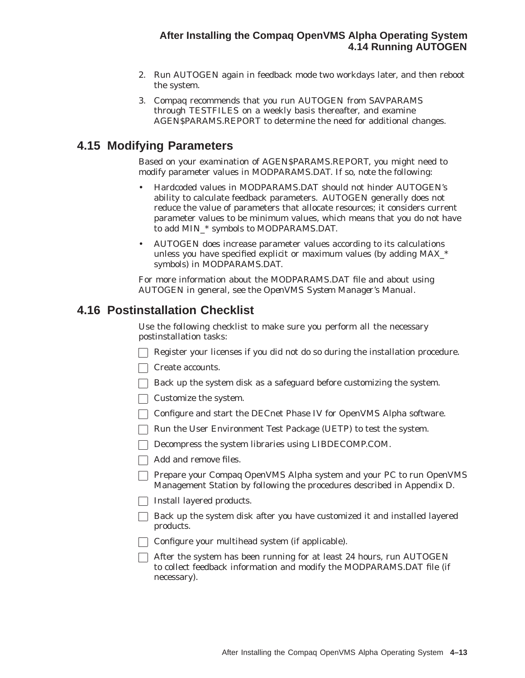- 2. Run AUTOGEN again in feedback mode two workdays later, and then reboot the system.
- 3. Compaq recommends that you run AUTOGEN from SAVPARAMS through TESTFILES on a weekly basis thereafter, and examine AGEN\$PARAMS.REPORT to determine the need for additional changes.

### **4.15 Modifying Parameters**

Based on your examination of AGEN\$PARAMS.REPORT, you might need to modify parameter values in MODPARAMS.DAT. If so, note the following:

- Hardcoded values in MODPARAMS.DAT should not hinder AUTOGEN's ability to calculate feedback parameters. AUTOGEN generally does not reduce the value of parameters that allocate resources; it considers current parameter values to be minimum values, which means that you do not have to add MIN\_\* symbols to MODPARAMS.DAT.
- AUTOGEN does increase parameter values according to its calculations unless you have specified explicit or maximum values (by adding MAX\_\* symbols) in MODPARAMS.DAT.

For more information about the MODPARAMS.DAT file and about using AUTOGEN in general, see the *OpenVMS System Manager's Manual*.

### **4.16 Postinstallation Checklist**

Use the following checklist to make sure you perform all the necessary postinstallation tasks:

- $\Box$  Register your licenses if you did not do so during the installation procedure.
- Create accounts.
- $\Box$  Back up the system disk as a safeguard before customizing the system.
- Customize the system.
- Configure and start the DECnet Phase IV for OpenVMS Alpha software.
- $\Box$  Run the User Environment Test Package (UETP) to test the system.
- Decompress the system libraries using LIBDECOMP.COM.
- Add and remove files.
- Prepare your Compaq OpenVMS Alpha system and your PC to run OpenVMS Management Station by following the procedures described in Appendix D.
- $\Box$  Install layered products.
- $\Box$  Back up the system disk after you have customized it and installed layered products.
- □ Configure your multihead system (if applicable).
- $\Box$  After the system has been running for at least 24 hours, run AUTOGEN to collect feedback information and modify the MODPARAMS.DAT file (if necessary).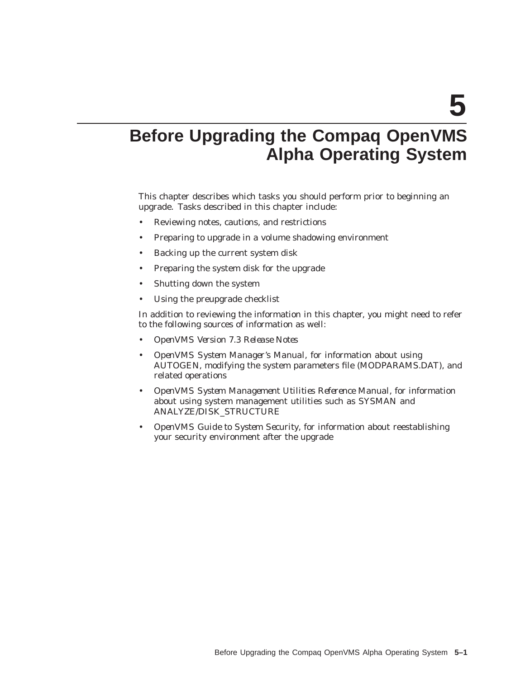# **Before Upgrading the Compaq OpenVMS Alpha Operating System**

This chapter describes which tasks you should perform prior to beginning an upgrade. Tasks described in this chapter include:

- Reviewing notes, cautions, and restrictions
- Preparing to upgrade in a volume shadowing environment
- Backing up the current system disk
- Preparing the system disk for the upgrade
- Shutting down the system
- Using the preupgrade checklist

In addition to reviewing the information in this chapter, you might need to refer to the following sources of information as well:

- *OpenVMS Version 7.3 Release Notes*
- *OpenVMS System Manager's Manual*, for information about using AUTOGEN, modifying the system parameters file (MODPARAMS.DAT), and related operations
- *OpenVMS System Management Utilities Reference Manual*, for information about using system management utilities such as SYSMAN and ANALYZE/DISK\_STRUCTURE
- *OpenVMS Guide to System Security*, for information about reestablishing your security environment after the upgrade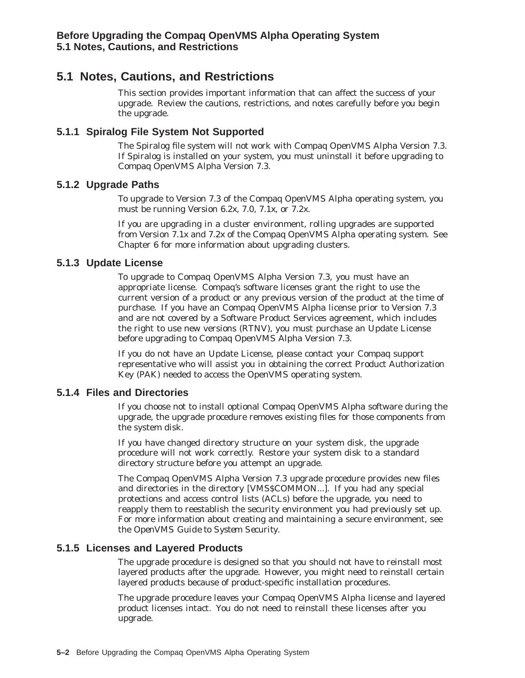### **5.1 Notes, Cautions, and Restrictions**

This section provides important information that can affect the success of your upgrade. Review the cautions, restrictions, and notes carefully before you begin the upgrade.

#### **5.1.1 Spiralog File System Not Supported**

The Spiralog file system will *not* work with Compaq OpenVMS Alpha Version 7.3. If Spiralog is installed on your system, you *must* uninstall it before upgrading to Compaq OpenVMS Alpha Version 7.3.

#### **5.1.2 Upgrade Paths**

To upgrade to Version 7.3 of the Compaq OpenVMS Alpha operating system, you must be running Version 6.2*x*, 7.0, 7.1*x*, or 7.2*x*.

If you are upgrading in a cluster environment, rolling upgrades are supported from Version 7.1*x* and 7.2*x* of the Compaq OpenVMS Alpha operating system. See Chapter 6 for more information about upgrading clusters.

#### **5.1.3 Update License**

To upgrade to Compaq OpenVMS Alpha Version 7.3, you must have an appropriate license. Compaq's software licenses grant the right to use the current version of a product or any previous version of the product at the time of purchase. If you have an Compaq OpenVMS Alpha license prior to Version 7.3 and are not covered by a Software Product Services agreement, which includes the right to use new versions (RTNV), you must purchase an Update License before upgrading to Compaq OpenVMS Alpha Version 7.3.

If you do not have an Update License, please contact your Compaq support representative who will assist you in obtaining the correct Product Authorization Key (PAK) needed to access the OpenVMS operating system.

#### **5.1.4 Files and Directories**

If you choose not to install optional Compaq OpenVMS Alpha software during the upgrade, the upgrade procedure removes existing files for those components from the system disk.

If you have changed directory structure on your system disk, the upgrade procedure will not work correctly. Restore your system disk to a standard directory structure before you attempt an upgrade.

The Compaq OpenVMS Alpha Version 7.3 upgrade procedure provides new files and directories in the directory [VMS\$COMMON...]. If you had any special protections and access control lists (ACLs) before the upgrade, you need to reapply them to reestablish the security environment you had previously set up. For more information about creating and maintaining a secure environment, see the *OpenVMS Guide to System Security*.

#### **5.1.5 Licenses and Layered Products**

The upgrade procedure is designed so that you should not have to reinstall most layered products after the upgrade. However, you might need to reinstall certain layered products because of product-specific installation procedures.

The upgrade procedure leaves your Compaq OpenVMS Alpha license and layered product licenses intact. You do not need to reinstall these licenses after you upgrade.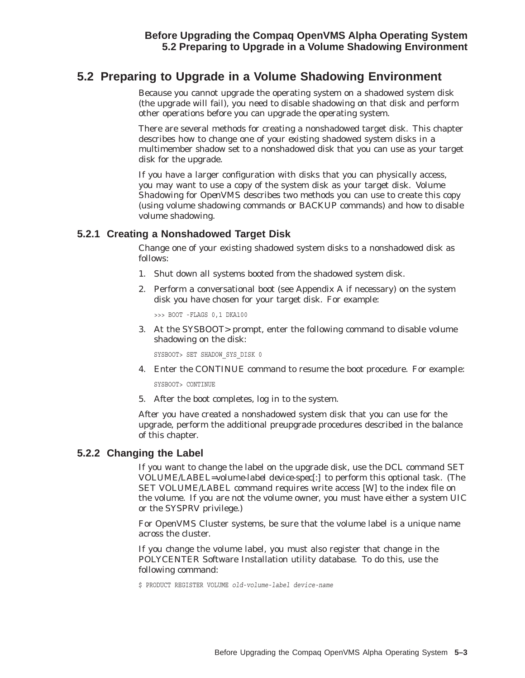### **5.2 Preparing to Upgrade in a Volume Shadowing Environment**

Because you cannot upgrade the operating system on a shadowed system disk (the upgrade will fail), you need to disable shadowing on that disk and perform other operations before you can upgrade the operating system.

There are several methods for creating a nonshadowed target disk. This chapter describes how to change one of your *existing* shadowed system disks in a multimember shadow set to a nonshadowed disk that you can use as your target disk for the upgrade.

If you have a larger configuration with disks that you can physically access, you may want to use a *copy* of the system disk as your target disk. *Volume Shadowing for OpenVMS* describes two methods you can use to create this copy (using volume shadowing commands or BACKUP commands) and how to disable volume shadowing.

#### **5.2.1 Creating a Nonshadowed Target Disk**

Change one of your existing shadowed system disks to a nonshadowed disk as follows:

- 1. Shut down all systems booted from the shadowed system disk.
- 2. Perform a conversational boot (see Appendix A if necessary) on the system disk you have chosen for your target disk. For example:

>>> BOOT -FLAGS 0,1 DKA100

3. At the SYSBOOT> prompt, enter the following command to disable volume shadowing on the disk:

SYSBOOT> SET SHADOW\_SYS\_DISK 0

4. Enter the CONTINUE command to resume the boot procedure. For example:

SYSBOOT> CONTINUE

5. After the boot completes, log in to the system.

After you have created a nonshadowed system disk that you can use for the upgrade, perform the additional preupgrade procedures described in the balance of this chapter.

#### **5.2.2 Changing the Label**

If you want to change the label on the upgrade disk, use the DCL command SET VOLUME/LABEL=*volume-label device-spec[:]* to perform this optional task. (The SET VOLUME/LABEL command requires write access [W] to the index file on the volume. If you are not the volume owner, you must have either a system UIC or the SYSPRV privilege.)

For OpenVMS Cluster systems, be sure that the volume label is a unique name across the cluster.

If you change the volume label, you must also register that change in the POLYCENTER Software Installation utility database. To do this, use the following command:

\$ PRODUCT REGISTER VOLUME *old-volume-label device-name*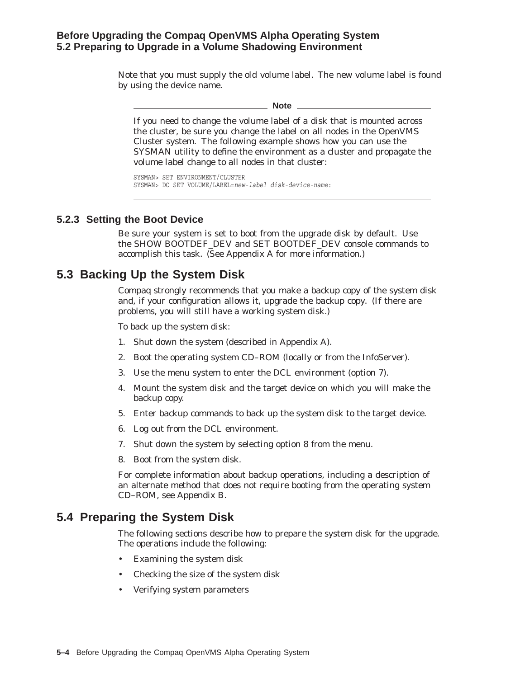#### **Before Upgrading the Compaq OpenVMS Alpha Operating System 5.2 Preparing to Upgrade in a Volume Shadowing Environment**

Note that you must supply the *old* volume label. The new volume label is found by using the device name.

**Note**

If you need to change the volume label of a disk that is mounted across the cluster, be sure you change the label on all nodes in the OpenVMS Cluster system. The following example shows how you can use the SYSMAN utility to define the environment as a cluster and propagate the volume label change to all nodes in that cluster:

SYSMAN> SET ENVIRONMENT/CLUSTER SYSMAN> DO SET VOLUME/LABEL=*new-label disk-device-name*:

#### **5.2.3 Setting the Boot Device**

Be sure your system is set to boot from the upgrade disk by default. Use the SHOW BOOTDEF\_DEV and SET BOOTDEF\_DEV console commands to accomplish this task. (See Appendix A for more information.)

### **5.3 Backing Up the System Disk**

Compaq strongly recommends that you make a backup copy of the system disk and, if your configuration allows it, upgrade the *backup copy*. (If there are problems, you will still have a working system disk.)

To back up the system disk:

- 1. Shut down the system (described in Appendix A).
- 2. Boot the operating system CD–ROM (locally or from the InfoServer).
- 3. Use the menu system to enter the DCL environment (option 7).
- 4. Mount the system disk and the target device on which you will make the backup copy.
- 5. Enter backup commands to back up the system disk to the target device.
- 6. Log out from the DCL environment.
- 7. Shut down the system by selecting option 8 from the menu.
- 8. Boot from the system disk.

For complete information about backup operations, including a description of an alternate method that does not require booting from the operating system CD–ROM, see Appendix B.

### **5.4 Preparing the System Disk**

The following sections describe how to prepare the system disk for the upgrade. The operations include the following:

- Examining the system disk
- Checking the size of the system disk
- Verifying system parameters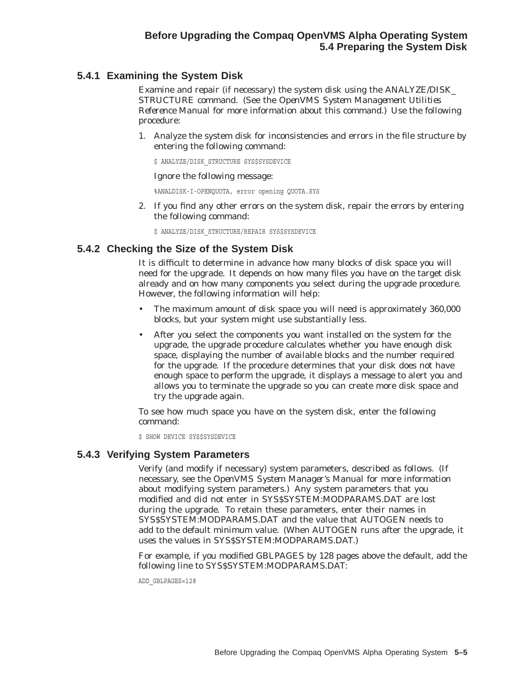## **5.4.1 Examining the System Disk**

Examine and repair (if necessary) the system disk using the ANALYZE/DISK\_ STRUCTURE command. (See the *OpenVMS System Management Utilities Reference Manual* for more information about this command.) Use the following procedure:

1. Analyze the system disk for inconsistencies and errors in the file structure by entering the following command:

\$ ANALYZE/DISK\_STRUCTURE SYS\$SYSDEVICE

Ignore the following message:

%ANALDISK-I-OPENQUOTA, error opening QUOTA.SYS

2. If you find any other errors on the system disk, repair the errors by entering the following command:

 $$$  ANALYZE/DISK STRUCTURE/REPAIR SYS\$SYSDEVICE

## **5.4.2 Checking the Size of the System Disk**

It is difficult to determine in advance how many blocks of disk space you will need for the upgrade. It depends on how many files you have on the target disk already and on how many components you select during the upgrade procedure. However, the following information will help:

- The *maximum* amount of disk space you will need is approximately 360,000 blocks, but your system might use substantially less.
- After you select the components you want installed on the system for the upgrade, the upgrade procedure calculates whether you have enough disk space, displaying the number of available blocks and the number required for the upgrade. If the procedure determines that your disk does not have enough space to perform the upgrade, it displays a message to alert you and allows you to terminate the upgrade so you can create more disk space and try the upgrade again.

To see how much space you have on the system disk, enter the following command:

\$ SHOW DEVICE SYS\$SYSDEVICE

### **5.4.3 Verifying System Parameters**

Verify (and modify if necessary) system parameters, described as follows. (If necessary, see the *OpenVMS System Manager's Manual* for more information about modifying system parameters.) Any system parameters that you modified and *did not* enter in SYS\$SYSTEM:MODPARAMS.DAT are lost during the upgrade. To retain these parameters, enter their names in SYS\$SYSTEM:MODPARAMS.DAT and the value that AUTOGEN needs to add to the default minimum value. (When AUTOGEN runs after the upgrade, it uses the values in SYS\$SYSTEM:MODPARAMS.DAT.)

For example, if you modified GBLPAGES by 128 pages above the default, add the following line to SYS\$SYSTEM:MODPARAMS.DAT:

ADD\_GBLPAGES=128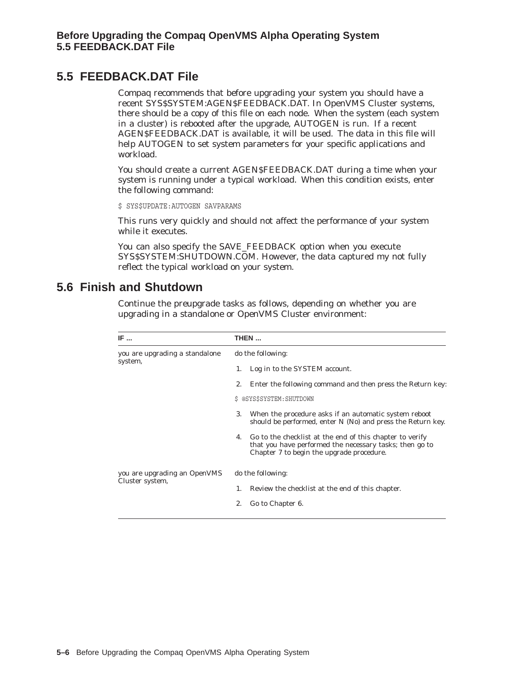# **5.5 FEEDBACK.DAT File**

Compaq recommends that before upgrading your system you should have a recent SYS\$SYSTEM:AGEN\$FEEDBACK.DAT. In OpenVMS Cluster systems, there should be a copy of this file on each node. When the system (each system in a cluster) is rebooted after the upgrade, AUTOGEN is run. If a recent AGEN\$FEEDBACK.DAT is available, it will be used. The data in this file will help AUTOGEN to set system parameters for your specific applications and workload.

You should create a current AGEN\$FEEDBACK.DAT during a time when your system is running under a typical workload. When this condition exists, enter the following command:

\$ SYS\$UPDATE:AUTOGEN SAVPARAMS

This runs very quickly and should not affect the performance of your system while it executes.

You can also specify the SAVE\_FEEDBACK option when you execute SYS\$SYSTEM:SHUTDOWN.COM. However, the data captured my not fully reflect the typical workload on your system.

# **5.6 Finish and Shutdown**

Continue the preupgrade tasks as follows, depending on whether you are upgrading in a standalone or OpenVMS Cluster environment:

| IF                             | THEN                                                                                                                                                                   |  |  |  |  |
|--------------------------------|------------------------------------------------------------------------------------------------------------------------------------------------------------------------|--|--|--|--|
| you are upgrading a standalone | do the following:                                                                                                                                                      |  |  |  |  |
| system,                        | Log in to the SYSTEM account.<br>1.                                                                                                                                    |  |  |  |  |
|                                | Enter the following command and then press the Return key:<br>2.                                                                                                       |  |  |  |  |
|                                | \$ @SYS\$SYSTEM: SHUTDOWN                                                                                                                                              |  |  |  |  |
|                                | When the procedure asks if an automatic system reboot<br>3.<br>should be performed, enter N (No) and press the Return key.                                             |  |  |  |  |
|                                | Go to the checklist at the end of this chapter to verify<br>4.<br>that you have performed the necessary tasks; then go to<br>Chapter 7 to begin the upgrade procedure. |  |  |  |  |
| you are upgrading an OpenVMS   | do the following:                                                                                                                                                      |  |  |  |  |
| Cluster system,                | Review the checklist at the end of this chapter.<br>1.                                                                                                                 |  |  |  |  |
|                                | Go to Chapter 6.<br>2.                                                                                                                                                 |  |  |  |  |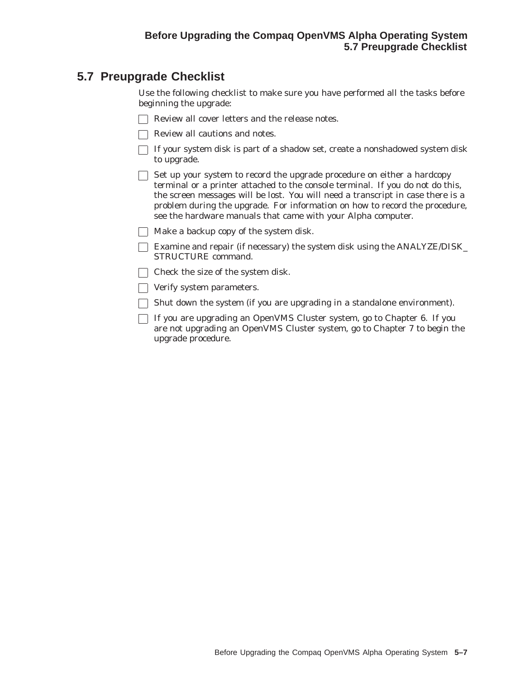# **5.7 Preupgrade Checklist**

Use the following checklist to make sure you have performed all the tasks before beginning the upgrade:

- Review all cover letters and the release notes.
- Review all cautions and notes.
- $\Box$  If your system disk is part of a shadow set, create a nonshadowed system disk to upgrade.
- $\Box$  Set up your system to record the upgrade procedure on either a hardcopy terminal or a printer attached to the console terminal. If you do not do this, the screen messages will be lost. You will need a transcript in case there is a problem during the upgrade. For information on how to record the procedure, see the hardware manuals that came with your Alpha computer.
- $\Box$  Make a backup copy of the system disk.
- Examine and repair (if necessary) the system disk using the ANALYZE/DISK\_ STRUCTURE command.
- $\Box$  Check the size of the system disk.
- **Verify system parameters.**
- $\Box$  Shut down the system (if you are upgrading in a standalone environment).
- $\Box$  If you are upgrading an OpenVMS Cluster system, go to Chapter 6. If you are not upgrading an OpenVMS Cluster system, go to Chapter 7 to begin the upgrade procedure.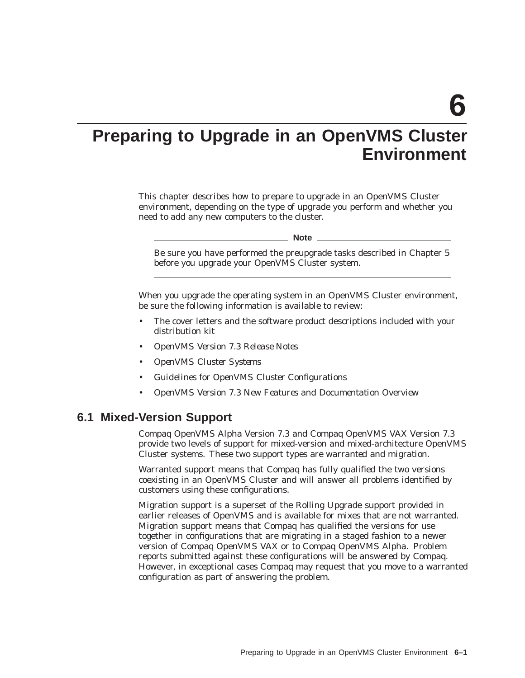**6**

# **Preparing to Upgrade in an OpenVMS Cluster Environment**

This chapter describes how to prepare to upgrade in an OpenVMS Cluster environment, depending on the type of upgrade you perform and whether you need to add any new computers to the cluster.

**Note**

Be sure you have performed the preupgrade tasks described in Chapter 5 before you upgrade your OpenVMS Cluster system.

When you upgrade the operating system in an OpenVMS Cluster environment, be sure the following information is available to review:

- The cover letters and the software product descriptions included with your distribution kit
- *OpenVMS Version 7.3 Release Notes*
- *OpenVMS Cluster Systems*
- *Guidelines for OpenVMS Cluster Configurations*
- *OpenVMS Version 7.3 New Features and Documentation Overview*

#### **6.1 Mixed-Version Support**

Compaq OpenVMS Alpha Version 7.3 and Compaq OpenVMS VAX Version 7.3 provide two levels of support for mixed-version and mixed-architecture OpenVMS Cluster systems. These two support types are *warranted* and *migration*.

Warranted support means that Compaq has fully qualified the two versions coexisting in an OpenVMS Cluster and will answer all problems identified by customers using these configurations.

Migration support is a superset of the Rolling Upgrade support provided in earlier releases of OpenVMS and is available for mixes that are not warranted. Migration support means that Compaq has qualified the versions for use together in configurations that are migrating in a staged fashion to a newer version of Compaq OpenVMS VAX or to Compaq OpenVMS Alpha. Problem reports submitted against these configurations will be answered by Compaq. However, in exceptional cases Compaq may request that you move to a warranted configuration as part of answering the problem.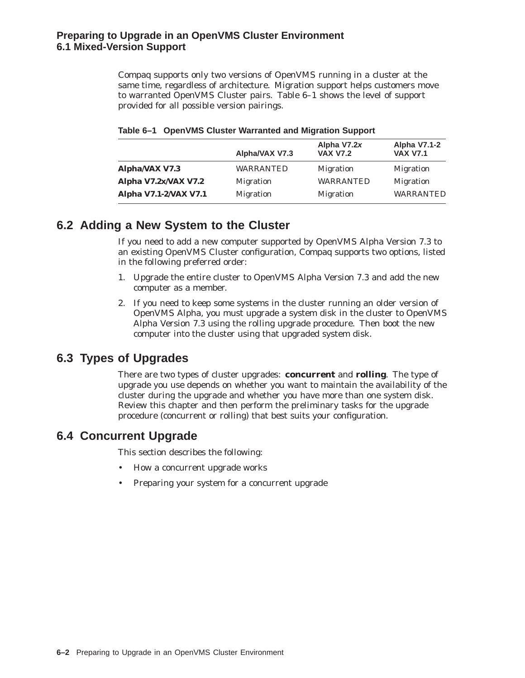## **Preparing to Upgrade in an OpenVMS Cluster Environment 6.1 Mixed-Version Support**

Compaq supports only two versions of OpenVMS running in a cluster at the same time, regardless of architecture. Migration support helps customers move to warranted OpenVMS Cluster pairs. Table 6–1 shows the level of support provided for all possible version pairings.

|                       | Alpha/VAX V7.3   | Alpha V7.2x<br><b>VAX V7.2</b> | <b>Alpha V7.1-2</b><br><b>VAX V7.1</b> |
|-----------------------|------------------|--------------------------------|----------------------------------------|
| Alpha/VAX V7.3        | WARRANTED        | <b>Migration</b>               | <b>Migration</b>                       |
| Alpha V7.2x/VAX V7.2  | <b>Migration</b> | <b>WARRANTED</b>               | <b>Migration</b>                       |
| Alpha V7.1-2/VAX V7.1 | <b>Migration</b> | <b>Migration</b>               | <b>WARRANTED</b>                       |

#### **Table 6–1 OpenVMS Cluster Warranted and Migration Support**

# **6.2 Adding a New System to the Cluster**

If you need to add a new computer supported by OpenVMS Alpha Version 7.3 to an existing OpenVMS Cluster configuration, Compaq supports two options, listed in the following preferred order:

- 1. Upgrade the entire cluster to OpenVMS Alpha Version 7.3 and add the new computer as a member.
- 2. If you need to keep some systems in the cluster running an older version of OpenVMS Alpha, you must upgrade a system disk in the cluster to OpenVMS Alpha Version 7.3 using the rolling upgrade procedure. Then boot the new computer into the cluster using that upgraded system disk.

# **6.3 Types of Upgrades**

There are two types of cluster upgrades: **concurrent** and **rolling**. The type of upgrade you use depends on whether you want to maintain the availability of the cluster during the upgrade and whether you have more than one system disk. Review this chapter and then perform the preliminary tasks for the upgrade procedure (concurrent or rolling) that best suits your configuration.

# **6.4 Concurrent Upgrade**

This section describes the following:

- How a concurrent upgrade works
- Preparing your system for a concurrent upgrade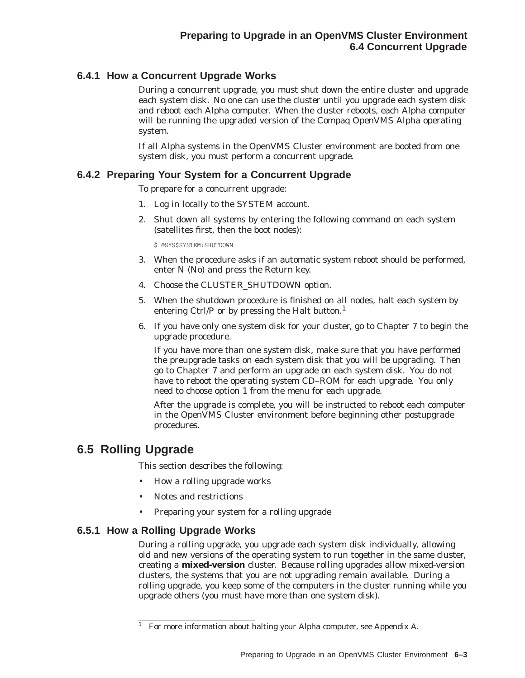## **6.4.1 How a Concurrent Upgrade Works**

During a concurrent upgrade, you must shut down the entire cluster and upgrade each system disk. No one can use the cluster until you upgrade each system disk and reboot each Alpha computer. When the cluster reboots, each Alpha computer will be running the upgraded version of the Compaq OpenVMS Alpha operating system.

If all Alpha systems in the OpenVMS Cluster environment are booted from one system disk, you must perform a concurrent upgrade.

## **6.4.2 Preparing Your System for a Concurrent Upgrade**

To prepare for a concurrent upgrade:

- 1. Log in locally to the SYSTEM account.
- 2. Shut down all systems by entering the following command on each system (satellites first, then the boot nodes):

\$ @SYS\$SYSTEM:SHUTDOWN

- 3. When the procedure asks if an automatic system reboot should be performed, enter N (No) and press the Return key.
- 4. Choose the CLUSTER\_SHUTDOWN option.
- 5. When the shutdown procedure is finished on all nodes, halt each system by entering Ctrl/P or by pressing the Halt button.<sup>1</sup>
- 6. If you have only one system disk for your cluster, go to Chapter 7 to begin the upgrade procedure.

If you have more than one system disk, make sure that you have performed the preupgrade tasks on each system disk that you will be upgrading. Then go to Chapter 7 and perform an upgrade on each system disk. You do not have to reboot the operating system CD–ROM for each upgrade. You only need to choose option 1 from the menu for each upgrade.

After the upgrade is complete, you will be instructed to reboot each computer in the OpenVMS Cluster environment before beginning other postupgrade procedures.

# **6.5 Rolling Upgrade**

This section describes the following:

- How a rolling upgrade works
- Notes and restrictions
- Preparing your system for a rolling upgrade

### **6.5.1 How a Rolling Upgrade Works**

During a rolling upgrade, you upgrade each system disk individually, allowing old and new versions of the operating system to run together in the same cluster, creating a **mixed-version** cluster. Because rolling upgrades allow mixed-version clusters, the systems that you are not upgrading remain available. During a rolling upgrade, you keep some of the computers in the cluster running while you upgrade others (you must have more than one system disk).

<sup>&</sup>lt;sup>1</sup> For more information about halting your Alpha computer, see Appendix A.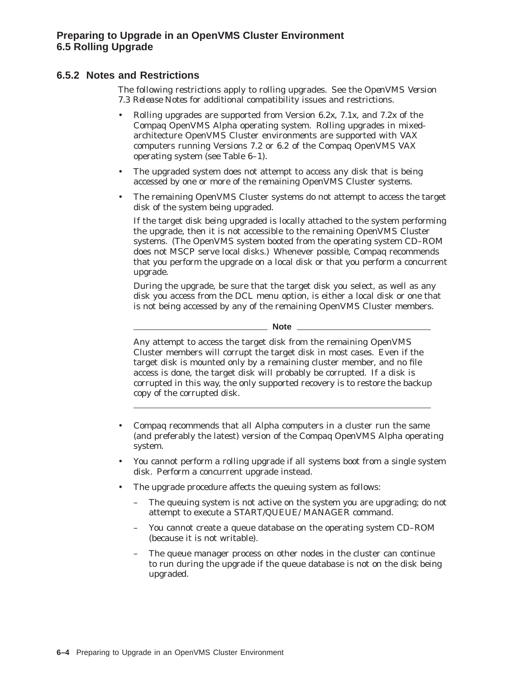## **6.5.2 Notes and Restrictions**

The following restrictions apply to rolling upgrades. See the *OpenVMS Version 7.3 Release Notes* for additional compatibility issues and restrictions.

- Rolling upgrades are supported from Version 6.2*x*, 7.1*x*, and 7.2*x* of the Compaq OpenVMS Alpha operating system. Rolling upgrades in mixedarchitecture OpenVMS Cluster environments are supported with VAX computers running Versions 7.2 or 6.2 of the Compaq OpenVMS VAX operating system (see Table 6–1).
- The upgraded system does not attempt to access any disk that is being accessed by one or more of the remaining OpenVMS Cluster systems.
- The remaining OpenVMS Cluster systems do not attempt to access the target disk of the system being upgraded.

If the target disk being upgraded is locally attached to the system performing the upgrade, then it is not accessible to the remaining OpenVMS Cluster systems. (The OpenVMS system booted from the operating system CD–ROM does not MSCP serve local disks.) Whenever possible, Compaq recommends that you perform the upgrade on a local disk or that you perform a concurrent upgrade.

During the upgrade, be sure that the target disk you select, as well as any disk you access from the DCL menu option, is either a local disk or one that is not being accessed by any of the remaining OpenVMS Cluster members.

**Note**

Any attempt to access the target disk from the remaining OpenVMS Cluster members will corrupt the target disk in most cases. Even if the target disk is mounted only by a remaining cluster member, and no file access is done, the target disk will probably be corrupted. If a disk is corrupted in this way, the only supported recovery is to restore the backup copy of the corrupted disk.

- Compaq recommends that all Alpha computers in a cluster run the same (and preferably the latest) version of the Compaq OpenVMS Alpha operating system.
- You cannot perform a rolling upgrade if all systems boot from a single system disk. Perform a concurrent upgrade instead.
- The upgrade procedure affects the queuing system as follows:
	- The queuing system is not active on the system you are upgrading; do not attempt to execute a START/QUEUE/ MANAGER command.
	- You cannot create a queue database on the operating system CD–ROM (because it is not writable).
	- The queue manager process on other nodes in the cluster can continue to run during the upgrade if the queue database is not on the disk being upgraded.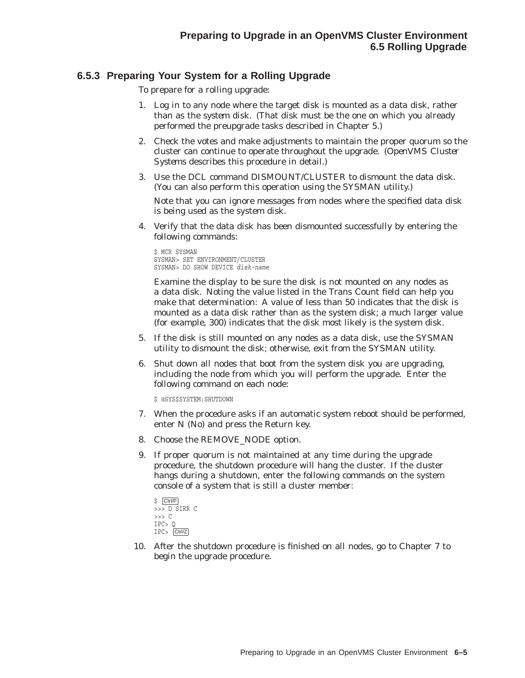## **6.5.3 Preparing Your System for a Rolling Upgrade**

To prepare for a rolling upgrade:

- 1. Log in to any node where the target disk is mounted as a *data* disk, rather than as the *system* disk. (That disk must be the one on which you already performed the preupgrade tasks described in Chapter 5.)
- 2. Check the votes and make adjustments to maintain the proper quorum so the cluster can continue to operate throughout the upgrade. (*OpenVMS Cluster Systems* describes this procedure in detail.)
- 3. Use the DCL command DISMOUNT/CLUSTER to dismount the data disk. (You can also perform this operation using the SYSMAN utility.)

Note that you can ignore messages from nodes where the specified data disk is being used as the system disk.

4. Verify that the data disk has been dismounted successfully by entering the following commands:

\$ MCR SYSMAN SYSMAN> SET ENVIRONMENT/CLUSTER SYSMAN> DO SHOW DEVICE *disk-name*

Examine the display to be sure the disk is not mounted on any nodes as a data disk. Noting the value listed in the Trans Count field can help you make that determination: A value of less than 50 indicates that the disk is mounted as a data disk rather than as the system disk; a much larger value (for example, 300) indicates that the disk most likely is the system disk.

- 5. If the disk is still mounted on any nodes as a data disk, use the SYSMAN utility to dismount the disk; otherwise, exit from the SYSMAN utility.
- 6. Shut down all nodes that boot from the system disk you are upgrading, including the node from which you will perform the upgrade. Enter the following command on each node:

\$ @SYS\$SYSTEM:SHUTDOWN

- 7. When the procedure asks if an automatic system reboot should be performed, enter N (No) and press the Return key.
- 8. Choose the REMOVE\_NODE option.
- 9. If proper quorum is not maintained at any time during the upgrade procedure, the shutdown procedure will hang the cluster. If the cluster hangs during a shutdown, enter the following commands on the system console of a system that is still a cluster member:

```
$ Ctrl/P
>>> D SIRR C >>> C
IPC> Q
IPC> Ctrl/Z
```
10. After the shutdown procedure is finished on all nodes, go to Chapter 7 to begin the upgrade procedure.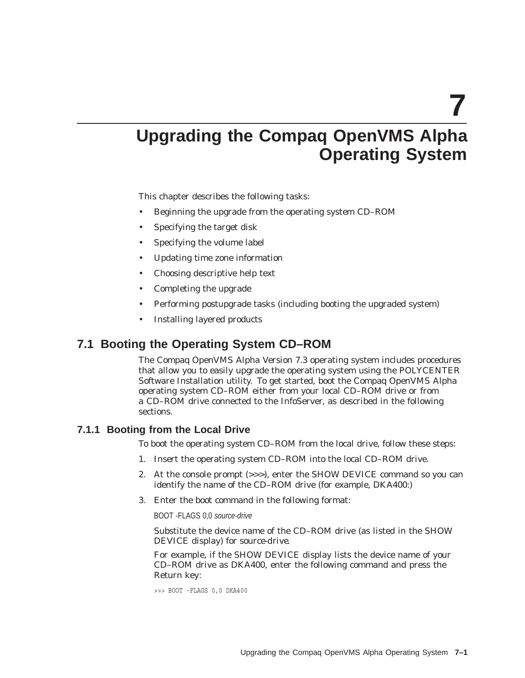**7**

# **Upgrading the Compaq OpenVMS Alpha Operating System**

This chapter describes the following tasks:

- Beginning the upgrade from the operating system CD–ROM
- Specifying the target disk
- Specifying the volume label
- Updating time zone information
- Choosing descriptive help text
- Completing the upgrade
- Performing postupgrade tasks (including booting the upgraded system)
- Installing layered products

## **7.1 Booting the Operating System CD–ROM**

The Compaq OpenVMS Alpha Version 7.3 operating system includes procedures that allow you to easily upgrade the operating system using the POLYCENTER Software Installation utility. To get started, boot the Compaq OpenVMS Alpha operating system CD–ROM either from your local CD–ROM drive or from a CD–ROM drive connected to the InfoServer, as described in the following sections.

#### **7.1.1 Booting from the Local Drive**

To boot the operating system CD–ROM from the local drive, follow these steps:

- 1. Insert the operating system CD–ROM into the local CD–ROM drive.
- 2. At the console prompt (>>>), enter the SHOW DEVICE command so you can identify the name of the CD–ROM drive (for example, DKA400:)
- 3. Enter the boot command in the following format:

BOOT -FLAGS 0,0 source-drive

Substitute the device name of the CD–ROM drive (as listed in the SHOW DEVICE display) for *source-drive*.

For example, if the SHOW DEVICE display lists the device name of your CD–ROM drive as DKA400, enter the following command and press the Return key:

```
>>> BOOT -FLAGS 0,0 DKA400
```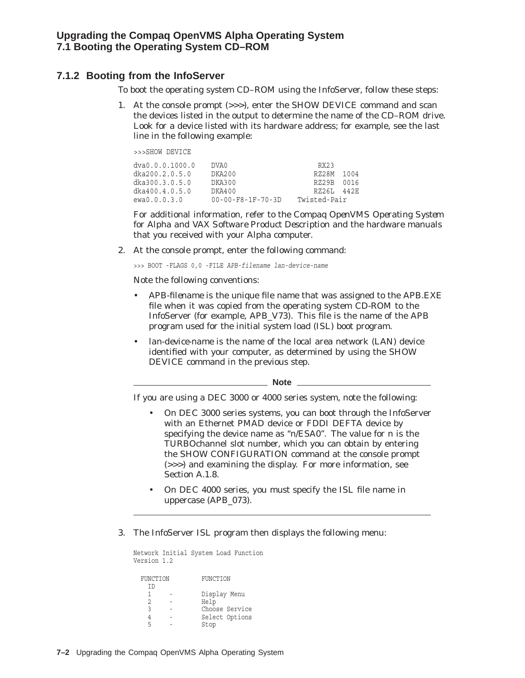#### **7.1.2 Booting from the InfoServer**

To boot the operating system CD–ROM using the InfoServer, follow these steps:

1. At the console prompt (>>>), enter the SHOW DEVICE command and scan the devices listed in the output to determine the name of the CD–ROM drive. Look for a device listed with its hardware address; for example, see the last line in the following example:

>>>SHOW DEVICE

| dva0.0.0.1000.0 | DVA0.                         | RX23         |      |
|-----------------|-------------------------------|--------------|------|
| dka200.2.0.5.0  | DKA200                        | RZ28M        | 1004 |
| dka300.3.0.5.0  | DKA300                        | RZ29B        | 0016 |
| dka400.4.0.5.0  | DKA400                        | RZ26L        | 442円 |
| ewa0.0.0.3.0    | $00 - 00 - F8 - 1F - 70 - 3D$ | Twisted-Pair |      |

For additional information, refer to the *Compaq OpenVMS Operating System for Alpha and VAX Software Product Description* and the hardware manuals that you received with your Alpha computer.

2. At the console prompt, enter the following command:

>>> BOOT -FLAGS 0,0 -FILE *APB-filename lan-device-name*

Note the following conventions:

- *APB-filename* is the unique file name that was assigned to the APB.EXE file when it was copied from the operating system CD-ROM to the InfoServer (for example, APB\_V73). This file is the name of the APB program used for the initial system load (ISL) boot program.
- *lan-device-name* is the name of the local area network (LAN) device identified with your computer, as determined by using the SHOW DEVICE command in the previous step.

**Note**

If you are using a DEC 3000 or 4000 series system, note the following:

- On DEC 3000 series systems, you can boot through the InfoServer with an Ethernet PMAD device or FDDI DEFTA device by specifying the device name as ''*n*/ESA0''. The value for *n* is the TURBOchannel slot number, which you can obtain by entering the SHOW CONFIGURATION command at the console prompt (>>>) and examining the display. For more information, see Section A.1.8.
- On DEC 4000 series, you *must* specify the ISL file name in uppercase (APB\_073).
- 3. The InfoServer ISL program then displays the following menu:

```
Network Initial System Load Function
Version 1.2
 FUNCTION FUNCTION
  ID
  1 - Display Menu
   2 - Help
   3 - Choose Service
   4 - Select Options
  5 - Stop
```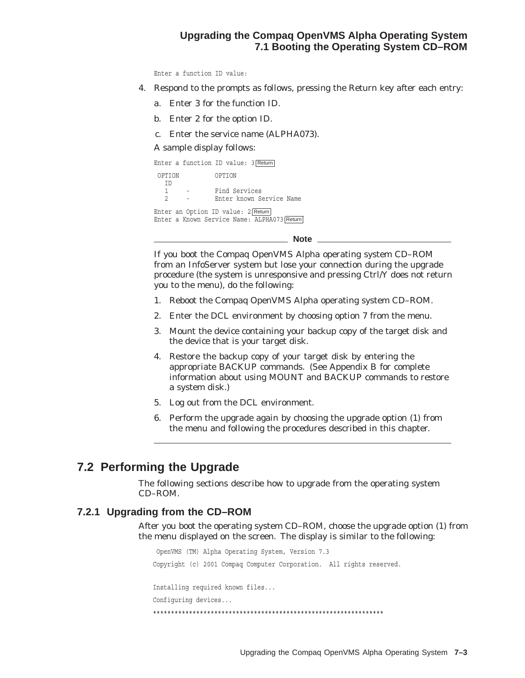## **Upgrading the Compaq OpenVMS Alpha Operating System 7.1 Booting the Operating System CD–ROM**

Enter a function ID value:

- 4. Respond to the prompts as follows, pressing the Return key after each entry:
	- a. Enter 3 for the function ID.
	- b. Enter 2 for the option ID.
	- c. Enter the service name (ALPHA073).

#### A sample display follows:

Enter a function ID value: 3 Return

| OPTION        | OPTION                                      |
|---------------|---------------------------------------------|
| ТŊ            | Find Services                               |
| $\mathcal{L}$ | Enter known Service Name                    |
|               | Enter an Option ID value: 2 Return          |
|               | Enter a Known Service Name: ALPHA073 Return |

**Note**

If you boot the Compaq OpenVMS Alpha operating system CD–ROM from an InfoServer system but lose your connection during the upgrade procedure (the system is unresponsive and pressing Ctrl/Y does not return you to the menu), do the following:

- 1. Reboot the Compaq OpenVMS Alpha operating system CD–ROM.
- 2. Enter the DCL environment by choosing option 7 from the menu.
- 3. Mount the device containing your backup copy of the target disk and the device that is your target disk.
- 4. Restore the backup copy of your target disk by entering the appropriate BACKUP commands. (See Appendix B for complete information about using MOUNT and BACKUP commands to restore a system disk.)
- 5. Log out from the DCL environment.
- 6. Perform the upgrade again by choosing the upgrade option (1) from the menu and following the procedures described in this chapter.

## **7.2 Performing the Upgrade**

The following sections describe how to upgrade from the operating system CD–ROM.

#### **7.2.1 Upgrading from the CD–ROM**

After you boot the operating system CD–ROM, choose the upgrade option (1) from the menu displayed on the screen. The display is similar to the following:

OpenVMS (TM) Alpha Operating System, Version 7.3 Copyright (c) 2001 Compaq Computer Corporation. All rights reserved. Installing required known files... Configuring devices... \*\*\*\*\*\*\*\*\*\*\*\*\*\*\*\*\*\*\*\*\*\*\*\*\*\*\*\*\*\*\*\*\*\*\*\*\*\*\*\*\*\*\*\*\*\*\*\*\*\*\*\*\*\*\*\*\*\*\*\*\*\*\*\*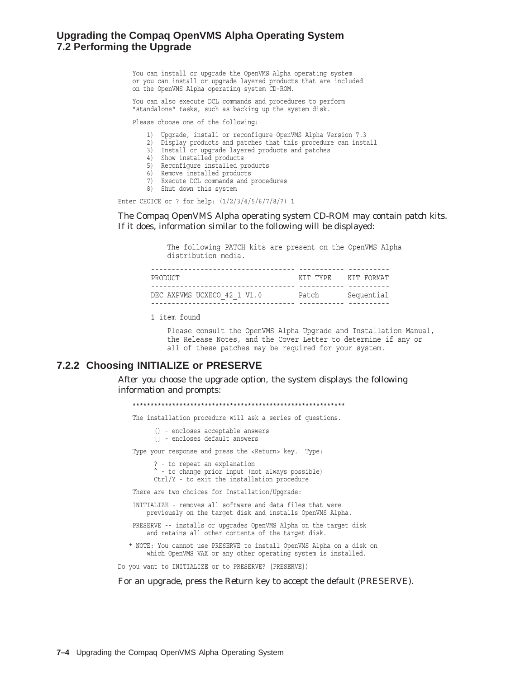#### **Upgrading the Compaq OpenVMS Alpha Operating System 7.2 Performing the Upgrade**

You can install or upgrade the OpenVMS Alpha operating system or you can install or upgrade layered products that are included on the OpenVMS Alpha operating system CD-ROM.

You can also execute DCL commands and procedures to perform "standalone" tasks, such as backing up the system disk.

Please choose one of the following:

- 1) Upgrade, install or reconfigure OpenVMS Alpha Version 7.3
- 2) Display products and patches that this procedure can install
- 3) Install or upgrade layered products and patches
- 4) Show installed products
- 5) Reconfigure installed products
- 6) Remove installed products
- 7) Execute DCL commands and procedures
- 8) Shut down this system

Enter CHOICE or ? for help: (1/2/3/4/5/6/7/8/?) 1

The Compaq OpenVMS Alpha operating system CD-ROM may contain patch kits. If it does, information similar to the following will be displayed:

> The following PATCH kits are present on the OpenVMS Alpha distribution media.

| PRODUCT                     | КТТ ТҮРЕ | KIT FORMAT |
|-----------------------------|----------|------------|
|                             |          |            |
| DEC AXPVMS UCXECO 42 1 V1.0 | Patch    | Sequential |
|                             |          |            |

1 item found

Please consult the OpenVMS Alpha Upgrade and Installation Manual, the Release Notes, and the Cover Letter to determine if any or all of these patches may be required for your system.

#### **7.2.2 Choosing INITIALIZE or PRESERVE**

After you choose the upgrade option, the system displays the following information and prompts:

\*\*\*\*\*\*\*\*\*\*\*\*\*\*\*\*\*\*\*\*\*\*\*\*\*\*\*\*\*\*\*\*\*\*\*\*\*\*\*\*\*\*\*\*\*\*\*\*\*\*\*\*\*\*\*\*\*\*\*

The installation procedure will ask a series of questions.

() - encloses acceptable answers

[] - encloses default answers

Type your response and press the <Return> key. Type:

? - to repeat an explanation - to change prior input (not always possible)

Ctrl/Y - to exit the installation procedure

There are two choices for Installation/Upgrade:

INITIALIZE - removes all software and data files that were previously on the target disk and installs OpenVMS Alpha.

PRESERVE -- installs or upgrades OpenVMS Alpha on the target disk and retains all other contents of the target disk.

\* NOTE: You cannot use PRESERVE to install OpenVMS Alpha on a disk on which OpenVMS VAX or any other operating system is installed.

Do you want to INITIALIZE or to PRESERVE? [PRESERVE])

For an upgrade, press the Return key to accept the default (PRESERVE).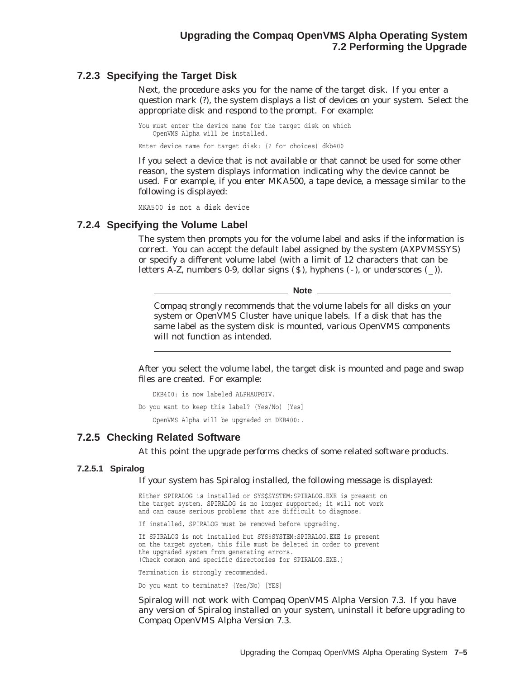#### **7.2.3 Specifying the Target Disk**

Next, the procedure asks you for the name of the target disk. If you enter a question mark (?), the system displays a list of devices on your system. Select the appropriate disk and respond to the prompt. For example:

You must enter the device name for the target disk on which OpenVMS Alpha will be installed.

Enter device name for target disk: (? for choices) dkb400

If you select a device that is not available or that cannot be used for some other reason, the system displays information indicating why the device cannot be used. For example, if you enter MKA500, a tape device, a message similar to the following is displayed:

MKA500 is not a disk device

#### **7.2.4 Specifying the Volume Label**

The system then prompts you for the volume label and asks if the information is correct. You can accept the default label assigned by the system (AXPVMSSYS) or specify a different volume label (with a limit of 12 characters that can be letters A-Z, numbers 0-9, dollar signs  $(S)$ , hyphens  $(-)$ , or underscores  $(-)$ ).

**Note**

Compaq strongly recommends that the volume labels for all disks on your system or OpenVMS Cluster have unique labels. If a disk that has the same label as the system disk is mounted, various OpenVMS components will not function as intended.

After you select the volume label, the target disk is mounted and page and swap files are created. For example:

DKB400: is now labeled ALPHAUPGIV.

Do you want to keep this label? (Yes/No) [Yes]

OpenVMS Alpha will be upgraded on DKB400:.

#### **7.2.5 Checking Related Software**

At this point the upgrade performs checks of some related software products.

#### **7.2.5.1 Spiralog**

If your system has Spiralog installed, the following message is displayed:

Either SPIRALOG is installed or SYS\$SYSTEM:SPIRALOG.EXE is present on the target system. SPIRALOG is no longer supported; it will not work and can cause serious problems that are difficult to diagnose.

If installed, SPIRALOG must be removed before upgrading.

If SPIRALOG is not installed but SYS\$SYSTEM:SPIRALOG.EXE is present on the target system, this file must be deleted in order to prevent the upgraded system from generating errors. (Check common and specific directories for SPIRALOG.EXE.)

Termination is strongly recommended.

Do you want to terminate? (Yes/No) [YES]

Spiralog will not work with Compaq OpenVMS Alpha Version 7.3. If you have any version of Spiralog installed on your system, uninstall it before upgrading to Compaq OpenVMS Alpha Version 7.3.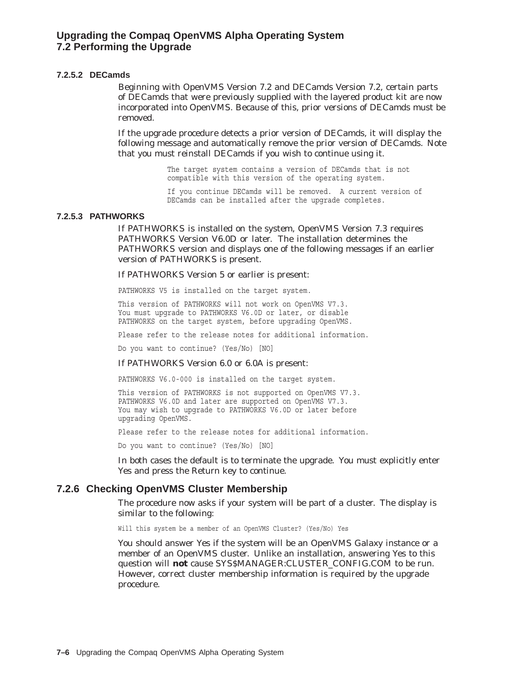#### **7.2.5.2 DECamds**

Beginning with OpenVMS Version 7.2 and DECamds Version 7.2, certain parts of DECamds that were previously supplied with the layered product kit are now incorporated into OpenVMS. Because of this, prior versions of DECamds must be removed.

If the upgrade procedure detects a prior version of DECamds, it will display the following message and automatically remove the prior version of DECamds. Note that you must reinstall DECamds if you wish to continue using it.

> The target system contains a version of DECamds that is not compatible with this version of the operating system.

If you continue DECamds will be removed. A current version of DECamds can be installed after the upgrade completes.

#### **7.2.5.3 PATHWORKS**

If PATHWORKS is installed on the system, OpenVMS Version 7.3 requires PATHWORKS Version V6.0D or later. The installation determines the PATHWORKS version and displays one of the following messages if an earlier version of PATHWORKS is present.

If PATHWORKS Version 5 or earlier is present:

PATHWORKS V5 is installed on the target system.

This version of PATHWORKS will not work on OpenVMS V7.3. You must upgrade to PATHWORKS V6.0D or later, or disable PATHWORKS on the target system, before upgrading OpenVMS.

Please refer to the release notes for additional information.

Do you want to continue? (Yes/No) [NO]

#### If PATHWORKS Version 6.0 or 6.0A is present:

PATHWORKS V6.0-000 is installed on the target system.

This version of PATHWORKS is not supported on OpenVMS V7.3. PATHWORKS V6.0D and later are supported on OpenVMS V7.3. You may wish to upgrade to PATHWORKS V6.0D or later before upgrading OpenVMS.

Please refer to the release notes for additional information.

Do you want to continue? (Yes/No) [NO]

In both cases the default is to terminate the upgrade. You must explicitly enter Yes and press the Return key to continue.

#### **7.2.6 Checking OpenVMS Cluster Membership**

The procedure now asks if your system will be part of a cluster. The display is similar to the following:

Will this system be a member of an OpenVMS Cluster? (Yes/No) Yes

You should answer Yes if the system will be an OpenVMS Galaxy instance or a member of an OpenVMS cluster. Unlike an installation, answering Yes to this question will **not** cause SYS\$MANAGER:CLUSTER\_CONFIG.COM to be run. However, correct cluster membership information is required by the upgrade procedure.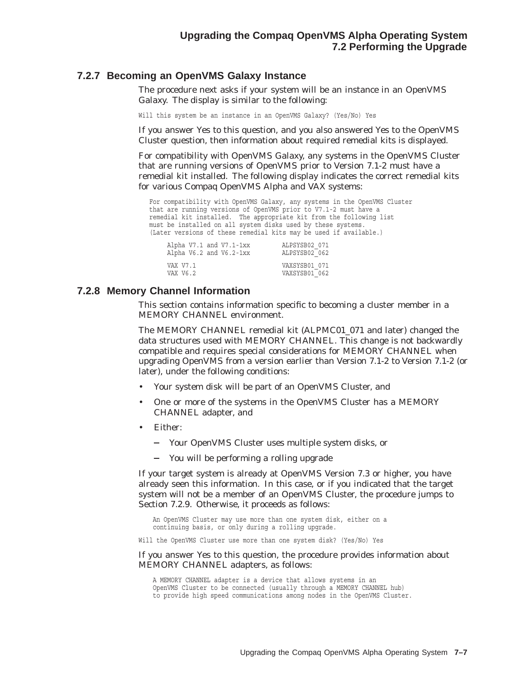#### **7.2.7 Becoming an OpenVMS Galaxy Instance**

The procedure next asks if your system will be an instance in an OpenVMS Galaxy. The display is similar to the following:

Will this system be an instance in an OpenVMS Galaxy? (Yes/No) Yes

If you answer Yes to this question, and you also answered Yes to the OpenVMS Cluster question, then information about required remedial kits is displayed.

For compatibility with OpenVMS Galaxy, any systems in the OpenVMS Cluster that are running versions of OpenVMS prior to Version 7.1-2 must have a remedial kit installed. The following display indicates the correct remedial kits for various Compaq OpenVMS Alpha and VAX systems:

For compatibility with OpenVMS Galaxy, any systems in the OpenVMS Cluster that are running versions of OpenVMS prior to V7.1-2 must have a remedial kit installed. The appropriate kit from the following list must be installed on all system disks used by these systems. (Later versions of these remedial kits may be used if available.)

|                      | Alpha $V7.1$ and $V7.1$ -1xx | ALPSYSB02 071                  |
|----------------------|------------------------------|--------------------------------|
|                      | Alpha $V6.2$ and $V6.2$ -1xx | ALPSYSB02 062                  |
| VAX V7.1<br>VAX V6.2 |                              | VAXSYSB01 071<br>VAXSYSB01 062 |

#### **7.2.8 Memory Channel Information**

This section contains information specific to becoming a cluster member in a MEMORY CHANNEL environment.

The MEMORY CHANNEL remedial kit (ALPMC01\_071 and later) changed the data structures used with MEMORY CHANNEL. This change is not backwardly compatible and requires special considerations for MEMORY CHANNEL when upgrading OpenVMS from a version earlier than Version 7.1-2 to Version 7.1-2 (or later), under the following conditions:

- Your system disk will be part of an OpenVMS Cluster, and
- One or more of the systems in the OpenVMS Cluster has a MEMORY CHANNEL adapter, and
- Either:
	- Your OpenVMS Cluster uses multiple system disks, or
	- You will be performing a rolling upgrade

If your target system is already at OpenVMS Version 7.3 or higher, you have already seen this information. In this case, or if you indicated that the target system will not be a member of an OpenVMS Cluster, the procedure jumps to Section 7.2.9. Otherwise, it proceeds as follows:

An OpenVMS Cluster may use more than one system disk, either on a continuing basis, or only during a rolling upgrade.

Will the OpenVMS Cluster use more than one system disk? (Yes/No) Yes

#### If you answer Yes to this question, the procedure provides information about MEMORY CHANNEL adapters, as follows:

A MEMORY CHANNEL adapter is a device that allows systems in an OpenVMS Cluster to be connected (usually through a MEMORY CHANNEL hub) to provide high speed communications among nodes in the OpenVMS Cluster.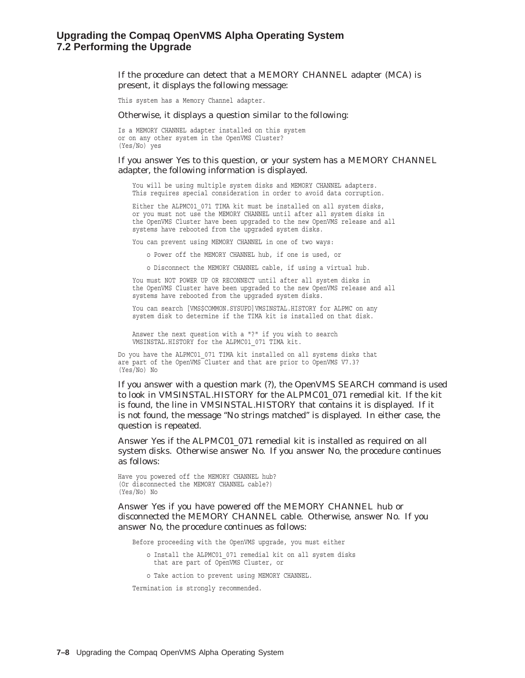If the procedure can detect that a MEMORY CHANNEL adapter (MCA) is present, it displays the following message:

This system has a Memory Channel adapter.

Otherwise, it displays a question similar to the following:

Is a MEMORY CHANNEL adapter installed on this system or on any other system in the OpenVMS Cluster? (Yes/No) yes

#### If you answer Yes to this question, or your system has a MEMORY CHANNEL adapter, the following information is displayed.

You will be using multiple system disks and MEMORY CHANNEL adapters. This requires special consideration in order to avoid data corruption.

Either the ALPMC01\_071 TIMA kit must be installed on all system disks, or you must not use the MEMORY CHANNEL until after all system disks in the OpenVMS Cluster have been upgraded to the new OpenVMS release and all systems have rebooted from the upgraded system disks.

You can prevent using MEMORY CHANNEL in one of two ways:

o Power off the MEMORY CHANNEL hub, if one is used, or

o Disconnect the MEMORY CHANNEL cable, if using a virtual hub.

You must NOT POWER UP OR RECONNECT until after all system disks in the OpenVMS Cluster have been upgraded to the new OpenVMS release and all systems have rebooted from the upgraded system disks.

You can search [VMS\$COMMON.SYSUPD] VMSINSTAL.HISTORY for ALPMC on any system disk to determine if the TIMA kit is installed on that disk.

Answer the next question with a "?" if you wish to search VMSINSTAL.HISTORY for the ALPMC01\_071 TIMA kit.

Do you have the ALPMC01\_071 TIMA kit installed on all systems disks that are part of the OpenVMS Cluster and that are prior to OpenVMS V7.3? (Yes/No) No

If you answer with a question mark (?), the OpenVMS SEARCH command is used to look in VMSINSTAL.HISTORY for the ALPMC01\_071 remedial kit. If the kit is found, the line in VMSINSTAL.HISTORY that contains it is displayed. If it is not found, the message ''No strings matched'' is displayed. In either case, the question is repeated.

Answer Yes if the ALPMC01\_071 remedial kit is installed as required on all system disks. Otherwise answer No. If you answer No, the procedure continues as follows:

Have you powered off the MEMORY CHANNEL hub? (Or disconnected the MEMORY CHANNEL cable?) (Yes/No) No

Answer Yes if you have powered off the MEMORY CHANNEL hub or disconnected the MEMORY CHANNEL cable. Otherwise, answer No. If you answer No, the procedure continues as follows:

Before proceeding with the OpenVMS upgrade, you must either

o Install the ALPMC01\_071 remedial kit on all system disks that are part of OpenVMS Cluster, or

o Take action to prevent using MEMORY CHANNEL.

Termination is strongly recommended.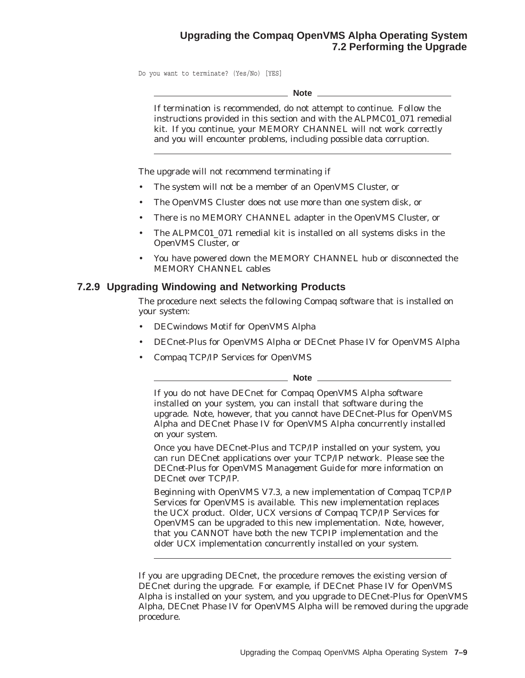## **Upgrading the Compaq OpenVMS Alpha Operating System 7.2 Performing the Upgrade**

Do you want to terminate? (Yes/No) [YES]

**Note**

If termination is recommended, do not attempt to continue. Follow the instructions provided in this section and with the ALPMC01\_071 remedial kit. If you continue, your MEMORY CHANNEL will not work correctly and you will encounter problems, including possible data corruption.

The upgrade will not recommend terminating if

- The system will not be a member of an OpenVMS Cluster, or
- The OpenVMS Cluster does not use more than one system disk, or
- There is no MEMORY CHANNEL adapter in the OpenVMS Cluster, or
- The ALPMC01\_071 remedial kit is installed on all systems disks in the OpenVMS Cluster, or
- You have powered down the MEMORY CHANNEL hub or disconnected the MEMORY CHANNEL cables

#### **7.2.9 Upgrading Windowing and Networking Products**

The procedure next selects the following Compaq software that is installed on your system:

- DECwindows Motif for OpenVMS Alpha
- DECnet-Plus for OpenVMS Alpha *or* DECnet Phase IV for OpenVMS Alpha
- Compaq TCP/IP Services for OpenVMS

**Note**

If you do not have DECnet for Compaq OpenVMS Alpha software installed on your system, you can install that software during the upgrade. Note, however, that you *cannot* have DECnet-Plus for OpenVMS Alpha and DECnet Phase IV for OpenVMS Alpha concurrently installed on your system.

Once you have DECnet-Plus and TCP/IP installed on your system, you can run DECnet applications over your TCP/IP network. Please see the *DECnet-Plus for OpenVMS Management Guide* for more information on DECnet over TCP/IP.

Beginning with OpenVMS V7.3, a new implementation of Compaq TCP/IP Services for OpenVMS is available. This new implementation replaces the UCX product. Older, UCX versions of Compaq TCP/IP Services for OpenVMS can be upgraded to this new implementation. Note, however, that you CANNOT have both the new TCPIP implementation and the older UCX implementation concurrently installed on your system.

If you are upgrading DECnet, the procedure removes the existing version of DECnet during the upgrade. For example, if DECnet Phase IV for OpenVMS Alpha is installed on your system, and you upgrade to DECnet-Plus for OpenVMS Alpha, DECnet Phase IV for OpenVMS Alpha will be removed during the upgrade procedure.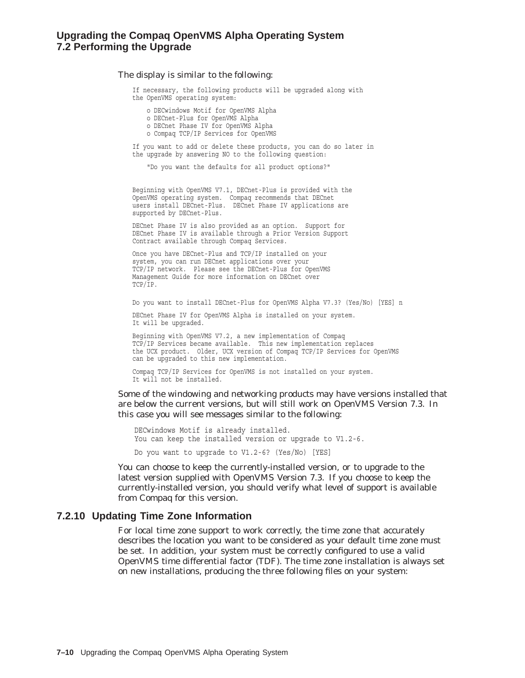#### The display is similar to the following:

If necessary, the following products will be upgraded along with the OpenVMS operating system:

- o DECwindows Motif for OpenVMS Alpha
- o DECnet-Plus for OpenVMS Alpha
- o DECnet Phase IV for OpenVMS Alpha
- o Compaq TCP/IP Services for OpenVMS

If you want to add or delete these products, you can do so later in the upgrade by answering NO to the following question:

"Do you want the defaults for all product options?"

Beginning with OpenVMS V7.1, DECnet-Plus is provided with the OpenVMS operating system. Compaq recommends that DECnet users install DECnet-Plus. DECnet Phase IV applications are supported by DECnet-Plus.

DECnet Phase IV is also provided as an option. Support for DECnet Phase IV is available through a Prior Version Support Contract available through Compaq Services.

Once you have DECnet-Plus and TCP/IP installed on your system, you can run DECnet applications over your TCP/IP network. Please see the DECnet-Plus for OpenVMS Management Guide for more information on DECnet over TCP/IP.

Do you want to install DECnet-Plus for OpenVMS Alpha V7.3? (Yes/No) [YES] n

DECnet Phase IV for OpenVMS Alpha is installed on your system. It will be upgraded.

Beginning with OpenVMS V7.2, a new implementation of Compaq TCP/IP Services became available. This new implementation replaces the UCX product. Older, UCX version of Compaq TCP/IP Services for OpenVMS can be upgraded to this new implementation.

Compaq TCP/IP Services for OpenVMS is not installed on your system. It will not be installed.

Some of the windowing and networking products may have versions installed that are below the current versions, but will still work on OpenVMS Version 7.3. In this case you will see messages similar to the following:

DECwindows Motif is already installed. You can keep the installed version or upgrade to V1.2-6.

Do you want to upgrade to V1.2-6? (Yes/No) [YES]

You can choose to keep the currently-installed version, or to upgrade to the latest version supplied with OpenVMS Version 7.3. If you choose to keep the currently-installed version, you should verify what level of support is available from Compaq for this version.

#### **7.2.10 Updating Time Zone Information**

For local time zone support to work correctly, the time zone that accurately describes the location you want to be considered as your default time zone must be set. In addition, your system must be correctly configured to use a valid OpenVMS time differential factor (TDF). The time zone installation is always set on new installations, producing the three following files on your system: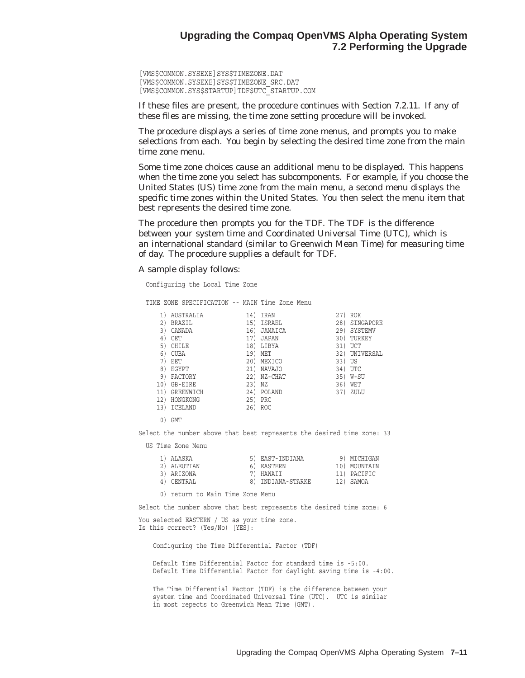[VMS\$COMMON.SYSEXE]SYS\$TIMEZONE.DAT [VMS\$COMMON.SYSEXE]SYS\$TIMEZONE\_SRC.DAT [VMS\$COMMON.SYS\$STARTUP]TDF\$UTC\_STARTUP.COM

If these files are present, the procedure continues with Section 7.2.11. If any of these files are missing, the time zone setting procedure will be invoked.

The procedure displays a series of time zone menus, and prompts you to make selections from each. You begin by selecting the desired time zone from the main time zone menu.

Some time zone choices cause an additional menu to be displayed. This happens when the time zone you select has subcomponents. For example, if you choose the United States (US) time zone from the main menu, a second menu displays the specific time zones within the United States. You then select the menu item that best represents the desired time zone.

The procedure then prompts you for the TDF. The TDF is the difference between your system time and Coordinated Universal Time (UTC), which is an international standard (similar to Greenwich Mean Time) for measuring time of day. The procedure supplies a default for TDF.

A sample display follows:

Configuring the Local Time Zone

TIME ZONE SPECIFICATION -- MAIN Time Zone Menu

|     | AUSTRALIA     | 14) | IRAN          | 27) | <b>ROK</b> |
|-----|---------------|-----|---------------|-----|------------|
| 2)  | <b>BRAZIL</b> | 15) | ISRAEL        | 28) | SINGAPORE  |
| 3)  | CANADA        | 16) | JAMAICA       | 29) | SYSTEMV    |
| 4)  | CET           | 17) | <b>JAPAN</b>  | 30) | TURKEY     |
| 5)  | <b>CHILE</b>  | 18) | LIBYA         | 31) | <b>UCT</b> |
| 6)  | <b>CUBA</b>   | 19) | MET           | 32) | UNIVERSAL  |
| 7)  | EET           | 20) | MEXICO        | 33) | US         |
| 8)  | EGYPT         | 21) | <b>NAVAJO</b> | 34) | <b>UTC</b> |
| 9)  | FACTORY       | 22) | NZ-CHAT       | 35) | W-SU       |
| 10) | GB-EIRE       | 23) | ΝZ            | 36) | WET        |
|     | GREENWICH     | 24) | POLAND        | 37) | ZULU       |
| 12) | HONGKONG      | 25) | PRC           |     |            |
| 13) | ICELAND       | 26) | ROC           |     |            |
|     |               |     |               |     |            |

0) GMT

Select the number above that best represents the desired time zone: 33

US Time Zone Menu

|  | 1) ALASKA   | 5) EAST-INDIANA   | 9) MICHIGAN  |
|--|-------------|-------------------|--------------|
|  | 2) ALEUTIAN | 6) EASTERN        | 10) MOUNTAIN |
|  | 3) ARIZONA  | 7) HAWAII         | 11) PACIFIC  |
|  | 4) CENTRAL  | 8) INDIANA-STARKE | 12) SAMOA    |
|  |             |                   |              |

0) return to Main Time Zone Menu

Select the number above that best represents the desired time zone: 6

You selected EASTERN / US as your time zone. Is this correct? (Yes/No) [YES]:

Configuring the Time Differential Factor (TDF)

Default Time Differential Factor for standard time is -5:00. Default Time Differential Factor for daylight saving time is -4:00.

The Time Differential Factor (TDF) is the difference between your system time and Coordinated Universal Time (UTC). UTC is similar in most repects to Greenwich Mean Time (GMT).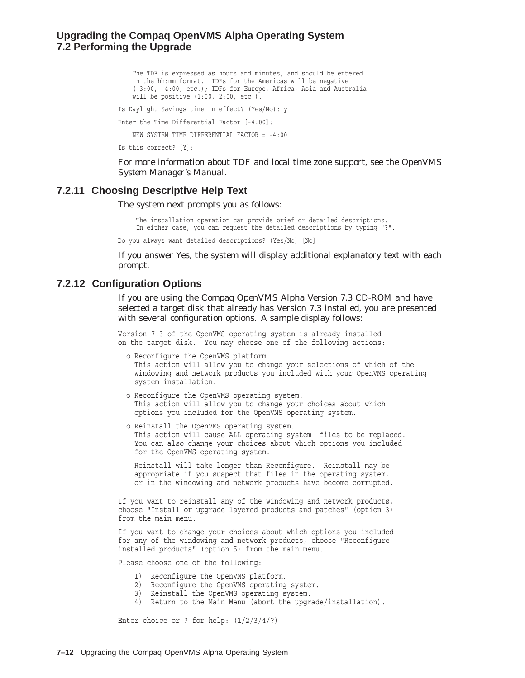#### **Upgrading the Compaq OpenVMS Alpha Operating System 7.2 Performing the Upgrade**

The TDF is expressed as hours and minutes, and should be entered in the hh:mm format. TDFs for the Americas will be negative (-3:00, -4:00, etc.); TDFs for Europe, Africa, Asia and Australia will be positive (1:00, 2:00, etc.).

Is Daylight Savings time in effect? (Yes/No): y

Enter the Time Differential Factor [-4:00]:

NEW SYSTEM TIME DIFFERENTIAL FACTOR = -4:00

Is this correct? [Y]:

For more information about TDF and local time zone support, see the *OpenVMS System Manager's Manual*.

#### **7.2.11 Choosing Descriptive Help Text**

The system next prompts you as follows:

The installation operation can provide brief or detailed descriptions. In either case, you can request the detailed descriptions by typing "?".

Do you always want detailed descriptions? (Yes/No) [No]

If you answer Yes, the system will display additional explanatory text with each prompt.

#### **7.2.12 Configuration Options**

If you are using the Compaq OpenVMS Alpha Version 7.3 CD-ROM and have selected a target disk that already has Version 7.3 installed, you are presented with several configuration options. A sample display follows:

Version 7.3 of the OpenVMS operating system is already installed on the target disk. You may choose one of the following actions:

- o Reconfigure the OpenVMS platform. This action will allow you to change your selections of which of the windowing and network products you included with your OpenVMS operating system installation.
- o Reconfigure the OpenVMS operating system. This action will allow you to change your choices about which options you included for the OpenVMS operating system.
- o Reinstall the OpenVMS operating system. This action will cause ALL operating system files to be replaced. You can also change your choices about which options you included for the OpenVMS operating system.

Reinstall will take longer than Reconfigure. Reinstall may be appropriate if you suspect that files in the operating system, or in the windowing and network products have become corrupted.

If you want to reinstall any of the windowing and network products, choose "Install or upgrade layered products and patches" (option 3) from the main menu.

If you want to change your choices about which options you included for any of the windowing and network products, choose "Reconfigure installed products" (option 5) from the main menu.

Please choose one of the following:

- 1) Reconfigure the OpenVMS platform.
- 2) Reconfigure the OpenVMS operating system.
- 3) Reinstall the OpenVMS operating system.
- 4) Return to the Main Menu (abort the upgrade/installation).

Enter choice or ? for help: (1/2/3/4/?)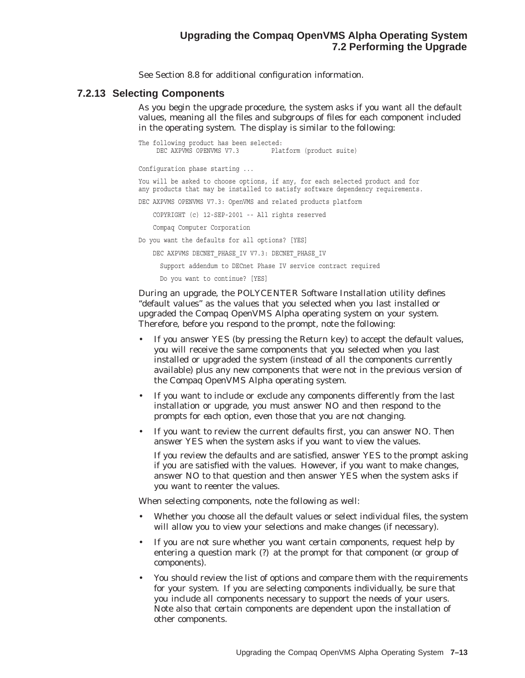See Section 8.8 for additional configuration information.

#### **7.2.13 Selecting Components**

As you begin the upgrade procedure, the system asks if you want all the default values, meaning all the files and subgroups of files for each component included in the operating system. The display is similar to the following:

The following product has been selected:<br>DEC AXPVMS OPENVMS V7.3 Plat Platform (product suite) Configuration phase starting ... You will be asked to choose options, if any, for each selected product and for any products that may be installed to satisfy software dependency requirements. DEC AXPVMS OPENVMS V7.3: OpenVMS and related products platform COPYRIGHT (c) 12-SEP-2001 -- All rights reserved Compaq Computer Corporation Do you want the defaults for all options? [YES] DEC AXPVMS DECNET PHASE IV V7.3: DECNET PHASE IV Support addendum to DECnet Phase IV service contract required Do you want to continue? [YES]

During an upgrade, the POLYCENTER Software Installation utility defines ''default values'' as the values that you selected when you last installed or upgraded the Compaq OpenVMS Alpha operating system on your system. Therefore, before you respond to the prompt, note the following:

- If you answer YES (by pressing the Return key) to accept the default values, you will receive the same components that you selected when you last installed or upgraded the system (instead of *all* the components currently available) plus any new components that were not in the previous version of the Compaq OpenVMS Alpha operating system.
- If you want to include or exclude any components differently from the last installation or upgrade, you must answer NO and then respond to the prompts for *each* option, even those that you are not changing.
- If you want to review the current defaults first, you can answer NO. Then answer YES when the system asks if you want to view the values.

If you review the defaults and are satisfied, answer YES to the prompt asking if you are satisfied with the values. However, if you want to make changes, answer NO to that question and then answer YES when the system asks if you want to reenter the values.

When selecting components, note the following as well:

- Whether you choose all the default values or select individual files, the system will allow you to view your selections and make changes (if necessary).
- If you are not sure whether you want certain components, request help by entering a question mark (?) at the prompt for that component (or group of components).
- You should review the list of options and compare them with the requirements for your system. If you are selecting components individually, be sure that you include all components necessary to support the needs of your users. Note also that certain components are dependent upon the installation of other components.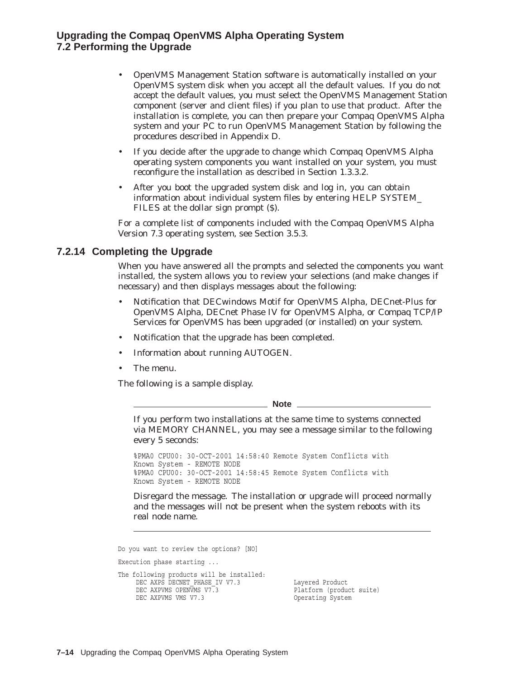#### **Upgrading the Compaq OpenVMS Alpha Operating System 7.2 Performing the Upgrade**

- OpenVMS Management Station software is automatically installed on your OpenVMS system disk when you accept all the default values. If you do not accept the default values, you must select the OpenVMS Management Station component (server and client files) if you plan to use that product. After the installation is complete, you can then prepare your Compaq OpenVMS Alpha system and your PC to run OpenVMS Management Station by following the procedures described in Appendix D.
- If you decide after the upgrade to change which Compaq OpenVMS Alpha operating system components you want installed on your system, you must reconfigure the installation as described in Section 1.3.3.2.
- After you boot the upgraded system disk and log in, you can obtain information about individual system files by entering HELP SYSTEM\_ FILES at the dollar sign prompt (\$).

For a complete list of components included with the Compaq OpenVMS Alpha Version 7.3 operating system, see Section 3.5.3.

#### **7.2.14 Completing the Upgrade**

When you have answered all the prompts and selected the components you want installed, the system allows you to review your selections (and make changes if necessary) and then displays messages about the following:

- Notification that DECwindows Motif for OpenVMS Alpha, DECnet-Plus for OpenVMS Alpha, DECnet Phase IV for OpenVMS Alpha, or Compaq TCP/IP Services for OpenVMS has been upgraded (or installed) on your system.
- Notification that the upgrade has been completed.
- Information about running AUTOGEN.
- The menu.

The following is a sample display.

**Note**

If you perform two installations at the same time to systems connected via MEMORY CHANNEL, you may see a message similar to the following every 5 seconds:

%PMA0 CPU00: 30-OCT-2001 14:58:40 Remote System Conflicts with Known System - REMOTE NODE %PMA0 CPU00: 30-OCT-2001 14:58:45 Remote System Conflicts with Known System - REMOTE NODE

Disregard the message. The installation or upgrade will proceed normally and the messages will not be present when the system reboots with its real node name.

Do you want to review the options? [NO]

Execution phase starting ...

```
The following products will be installed:
      DEC AXPS DECNET_PHASE_IV V7.3 Layered Product<br>DEC AXPVMS OPENVMS V7.3 Platform (product
      DEC AXPVMS OPENVMS V7.3 Platform (product suite)<br>DEC AXPVMS VMS V7.3 00erating System
```
Operating System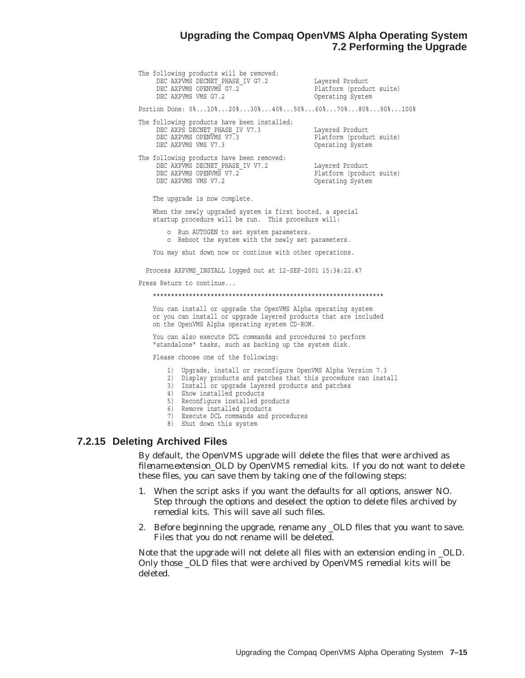#### **Upgrading the Compaq OpenVMS Alpha Operating System 7.2 Performing the Upgrade**

The following products will be removed: DEC AXPVMS DECNET PHASE IV G7.2 Layered Product DEC AXPVMS OPENVMS G7.2 Platform (product suite) DEC AXPVMS DECNILLATIONS G7.2<br>DEC AXPVMS OPENVMS G7.2 Platform (productions)<br>DEC AXPVMS VMS G7.2 Operating System Portion Done: 0%...10%...20%...30%...40%...50%...60%...70%...80%...90%...100% The following products have been installed: DEC AXPS DECNET\_PHASE\_IV V7.3 Layered Product DEC AXPVMS OPENVMS V7.3 Platform (product suite) DEC AXPVMS VMS V7.3 Operating System The following products have been removed: DEC AXPVMS DECNET PHASE IV V7.2 Layered Product DEC AXPVMS OPENVMS V7.2 Platform (product suite) DEC AXPVMS VMS V7.2 Operating System The upgrade is now complete. When the newly upgraded system is first booted, a special startup procedure will be run. This procedure will: o Run AUTOGEN to set system parameters. o Reboot the system with the newly set parameters. You may shut down now or continue with other operations. Process AXPVMS\_INSTALL logged out at 12-SEP-2001 15:34:22.47 Press Return to continue... \*\*\*\*\*\*\*\*\*\*\*\*\*\*\*\*\*\*\*\*\*\*\*\*\*\*\*\*\*\*\*\*\*\*\*\*\*\*\*\*\*\*\*\*\*\*\*\*\*\*\*\*\*\*\*\*\*\*\*\*\*\*\*\* You can install or upgrade the OpenVMS Alpha operating system or you can install or upgrade layered products that are included on the OpenVMS Alpha operating system CD-ROM. You can also execute DCL commands and procedures to perform "standalone" tasks, such as backing up the system disk. Please choose one of the following:

- 1) Upgrade, install or reconfigure OpenVMS Alpha Version 7.3
- 2) Display products and patches that this procedure can install
- 3) Install or upgrade layered products and patches
- 4) Show installed products
- 5) Reconfigure installed products
- 6) Remove installed products
- 7) Execute DCL commands and procedures
- 8) Shut down this system

#### **7.2.15 Deleting Archived Files**

By default, the OpenVMS upgrade will delete the files that were archived as *filename.extension\_OLD* by OpenVMS remedial kits. If you do not want to delete these files, you can save them by taking one of the following steps:

- 1. When the script asks if you want the defaults for all options, answer NO. Step through the options and deselect the option to delete files archived by remedial kits. This will save all such files.
- 2. Before beginning the upgrade, rename any \_OLD files that you want to save. Files that you do not rename will be deleted.

Note that the upgrade will not delete all files with an extension ending in \_OLD. Only those \_OLD files that were archived by OpenVMS remedial kits will be deleted.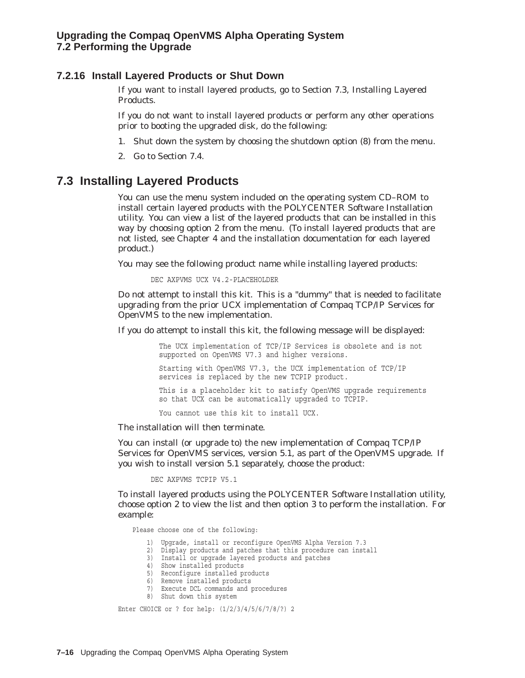#### **7.2.16 Install Layered Products or Shut Down**

If you want to install layered products, go to Section 7.3, Installing Layered Products.

If you do not want to install layered products or perform any other operations prior to booting the upgraded disk, do the following:

- 1. Shut down the system by choosing the shutdown option (8) from the menu.
- 2. Go to Section 7.4.

## **7.3 Installing Layered Products**

You can use the menu system included on the operating system CD–ROM to install certain layered products with the POLYCENTER Software Installation utility. You can view a list of the layered products that can be installed in this way by choosing option 2 from the menu. (To install layered products that are not listed, see Chapter 4 and the installation documentation for each layered product.)

You may see the following product name while installing layered products:

DEC AXPVMS UCX V4.2-PLACEHOLDER

Do not attempt to install this kit. This is a "dummy" that is needed to facilitate upgrading from the prior UCX implementation of Compaq TCP/IP Services for OpenVMS to the new implementation.

If you do attempt to install this kit, the following message will be displayed:

The UCX implementation of TCP/IP Services is obsolete and is not supported on OpenVMS V7.3 and higher versions. Starting with OpenVMS V7.3, the UCX implementation of TCP/IP services is replaced by the new TCPIP product. This is a placeholder kit to satisfy OpenVMS upgrade requirements so that UCX can be automatically upgraded to TCPIP.

You cannot use this kit to install UCX.

The installation will then terminate.

You can install (or upgrade to) the new implementation of Compaq TCP/IP Services for OpenVMS services, version 5.1, as part of the OpenVMS upgrade. If you wish to install version 5.1 separately, choose the product:

DEC AXPVMS TCPIP V5.1

To install layered products using the POLYCENTER Software Installation utility, choose option 2 to view the list and then option 3 to perform the installation. For example:

Please choose one of the following:

1) Upgrade, install or reconfigure OpenVMS Alpha Version 7.3

2) Display products and patches that this procedure can install

- 3) Install or upgrade layered products and patches
- 4) Show installed products
- 5) Reconfigure installed products
- 6) Remove installed products
- 7) Execute DCL commands and procedures
- 8) Shut down this system

Enter CHOICE or ? for help: (1/2/3/4/5/6/7/8/?) 2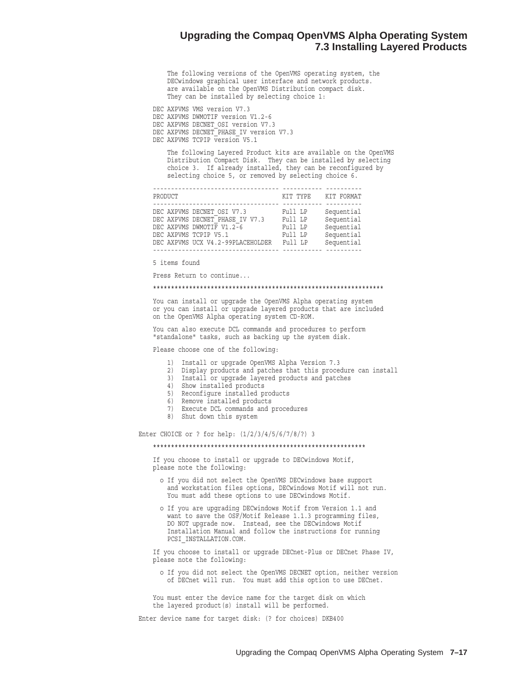#### **Upgrading the Compaq OpenVMS Alpha Operating System 7.3 Installing Layered Products**

The following versions of the OpenVMS operating system, the DECwindows graphical user interface and network products. are available on the OpenVMS Distribution compact disk. They can be installed by selecting choice 1:

DEC AXPVMS VMS version V7.3 DEC AXPVMS DWMOTIF version V1.2-6 DEC AXPVMS DECNET OSI version V7.3 DEC AXPVMS DECNET\_PHASE\_IV version V7.3 DEC AXPVMS TCPIP version V5.1

The following Layered Product kits are available on the OpenVMS Distribution Compact Disk. They can be installed by selecting choice 3. If already installed, they can be reconfigured by selecting choice 5, or removed by selecting choice 6.

| PRODUCT                           | KIT TYPE KIT FORMAT |            |
|-----------------------------------|---------------------|------------|
|                                   |                     |            |
| DEC AXPVMS DECNET OSI V7.3        | Full LP             | Sequential |
| DEC AXPVMS DECNET PHASE IV V7.3   | Full LP             | Sequential |
| DEC AXPVMS DWMOTIF V1.2-6         | Full LP             | Sequential |
| DEC AXPVMS TCPIP V5.1             | Full LP             | Sequential |
| DEC AXPVMS UCX V4.2-99PLACEHOLDER | Full LP             | Sequential |
|                                   |                     |            |

5 items found

Press Return to continue...

#### \*\*\*\*\*\*\*\*\*\*\*\*\*\*\*\*\*\*\*\*\*\*\*\*\*\*\*\*\*\*\*\*\*\*\*\*\*\*\*\*\*\*\*\*\*\*\*\*\*\*\*\*\*\*\*\*\*\*\*\*\*\*\*\*

You can install or upgrade the OpenVMS Alpha operating system or you can install or upgrade layered products that are included on the OpenVMS Alpha operating system CD-ROM.

You can also execute DCL commands and procedures to perform "standalone" tasks, such as backing up the system disk.

Please choose one of the following:

- 1) Install or upgrade OpenVMS Alpha Version 7.3
- 2) Display products and patches that this procedure can install
- 3) Install or upgrade layered products and patches
- 4) Show installed products
- 5) Reconfigure installed products
- 6) Remove installed products
- 7) Execute DCL commands and procedures
- 8) Shut down this system

Enter CHOICE or ? for help: (1/2/3/4/5/6/7/8/?) 3

#### \*\*\*\*\*\*\*\*\*\*\*\*\*\*\*\*\*\*\*\*\*\*\*\*\*\*\*\*\*\*\*\*\*\*\*\*\*\*\*\*\*\*\*\*\*\*\*\*\*\*\*\*\*\*\*\*\*\*\*

If you choose to install or upgrade to DECwindows Motif, please note the following:

- o If you did not select the OpenVMS DECwindows base support and workstation files options, DECwindows Motif will not run. You must add these options to use DECwindows Motif.
- o If you are upgrading DECwindows Motif from Version 1.1 and want to save the OSF/Motif Release 1.1.3 programming files, DO NOT upgrade now. Instead, see the DECwindows Motif Installation Manual and follow the instructions for running PCSI\_INSTALLATION.COM.

If you choose to install or upgrade DECnet-Plus or DECnet Phase IV, please note the following:

o If you did not select the OpenVMS DECNET option, neither version of DECnet will run. You must add this option to use DECnet.

You must enter the device name for the target disk on which the layered product(s) install will be performed.

Enter device name for target disk: (? for choices) DKB400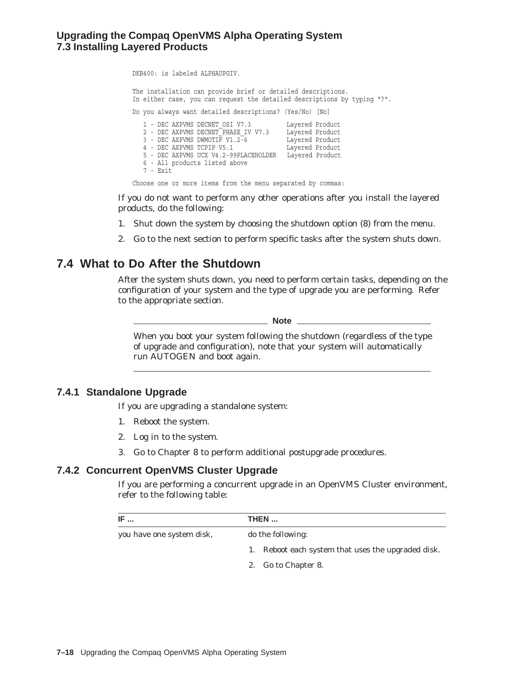## **Upgrading the Compaq OpenVMS Alpha Operating System 7.3 Installing Layered Products**

DKB400: is labeled ALPHAUPGIV.

The installation can provide brief or detailed descriptions. In either case, you can request the detailed descriptions by typing "?".

Do you always want detailed descriptions? (Yes/No) [No] 1 - DEC AXPVMS DECNET\_OSI V7.3 Layered Product 2 - DEC AXPVMS DECNET\_PHASE\_IV V7.3 Layered Product 3 - DEC AXPVMS DWMOTIF V1.2-6 Layered Product 4 - DEC AXPVMS TCPIP V5.1 Layered Product 5 - DEC AXPVMS UCX V4.2-99PLACEHOLDER Layered Product 6 - All products listed above 7 - Exit Choose one or more items from the menu separated by commas:

If you do not want to perform any other operations after you install the layered products, do the following:

- 1. Shut down the system by choosing the shutdown option (8) from the menu.
- 2. Go to the next section to perform specific tasks after the system shuts down.

## **7.4 What to Do After the Shutdown**

After the system shuts down, you need to perform certain tasks, depending on the configuration of your system and the type of upgrade you are performing. Refer to the appropriate section.

**Note** \_

When you boot your system following the shutdown (regardless of the type of upgrade and configuration), note that your system will automatically run AUTOGEN and boot again.

#### **7.4.1 Standalone Upgrade**

If you are upgrading a standalone system:

- 1. Reboot the system.
- 2. Log in to the system.
- 3. Go to Chapter 8 to perform additional postupgrade procedures.

#### **7.4.2 Concurrent OpenVMS Cluster Upgrade**

If you are performing a concurrent upgrade in an OpenVMS Cluster environment, refer to the following table:

| IF                        | THEN                                               |  |
|---------------------------|----------------------------------------------------|--|
| you have one system disk, | do the following:                                  |  |
|                           | 1. Reboot each system that uses the upgraded disk. |  |
|                           | 2. Go to Chapter 8.                                |  |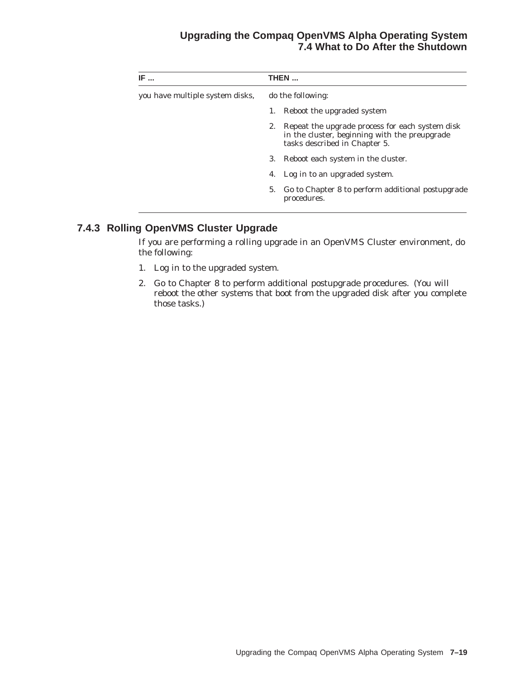## **Upgrading the Compaq OpenVMS Alpha Operating System 7.4 What to Do After the Shutdown**

| IF                              | THEN |                                                                                                                                   |  |  |
|---------------------------------|------|-----------------------------------------------------------------------------------------------------------------------------------|--|--|
| you have multiple system disks, |      | do the following:                                                                                                                 |  |  |
|                                 |      | Reboot the upgraded system                                                                                                        |  |  |
|                                 | 2.   | Repeat the upgrade process for each system disk<br>in the cluster, beginning with the preupgrade<br>tasks described in Chapter 5. |  |  |
|                                 | 3.   | Reboot each system in the cluster.                                                                                                |  |  |
|                                 | 4.   | Log in to an upgraded system.                                                                                                     |  |  |
|                                 | 5.   | Go to Chapter 8 to perform additional postupgrade<br>procedures.                                                                  |  |  |

# **7.4.3 Rolling OpenVMS Cluster Upgrade**

If you are performing a rolling upgrade in an OpenVMS Cluster environment, do the following:

- 1. Log in to the upgraded system.
- 2. Go to Chapter 8 to perform additional postupgrade procedures. (You will reboot the other systems that boot from the upgraded disk after you complete those tasks.)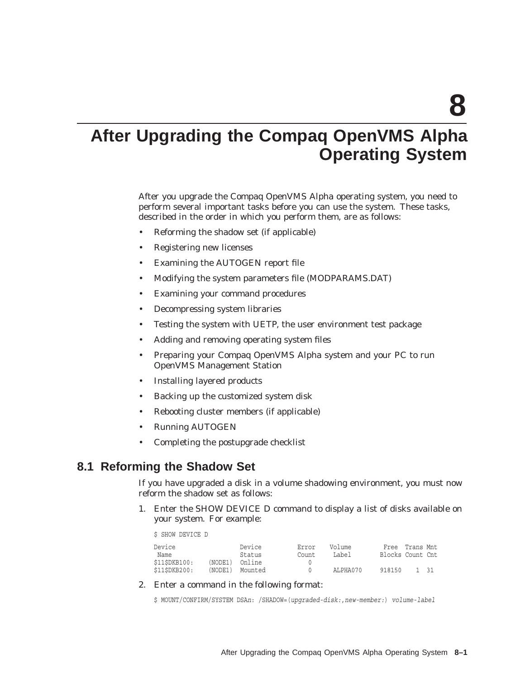**8**

# **After Upgrading the Compaq OpenVMS Alpha Operating System**

After you upgrade the Compaq OpenVMS Alpha operating system, you need to perform several important tasks before you can use the system. These tasks, described in the order in which you perform them, are as follows:

- Reforming the shadow set (if applicable)
- Registering new licenses
- Examining the AUTOGEN report file
- Modifying the system parameters file (MODPARAMS.DAT)
- Examining your command procedures
- Decompressing system libraries
- Testing the system with UETP, the user environment test package
- Adding and removing operating system files
- Preparing your Compaq OpenVMS Alpha system and your PC to run OpenVMS Management Station
- Installing layered products
- Backing up the customized system disk
- Rebooting cluster members (if applicable)
- Running AUTOGEN
- Completing the postupgrade checklist

## **8.1 Reforming the Shadow Set**

If you have upgraded a disk in a volume shadowing environment, you must now reform the shadow set as follows:

1. Enter the SHOW DEVICE D command to display a list of disks available on your system. For example:

\$ SHOW DEVICE D

| Device       |         | Device  | Error | Volume   |                  | Free Trans Mnt |  |
|--------------|---------|---------|-------|----------|------------------|----------------|--|
| Name         |         | Status  | Count | Label    | Blocks Count Cnt |                |  |
| \$115DKB100: | (NODE1) | Online  |       |          |                  |                |  |
| \$115DKB200: | (NODE1) | Mounted |       | ALPHA070 | 918150           | 1 31           |  |

2. Enter a command in the following format:

```
$ MOUNT/CONFIRM/SYSTEM DSAn: /SHADOW=(upgraded-disk:,new-member:) volume-label
```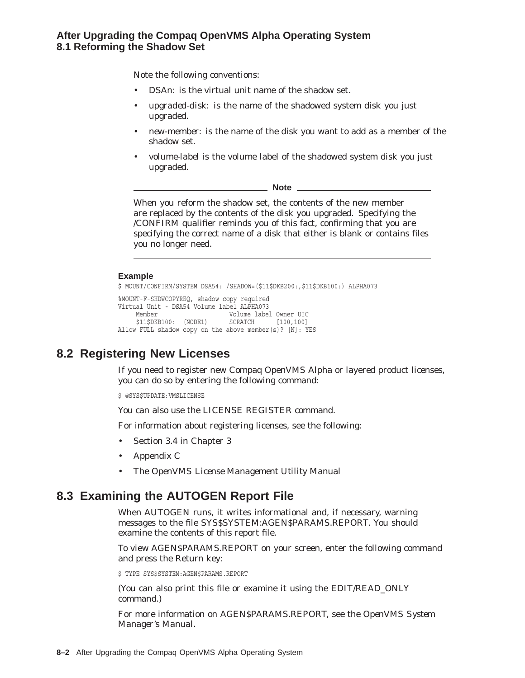## **After Upgrading the Compaq OpenVMS Alpha Operating System 8.1 Reforming the Shadow Set**

Note the following conventions:

- DSA*n*: is the virtual unit name of the shadow set.
- *upgraded-disk:* is the name of the shadowed system disk you just upgraded.
- *new-member:* is the name of the disk you want to add as a member of the shadow set.
- *volume-label* is the volume label of the shadowed system disk you just upgraded.

**Note**

When you reform the shadow set, the contents of the new member are replaced by the contents of the disk you upgraded. Specifying the /CONFIRM qualifier reminds you of this fact, confirming that you are specifying the correct name of a disk that either is blank or contains files you no longer need.

#### **Example**

```
$ MOUNT/CONFIRM/SYSTEM DSA54: /SHADOW=($11$DKB200:,$11$DKB100:) ALPHA073
%MOUNT-F-SHDWCOPYREQ, shadow copy required
Virtual Unit - DSA54 Volume label ALPHA073
    Member Volume label Owner UIC
    $11$DKB100: (NODE1) SCRATCH [100,100]
Allow FULL shadow copy on the above member(s)? [N]: YES
```
# **8.2 Registering New Licenses**

If you need to register new Compaq OpenVMS Alpha or layered product licenses, you can do so by entering the following command:

\$ @SYS\$UPDATE:VMSLICENSE

You can also use the LICENSE REGISTER command.

For information about registering licenses, see the following:

- Section 3.4 in Chapter 3
- Appendix C
- The *OpenVMS License Management Utility Manual*

# **8.3 Examining the AUTOGEN Report File**

When AUTOGEN runs, it writes informational and, if necessary, warning messages to the file SYS\$SYSTEM:AGEN\$PARAMS.REPORT. You should examine the contents of this report file.

To view AGEN\$PARAMS.REPORT on your screen, enter the following command and press the Return key:

\$ TYPE SYS\$SYSTEM:AGEN\$PARAMS.REPORT

(You can also print this file or examine it using the EDIT/READ\_ONLY command.)

For more information on AGEN\$PARAMS.REPORT, see the *OpenVMS System Manager's Manual*.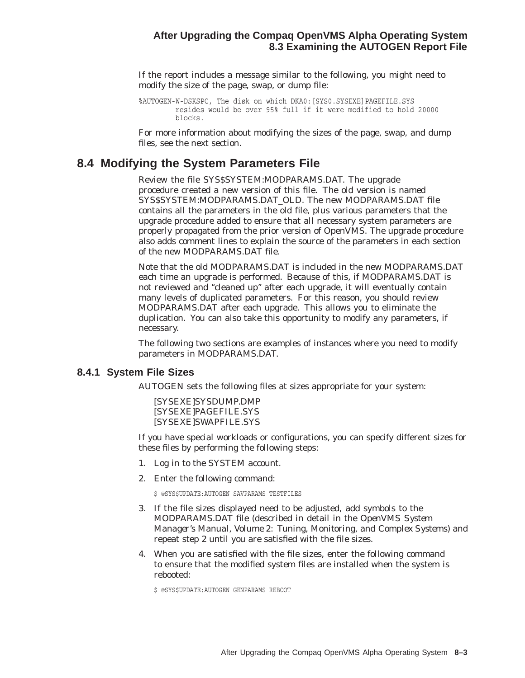#### **After Upgrading the Compaq OpenVMS Alpha Operating System 8.3 Examining the AUTOGEN Report File**

If the report includes a message similar to the following, you might need to modify the size of the page, swap, or dump file:

```
%AUTOGEN-W-DSKSPC, The disk on which DKA0:[SYS0.SYSEXE]PAGEFILE.SYS
        resides would be over 95% full if it were modified to hold 20000
        blocks.
```
For more information about modifying the sizes of the page, swap, and dump files, see the next section.

## **8.4 Modifying the System Parameters File**

Review the file SYS\$SYSTEM:MODPARAMS.DAT. The upgrade procedure created a new version of this file. The old version is named SYS\$SYSTEM:MODPARAMS.DAT\_OLD. The new MODPARAMS.DAT file contains all the parameters in the old file, plus various parameters that the upgrade procedure added to ensure that all necessary system parameters are properly propagated from the prior version of OpenVMS. The upgrade procedure also adds comment lines to explain the source of the parameters in each section of the new MODPARAMS.DAT file.

Note that the old MODPARAMS.DAT is included in the new MODPARAMS.DAT each time an upgrade is performed. Because of this, if MODPARAMS.DAT is not reviewed and ''cleaned up'' after each upgrade, it will eventually contain many levels of duplicated parameters. For this reason, you should review MODPARAMS.DAT after each upgrade. This allows you to eliminate the duplication. You can also take this opportunity to modify any parameters, if necessary.

The following two sections are examples of instances where you need to modify parameters in MODPARAMS.DAT.

#### **8.4.1 System File Sizes**

AUTOGEN sets the following files at sizes appropriate for your system:

[SYSEXE]SYSDUMP.DMP [SYSEXE]PAGEFILE.SYS [SYSEXE]SWAPFILE.SYS

If you have special workloads or configurations, you can specify different sizes for these files by performing the following steps:

- 1. Log in to the SYSTEM account.
- 2. Enter the following command:

\$ @SYS\$UPDATE:AUTOGEN SAVPARAMS TESTFILES

- 3. If the file sizes displayed need to be adjusted, add symbols to the MODPARAMS.DAT file (described in detail in the *OpenVMS System Manager's Manual, Volume 2: Tuning, Monitoring, and Complex Systems*) and repeat step 2 until you are satisfied with the file sizes.
- 4. When you are satisfied with the file sizes, enter the following command to ensure that the modified system files are installed when the system is rebooted:

\$ @SYS\$UPDATE:AUTOGEN GENPARAMS REBOOT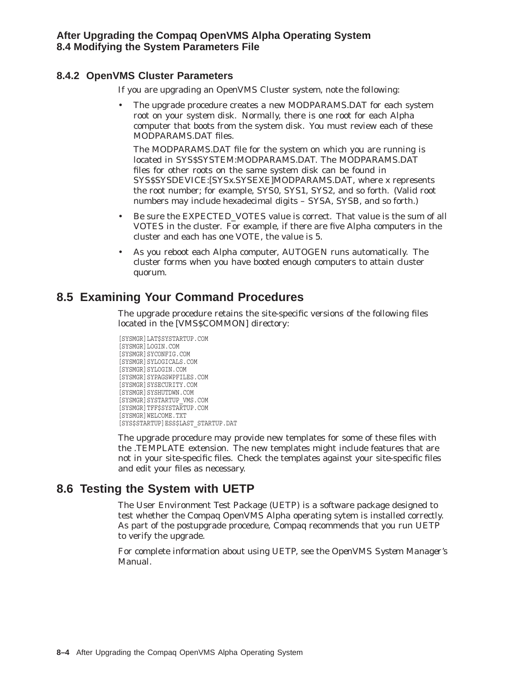## **8.4.2 OpenVMS Cluster Parameters**

If you are upgrading an OpenVMS Cluster system, note the following:

• The upgrade procedure creates a new MODPARAMS.DAT for each system root on your system disk. Normally, there is one root for each Alpha computer that boots from the system disk. You must review each of these MODPARAMS.DAT files.

The MODPARAMS.DAT file for the system on which you are running is located in SYS\$SYSTEM:MODPARAMS.DAT. The MODPARAMS.DAT files for other roots on the same system disk can be found in SYS\$SYSDEVICE:[SYS*x*.SYSEXE]MODPARAMS.DAT, where *x* represents the root number; for example, SYS0, SYS1, SYS2, and so forth. (Valid root numbers may include hexadecimal digits – SYSA, SYSB, and so forth.)

- Be sure the EXPECTED\_VOTES value is correct. That value is the sum of all VOTES in the cluster. For example, if there are five Alpha computers in the cluster and each has one VOTE, the value is 5.
- As you reboot each Alpha computer, AUTOGEN runs automatically. The cluster forms when you have booted enough computers to attain cluster quorum.

# **8.5 Examining Your Command Procedures**

The upgrade procedure retains the site-specific versions of the following files located in the [VMS\$COMMON] directory:

```
[SYSMGR]LAT$SYSTARTUP.COM
[SYSMGR]LOGIN.COM
[SYSMGR]SYCONFIG.COM
[SYSMGR]SYLOGICALS.COM
[SYSMGR]SYLOGIN.COM
[SYSMGR]SYPAGSWPFILES.COM
[SYSMGR]SYSECURITY.COM
[SYSMGR]SYSHUTDWN.COM
[SYSMGR]SYSTARTUP_VMS.COM
[SYSMGR]TFF$SYSTARTUP.COM
[SYSMGR]WELCOME.TXT
[SYS$STARTUP]ESS$LAST_STARTUP.DAT
```
The upgrade procedure may provide new templates for some of these files with the .TEMPLATE extension. The new templates might include features that are not in your site-specific files. Check the templates against your site-specific files and edit your files as necessary.

# **8.6 Testing the System with UETP**

The User Environment Test Package (UETP) is a software package designed to test whether the Compaq OpenVMS Alpha operating sytem is installed correctly. As part of the postupgrade procedure, Compaq recommends that you run UETP to verify the upgrade.

For complete information about using UETP, see the *OpenVMS System Manager's Manual*.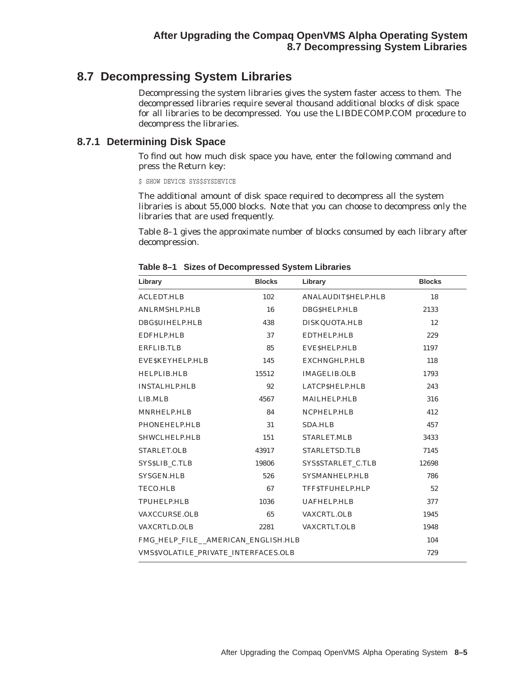# **8.7 Decompressing System Libraries**

Decompressing the system libraries gives the system faster access to them. The decompressed libraries require several thousand additional blocks of disk space for all libraries to be decompressed. You use the LIBDECOMP.COM procedure to decompress the libraries.

#### **8.7.1 Determining Disk Space**

To find out how much disk space you have, enter the following command and press the Return key:

\$ SHOW DEVICE SYS\$SYSDEVICE

The additional amount of disk space required to decompress all the system libraries is about 55,000 blocks. Note that you can choose to decompress only the libraries that are used frequently.

Table 8–1 gives the approximate number of blocks consumed by each library after decompression.

| Library                                     | <b>Blocks</b> | Library               | <b>Blocks</b> |
|---------------------------------------------|---------------|-----------------------|---------------|
| <b>ACLEDT.HLB</b>                           | 102           | ANALAUDITSHELP.HLB    | 18            |
| ANLRMSHLP.HLB                               | 16            | DBGSHELP.HLB          | 2133          |
| DBGSUIHELP.HLB                              | 438           | DISKQUOTA.HLB         | 12            |
| EDFHLP.HLB                                  | 37            | EDTHELP.HLB           | 229           |
| <b>ERFLIB.TLB</b>                           | 85            | EVESHELP.HLB          | 1197          |
| EVESKEYHELP.HLB                             | 145           | EXCHNGHLP.HLB         | 118           |
| <b>HELPLIB.HLB</b>                          | 15512         | <b>IMAGELIB.OLB</b>   | 1793          |
| <b>INSTALHLP.HLB</b>                        | 92            | LATCP\$HELP.HLB       | 243           |
| LIB.MLB                                     | 4567          | MAILHELP.HLB          | 316           |
| MNRHELP.HLB                                 | 84            | NCPHELP.HLB           | 412           |
| PHONEHELP.HLB                               | 31            | <b>SDA.HLB</b>        | 457           |
| SHWCLHELP.HLB                               | 151           | <b>STARLET.MLB</b>    | 3433          |
| STARLET.OLB                                 | 43917         | STARLETSD.TLB         | 7145          |
| SYS\$LIB C.TLB                              | 19806         | SYS\$STARLET C.TLB    | 12698         |
| SYSGEN.HLB                                  | 526           | <b>SYSMANHELP.HLB</b> | 786           |
| <b>TECO.HLB</b>                             | 67            | TFFSTFUHELP.HLP       | 52            |
| <b>TPUHELP.HLB</b>                          | 1036          | <b>UAFHELP.HLB</b>    | 377           |
| <b>VAXCCURSE.OLB</b>                        | 65            | <b>VAXCRTL.OLB</b>    | 1945          |
| <b>VAXCRTLD.OLB</b>                         | 2281          | <b>VAXCRTLT.OLB</b>   | 1948          |
| FMG_HELP_FILE_AMERICAN_ENGLISH.HLB          | 104           |                       |               |
| <b>VMS\$VOLATILE PRIVATE INTERFACES.OLB</b> | 729           |                       |               |

**Table 8–1 Sizes of Decompressed System Libraries**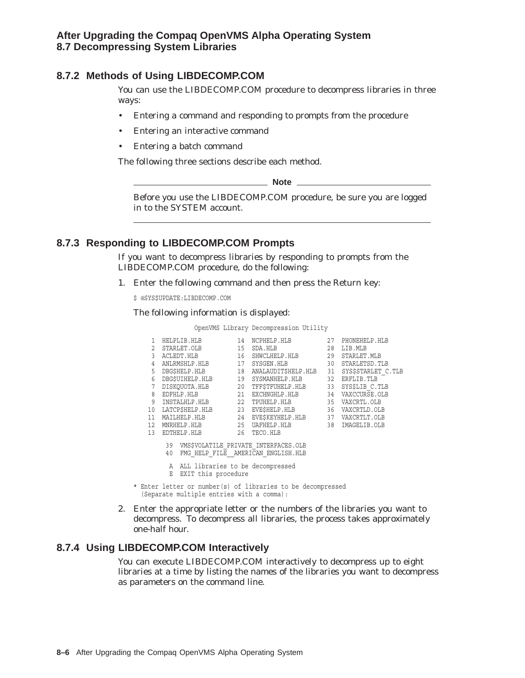## **After Upgrading the Compaq OpenVMS Alpha Operating System 8.7 Decompressing System Libraries**

## **8.7.2 Methods of Using LIBDECOMP.COM**

You can use the LIBDECOMP.COM procedure to decompress libraries in three ways:

- Entering a command and responding to prompts from the procedure
- Entering an interactive command
- Entering a batch command

The following three sections describe each method.

**Note** 2008

Before you use the LIBDECOMP.COM procedure, be sure you are logged in to the SYSTEM account.

### **8.7.3 Responding to LIBDECOMP.COM Prompts**

If you want to decompress libraries by responding to prompts from the LIBDECOMP.COM procedure, do the following:

1. Enter the following command and then press the Return key:

\$ @SYS\$UPDATE:LIBDECOMP.COM

The following information is displayed:

OpenVMS Library Decompression Utility

| 1. |                                                                                                                                                        | HELPLIB.HLB      | 14 | NCPHELP.HLB                                      | 27 | PHONEHELP.HLB     |  |
|----|--------------------------------------------------------------------------------------------------------------------------------------------------------|------------------|----|--------------------------------------------------|----|-------------------|--|
| 2  |                                                                                                                                                        | STARLET.OLB      | 15 | SDA.HLB                                          | 28 | LIB.MLB           |  |
| 3  |                                                                                                                                                        | ACLEDT.HLB       | 16 | SHWCLHELP.HLB                                    |    | 29 STARLET.MLB    |  |
| 4  |                                                                                                                                                        | ANLRMSHLP.HLB    | 17 | SYSGEN.HLB                                       | 30 | STARLETSD. TLB    |  |
| 5. |                                                                                                                                                        | DBG\$HELP.HLB    | 18 | ANALAUDIT\$HELP.HLB 31 SYS\$STARLET C.TLB        |    |                   |  |
| 6  |                                                                                                                                                        | DBGSUIHELP.HLB   | 19 | SYSMANHELP.HLB                                   |    | 32 ERFLIB.TLB     |  |
| 7  |                                                                                                                                                        | DISKOUOTA.HLB    | 20 | TFF\$TFUHELP.HLB                                 |    | 33 SYSSLIB C. TLB |  |
| 8  |                                                                                                                                                        | 21<br>EDFHLP.HLB |    | EXCHNGHLP.HLB 34 VAXCCURSE.OLB                   |    |                   |  |
| 9  |                                                                                                                                                        | INSTALHLP.HLB 22 |    | TPUHELP.HLB                                      |    | 35 VAXCRTL.OLB    |  |
| 10 |                                                                                                                                                        |                  |    | LATCP\$HELP.HLB 23 EVE\$HELP.HLB 36 VAXCRTLD.OLB |    |                   |  |
| 11 |                                                                                                                                                        |                  |    | MAILHELP.HLB 24 EVE\$KEYHELP.HLB 37 VAXCRTLT.OLB |    |                   |  |
| 12 |                                                                                                                                                        | MNRHELP.HLB      |    | 25 UAFHELP.HLB 38 IMAGELIB.OLB                   |    |                   |  |
| 13 |                                                                                                                                                        | EDTHELP.HLB      |    | 26 TECO.HLB                                      |    |                   |  |
|    | 39 VMS\$VOLATILE PRIVATE INTERFACES.OLB<br>FMG HELP FILE AMERICAN ENGLISH. HLB<br>40<br>A ALL libraries to be decompressed<br>EXIT this procedure<br>Ε |                  |    |                                                  |    |                   |  |
|    |                                                                                                                                                        |                  |    |                                                  |    |                   |  |
|    |                                                                                                                                                        |                  |    |                                                  |    |                   |  |

\* Enter letter or number(s) of libraries to be decompressed (Separate multiple entries with a comma):

2. Enter the appropriate letter or the numbers of the libraries you want to decompress. To decompress all libraries, the process takes approximately one-half hour.

#### **8.7.4 Using LIBDECOMP.COM Interactively**

You can execute LIBDECOMP.COM interactively to decompress up to eight libraries at a time by listing the names of the libraries you want to decompress as parameters on the command line.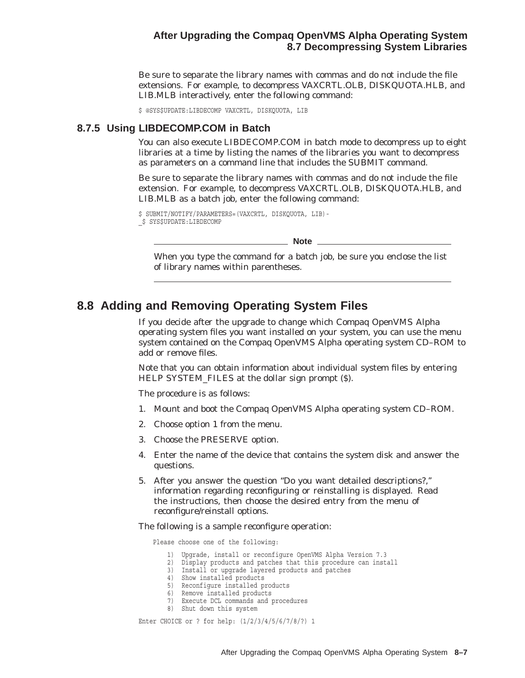## **After Upgrading the Compaq OpenVMS Alpha Operating System 8.7 Decompressing System Libraries**

Be sure to separate the library names with commas and do not include the file extensions. For example, to decompress VAXCRTL.OLB, DISKQUOTA.HLB, and LIB.MLB interactively, enter the following command:

\$ @SYS\$UPDATE:LIBDECOMP VAXCRTL, DISKQUOTA, LIB

#### **8.7.5 Using LIBDECOMP.COM in Batch**

You can also execute LIBDECOMP.COM in batch mode to decompress up to eight libraries at a time by listing the names of the libraries you want to decompress as parameters on a command line that includes the SUBMIT command.

Be sure to separate the library names with commas and do not include the file extension. For example, to decompress VAXCRTL.OLB, DISKQUOTA.HLB, and LIB.MLB as a batch job, enter the following command:

```
$ SUBMIT/NOTIFY/PARAMETERS=(VAXCRTL, DISKQUOTA, LIB)-
_$ SYS$UPDATE:LIBDECOMP
```
**Note**

When you type the command for a batch job, be sure you enclose the list of library names within parentheses.

# **8.8 Adding and Removing Operating System Files**

If you decide after the upgrade to change which Compaq OpenVMS Alpha operating system files you want installed on your system, you can use the menu system contained on the Compaq OpenVMS Alpha operating system CD–ROM to add or remove files.

Note that you can obtain information about individual system files by entering HELP SYSTEM FILES at the dollar sign prompt (\$).

The procedure is as follows:

- 1. Mount and boot the Compaq OpenVMS Alpha operating system CD–ROM.
- 2. Choose option 1 from the menu.
- 3. Choose the PRESERVE option.
- 4. Enter the name of the device that contains the system disk and answer the questions.
- 5. After you answer the question ''Do you want detailed descriptions?,'' information regarding reconfiguring or reinstalling is displayed. Read the instructions, then choose the desired entry from the menu of reconfigure/reinstall options.

The following is a sample reconfigure operation:

Please choose one of the following:

- 1) Upgrade, install or reconfigure OpenVMS Alpha Version 7.3
- 2) Display products and patches that this procedure can install
- 3) Install or upgrade layered products and patches
- 4) Show installed products
- 5) Reconfigure installed products
- 6) Remove installed products
- 7) Execute DCL commands and procedures
- 8) Shut down this system

Enter CHOICE or ? for help: (1/2/3/4/5/6/7/8/?) 1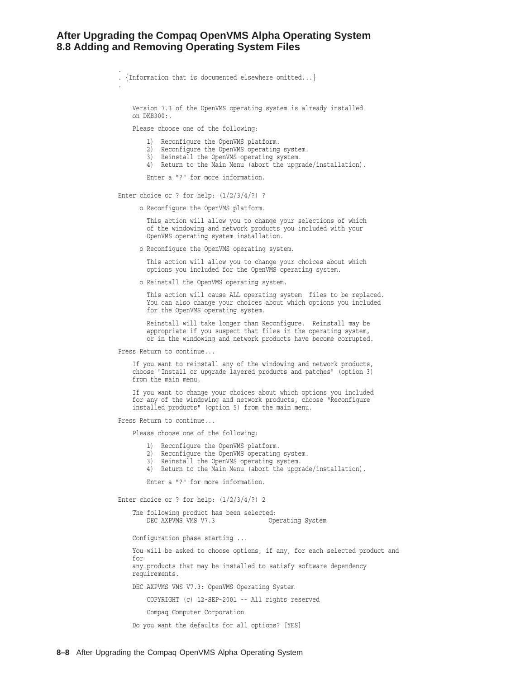#### **After Upgrading the Compaq OpenVMS Alpha Operating System 8.8 Adding and Removing Operating System Files**

. . {Information that is documented elsewhere omitted...} . Version 7.3 of the OpenVMS operating system is already installed on DKB300:. Please choose one of the following: 1) Reconfigure the OpenVMS platform. 2) Reconfigure the OpenVMS operating system. 3) Reinstall the OpenVMS operating system. 4) Return to the Main Menu (abort the upgrade/installation). Enter a "?" for more information. Enter choice or ? for help:  $(1/2/3/4/?)$  ? o Reconfigure the OpenVMS platform. This action will allow you to change your selections of which of the windowing and network products you included with your OpenVMS operating system installation. o Reconfigure the OpenVMS operating system. This action will allow you to change your choices about which options you included for the OpenVMS operating system. o Reinstall the OpenVMS operating system. This action will cause ALL operating system files to be replaced. You can also change your choices about which options you included for the OpenVMS operating system. Reinstall will take longer than Reconfigure. Reinstall may be appropriate if you suspect that files in the operating system, or in the windowing and network products have become corrupted. Press Return to continue... If you want to reinstall any of the windowing and network products, choose "Install or upgrade layered products and patches" (option 3) from the main menu. If you want to change your choices about which options you included for any of the windowing and network products, choose "Reconfigure installed products" (option 5) from the main menu.

Press Return to continue...

Please choose one of the following:

- 1) Reconfigure the OpenVMS platform.
- 2) Reconfigure the OpenVMS operating system.
- 3) Reinstall the OpenVMS operating system.
- 4) Return to the Main Menu (abort the upgrade/installation).

Enter a "?" for more information.

Enter choice or ? for help: (1/2/3/4/?) 2

The following product has been selected: DEC AXPVMS VMS V7.3 Operating System

Configuration phase starting ...

You will be asked to choose options, if any, for each selected product and for any products that may be installed to satisfy software dependency requirements.

DEC AXPVMS VMS V7.3: OpenVMS Operating System

COPYRIGHT (c) 12-SEP-2001 -- All rights reserved

Compaq Computer Corporation

Do you want the defaults for all options? [YES]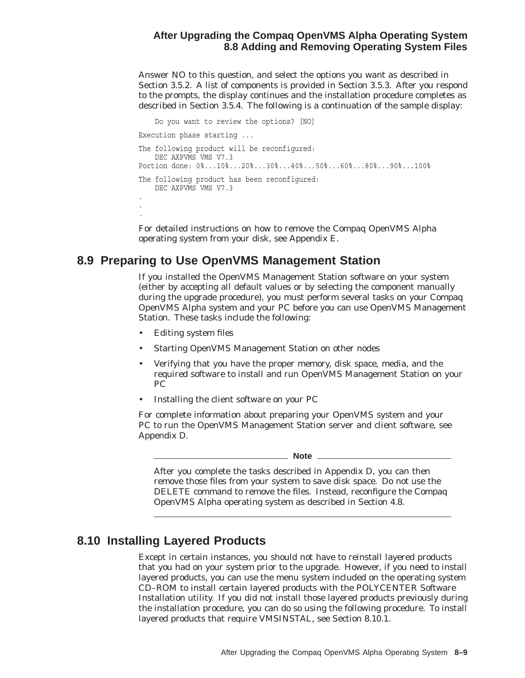# **After Upgrading the Compaq OpenVMS Alpha Operating System 8.8 Adding and Removing Operating System Files**

Answer NO to this question, and select the options you want as described in Section 3.5.2. A list of components is provided in Section 3.5.3. After you respond to the prompts, the display continues and the installation procedure completes as described in Section 3.5.4. The following is a continuation of the sample display:

```
Do you want to review the options? [NO]
Execution phase starting ...
The following product will be reconfigured:
   DEC AXPVMS VMS V7.3
Portion done: 0%...10%...20%...30%...40%...50%...60%...80%...90%...100%
The following product has been reconfigured:
   DEC AXPVMS VMS V7.3 .
.
.
```
For detailed instructions on how to remove the Compaq OpenVMS Alpha operating system from your disk, see Appendix E.

# **8.9 Preparing to Use OpenVMS Management Station**

If you installed the OpenVMS Management Station software on your system (either by accepting all default values or by selecting the component manually during the upgrade procedure), you must perform several tasks on your Compaq OpenVMS Alpha system and your PC before you can use OpenVMS Management Station. These tasks include the following:

- Editing system files
- Starting OpenVMS Management Station on other nodes
- Verifying that you have the proper memory, disk space, media, and the required software to install and run OpenVMS Management Station on your PC
- Installing the client software on your PC

For complete information about preparing your OpenVMS system and your PC to run the OpenVMS Management Station server and client software, see Appendix D.

**Note**

After you complete the tasks described in Appendix D, you can then remove those files from your system to save disk space. *Do not* use the DELETE command to remove the files. Instead, reconfigure the Compaq OpenVMS Alpha operating system as described in Section 4.8.

# **8.10 Installing Layered Products**

Except in certain instances, you should not have to reinstall layered products that you had on your system prior to the upgrade. However, if you need to install layered products, you can use the menu system included on the operating system CD–ROM to install certain layered products with the POLYCENTER Software Installation utility. If you did not install those layered products previously during the installation procedure, you can do so using the following procedure. To install layered products that require VMSINSTAL, see Section 8.10.1.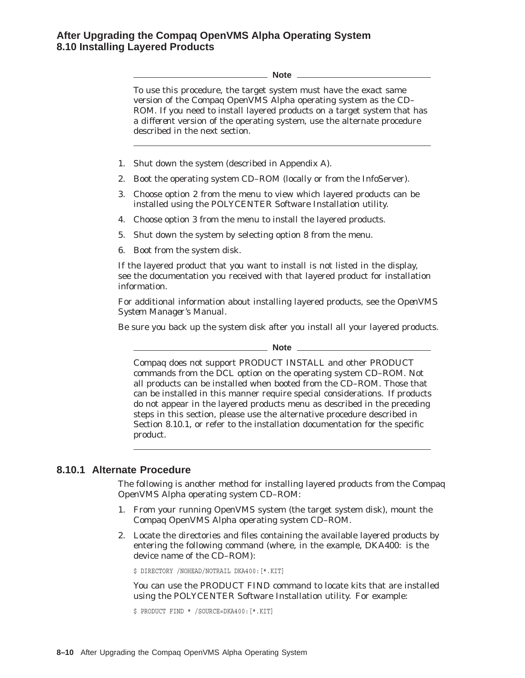# **After Upgrading the Compaq OpenVMS Alpha Operating System 8.10 Installing Layered Products**

**Note** To use this procedure, the target system must have the exact same version of the Compaq OpenVMS Alpha operating system as the CD– ROM. If you need to install layered products on a target system that has a *different* version of the operating system, use the alternate procedure described in the next section. 1. Shut down the system (described in Appendix A). 2. Boot the operating system CD–ROM (locally or from the InfoServer). 3. Choose option 2 from the menu to view which layered products can be installed using the POLYCENTER Software Installation utility. 4. Choose option 3 from the menu to install the layered products. 5. Shut down the system by selecting option 8 from the menu. 6. Boot from the system disk. If the layered product that you want to install is not listed in the display, see the documentation you received with that layered product for installation information. For additional information about installing layered products, see the *OpenVMS System Manager's Manual*. Be sure you back up the system disk after you install all your layered products. **Note Note** *Note* Compaq does not support PRODUCT INSTALL and other PRODUCT commands from the DCL option on the operating system CD–ROM. Not all products can be installed when booted from the CD–ROM. Those that can be installed in this manner require special considerations. If products do not appear in the layered products menu as described in the preceding steps in this section, please use the alternative procedure described in Section 8.10.1, or refer to the installation documentation for the specific product. **8.10.1 Alternate Procedure**

The following is another method for installing layered products from the Compaq OpenVMS Alpha operating system CD–ROM:

- 1. From your running OpenVMS system (the target system disk), mount the Compaq OpenVMS Alpha operating system CD–ROM.
- 2. Locate the directories and files containing the available layered products by entering the following command (where, in the example, DKA400: is the device name of the CD–ROM):

\$ DIRECTORY /NOHEAD/NOTRAIL DKA400:[\*.KIT]

You can use the PRODUCT FIND command to locate kits that are installed using the POLYCENTER Software Installation utility. For example:

\$ PRODUCT FIND \* /SOURCE=DKA400:[\*.KIT]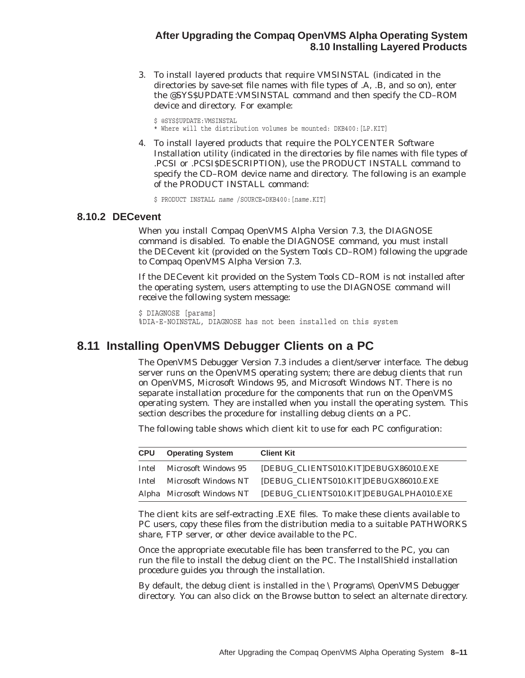## **After Upgrading the Compaq OpenVMS Alpha Operating System 8.10 Installing Layered Products**

3. To install layered products that require VMSINSTAL (indicated in the directories by save-set file names with file types of .A, .B, and so on), enter the @SYS\$UPDATE:VMSINSTAL command and then specify the CD–ROM device and directory. For example:

\$ @SYS\$UPDATE:VMSINSTAL \* Where will the distribution volumes be mounted: DKB400:[LP.KIT]

4. To install layered products that require the POLYCENTER Software Installation utility (indicated in the directories by file names with file types of .PCSI or .PCSI\$DESCRIPTION), use the PRODUCT INSTALL command to specify the CD–ROM device name and directory. The following is an example of the PRODUCT INSTALL command:

\$ PRODUCT INSTALL *name* /SOURCE=DKB400:[*name*.KIT]

## **8.10.2 DECevent**

When you install Compaq OpenVMS Alpha Version 7.3, the DIAGNOSE command is disabled. To enable the DIAGNOSE command, you must install the DECevent kit (provided on the System Tools CD–ROM) following the upgrade to Compaq OpenVMS Alpha Version 7.3.

If the DECevent kit provided on the System Tools CD–ROM is not installed after the operating system, users attempting to use the DIAGNOSE command will receive the following system message:

\$ DIAGNOSE [params] %DIA-E-NOINSTAL, DIAGNOSE has not been installed on this system

# **8.11 Installing OpenVMS Debugger Clients on a PC**

The OpenVMS Debugger Version 7.3 includes a client/server interface. The debug server runs on the OpenVMS operating system; there are debug clients that run on OpenVMS, Microsoft Windows 95, and Microsoft Windows NT. There is no separate installation procedure for the components that run on the OpenVMS operating system. They are installed when you install the operating system. This section describes the procedure for installing debug clients on a PC.

The following table shows which client kit to use for each PC configuration:

| <b>CPU</b> | <b>Operating System</b> | <b>Client Kit</b>                                                  |
|------------|-------------------------|--------------------------------------------------------------------|
| Intel      | Microsoft Windows 95    | DEBUG CLIENTS010.KITIDEBUGX86010.EXE                               |
| Intel      |                         | Microsoft Windows NT IDEBUG CLIENTS010.KITIDEBUGX86010.EXE         |
|            |                         | Alpha Microsoft Windows NT [DEBUG_CLIENTS010.KIT]DEBUGALPHA010.EXE |

The client kits are self-extracting .EXE files. To make these clients available to PC users, copy these files from the distribution media to a suitable PATHWORKS share, FTP server, or other device available to the PC.

Once the appropriate executable file has been transferred to the PC, you can run the file to install the debug client on the PC. The InstallShield installation procedure guides you through the installation.

By default, the debug client is installed in the \Programs\OpenVMS Debugger directory. You can also click on the Browse button to select an alternate directory.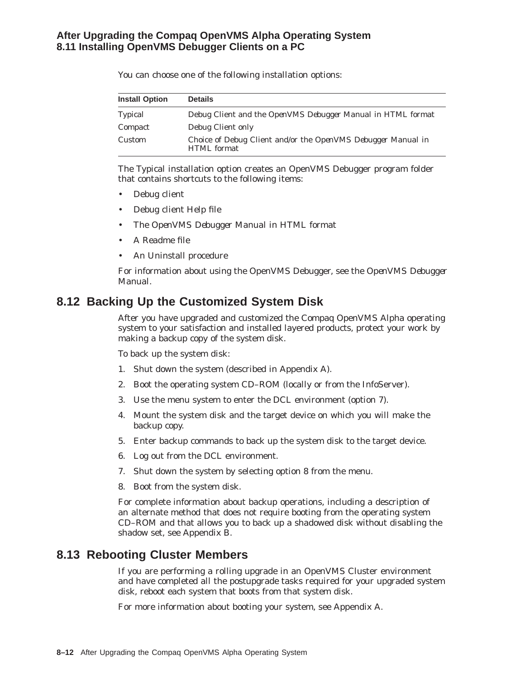# **After Upgrading the Compaq OpenVMS Alpha Operating System 8.11 Installing OpenVMS Debugger Clients on a PC**

| <b>Install Option</b> | <b>Details</b>                                                                            |
|-----------------------|-------------------------------------------------------------------------------------------|
| <b>Typical</b>        | Debug Client and the <i>OpenVMS Debugger Manual</i> in HTML format                        |
| Compact               | Debug Client only                                                                         |
| Custom                | Choice of Debug Client and/or the <i>OpenVMS Debugger Manual</i> in<br><b>HTML</b> format |

You can choose one of the following installation options:

The Typical installation option creates an OpenVMS Debugger program folder that contains shortcuts to the following items:

- Debug client
- Debug client Help file
- The *OpenVMS Debugger Manual* in HTML format
- A Readme file
- An Uninstall procedure

For information about using the OpenVMS Debugger, see the *OpenVMS Debugger Manual*.

# **8.12 Backing Up the Customized System Disk**

After you have upgraded and customized the Compaq OpenVMS Alpha operating system to your satisfaction and installed layered products, protect your work by making a backup copy of the system disk.

To back up the system disk:

- 1. Shut down the system (described in Appendix A).
- 2. Boot the operating system CD–ROM (locally or from the InfoServer).
- 3. Use the menu system to enter the DCL environment (option 7).
- 4. Mount the system disk and the target device on which you will make the backup copy.
- 5. Enter backup commands to back up the system disk to the target device.
- 6. Log out from the DCL environment.
- 7. Shut down the system by selecting option 8 from the menu.
- 8. Boot from the system disk.

For complete information about backup operations, including a description of an alternate method that does not require booting from the operating system CD–ROM and that allows you to back up a shadowed disk without disabling the shadow set, see Appendix B.

# **8.13 Rebooting Cluster Members**

If you are performing a rolling upgrade in an OpenVMS Cluster environment and have completed all the postupgrade tasks required for your upgraded system disk, reboot each system that boots from that system disk.

For more information about booting your system, see Appendix A.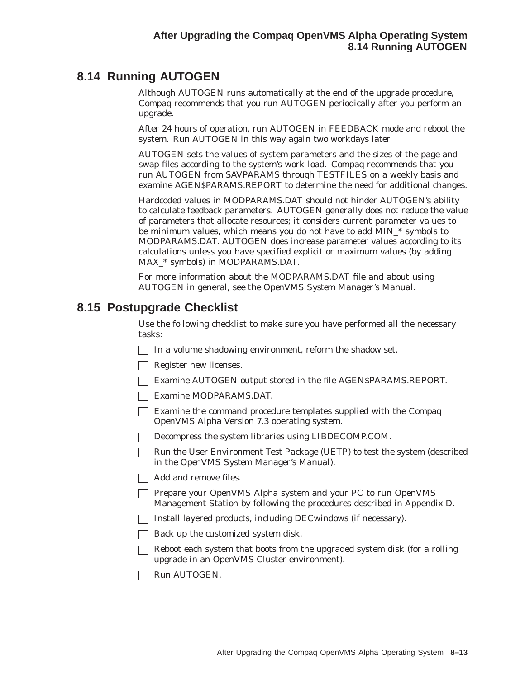# **8.14 Running AUTOGEN**

Although AUTOGEN runs automatically at the end of the upgrade procedure, Compaq recommends that you run AUTOGEN periodically after you perform an upgrade.

After 24 hours of operation, run AUTOGEN in FEEDBACK mode and reboot the system. Run AUTOGEN in this way again two workdays later.

AUTOGEN sets the values of system parameters and the sizes of the page and swap files according to the system's work load. Compaq recommends that you run AUTOGEN from SAVPARAMS through TESTFILES on a weekly basis and examine AGEN\$PARAMS.REPORT to determine the need for additional changes.

Hardcoded values in MODPARAMS.DAT should not hinder AUTOGEN's ability to calculate feedback parameters. AUTOGEN generally does not reduce the value of parameters that allocate resources; it considers current parameter values to be minimum values, which means you do not have to add MIN\_\* symbols to MODPARAMS.DAT. AUTOGEN does increase parameter values according to its calculations unless you have specified explicit or maximum values (by adding MAX\_\* symbols) in MODPARAMS.DAT.

For more information about the MODPARAMS.DAT file and about using AUTOGEN in general, see the *OpenVMS System Manager's Manual*.

# **8.15 Postupgrade Checklist**

Use the following checklist to make sure you have performed all the necessary tasks:

- $\Box$  In a volume shadowing environment, reform the shadow set.
- Register new licenses.
- Examine AUTOGEN output stored in the file AGEN\$PARAMS.REPORT.
- Examine MODPARAMS.DAT.
- Examine the command procedure templates supplied with the Compaq OpenVMS Alpha Version 7.3 operating system.
- Decompress the system libraries using LIBDECOMP.COM.
- Run the User Environment Test Package (UETP) to test the system (described in the *OpenVMS System Manager's Manual*).
- Add and remove files.
- **Prepare your OpenVMS Alpha system and your PC to run OpenVMS** Management Station by following the procedures described in Appendix D.
- $\Box$  Install layered products, including DECwindows (if necessary).
- $\Box$  Back up the customized system disk.
- $\Box$  Reboot each system that boots from the upgraded system disk (for a rolling upgrade in an OpenVMS Cluster environment).
- Run AUTOGEN.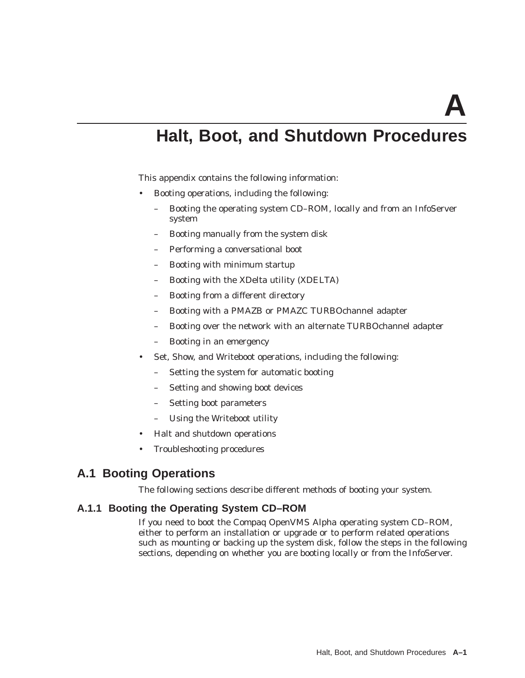# **Halt, Boot, and Shutdown Procedures**

This appendix contains the following information:

- Booting operations, including the following:
	- Booting the operating system CD–ROM, locally and from an InfoServer system
	- Booting manually from the system disk
	- Performing a conversational boot
	- Booting with minimum startup
	- Booting with the XDelta utility (XDELTA)
	- Booting from a different directory
	- Booting with a PMAZB or PMAZC TURBOchannel adapter
	- Booting over the network with an alternate TURBOchannel adapter
	- Booting in an emergency
- Set, Show, and Writeboot operations, including the following:
	- Setting the system for automatic booting
	- Setting and showing boot devices
	- Setting boot parameters
	- Using the Writeboot utility
- Halt and shutdown operations
- Troubleshooting procedures

# **A.1 Booting Operations**

The following sections describe different methods of booting your system.

#### **A.1.1 Booting the Operating System CD–ROM**

If you need to boot the Compaq OpenVMS Alpha operating system CD–ROM, either to perform an installation or upgrade or to perform related operations such as mounting or backing up the system disk, follow the steps in the following sections, depending on whether you are booting locally or from the InfoServer.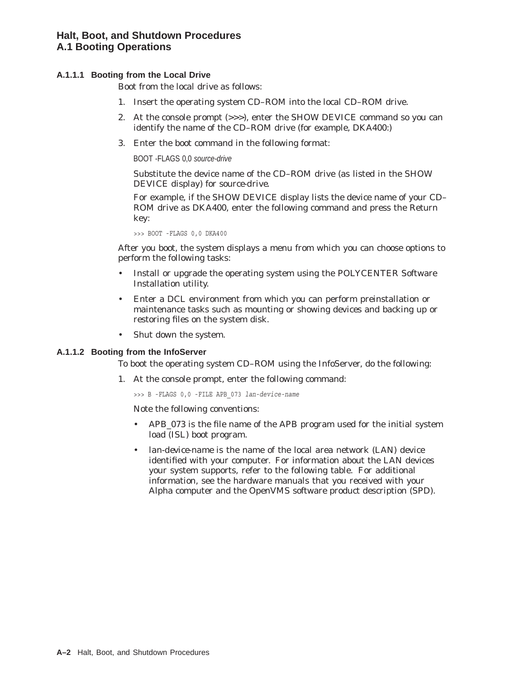#### **A.1.1.1 Booting from the Local Drive**

Boot from the local drive as follows:

- 1. Insert the operating system CD–ROM into the local CD–ROM drive.
- 2. At the console prompt (>>>), enter the SHOW DEVICE command so you can identify the name of the CD–ROM drive (for example, DKA400:)
- 3. Enter the boot command in the following format:

BOOT -FLAGS 0,0 source-drive

Substitute the device name of the CD–ROM drive (as listed in the SHOW DEVICE display) for *source-drive*.

For example, if the SHOW DEVICE display lists the device name of your CD– ROM drive as DKA400, enter the following command and press the Return key:

>>> BOOT -FLAGS 0,0 DKA400

After you boot, the system displays a menu from which you can choose options to perform the following tasks:

- Install or upgrade the operating system using the POLYCENTER Software Installation utility.
- Enter a DCL environment from which you can perform preinstallation or maintenance tasks such as mounting or showing devices and backing up or restoring files on the system disk.
- Shut down the system.

#### **A.1.1.2 Booting from the InfoServer**

To boot the operating system CD–ROM using the InfoServer, do the following:

1. At the console prompt, enter the following command:

>>> B -FLAGS 0,0 -FILE APB\_073 *lan-device-name*

Note the following conventions:

- *APB 073* is the file name of the APB program used for the initial system load (ISL) boot program.
- *lan-device-name* is the name of the local area network (LAN) device identified with your computer. For information about the LAN devices your system supports, refer to the following table. For additional information, see the hardware manuals that you received with your Alpha computer and the OpenVMS software product description (SPD).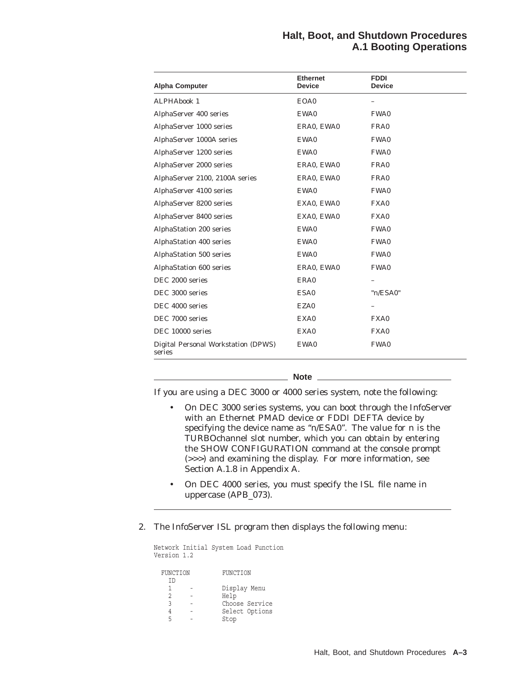## **Halt, Boot, and Shutdown Procedures A.1 Booting Operations**

| <b>Alpha Computer</b>                         | <b>Ethernet</b><br><b>Device</b> | <b>FDDI</b><br><b>Device</b> |  |
|-----------------------------------------------|----------------------------------|------------------------------|--|
| <b>ALPHAbook 1</b>                            | EOA0                             |                              |  |
| AlphaServer 400 series                        | EWA0                             | FWA0                         |  |
| AlphaServer 1000 series                       | ERA0, EWA0                       | FRA0                         |  |
| AlphaServer 1000A series                      | EWA0                             | FWA0                         |  |
| AlphaServer 1200 series                       | EWA0                             | FWA0                         |  |
| AlphaServer 2000 series                       | ERAO, EWAO                       | FRA0                         |  |
| AlphaServer 2100, 2100A series                | ERA0, EWA0                       | FRA0                         |  |
| AlphaServer 4100 series                       | EWA0                             | FWA0                         |  |
| AlphaServer 8200 series                       | EXA0, EWA0                       | FXA0                         |  |
| AlphaServer 8400 series                       | EXA0, EWA0                       | FXA0                         |  |
| AlphaStation 200 series                       | EWA0                             | FWA0                         |  |
| <b>AlphaStation 400 series</b>                | EWA0                             | FWA0                         |  |
| AlphaStation 500 series                       | EWA0                             | FWA0                         |  |
| AlphaStation 600 series                       | ERA0, EWA0                       | FWA0                         |  |
| DEC 2000 series                               | ERA0                             |                              |  |
| DEC 3000 series                               | ESA0                             | "n/ESA0"                     |  |
| DEC 4000 series                               | EZA0                             |                              |  |
| DEC 7000 series                               | EXA0                             | FXA0                         |  |
| DEC 10000 series                              | EXA0                             | FXA0                         |  |
| Digital Personal Workstation (DPWS)<br>series | EWA0                             | FWA0                         |  |

**Note**

If you are using a DEC 3000 or 4000 series system, note the following:

- On DEC 3000 series systems, you can boot through the InfoServer with an Ethernet PMAD device or FDDI DEFTA device by specifying the device name as ''*n*/ESA0''. The value for *n* is the TURBOchannel slot number, which you can obtain by entering the SHOW CONFIGURATION command at the console prompt (>>>) and examining the display. For more information, see Section A.1.8 in Appendix A.
- On DEC 4000 series, you *must* specify the ISL file name in uppercase (APB\_073).
- 2. The InfoServer ISL program then displays the following menu:

Network Initial System Load Function Version 1.2 FUNCTION FUNCTION ID 1 - Display Menu 2 - Help 3 - Choose Service 4 - Select Options 5 - Stop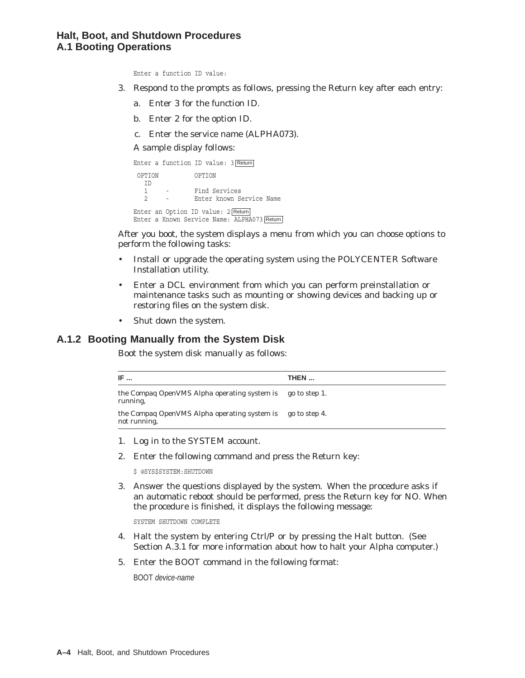## **Halt, Boot, and Shutdown Procedures A.1 Booting Operations**

Enter a function ID value:

- 3. Respond to the prompts as follows, pressing the Return key after each entry:
	- a. Enter 3 for the function ID.
	- b. Enter 2 for the option ID.
	- c. Enter the service name (ALPHA073).

A sample display follows:

```
Enter a function ID value: 3 Return
OPTION OPTION
 \frac{ID}{1}1 - Find Services<br>2 - Enter known Se
                 Enter known Service Name
Enter an Option ID value: 2 Return
Enter a Known Service Name: ALPHA073 Return
```
After you boot, the system displays a menu from which you can choose options to perform the following tasks:

- Install or upgrade the operating system using the POLYCENTER Software Installation utility.
- Enter a DCL environment from which you can perform preinstallation or maintenance tasks such as mounting or showing devices and backing up or restoring files on the system disk.
- Shut down the system.

## **A.1.2 Booting Manually from the System Disk**

Boot the system disk manually as follows:

| IF                                                                  | THEN          |
|---------------------------------------------------------------------|---------------|
| the Compaq OpenVMS Alpha operating system is<br>running,            | go to step 1. |
| the Compag OpenVMS Alpha operating system is<br><i>not</i> running. | go to step 4. |

- 1. Log in to the SYSTEM account.
- 2. Enter the following command and press the Return key:

\$ @SYS\$SYSTEM:SHUTDOWN

3. Answer the questions displayed by the system. When the procedure asks if an automatic reboot should be performed, press the Return key for NO. When the procedure is finished, it displays the following message:

SYSTEM SHUTDOWN COMPLETE

- 4. Halt the system by entering Ctrl/P or by pressing the Halt button. (See Section A.3.1 for more information about how to halt your Alpha computer.)
- 5. Enter the BOOT command in the following format:

BOOT device-name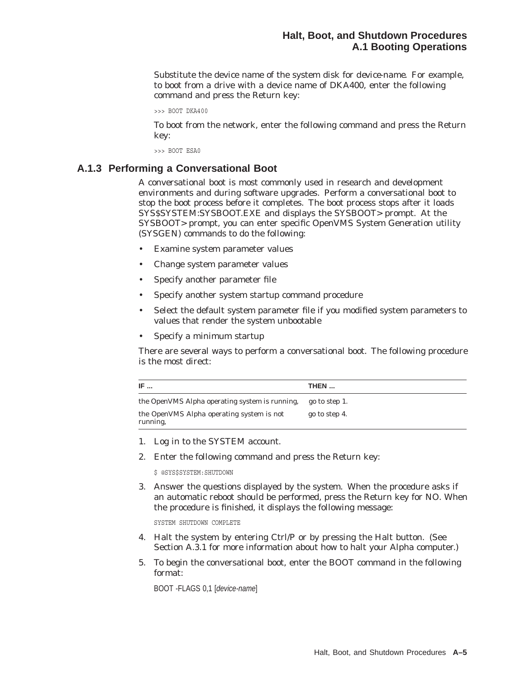Substitute the device name of the system disk for *device-name*. For example, to boot from a drive with a device name of DKA400, enter the following command and press the Return key:

```
>>> BOOT DKA400
```
To boot from the network, enter the following command and press the Return key:

>>> BOOT ESA0

#### **A.1.3 Performing a Conversational Boot**

A conversational boot is most commonly used in research and development environments and during software upgrades. Perform a conversational boot to stop the boot process before it completes. The boot process stops after it loads SYS\$SYSTEM:SYSBOOT.EXE and displays the SYSBOOT> prompt. At the SYSBOOT> prompt, you can enter specific OpenVMS System Generation utility (SYSGEN) commands to do the following:

- Examine system parameter values
- Change system parameter values
- Specify another parameter file
- Specify another system startup command procedure
- Select the default system parameter file if you modified system parameters to values that render the system unbootable
- Specify a minimum startup

There are several ways to perform a conversational boot. The following procedure is the most direct:

| IF                                                           | THEN          |
|--------------------------------------------------------------|---------------|
| the OpenVMS Alpha operating system is running,               | go to step 1. |
| the OpenVMS Alpha operating system is <i>not</i><br>running, | go to step 4. |

- 1. Log in to the SYSTEM account.
- 2. Enter the following command and press the Return key:

\$ @SYS\$SYSTEM:SHUTDOWN

3. Answer the questions displayed by the system. When the procedure asks if an automatic reboot should be performed, press the Return key for NO. When the procedure is finished, it displays the following message:

SYSTEM SHUTDOWN COMPLETE

- 4. Halt the system by entering Ctrl/P or by pressing the Halt button. (See Section A.3.1 for more information about how to halt your Alpha computer.)
- 5. To begin the conversational boot, enter the BOOT command in the following format:

BOOT -FLAGS 0,1 [device-name]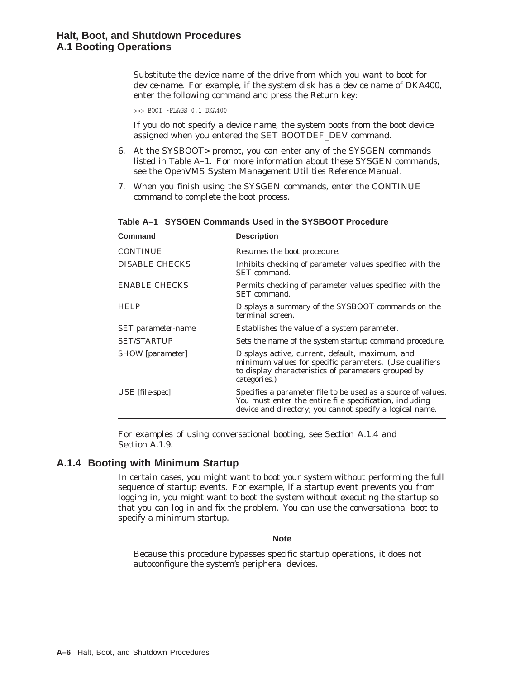Substitute the device name of the drive from which you want to boot for *device-name*. For example, if the system disk has a device name of DKA400, enter the following command and press the Return key:

>>> BOOT -FLAGS 0,1 DKA400

If you do not specify a device name, the system boots from the boot device assigned when you entered the SET BOOTDEF\_DEV command.

- 6. At the SYSBOOT> prompt, you can enter any of the SYSGEN commands listed in Table A–1. For more information about these SYSGEN commands, see the *OpenVMS System Management Utilities Reference Manual*.
- 7. When you finish using the SYSGEN commands, enter the CONTINUE command to complete the boot process.

| Command                   | <b>Description</b>                                                                                                                                                                  |
|---------------------------|-------------------------------------------------------------------------------------------------------------------------------------------------------------------------------------|
| <b>CONTINUE</b>           | Resumes the boot procedure.                                                                                                                                                         |
| <b>DISABLE CHECKS</b>     | Inhibits checking of parameter values specified with the<br>SET command.                                                                                                            |
| <b>ENABLE CHECKS</b>      | Permits checking of parameter values specified with the<br>SET command.                                                                                                             |
| <b>HELP</b>               | Displays a summary of the SYSBOOT commands on the<br>terminal screen.                                                                                                               |
| <b>SET</b> parameter-name | Establishes the value of a system parameter.                                                                                                                                        |
| <b>SET/STARTUP</b>        | Sets the name of the system startup command procedure.                                                                                                                              |
| SHOW [parameter]          | Displays active, current, default, maximum, and<br>minimum values for specific parameters. (Use qualifiers<br>to display characteristics of parameters grouped by<br>categories.)   |
| USE [file-spec]           | Specifies a parameter file to be used as a source of values.<br>You must enter the entire file specification, including<br>device and directory; you cannot specify a logical name. |

**Table A–1 SYSGEN Commands Used in the SYSBOOT Procedure**

For examples of using conversational booting, see Section A.1.4 and Section A.1.9.

# **A.1.4 Booting with Minimum Startup**

In certain cases, you might want to boot your system without performing the full sequence of startup events. For example, if a startup event prevents you from logging in, you might want to boot the system without executing the startup so that you can log in and fix the problem. You can use the conversational boot to specify a minimum startup.

**Note**

Because this procedure bypasses specific startup operations, it does not autoconfigure the system's peripheral devices.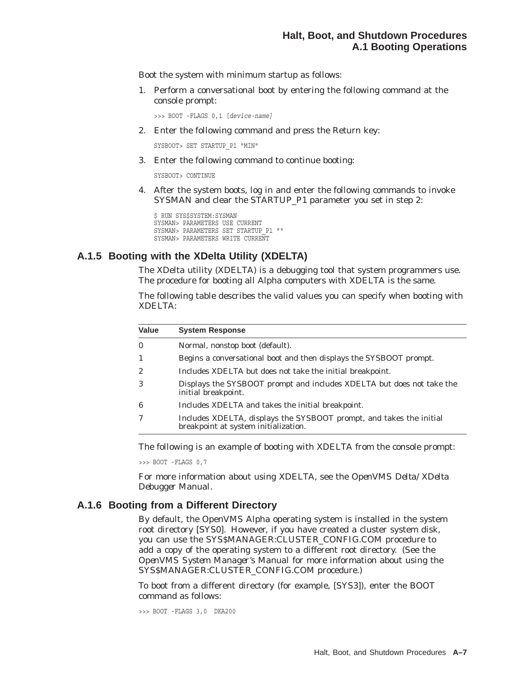Boot the system with minimum startup as follows:

1. Perform a conversational boot by entering the following command at the console prompt:

>>> BOOT -FLAGS 0,1 [*device-name]*

2. Enter the following command and press the Return key:

SYSBOOT> SET STARTUP\_P1 "MIN"

3. Enter the following command to continue booting:

SYSBOOT> CONTINUE

4. After the system boots, log in and enter the following commands to invoke SYSMAN and clear the STARTUP\_P1 parameter you set in step 2:

\$ RUN SYS\$SYSTEM:SYSMAN SYSMAN> PARAMETERS USE CURRENT SYSMAN> PARAMETERS SET STARTUP P1 "" SYSMAN> PARAMETERS WRITE CURRENT

### **A.1.5 Booting with the XDelta Utility (XDELTA)**

The XDelta utility (XDELTA) is a debugging tool that system programmers use. The procedure for booting all Alpha computers with XDELTA is the same.

The following table describes the valid values you can specify when booting with XDELTA:

| <b>System Response</b>                                                                                      |
|-------------------------------------------------------------------------------------------------------------|
| Normal, nonstop boot (default).                                                                             |
| Begins a conversational boot and then displays the SYSBOOT prompt.                                          |
| Includes XDELTA but does not take the initial breakpoint.                                                   |
| Displays the SYSBOOT prompt and includes XDELTA but does not take the<br>initial breakpoint.                |
| Includes XDELTA and takes the initial breakpoint.                                                           |
| Includes XDELTA, displays the SYSBOOT prompt, and takes the initial<br>breakpoint at system initialization. |
|                                                                                                             |

The following is an example of booting with XDELTA from the console prompt:

>>> BOOT -FLAGS 0,7

For more information about using XDELTA, see the *OpenVMS Delta/XDelta Debugger Manual*.

#### **A.1.6 Booting from a Different Directory**

By default, the OpenVMS Alpha operating system is installed in the system root directory [SYS0]. However, if you have created a cluster system disk, you can use the SYS\$MANAGER:CLUSTER\_CONFIG.COM procedure to add a copy of the operating system to a different root directory. (See the *OpenVMS System Manager's Manual* for more information about using the SYS\$MANAGER:CLUSTER\_CONFIG.COM procedure.)

To boot from a different directory (for example, [SYS3]), enter the BOOT command as follows:

>>> BOOT -FLAGS 3,0 DKA200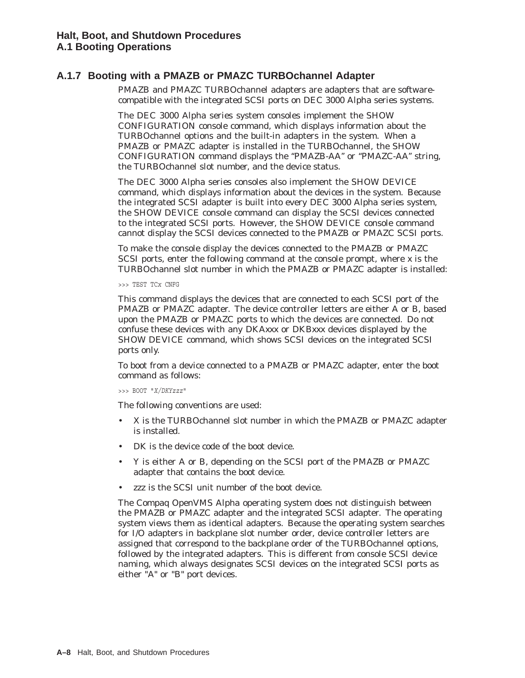# **A.1.7 Booting with a PMAZB or PMAZC TURBOchannel Adapter**

PMAZB and PMAZC TURBOchannel adapters are adapters that are softwarecompatible with the integrated SCSI ports on DEC 3000 Alpha series systems.

The DEC 3000 Alpha series system consoles implement the SHOW CONFIGURATION console command, which displays information about the TURBOchannel options and the built-in adapters in the system. When a PMAZB or PMAZC adapter is installed in the TURBOchannel, the SHOW CONFIGURATION command displays the ''PMAZB-AA'' or ''PMAZC-AA'' string, the TURBOchannel slot number, and the device status.

The DEC 3000 Alpha series consoles also implement the SHOW DEVICE command, which displays information about the devices in the system. Because the integrated SCSI adapter is built into every DEC 3000 Alpha series system, the SHOW DEVICE console command can display the SCSI devices connected to the integrated SCSI ports. However, the SHOW DEVICE console command cannot display the SCSI devices connected to the PMAZB or PMAZC SCSI ports.

To make the console display the devices connected to the PMAZB or PMAZC SCSI ports, enter the following command at the console prompt, where *x* is the TURBOchannel slot number in which the PMAZB or PMAZC adapter is installed:

>>> TEST TC*x* CNFG

This command displays the devices that are connected to each SCSI port of the PMAZB or PMAZC adapter. The device controller letters are either A or B, based upon the PMAZB or PMAZC ports to which the devices are connected. Do not confuse these devices with any DKA*xxx* or DKB*xxx* devices displayed by the SHOW DEVICE command, which shows SCSI devices on the integrated SCSI ports only.

To boot from a device connected to a PMAZB or PMAZC adapter, enter the boot command as follows:

>>> BOOT "*X/DKYzzz*"

The following conventions are used:

- *X* is the TURBOchannel slot number in which the PMAZB or PMAZC adapter is installed.
- *DK* is the device code of the boot device.
- *Y* is either A or B, depending on the SCSI port of the PMAZB or PMAZC adapter that contains the boot device.
- zzz is the SCSI unit number of the boot device.

The Compaq OpenVMS Alpha operating system does not distinguish between the PMAZB or PMAZC adapter and the integrated SCSI adapter. The operating system views them as identical adapters. Because the operating system searches for I/O adapters in backplane slot number order, device controller letters are assigned that correspond to the backplane order of the TURBOchannel options, followed by the integrated adapters. This is different from console SCSI device naming, which always designates SCSI devices on the integrated SCSI ports as either "A" or "B" port devices.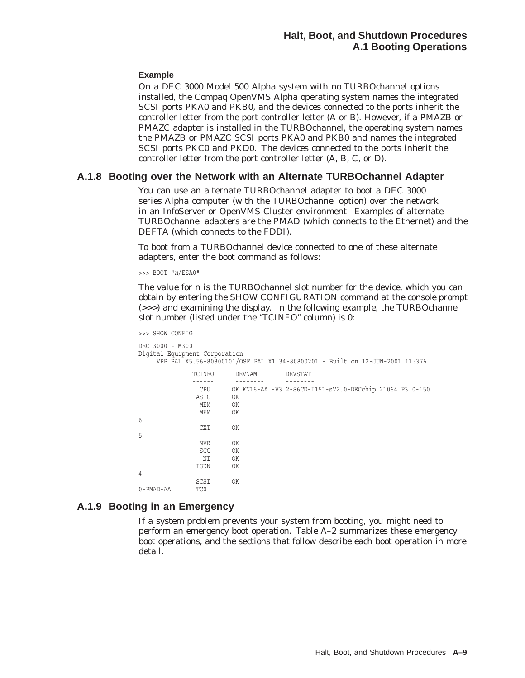#### **Example**

On a DEC 3000 Model 500 Alpha system with no TURBOchannel options installed, the Compaq OpenVMS Alpha operating system names the integrated SCSI ports PKA0 and PKB0, and the devices connected to the ports inherit the controller letter from the port controller letter (A or B). However, if a PMAZB or PMAZC adapter is installed in the TURBOchannel, the operating system names the PMAZB or PMAZC SCSI ports PKA0 and PKB0 and names the integrated SCSI ports PKC0 and PKD0. The devices connected to the ports inherit the controller letter from the port controller letter (A, B, C, or D).

#### **A.1.8 Booting over the Network with an Alternate TURBOchannel Adapter**

You can use an alternate TURBOchannel adapter to boot a DEC 3000 series Alpha computer (with the TURBOchannel option) over the network in an InfoServer or OpenVMS Cluster environment. Examples of alternate TURBOchannel adapters are the PMAD (which connects to the Ethernet) and the DEFTA (which connects to the FDDI).

To boot from a TURBOchannel device connected to one of these alternate adapters, enter the boot command as follows:

>>> BOOT "*n*/ESA0"

The value for *n* is the TURBOchannel slot number for the device, which you can obtain by entering the SHOW CONFIGURATION command at the console prompt (>>>) and examining the display. In the following example, the TURBOchannel slot number (listed under the "TCINFO" column) is 0:

```
>>> SHOW CONFIG
DEC 3000 - M300
Digital Equipment Corporation
    VPP PAL X5.56-80800101/OSF PAL X1.34-80800201 - Built on 12-JUN-2001 11:376
            TCINFO DEVNAM DEVSTAT
             ------ -------- -------- CPU OK KN16-AA -V3.2-S6CD-I151-sV2.0-DECchip 21064 P3.0-150
             ASIC OK
              MEM OK
              MEM OK
6
              CXT OK
5
              NVR OK
              SCC OK
               NI OK
             ISDN OK
4
             SCSI OK
0-PMAD-AA
```
# **A.1.9 Booting in an Emergency**

If a system problem prevents your system from booting, you might need to perform an emergency boot operation. Table A–2 summarizes these emergency boot operations, and the sections that follow describe each boot operation in more detail.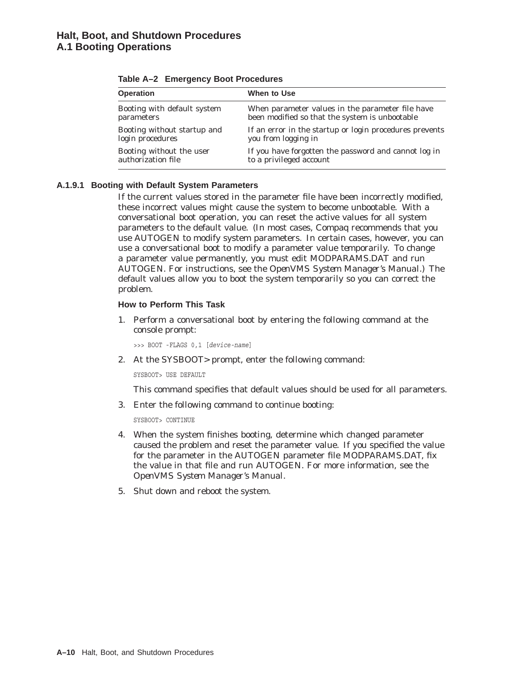| When to Use                                                                                        |
|----------------------------------------------------------------------------------------------------|
| When parameter values in the parameter file have<br>been modified so that the system is unbootable |
| If an error in the startup or login procedures prevents<br>you from logging in                     |
| If you have forgotten the password and cannot log in<br>to a privileged account                    |
|                                                                                                    |

|  | Table A-2 Emergency Boot Procedures |  |  |
|--|-------------------------------------|--|--|
|--|-------------------------------------|--|--|

#### **A.1.9.1 Booting with Default System Parameters**

If the current values stored in the parameter file have been incorrectly modified, these incorrect values might cause the system to become unbootable. With a conversational boot operation, you can reset the active values for all system parameters to the default value. (In most cases, Compaq recommends that you use AUTOGEN to modify system parameters. In certain cases, however, you can use a conversational boot to modify a parameter value *temporarily*. To change a parameter value *permanently*, you must edit MODPARAMS.DAT and run AUTOGEN. For instructions, see the *OpenVMS System Manager's Manual*.) The default values allow you to boot the system temporarily so you can correct the problem.

#### **How to Perform This Task**

1. Perform a conversational boot by entering the following command at the console prompt:

>>> BOOT -FLAGS 0,1 [*device-name*]

2. At the SYSBOOT> prompt, enter the following command:

SYSBOOT> USE DEFAULT

This command specifies that default values should be used for all parameters.

3. Enter the following command to continue booting:

SYSBOOT> CONTINUE

- 4. When the system finishes booting, determine which changed parameter caused the problem and reset the parameter value. If you specified the value for the parameter in the AUTOGEN parameter file MODPARAMS.DAT, fix the value in that file and run AUTOGEN. For more information, see the *OpenVMS System Manager's Manual*.
- 5. Shut down and reboot the system.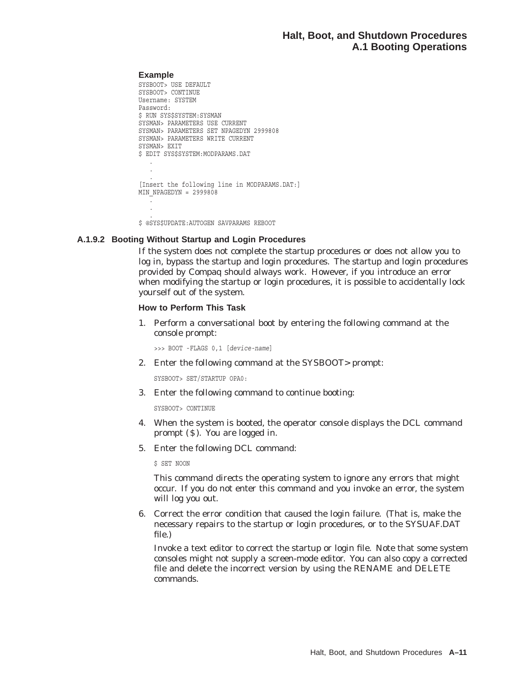#### **Example**

```
SYSBOOT> USE DEFAULT
SYSBOOT> CONTINUE
Username: SYSTEM
Password:
$ RUN SYS$SYSTEM:SYSMAN
SYSMAN> PARAMETERS USE CURRENT
SYSMAN> PARAMETERS SET NPAGEDYN 2999808
SYSMAN> PARAMETERS WRITE CURRENT
SYSMAN> EXIT
$ EDIT SYS$SYSTEM:MODPARAMS.DAT
   .
   .
   . [Insert the following line in MODPARAMS.DAT:]
MIN NPAGEDYN = 2999808
   .
   .
   .
```
\$ @SYS\$UPDATE:AUTOGEN SAVPARAMS REBOOT

#### **A.1.9.2 Booting Without Startup and Login Procedures**

If the system does not complete the startup procedures or does not allow you to log in, bypass the startup and login procedures. The startup and login procedures provided by Compaq should always work. However, if you introduce an error when modifying the startup or login procedures, it is possible to accidentally lock yourself out of the system.

#### **How to Perform This Task**

1. Perform a conversational boot by entering the following command at the console prompt:

>>> BOOT -FLAGS 0,1 [*device-name*]

2. Enter the following command at the SYSBOOT> prompt:

SYSBOOT> SET/STARTUP OPA0:

3. Enter the following command to continue booting:

SYSBOOT> CONTINUE

- 4. When the system is booted, the operator console displays the DCL command prompt  $(S)$ . You are logged in.
- 5. Enter the following DCL command:

\$ SET NOON

This command directs the operating system to ignore any errors that might occur. If you do not enter this command and you invoke an error, the system will log you out.

6. Correct the error condition that caused the login failure. (That is, make the necessary repairs to the startup or login procedures, or to the SYSUAF.DAT file.)

Invoke a text editor to correct the startup or login file. Note that some system consoles might not supply a screen-mode editor. You can also copy a corrected file and delete the incorrect version by using the RENAME and DELETE commands.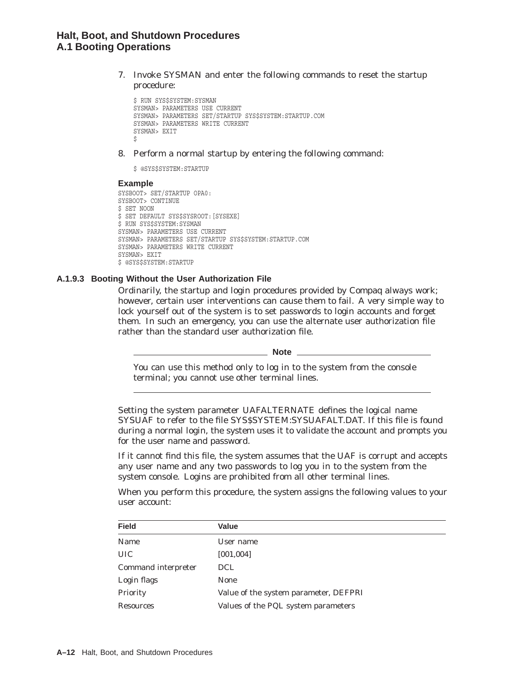7. Invoke SYSMAN and enter the following commands to reset the startup procedure:

```
$ RUN SYS$SYSTEM:SYSMAN
SYSMAN> PARAMETERS USE CURRENT
SYSMAN> PARAMETERS SET/STARTUP SYS$SYSTEM:STARTUP.COM
SYSMAN> PARAMETERS WRITE CURRENT
SYSMAN> EXIT
$
```
8. Perform a normal startup by entering the following command:

\$ @SYS\$SYSTEM:STARTUP

#### **Example**

```
SYSBOOT> SET/STARTUP OPA0:
SYSBOOT> CONTINUE
$ SET NOON
$ SET DEFAULT SYS$SYSROOT:[SYSEXE]
$ RUN SYS$SYSTEM:SYSMAN
SYSMAN> PARAMETERS USE CURRENT
SYSMAN> PARAMETERS SET/STARTUP SYS$SYSTEM:STARTUP.COM
SYSMAN> PARAMETERS WRITE CURRENT
SYSMAN> EXIT
$ @SYS$SYSTEM:STARTUP
```
#### **A.1.9.3 Booting Without the User Authorization File**

Ordinarily, the startup and login procedures provided by Compaq always work; however, certain user interventions can cause them to fail. A very simple way to lock yourself out of the system is to set passwords to login accounts and forget them. In such an emergency, you can use the alternate user authorization file rather than the standard user authorization file.

**Note** 

You can use this method only to log in to the system from the console terminal; you cannot use other terminal lines.

Setting the system parameter UAFALTERNATE defines the logical name SYSUAF to refer to the file SYS\$SYSTEM:SYSUAFALT.DAT. If this file is found during a normal login, the system uses it to validate the account and prompts you for the user name and password.

If it cannot find this file, the system assumes that the UAF is corrupt and accepts any user name and any two passwords to log you in to the system from the system console. Logins are prohibited from all other terminal lines.

When you perform this procedure, the system assigns the following values to your user account:

| <b>Field</b>        | Value                                 |
|---------------------|---------------------------------------|
| Name                | User name                             |
| <b>UIC</b>          | [001, 004]                            |
| Command interpreter | DCL.                                  |
| Login flags         | <b>None</b>                           |
| Priority            | Value of the system parameter, DEFPRI |
| <b>Resources</b>    | Values of the PQL system parameters   |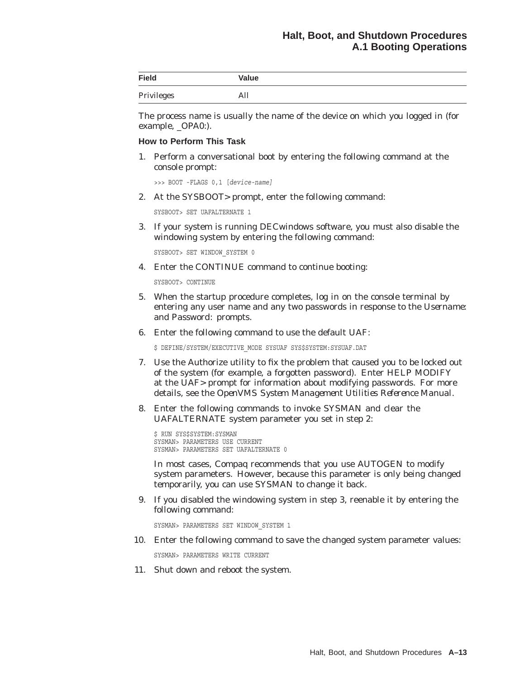| <b>Field</b> | Value |
|--------------|-------|
| Privileges   | All   |

The process name is usually the name of the device on which you logged in (for example, \_OPA0:).

#### **How to Perform This Task**

1. Perform a conversational boot by entering the following command at the console prompt:

```
>>> BOOT -FLAGS 0,1 [device-name]
```
2. At the SYSBOOT> prompt, enter the following command:

SYSBOOT> SET UAFALTERNATE 1

3. If your system is running DECwindows software, you must also disable the windowing system by entering the following command:

SYSBOOT> SET WINDOW\_SYSTEM 0

4. Enter the CONTINUE command to continue booting:

SYSBOOT> CONTINUE

- 5. When the startup procedure completes, log in on the console terminal by entering any user name and any two passwords in response to the *Username:* and *Password:* prompts.
- 6. Enter the following command to use the default UAF:

 $$$  DEFINE/SYSTEM/EXECUTIVE MODE SYSUAF SYS\$SYSTEM:SYSUAF.DAT

- 7. Use the Authorize utility to fix the problem that caused you to be locked out of the system (for example, a forgotten password). Enter HELP MODIFY at the UAF> prompt for information about modifying passwords. For more details, see the *OpenVMS System Management Utilities Reference Manual*.
- 8. Enter the following commands to invoke SYSMAN and clear the UAFALTERNATE system parameter you set in step 2:

 $$$  RUN SYS\$SYSTEM: SYSMAN SYSMAN> PARAMETERS USE CURRENT SYSMAN> PARAMETERS SET UAFALTERNATE 0

In most cases, Compaq recommends that you use AUTOGEN to modify system parameters. However, because this parameter is only being changed temporarily, you can use SYSMAN to change it back.

9. If you disabled the windowing system in step 3, reenable it by entering the following command:

SYSMAN> PARAMETERS SET WINDOW\_SYSTEM 1

10. Enter the following command to save the changed system parameter values:

SYSMAN> PARAMETERS WRITE CURRENT

11. Shut down and reboot the system.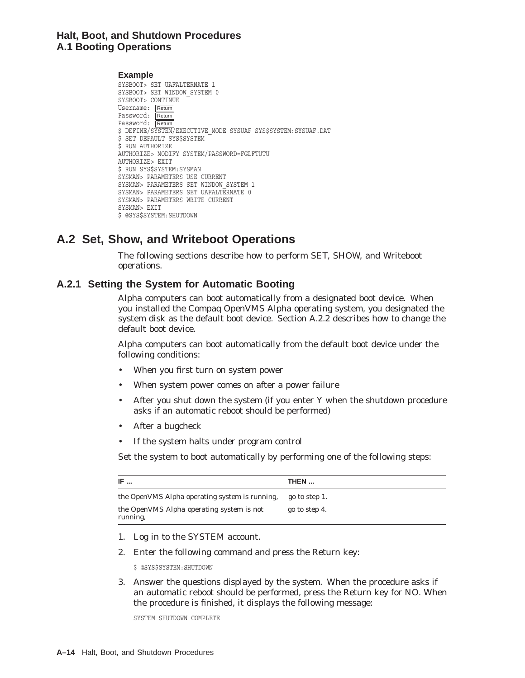## **Halt, Boot, and Shutdown Procedures A.1 Booting Operations**

**Example** SYSBOOT> SET UAFALTERNATE 1 SYSBOOT> SET WINDOW\_SYSTEM 0 SYSBOOT> CONTINUE Username: Return Password: Return Password: Return \$ DEFINE/SYSTEM/EXECUTIVE MODE SYSUAF SYS\$SYSTEM: SYSUAF. DAT \$ SET DEFAULT SYS\$SYSTEM \$ RUN AUTHORIZE AUTHORIZE> MODIFY SYSTEM/PASSWORD=FGLFTUTU AUTHORIZE> EXIT  $$$  RUN SYS\$SYSTEM: SYSMAN SYSMAN> PARAMETERS USE CURRENT SYSMAN> PARAMETERS SET WINDOW\_SYSTEM 1 SYSMAN> PARAMETERS SET UAFALTERNATE 0 SYSMAN> PARAMETERS WRITE CURRENT SYSMAN> EXIT \$ @SYS\$SYSTEM:SHUTDOWN

# **A.2 Set, Show, and Writeboot Operations**

The following sections describe how to perform SET, SHOW, and Writeboot operations.

# **A.2.1 Setting the System for Automatic Booting**

Alpha computers can boot automatically from a designated boot device. When you installed the Compaq OpenVMS Alpha operating system, you designated the system disk as the default boot device. Section A.2.2 describes how to change the default boot device.

Alpha computers can boot automatically from the default boot device under the following conditions:

- When you first turn on system power
- When system power comes on after a power failure
- After you shut down the system (if you enter Y when the shutdown procedure asks if an automatic reboot should be performed)
- After a bugcheck
- If the system halts under program control

Set the system to boot automatically by performing one of the following steps:

| IF $\ldots$                                                  | THEN          |
|--------------------------------------------------------------|---------------|
| the OpenVMS Alpha operating system is running,               | go to step 1. |
| the OpenVMS Alpha operating system is <i>not</i><br>running, | go to step 4. |

- 1. Log in to the SYSTEM account.
- 2. Enter the following command and press the Return key:

\$ @SYS\$SYSTEM:SHUTDOWN

3. Answer the questions displayed by the system. When the procedure asks if an automatic reboot should be performed, press the Return key for NO. When the procedure is finished, it displays the following message:

SYSTEM SHUTDOWN COMPLETE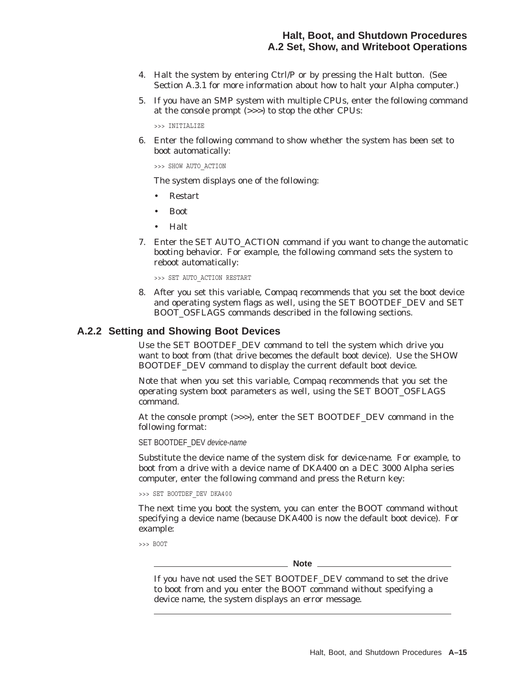- 4. Halt the system by entering Ctrl/P or by pressing the Halt button. (See Section A.3.1 for more information about how to halt your Alpha computer.)
- 5. If you have an SMP system with multiple CPUs, enter the following command at the console prompt (>>>) to stop the other CPUs:

>>> INITIALIZE

6. Enter the following command to show whether the system has been set to boot automatically:

>>> SHOW AUTO\_ACTION

The system displays one of the following:

- Restart
- Boot
- Halt
- 7. Enter the SET AUTO\_ACTION command if you want to change the automatic booting behavior. For example, the following command sets the system to reboot automatically:

>>> SET AUTO\_ACTION RESTART

8. After you set this variable, Compaq recommends that you set the boot device and operating system flags as well, using the SET BOOTDEF\_DEV and SET BOOT\_OSFLAGS commands described in the following sections.

#### **A.2.2 Setting and Showing Boot Devices**

Use the SET BOOTDEF\_DEV command to tell the system which drive you want to boot from (that drive becomes the default boot device). Use the SHOW BOOTDEF\_DEV command to display the current default boot device.

Note that when you set this variable, Compaq recommends that you set the operating system boot parameters as well, using the SET BOOT\_OSFLAGS command.

At the console prompt (>>>), enter the SET BOOTDEF\_DEV command in the following format:

SET BOOTDEF\_DEV device-name

Substitute the device name of the system disk for *device-name*. For example, to boot from a drive with a device name of DKA400 on a DEC 3000 Alpha series computer, enter the following command and press the Return key:

>>> SET BOOTDEF\_DEV DKA400

The next time you boot the system, you can enter the BOOT command without specifying a device name (because DKA400 is now the default boot device). For example:

>>> BOOT

**Note**

If you have not used the SET BOOTDEF\_DEV command to set the drive to boot from and you enter the BOOT command without specifying a device name, the system displays an error message.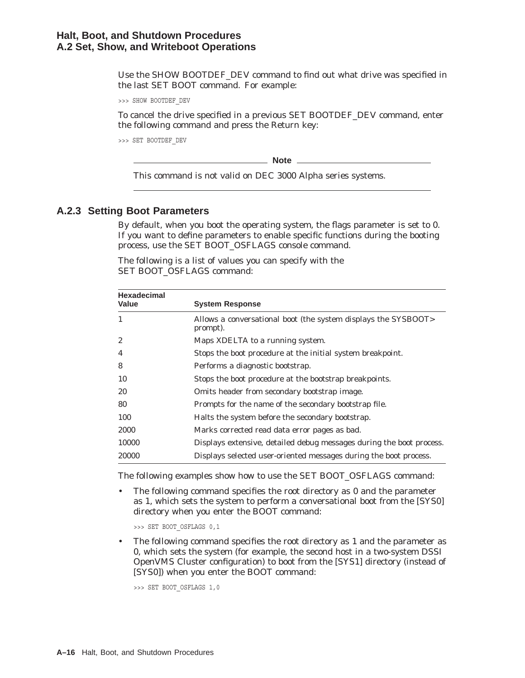Use the SHOW BOOTDEF\_DEV command to find out what drive was specified in the last SET BOOT command. For example:

>>> SHOW BOOTDEF\_DEV

To cancel the drive specified in a previous SET BOOTDEF\_DEV command, enter the following command and press the Return key:

>>> SET BOOTDEF\_DEV

**Note**

This command is not valid on DEC 3000 Alpha series systems.

#### **A.2.3 Setting Boot Parameters**

By default, when you boot the operating system, the flags parameter is set to 0. If you want to define parameters to enable specific functions during the booting process, use the SET BOOT\_OSFLAGS console command.

| <b>Hexadecimal</b><br>Value | <b>System Response</b>                                                     |  |
|-----------------------------|----------------------------------------------------------------------------|--|
| $\mathbf{1}$                | Allows a conversational boot (the system displays the SYSBOOT><br>prompt). |  |
| 2                           | Maps XDELTA to a running system.                                           |  |
| 4                           | Stops the boot procedure at the initial system breakpoint.                 |  |
| 8                           | Performs a diagnostic bootstrap.                                           |  |
| 10                          | Stops the boot procedure at the bootstrap breakpoints.                     |  |
| 20                          | Omits header from secondary bootstrap image.                               |  |
| 80                          | Prompts for the name of the secondary bootstrap file.                      |  |
| 100                         | Halts the system before the secondary bootstrap.                           |  |
| 2000                        | Marks corrected read data error pages as bad.                              |  |
| 10000                       | Displays extensive, detailed debug messages during the boot process.       |  |
| 20000                       | Displays selected user-oriented messages during the boot process.          |  |

The following is a list of values you can specify with the SET BOOT\_OSFLAGS command:

The following examples show how to use the SET BOOT\_OSFLAGS command:

• The following command specifies the root directory as 0 and the parameter as 1, which sets the system to perform a conversational boot from the [SYS0] directory when you enter the BOOT command:

>>> SET BOOT\_OSFLAGS 0,1

The following command specifies the root directory as 1 and the parameter as 0, which sets the system (for example, the second host in a two-system DSSI OpenVMS Cluster configuration) to boot from the [SYS1] directory (instead of [SYS0]) when you enter the BOOT command:

>>> SET BOOT OSFLAGS 1,0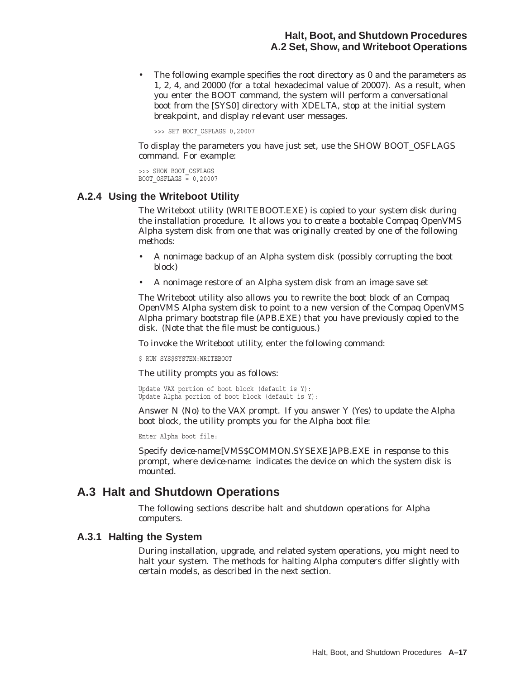The following example specifies the root directory as 0 and the parameters as 1, 2, 4, and 20000 (for a total hexadecimal value of 20007). As a result, when you enter the BOOT command, the system will perform a conversational boot from the [SYS0] directory with XDELTA, stop at the initial system breakpoint, and display relevant user messages.

>>> SET BOOT\_OSFLAGS 0,20007

To display the parameters you have just set, use the SHOW BOOT\_OSFLAGS command. For example:

>>> SHOW BOOT\_OSFLAGS BOOT OSFLAGS  $= 0,20007$ 

#### **A.2.4 Using the Writeboot Utility**

The Writeboot utility (WRITEBOOT.EXE) is copied to your system disk during the installation procedure. It allows you to create a bootable Compaq OpenVMS Alpha system disk from one that was originally created by one of the following methods:

- A nonimage backup of an Alpha system disk (possibly corrupting the boot block)
- A nonimage restore of an Alpha system disk from an image save set

The Writeboot utility also allows you to rewrite the boot block of an Compaq OpenVMS Alpha system disk to point to a new version of the Compaq OpenVMS Alpha primary bootstrap file (APB.EXE) that you have previously copied to the disk. (Note that the file must be contiguous.)

To invoke the Writeboot utility, enter the following command:

\$ RUN SYS\$SYSTEM:WRITEBOOT

The utility prompts you as follows:

Update VAX portion of boot block (default is Y): Update Alpha portion of boot block (default is Y):

Answer N (No) to the VAX prompt. If you answer Y (Yes) to update the Alpha boot block, the utility prompts you for the Alpha boot file:

Enter Alpha boot file:

Specify *device-name:*[VMS\$COMMON.SYSEXE]APB.EXE in response to this prompt, where *device-name:* indicates the device on which the system disk is mounted.

# **A.3 Halt and Shutdown Operations**

The following sections describe halt and shutdown operations for Alpha computers.

#### **A.3.1 Halting the System**

During installation, upgrade, and related system operations, you might need to halt your system. The methods for halting Alpha computers differ slightly with certain models, as described in the next section.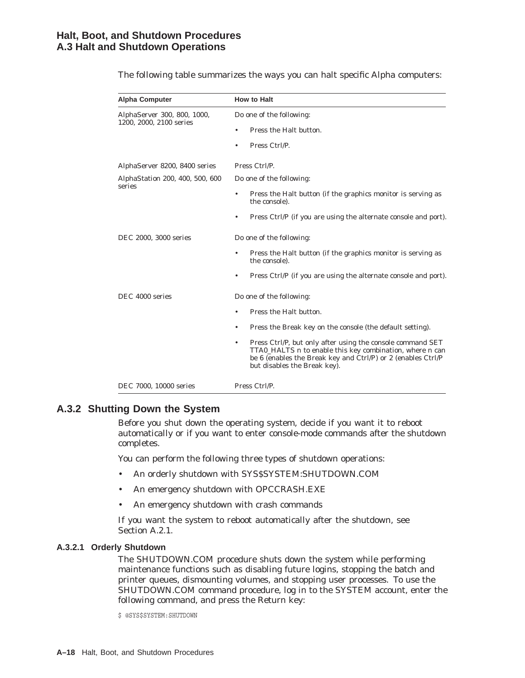| <b>Alpha Computer</b>                     | <b>How to Halt</b>                                                                                                                                                                                                                                |
|-------------------------------------------|---------------------------------------------------------------------------------------------------------------------------------------------------------------------------------------------------------------------------------------------------|
| AlphaServer 300, 800, 1000,               | Do one of the following:                                                                                                                                                                                                                          |
| 1200, 2000, 2100 series                   | Press the Halt button.                                                                                                                                                                                                                            |
|                                           | Press Ctrl/P.                                                                                                                                                                                                                                     |
| AlphaServer 8200, 8400 series             | Press Ctrl/P.                                                                                                                                                                                                                                     |
| AlphaStation 200, 400, 500, 600<br>series | Do one of the following:                                                                                                                                                                                                                          |
|                                           | Press the Halt button (if the graphics monitor is serving as<br>the console).                                                                                                                                                                     |
|                                           | Press Ctrl/P (if you are using the alternate console and port).<br>٠                                                                                                                                                                              |
| DEC 2000, 3000 series                     | Do one of the following:                                                                                                                                                                                                                          |
|                                           | Press the Halt button (if the graphics monitor is serving as<br>٠<br>the console).                                                                                                                                                                |
|                                           | Press Ctrl/P (if you are using the alternate console and port).                                                                                                                                                                                   |
| DEC 4000 series                           | Do one of the following:                                                                                                                                                                                                                          |
|                                           | Press the Halt button.                                                                                                                                                                                                                            |
|                                           | Press the Break key on the console (the default setting).<br>٠                                                                                                                                                                                    |
|                                           | Press Ctrl/P, but only after using the console command SET<br>$\bullet$<br>TTA0_HALTS <i>n</i> to enable this key combination, where <i>n</i> can<br>be 6 (enables the Break key and Ctrl/P) or 2 (enables Ctrl/P<br>but disables the Break key). |
| DEC 7000, 10000 series                    | Press Ctrl/P.                                                                                                                                                                                                                                     |

The following table summarizes the ways you can halt specific Alpha computers:

# **A.3.2 Shutting Down the System**

Before you shut down the operating system, decide if you want it to reboot automatically or if you want to enter console-mode commands after the shutdown completes.

You can perform the following three types of shutdown operations:

- An orderly shutdown with SYS\$SYSTEM:SHUTDOWN.COM
- An emergency shutdown with OPCCRASH.EXE
- An emergency shutdown with crash commands

If you want the system to reboot automatically after the shutdown, see Section A.2.1.

#### **A.3.2.1 Orderly Shutdown**

The SHUTDOWN.COM procedure shuts down the system while performing maintenance functions such as disabling future logins, stopping the batch and printer queues, dismounting volumes, and stopping user processes. To use the SHUTDOWN.COM command procedure, log in to the SYSTEM account, enter the following command, and press the Return key:

\$ @SYS\$SYSTEM:SHUTDOWN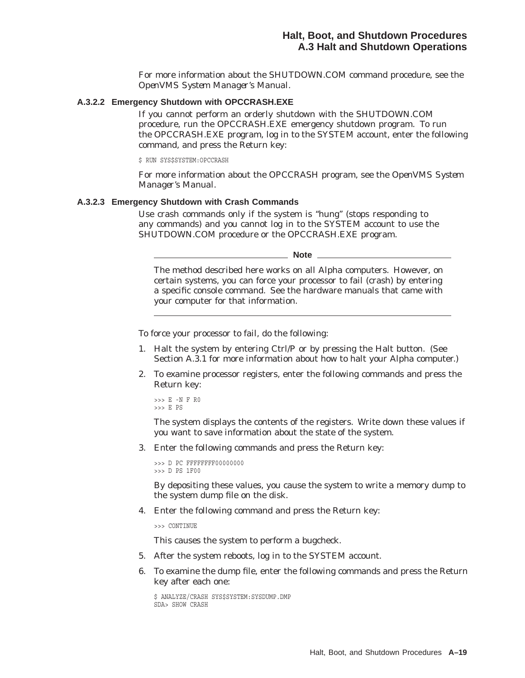For more information about the SHUTDOWN.COM command procedure, see the *OpenVMS System Manager's Manual*.

#### **A.3.2.2 Emergency Shutdown with OPCCRASH.EXE**

If you cannot perform an orderly shutdown with the SHUTDOWN.COM procedure, run the OPCCRASH.EXE emergency shutdown program. To run the OPCCRASH.EXE program, log in to the SYSTEM account, enter the following command, and press the Return key:

\$ RUN SYS\$SYSTEM:OPCCRASH

For more information about the OPCCRASH program, see the *OpenVMS System Manager's Manual*.

#### **A.3.2.3 Emergency Shutdown with Crash Commands**

Use crash commands only if the system is ''hung'' (stops responding to any commands) and you cannot log in to the SYSTEM account to use the SHUTDOWN.COM procedure or the OPCCRASH.EXE program.

**Note**

The method described here works on all Alpha computers. However, on certain systems, you can force your processor to fail (crash) by entering a specific console command. See the hardware manuals that came with your computer for that information.

To force your processor to fail, do the following:

- 1. Halt the system by entering Ctrl/P or by pressing the Halt button. (See Section A.3.1 for more information about how to halt your Alpha computer.)
- 2. To examine processor registers, enter the following commands and press the Return key:

>>> E -N F R0 >>> E PS

The system displays the contents of the registers. Write down these values if you want to save information about the state of the system.

3. Enter the following commands and press the Return key:

```
>>> D PC FFFFFFFF00000000 >>> D PS 1F00
```
By depositing these values, you cause the system to write a memory dump to the system dump file on the disk.

4. Enter the following command and press the Return key:

>>> CONTINUE

This causes the system to perform a bugcheck.

- 5. After the system reboots, log in to the SYSTEM account.
- 6. To examine the dump file, enter the following commands and press the Return key after each one:

\$ ANALYZE/CRASH SYS\$SYSTEM:SYSDUMP.DMP SDA> SHOW CRASH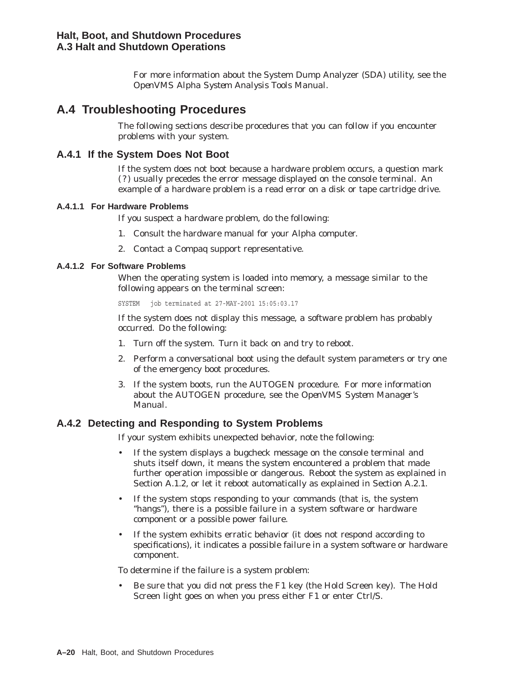For more information about the System Dump Analyzer (SDA) utility, see the *OpenVMS Alpha System Analysis Tools Manual*.

# **A.4 Troubleshooting Procedures**

The following sections describe procedures that you can follow if you encounter problems with your system.

# **A.4.1 If the System Does Not Boot**

If the system does not boot because a hardware problem occurs, a question mark (?) usually precedes the error message displayed on the console terminal. An example of a hardware problem is a read error on a disk or tape cartridge drive.

#### **A.4.1.1 For Hardware Problems**

If you suspect a hardware problem, do the following:

- 1. Consult the hardware manual for your Alpha computer.
- 2. Contact a Compaq support representative.

#### **A.4.1.2 For Software Problems**

When the operating system is loaded into memory, a message similar to the following appears on the terminal screen:

SYSTEM job terminated at 27-MAY-2001 15:05:03.17

If the system does not display this message, a software problem has probably occurred. Do the following:

- 1. Turn off the system. Turn it back on and try to reboot.
- 2. Perform a conversational boot using the default system parameters or try one of the emergency boot procedures.
- 3. If the system boots, run the AUTOGEN procedure. For more information about the AUTOGEN procedure, see the *OpenVMS System Manager's Manual*.

# **A.4.2 Detecting and Responding to System Problems**

If your system exhibits unexpected behavior, note the following:

- If the system displays a bugcheck message on the console terminal and shuts itself down, it means the system encountered a problem that made further operation impossible or dangerous. Reboot the system as explained in Section A.1.2, or let it reboot automatically as explained in Section A.2.1.
- If the system stops responding to your commands (that is, the system "hangs"), there is a possible failure in a system software or hardware component or a possible power failure.
- If the system exhibits erratic behavior (it does not respond according to specifications), it indicates a possible failure in a system software or hardware component.

To determine if the failure is a system problem:

• Be sure that you did not press the F1 key (the Hold Screen key). The Hold Screen light goes on when you press either F1 or enter Ctrl/S.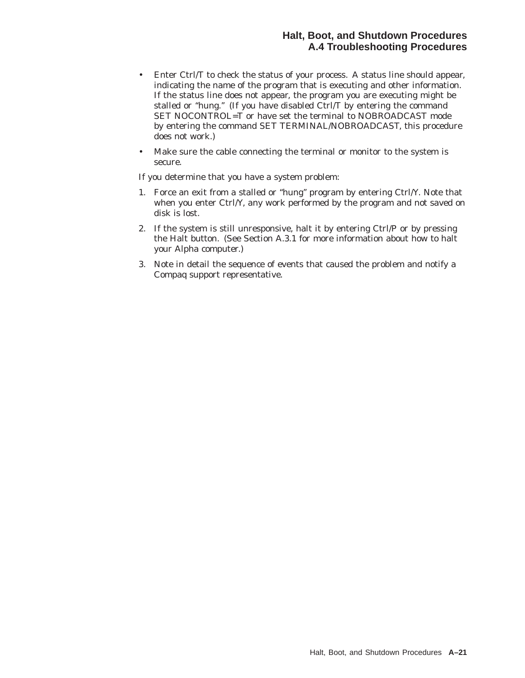# **Halt, Boot, and Shutdown Procedures A.4 Troubleshooting Procedures**

- Enter Ctrl/T to check the status of your process. A status line should appear, indicating the name of the program that is executing and other information. If the status line does not appear, the program you are executing might be stalled or ''hung.'' (If you have disabled Ctrl/T by entering the command SET NOCONTROL=T or have set the terminal to NOBROADCAST mode by entering the command SET TERMINAL/NOBROADCAST, this procedure does not work.)
- Make sure the cable connecting the terminal or monitor to the system is secure.

If you determine that you have a system problem:

- 1. Force an exit from a stalled or ''hung'' program by entering Ctrl/Y. Note that when you enter Ctrl/Y, any work performed by the program and not saved on disk is lost.
- 2. If the system is still unresponsive, halt it by entering Ctrl/P or by pressing the Halt button. (See Section A.3.1 for more information about how to halt your Alpha computer.)
- 3. Note in detail the sequence of events that caused the problem and notify a Compaq support representative.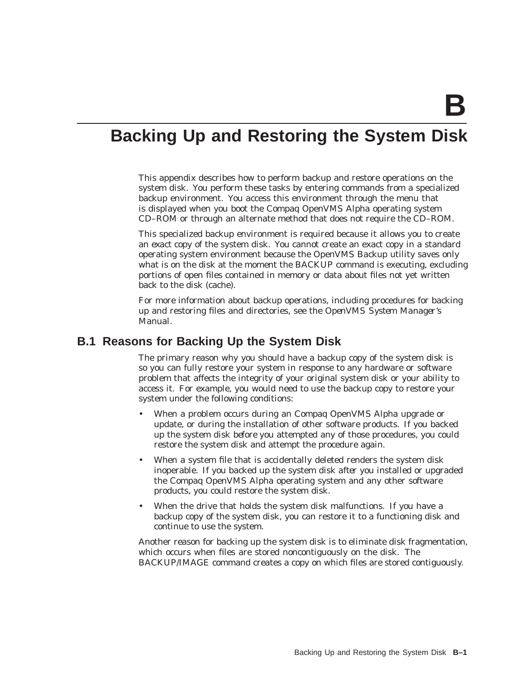# **Backing Up and Restoring the System Disk**

This appendix describes how to perform backup and restore operations on the system disk. You perform these tasks by entering commands from a specialized backup environment. You access this environment through the menu that is displayed when you boot the Compaq OpenVMS Alpha operating system CD–ROM or through an alternate method that does not require the CD–ROM.

This specialized backup environment is required because it allows you to create an *exact* copy of the system disk. You cannot create an exact copy in a standard operating system environment because the OpenVMS Backup utility saves only what is on the disk at the moment the BACKUP command is executing, excluding portions of open files contained in memory or data about files not yet written back to the disk (cache).

For more information about backup operations, including procedures for backing up and restoring files and directories, see the *OpenVMS System Manager's Manual*.

# **B.1 Reasons for Backing Up the System Disk**

The primary reason why you should have a backup copy of the system disk is so you can fully restore your system in response to any hardware or software problem that affects the integrity of your original system disk or your ability to access it. For example, you would need to use the backup copy to restore your system under the following conditions:

- When a problem occurs during an Compaq OpenVMS Alpha upgrade or update, or during the installation of other software products. If you backed up the system disk *before* you attempted any of those procedures, you could restore the system disk and attempt the procedure again.
- When a system file that is accidentally deleted renders the system disk inoperable. If you backed up the system disk *after* you installed or upgraded the Compaq OpenVMS Alpha operating system and any other software products, you could restore the system disk.
- When the drive that holds the system disk malfunctions. If you have a backup copy of the system disk, you can restore it to a functioning disk and continue to use the system.

Another reason for backing up the system disk is to eliminate disk fragmentation, which occurs when files are stored noncontiguously on the disk. The BACKUP/IMAGE command creates a copy on which files are stored contiguously.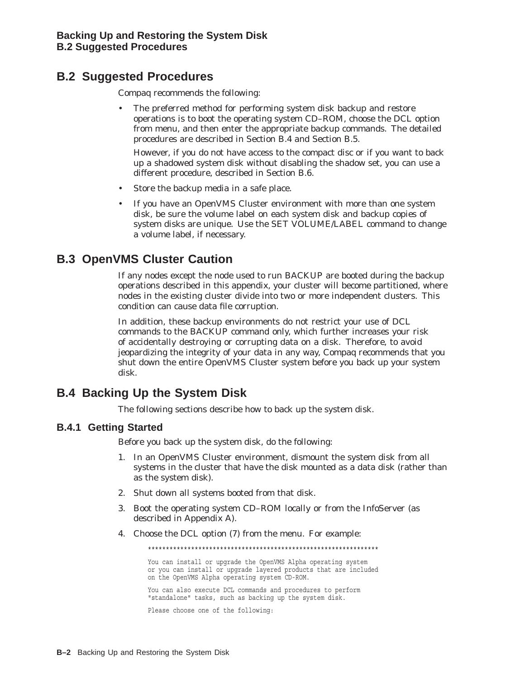# **B.2 Suggested Procedures**

Compaq recommends the following:

The preferred method for performing system disk backup and restore operations is to boot the operating system CD–ROM, choose the DCL option from menu, and then enter the appropriate backup commands. The detailed procedures are described in Section B.4 and Section B.5.

However, if you do not have access to the compact disc or if you want to back up a shadowed system disk without disabling the shadow set, you can use a different procedure, described in Section B.6.

- Store the backup media in a safe place.
- If you have an OpenVMS Cluster environment with more than one system disk, be sure the volume label on each system disk and backup copies of system disks are unique. Use the SET VOLUME/LABEL command to change a volume label, if necessary.

# **B.3 OpenVMS Cluster Caution**

If any nodes except the node used to run BACKUP are booted during the backup operations described in this appendix, your cluster will become partitioned, where nodes in the existing cluster divide into two or more independent clusters. This condition can cause data file corruption.

In addition, these backup environments do not restrict your use of DCL commands to the BACKUP command only, which further increases your risk of accidentally destroying or corrupting data on a disk. Therefore, to avoid jeopardizing the integrity of your data in any way, Compaq recommends that you shut down the entire OpenVMS Cluster system before you back up your system disk.

# **B.4 Backing Up the System Disk**

The following sections describe how to back up the system disk.

# **B.4.1 Getting Started**

Before you back up the system disk, do the following:

- 1. In an OpenVMS Cluster environment, dismount the system disk from all systems in the cluster that have the disk mounted as a data disk (rather than as the system disk).
- 2. Shut down all systems booted from that disk.
- 3. Boot the operating system CD–ROM locally or from the InfoServer (as described in Appendix A).
- 4. Choose the DCL option (7) from the menu. For example:

\*\*\*\*\*\*\*\*\*\*\*\*\*\*\*\*\*\*\*\*\*\*\*\*\*\*\*\*\*\*\*\*\*\*\*\*\*\*\*\*\*\*\*\*\*\*\*\*\*\*\*\*\*\*\*\*\*\*\*\*\*\*\*\* You can install or upgrade the OpenVMS Alpha operating system or you can install or upgrade layered products that are included on the OpenVMS Alpha operating system CD-ROM.

You can also execute DCL commands and procedures to perform "standalone" tasks, such as backing up the system disk.

Please choose one of the following: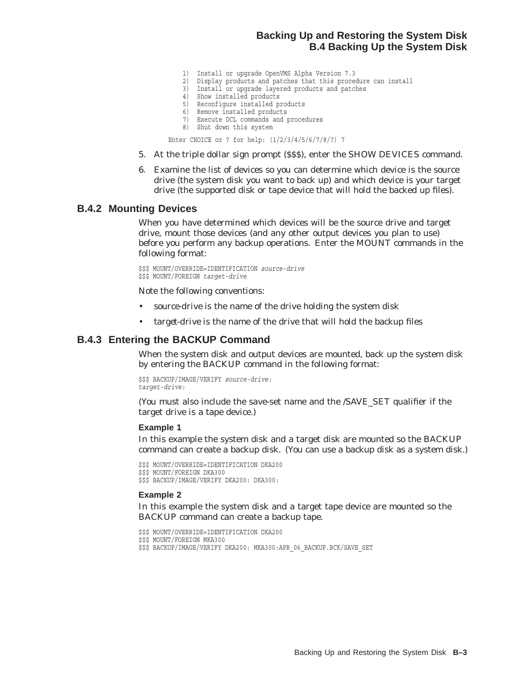# **Backing Up and Restoring the System Disk B.4 Backing Up the System Disk**

- 1) Install or upgrade OpenVMS Alpha Version 7.3
- 2) Display products and patches that this procedure can install
- 3) Install or upgrade layered products and patches
- 4) Show installed products
- 5) Reconfigure installed products
- 6) Remove installed products
- 7) Execute DCL commands and procedures
- 8) Shut down this system

Enter CHOICE or ? for help: (1/2/3/4/5/6/7/8/?) 7

- 5. At the triple dollar sign prompt (\$\$\$), enter the SHOW DEVICES command.
- 6. Examine the list of devices so you can determine which device is the source drive (the system disk you want to back up) and which device is your target drive (the supported disk or tape device that will hold the backed up files).

#### **B.4.2 Mounting Devices**

When you have determined which devices will be the source drive and target drive, mount those devices (and any other output devices you plan to use) before you perform any backup operations. Enter the MOUNT commands in the following format:

\$\$\$ MOUNT/OVERRIDE=IDENTIFICATION *source-drive* \$\$\$ MOUNT/FOREIGN *target-drive*

Note the following conventions:

- *source-drive* is the name of the drive holding the system disk
- *target-drive* is the name of the drive that will hold the backup files

#### **B.4.3 Entering the BACKUP Command**

When the system disk and output devices are mounted, back up the system disk by entering the BACKUP command in the following format:

```
$$$ BACKUP/IMAGE/VERIFY source-drive:
target-drive:
```
(You must also include the save-set name and the /SAVE\_SET qualifier if the target drive is a tape device.)

#### **Example 1**

In this example the system disk and a target disk are mounted so the BACKUP command can create a backup disk. (You can use a backup disk as a system disk.)

\$\$\$ MOUNT/OVERRIDE=IDENTIFICATION DKA200 \$\$\$ MOUNT/FOREIGN DKA300 \$\$\$ BACKUP/IMAGE/VERIFY DKA200: DKA300:

#### **Example 2**

In this example the system disk and a target tape device are mounted so the BACKUP command can create a backup tape.

\$\$\$ MOUNT/OVERRIDE=IDENTIFICATION DKA200

- \$\$\$ MOUNT/FOREIGN MKA300
- \$\$\$ BACKUP/IMAGE/VERIFY DKA200: MKA300:APR 06 BACKUP.BCK/SAVE SET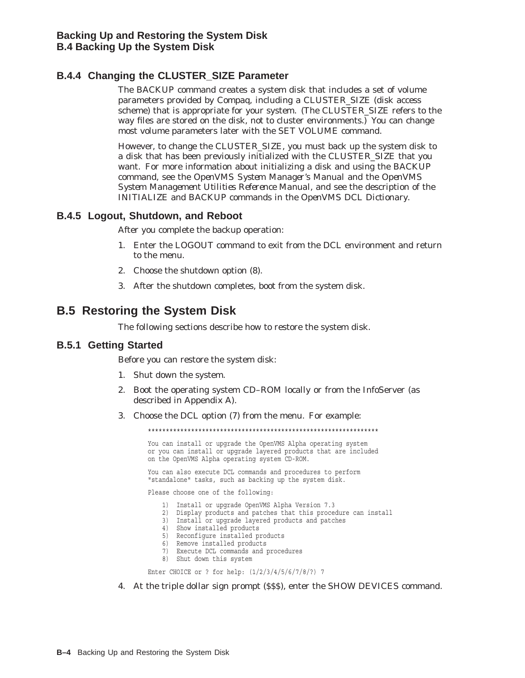# **B.4.4 Changing the CLUSTER\_SIZE Parameter**

The BACKUP command creates a system disk that includes a set of volume parameters provided by Compaq, including a CLUSTER\_SIZE (disk access scheme) that is appropriate for your system. (The CLUSTER\_SIZE refers to the way files are stored on the disk, *not* to cluster environments.) You can change most volume parameters later with the SET VOLUME command.

However, to change the CLUSTER\_SIZE, you must back up the system disk to a disk that has been previously initialized with the CLUSTER\_SIZE that you want. For more information about initializing a disk and using the BACKUP command, see the *OpenVMS System Manager's Manual* and the *OpenVMS System Management Utilities Reference Manual*, and see the description of the INITIALIZE and BACKUP commands in the *OpenVMS DCL Dictionary*.

# **B.4.5 Logout, Shutdown, and Reboot**

After you complete the backup operation:

- 1. Enter the LOGOUT command to exit from the DCL environment and return to the menu.
- 2. Choose the shutdown option (8).
- 3. After the shutdown completes, boot from the system disk.

# **B.5 Restoring the System Disk**

The following sections describe how to restore the system disk.

#### **B.5.1 Getting Started**

Before you can restore the system disk:

- 1. Shut down the system.
- 2. Boot the operating system CD–ROM locally or from the InfoServer (as described in Appendix A).
- 3. Choose the DCL option (7) from the menu. For example:

\*\*\*\*\*\*\*\*\*\*\*\*\*\*\*\*\*\*\*\*\*\*\*\*\*\*\*\*\*\*\*\*\*\*\*\*\*\*\*\*\*\*\*\*\*\*\*\*\*\*\*\*\*\*\*\*\*\*\*\*\*\*\*\* You can install or upgrade the OpenVMS Alpha operating system or you can install or upgrade layered products that are included on the OpenVMS Alpha operating system CD-ROM. You can also execute DCL commands and procedures to perform "standalone" tasks, such as backing up the system disk. Please choose one of the following: 1) Install or upgrade OpenVMS Alpha Version 7.3 2) Display products and patches that this procedure can install 3) Install or upgrade layered products and patches 4) Show installed products 5) Reconfigure installed products 6) Remove installed products 7) Execute DCL commands and procedures 8) Shut down this system Enter CHOICE or ? for help: (1/2/3/4/5/6/7/8/?) 7

4. At the triple dollar sign prompt (\$\$\$), enter the SHOW DEVICES command.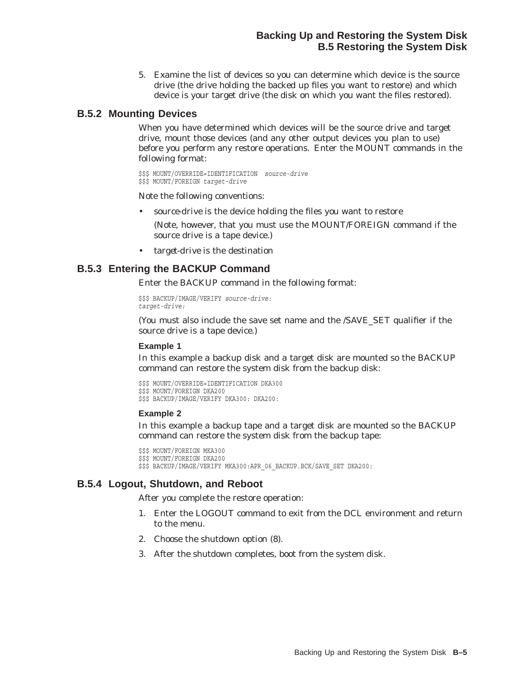5. Examine the list of devices so you can determine which device is the source drive (the drive holding the backed up files you want to restore) and which device is your target drive (the disk on which you want the files restored).

## **B.5.2 Mounting Devices**

When you have determined which devices will be the source drive and target drive, mount those devices (and any other output devices you plan to use) before you perform any restore operations. Enter the MOUNT commands in the following format:

```
$$$ MOUNT/OVERRIDE=IDENTIFICATION source-drive
$$$ MOUNT/FOREIGN target-drive
```
Note the following conventions:

- *source-drive* is the device holding the files you want to restore
	- (Note, however, that you must use the MOUNT/FOREIGN command if the source drive is a tape device.)
- *target-drive* is the destination

# **B.5.3 Entering the BACKUP Command**

Enter the BACKUP command in the following format:

\$\$\$ BACKUP/IMAGE/VERIFY *source-drive: target-drive:*

(You must also include the save set name and the /SAVE\_SET qualifier if the source drive is a tape device.)

#### **Example 1**

In this example a backup disk and a target disk are mounted so the BACKUP command can restore the system disk from the backup disk:

```
$$$ MOUNT/OVERRIDE=IDENTIFICATION DKA300
$$$ MOUNT/FOREIGN DKA200
$$$ BACKUP/IMAGE/VERIFY DKA300: DKA200:
```
#### **Example 2**

In this example a backup tape and a target disk are mounted so the BACKUP command can restore the system disk from the backup tape:

```
$$$ MOUNT/FOREIGN MKA300
```

```
$$$ MOUNT/FOREIGN DKA200
```
\$\$\$ BACKUP/IMAGE/VERIFY MKA300:APR 06 BACKUP.BCK/SAVE SET DKA200:

# **B.5.4 Logout, Shutdown, and Reboot**

After you complete the restore operation:

- 1. Enter the LOGOUT command to exit from the DCL environment and return to the menu.
- 2. Choose the shutdown option (8).
- 3. After the shutdown completes, boot from the system disk.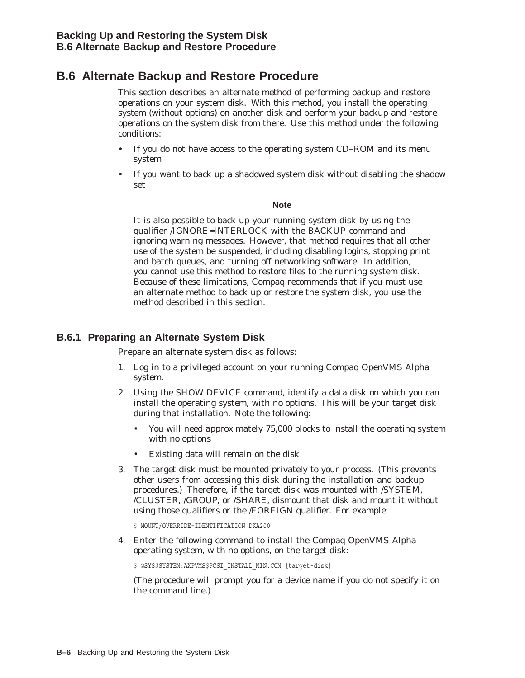# **B.6 Alternate Backup and Restore Procedure**

This section describes an alternate method of performing backup and restore operations on your system disk. With this method, you install the operating system (without options) on another disk and perform your backup and restore operations on the system disk from there. Use this method under the following conditions:

- If you do not have access to the operating system CD–ROM and its menu system
- If you want to back up a shadowed system disk without disabling the shadow set

**Note**

It is also possible to back up your running system disk by using the qualifier /IGNORE=INTERLOCK with the BACKUP command and ignoring warning messages. However, that method requires that all other use of the system be suspended, including disabling logins, stopping print and batch queues, and turning off networking software. In addition, you cannot use this method to restore files to the running system disk. Because of these limitations, Compaq recommends that if you must use an alternate method to back up or restore the system disk, you use the method described in this section.

# **B.6.1 Preparing an Alternate System Disk**

Prepare an alternate system disk as follows:

- 1. Log in to a privileged account on your running Compaq OpenVMS Alpha system.
- 2. Using the SHOW DEVICE command, identify a data disk on which you can install the operating system, with no options. This will be your target disk during that installation. Note the following:
	- You will need approximately 75,000 blocks to install the operating system with no options
	- Existing data will remain on the disk
- 3. The target disk must be mounted privately to your process. (This prevents other users from accessing this disk during the installation and backup procedures.) Therefore, if the target disk was mounted with /SYSTEM, /CLUSTER, /GROUP, or /SHARE, dismount that disk and mount it without using those qualifiers or the /FOREIGN qualifier. For example:

\$ MOUNT/OVERRIDE=IDENTIFICATION DKA200

4. Enter the following command to install the Compaq OpenVMS Alpha operating system, with no options, on the target disk:

\$ @SYS\$SYSTEM:AXPVMS\$PCSI\_INSTALL\_MIN.COM [target-disk]

(The procedure will prompt you for a device name if you do not specify it on the command line.)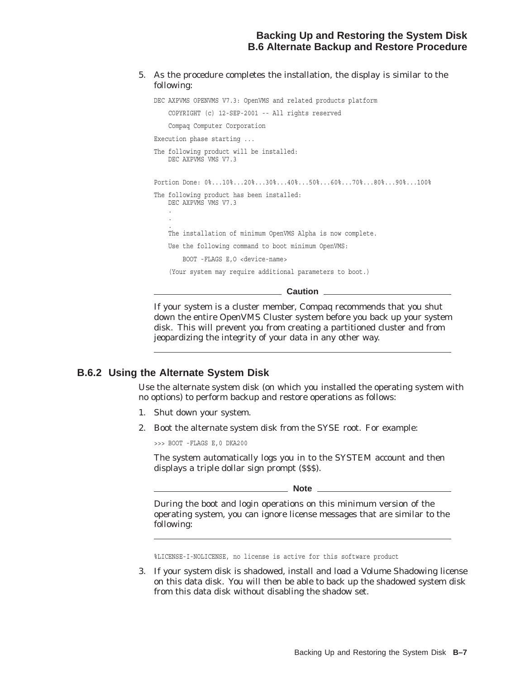#### 5. As the procedure completes the installation, the display is similar to the following:

```
DEC AXPVMS OPENVMS V7.3: OpenVMS and related products platform
    COPYRIGHT (c) 12-SEP-2001 -- All rights reserved
    Compaq Computer Corporation
Execution phase starting ...
The following product will be installed:
   DEC AXPVMS VMS V7.3
Portion Done: 0%...10%...20%...30%...40%...50%...60%...70%...80%...90%...100%
The following product has been installed:
   DEC AXPVMS VMS V7.3
    .
    .
    .
   The installation of minimum OpenVMS Alpha is now complete.
    Use the following command to boot minimum OpenVMS:
       BOOT -FLAGS E,O <device-name>
    (Your system may require additional parameters to boot.)
```
**Caution**

If your system is a cluster member, Compaq recommends that you shut down the entire OpenVMS Cluster system before you back up your system disk. This will prevent you from creating a partitioned cluster and from jeopardizing the integrity of your data in any other way.

## **B.6.2 Using the Alternate System Disk**

Use the alternate system disk (on which you installed the operating system with no options) to perform backup and restore operations as follows:

- 1. Shut down your system.
- 2. Boot the alternate system disk from the SYSE root. For example:

>>> BOOT -FLAGS E,0 DKA200

The system automatically logs you in to the SYSTEM account and then displays a triple dollar sign prompt (\$\$\$).

**Note** \_

During the boot and login operations on this minimum version of the operating system, you can ignore license messages that are similar to the following:

%LICENSE-I-NOLICENSE, no license is active for this software product

3. If your system disk is shadowed, install and load a Volume Shadowing license on this data disk. You will then be able to back up the shadowed system disk from this data disk without disabling the shadow set.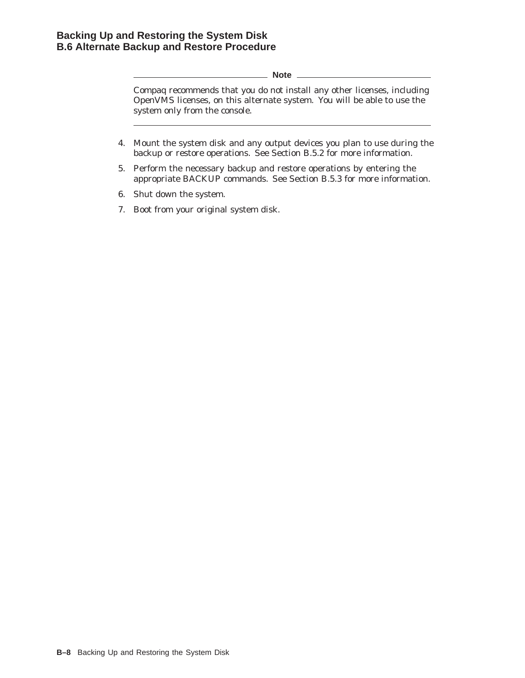**Note**

Compaq recommends that you do *not* install any other licenses, including OpenVMS licenses, on this alternate system. You will be able to use the system only from the console.

- 4. Mount the system disk and any output devices you plan to use during the backup or restore operations. See Section B.5.2 for more information.
- 5. Perform the necessary backup and restore operations by entering the appropriate BACKUP commands. See Section B.5.3 for more information.
- 6. Shut down the system.
- 7. Boot from your original system disk.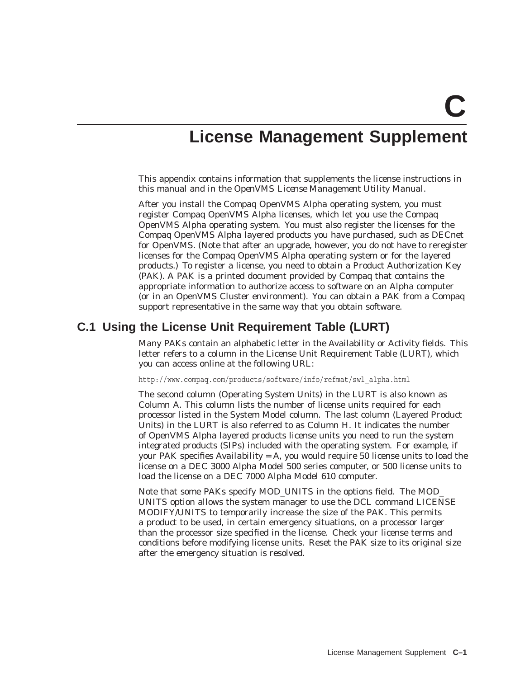# **License Management Supplement**

This appendix contains information that supplements the license instructions in this manual and in the *OpenVMS License Management Utility Manual*.

After you install the Compaq OpenVMS Alpha operating system, you must register Compaq OpenVMS Alpha licenses, which let you use the Compaq OpenVMS Alpha operating system. You must also register the licenses for the Compaq OpenVMS Alpha layered products you have purchased, such as DECnet for OpenVMS. (Note that after an upgrade, however, you do not have to reregister licenses for the Compaq OpenVMS Alpha operating system or for the layered products.) To register a license, you need to obtain a Product Authorization Key (PAK). A PAK is a printed document provided by Compaq that contains the appropriate information to authorize access to software on an Alpha computer (or in an OpenVMS Cluster environment). You can obtain a PAK from a Compaq support representative in the same way that you obtain software.

# **C.1 Using the License Unit Requirement Table (LURT)**

Many PAKs contain an alphabetic letter in the Availability or Activity fields. This letter refers to a column in the License Unit Requirement Table (LURT), which you can access online at the following URL:

http://www.compaq.com/products/software/info/refmat/swl\_alpha.html

The second column (Operating System Units) in the LURT is also known as Column A. This column lists the number of license units required for each processor listed in the System Model column. The last column (Layered Product Units) in the LURT is also referred to as Column H. It indicates the number of OpenVMS Alpha layered products license units you need to run the system integrated products (SIPs) included with the operating system. For example, if your PAK specifies *Availability = A*, you would require 50 license units to load the license on a DEC 3000 Alpha Model 500 series computer, or 500 license units to load the license on a DEC 7000 Alpha Model 610 computer.

Note that some PAKs specify MOD\_UNITS in the options field. The MOD\_ UNITS option allows the system manager to use the DCL command LICENSE MODIFY/UNITS to temporarily increase the size of the PAK. This permits a product to be used, in certain emergency situations, on a processor larger than the processor size specified in the license. Check your license terms and conditions before modifying license units. Reset the PAK size to its original size after the emergency situation is resolved.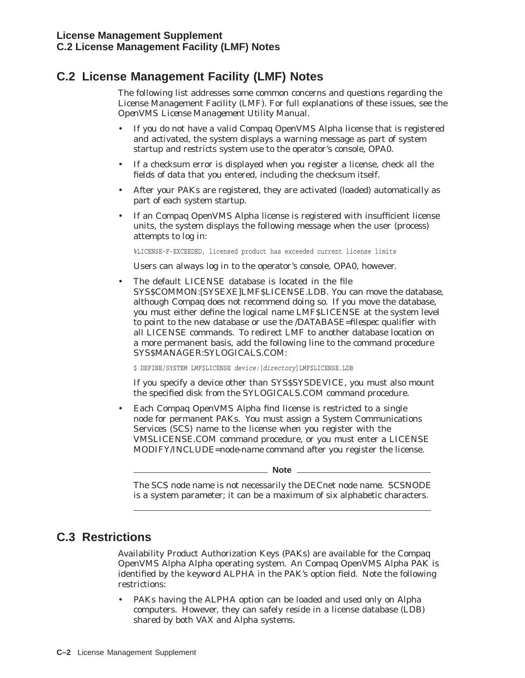# **C.2 License Management Facility (LMF) Notes**

The following list addresses some common concerns and questions regarding the License Management Facility (LMF). For full explanations of these issues, see the *OpenVMS License Management Utility Manual*.

- If you do not have a valid Compaq OpenVMS Alpha license that is registered and activated, the system displays a warning message as part of system startup and restricts system use to the operator's console, OPA0.
- If a checksum error is displayed when you register a license, check *all* the fields of data that you entered, including the checksum itself.
- After your PAKs are registered, they are activated (loaded) automatically as part of each system startup.
- If an Compaq OpenVMS Alpha license is registered with insufficient license units, the system displays the following message when the user (process) attempts to log in:

%LICENSE-F-EXCEEDED, licensed product has exceeded current license limits

Users can always log in to the operator's console, OPA0, however.

• The default LICENSE database is located in the file SYS\$COMMON:[SYSEXE]LMF\$LICENSE.LDB. You can move the database, although Compaq does not recommend doing so. If you move the database, you must either define the logical name LMF\$LICENSE at the system level to point to the new database or use the /DATABASE=*filespec* qualifier with all LICENSE commands. To redirect LMF to another database location on a more permanent basis, add the following line to the command procedure SYS\$MANAGER:SYLOGICALS.COM:

\$ DEFINE/SYSTEM LMF\$LICENSE *device:*[*directory*]LMF\$LICENSE.LDB

If you specify a device other than SYS\$SYSDEVICE, you must also mount the specified disk from the SYLOGICALS.COM command procedure.

• Each Compaq OpenVMS Alpha find license is restricted to a single node for permanent PAKs. You must assign a System Communications Services (SCS) name to the license when you register with the VMSLICENSE.COM command procedure, or you must enter a LICENSE MODIFY/INCLUDE=*node-name* command after you register the license.

**Note**

The SCS node name is not necessarily the DECnet node name. SCSNODE is a system parameter; it can be a maximum of six alphabetic characters.

# **C.3 Restrictions**

Availability Product Authorization Keys (PAKs) are available for the Compaq OpenVMS Alpha Alpha operating system. An Compaq OpenVMS Alpha PAK is identified by the keyword ALPHA in the PAK's option field. Note the following restrictions:

• PAKs having the ALPHA option can be loaded and used only on Alpha computers. However, they can safely reside in a license database (LDB) shared by both VAX and Alpha systems.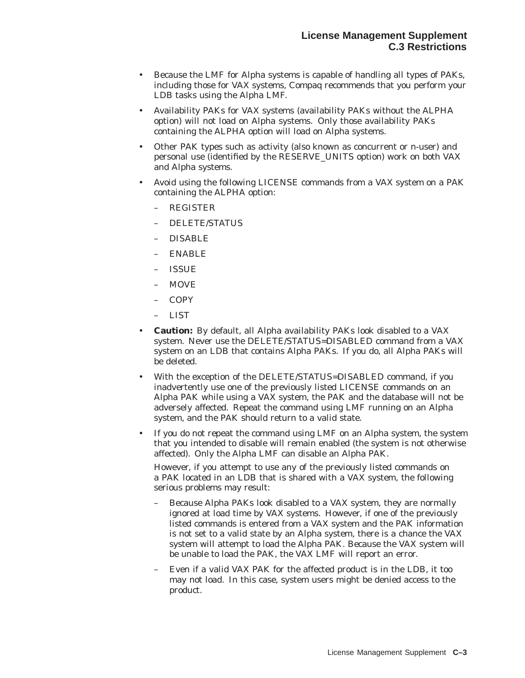- Because the LMF for Alpha systems is capable of handling all types of PAKs, including those for VAX systems, Compaq recommends that you perform your LDB tasks using the Alpha LMF.
- Availability PAKs for VAX systems (availability PAKs without the ALPHA option) will not load on Alpha systems. Only those availability PAKs containing the ALPHA option will load on Alpha systems.
- Other PAK types such as activity (also known as concurrent or n-user) and personal use (identified by the RESERVE\_UNITS option) work on both VAX and Alpha systems.
- Avoid using the following LICENSE commands from a VAX system on a PAK containing the ALPHA option:
	- REGISTER
	- DELETE/STATUS
	- DISABLE
	- ENABLE
	- ISSUE
	- MOVE
	- COPY
	- LIST
- **Caution:** By default, all Alpha availability PAKs look disabled to a VAX system. Never use the DELETE/STATUS=DISABLED command from a VAX system on an LDB that contains Alpha PAKs. If you do, all Alpha PAKs will be deleted.
- With the exception of the DELETE/STATUS=DISABLED command, if you inadvertently use one of the previously listed LICENSE commands on an Alpha PAK while using a VAX system, the PAK and the database will not be adversely affected. Repeat the command using LMF running on an Alpha system, and the PAK should return to a valid state.
- If you do not repeat the command using LMF on an Alpha system, the system that you intended to disable will remain enabled (the system is not otherwise affected). Only the Alpha LMF can disable an Alpha PAK.

However, if you attempt to use any of the previously listed commands on a PAK located in an LDB that is shared with a VAX system, the following serious problems may result:

- Because Alpha PAKs look disabled to a VAX system, they are normally ignored at load time by VAX systems. However, if one of the previously listed commands is entered from a VAX system and the PAK information is not set to a valid state by an Alpha system, there is a chance the VAX system will attempt to load the Alpha PAK. Because the VAX system will be unable to load the PAK, the VAX LMF will report an error.
- Even if a valid VAX PAK for the affected product is in the LDB, it too may not load. In this case, system users might be denied access to the product.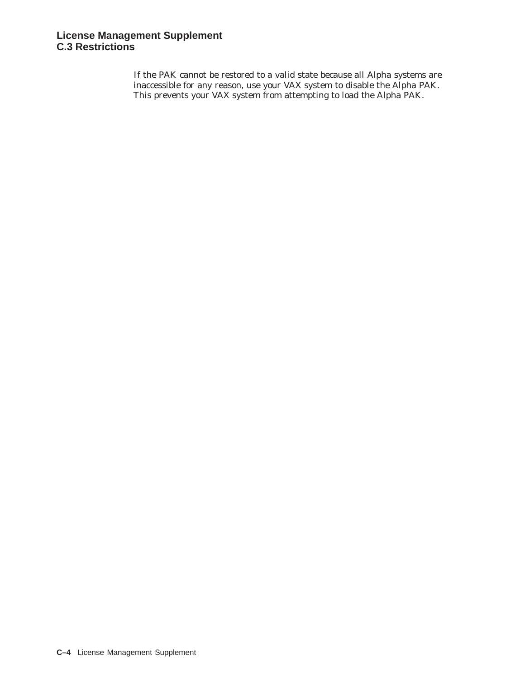If the PAK cannot be restored to a valid state because all Alpha systems are inaccessible for any reason, use your VAX system to disable the Alpha PAK. This prevents your VAX system from attempting to load the Alpha PAK.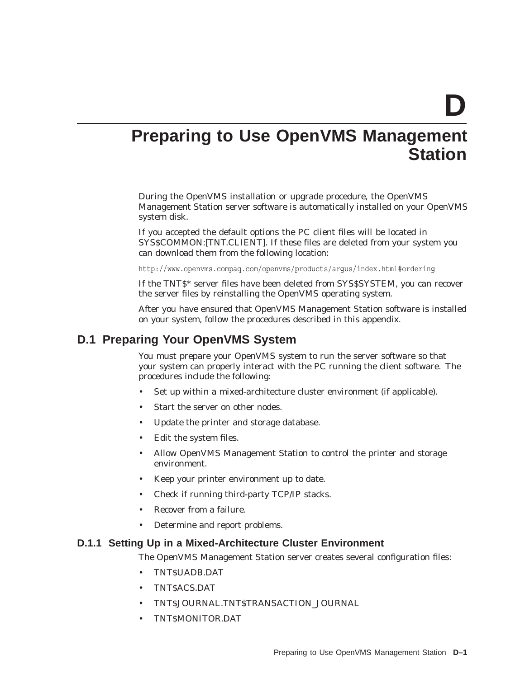**D**

# **Preparing to Use OpenVMS Management Station**

During the OpenVMS installation or upgrade procedure, the OpenVMS Management Station server software is automatically installed on your OpenVMS system disk.

If you accepted the default options the PC client files will be located in SYS\$COMMON:[TNT.CLIENT]. If these files are deleted from your system you can download them from the following location:

http://www.openvms.compaq.com/openvms/products/argus/index.html#ordering

If the TNT\$\* server files have been deleted from SYS\$SYSTEM, you can recover the server files by reinstalling the OpenVMS operating system.

After you have ensured that OpenVMS Management Station software is installed on your system, follow the procedures described in this appendix.

# **D.1 Preparing Your OpenVMS System**

You must prepare your OpenVMS system to run the server software so that your system can properly interact with the PC running the client software. The procedures include the following:

- Set up within a mixed-architecture cluster environment (if applicable).
- Start the server on other nodes.
- Update the printer and storage database.
- Edit the system files.
- Allow OpenVMS Management Station to control the printer and storage environment.
- Keep your printer environment up to date.
- Check if running third-party TCP/IP stacks.
- Recover from a failure.
- Determine and report problems.

#### **D.1.1 Setting Up in a Mixed-Architecture Cluster Environment**

The OpenVMS Management Station server creates several configuration files:

- TNT\$UADB.DAT
- TNT\$ACS.DAT
- TNT\$JOURNAL.TNT\$TRANSACTION\_JOURNAL
- TNT\$MONITOR.DAT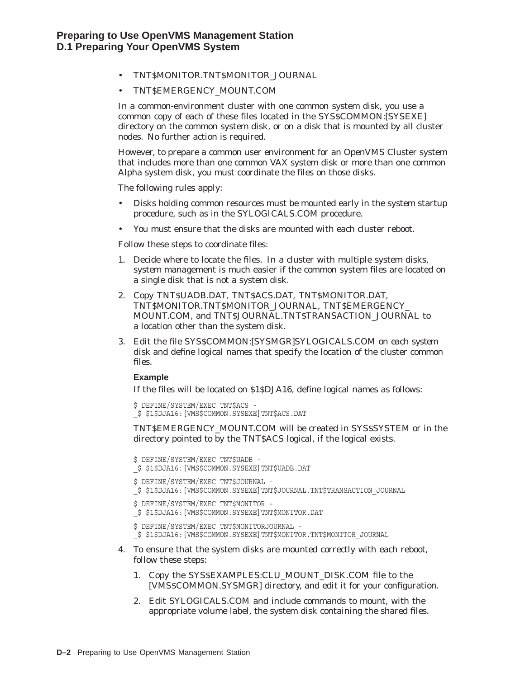- TNT\$MONITOR.TNT\$MONITOR\_JOURNAL
- TNT\$EMERGENCY\_MOUNT.COM

In a common-environment cluster with one common system disk, you use a common copy of each of these files located in the SYS\$COMMON:[SYSEXE] directory on the common system disk, or on a disk that is mounted by all cluster nodes. No further action is required.

However, to prepare a common user environment for an OpenVMS Cluster system that includes more than one common VAX system disk or more than one common Alpha system disk, you must coordinate the files on those disks.

The following rules apply:

- Disks holding common resources must be mounted early in the system startup procedure, such as in the SYLOGICALS.COM procedure.
- You must ensure that the disks are mounted with each cluster reboot.

Follow these steps to coordinate files:

- 1. Decide where to locate the files. In a cluster with multiple system disks, system management is much easier if the common system files are located on a single disk that is not a system disk.
- 2. Copy TNT\$UADB.DAT, TNT\$ACS.DAT, TNT\$MONITOR.DAT, TNT\$MONITOR.TNT\$MONITOR\_JOURNAL, TNT\$EMERGENCY\_ MOUNT.COM, and TNT\$JOURNAL.TNT\$TRANSACTION\_JOURNAL to a location other than the system disk.
- 3. Edit the file SYS\$COMMON:[SYSMGR]SYLOGICALS.COM *on each system disk* and define logical names that specify the location of the cluster common files.

#### **Example**

If the files will be located on \$1\$DJA16, define logical names as follows:

```
$ DEFINE/SYSTEM/EXEC TNT$ACS -
_$ $1$DJA16:[VMS$COMMON.SYSEXE]TNT$ACS.DAT
```
TNT\$EMERGENCY\_MOUNT.COM will be created in SYS\$SYSTEM or in the directory pointed to by the TNT\$ACS logical, if the logical exists.

```
$ DEFINE/SYSTEM/EXEC TNT$UADB -
_$ $1$DJA16:[VMS$COMMON.SYSEXE]TNT$UADB.DAT
$ DEFINE/SYSTEM/EXEC TNT$JOURNAL -
_$ $1$DJA16:[VMS$COMMON.SYSEXE]TNT$JOURNAL.TNT$TRANSACTION_JOURNAL
$ DEFINE/SYSTEM/EXEC TNT$MONITOR -
_$ $1$DJA16:[VMS$COMMON.SYSEXE]TNT$MONITOR.DAT
$ DEFINE/SYSTEM/EXEC TNT$MONITORJOURNAL -
_$ $1$DJA16:[VMS$COMMON.SYSEXE]TNT$MONITOR.TNT$MONITOR_JOURNAL
```
- 4. To ensure that the system disks are mounted correctly with each reboot, follow these steps:
	- 1. Copy the SYS\$EXAMPLES:CLU\_MOUNT\_DISK.COM file to the [VMS\$COMMON.SYSMGR] directory, and edit it for your configuration.
	- 2. Edit SYLOGICALS.COM and include commands to mount, with the appropriate volume label, the system disk containing the shared files.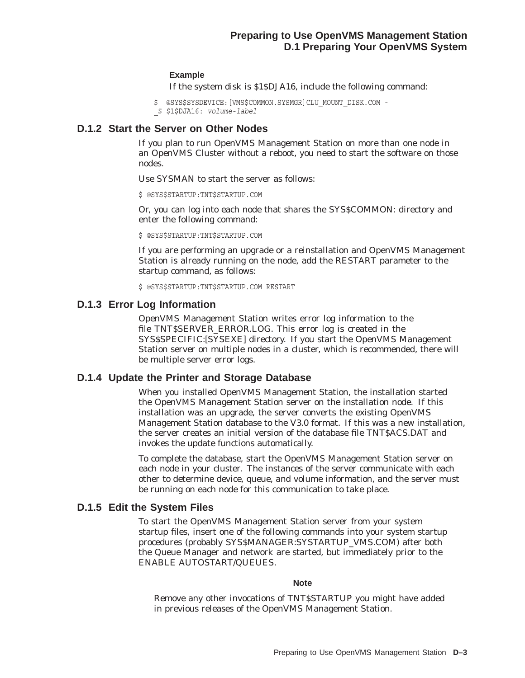#### **Example**

If the system disk is \$1\$DJA16, include the following command:

 $$$  @SYS\$SYSDEVICE: [VMS\$COMMON.SYSMGR]CLU MOUNT DISK.COM -\_\$ \$1\$DJA16: *volume-label*

# **D.1.2 Start the Server on Other Nodes**

If you plan to run OpenVMS Management Station on more than one node in an OpenVMS Cluster without a reboot, you need to start the software on those nodes.

Use SYSMAN to start the server as follows:

\$ @SYS\$STARTUP:TNT\$STARTUP.COM

Or, you can log into each node that shares the SYS\$COMMON: directory and enter the following command:

\$ @SYS\$STARTUP:TNT\$STARTUP.COM

If you are performing an upgrade or a reinstallation and OpenVMS Management Station is already running on the node, add the RESTART parameter to the startup command, as follows:

\$ @SYS\$STARTUP:TNT\$STARTUP.COM RESTART

## **D.1.3 Error Log Information**

OpenVMS Management Station writes error log information to the file TNT\$SERVER\_ERROR.LOG. This error log is created in the SYS\$SPECIFIC:[SYSEXE] directory. If you start the OpenVMS Management Station server on multiple nodes in a cluster, which is recommended, there will be multiple server error logs.

## **D.1.4 Update the Printer and Storage Database**

When you installed OpenVMS Management Station, the installation started the OpenVMS Management Station server on the installation node. If this installation was an upgrade, the server converts the existing OpenVMS Management Station database to the V3.0 format. If this was a new installation, the server creates an initial version of the database file TNT\$ACS.DAT and invokes the update functions automatically.

To complete the database, start the OpenVMS Management Station server on each node in your cluster. The instances of the server communicate with each other to determine device, queue, and volume information, and the server must be running on each node for this communication to take place.

## **D.1.5 Edit the System Files**

To start the OpenVMS Management Station server from your system startup files, insert one of the following commands into your system startup procedures (probably SYS\$MANAGER:SYSTARTUP\_VMS.COM) after both the Queue Manager and network are started, but immediately prior to the ENABLE AUTOSTART/QUEUES.

**Note** \_\_

Remove any other invocations of TNT\$STARTUP you might have added in previous releases of the OpenVMS Management Station.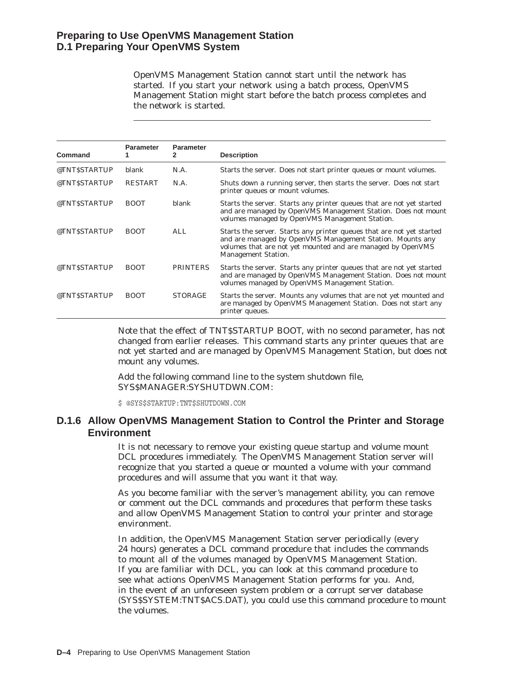# **Preparing to Use OpenVMS Management Station D.1 Preparing Your OpenVMS System**

OpenVMS Management Station cannot start until the network has started. If you start your network using a batch process, OpenVMS Management Station might start before the batch process completes and the network is started.

| Command       | <b>Parameter</b> | <b>Parameter</b><br>2 | <b>Description</b>                                                                                                                                                                                                              |
|---------------|------------------|-----------------------|---------------------------------------------------------------------------------------------------------------------------------------------------------------------------------------------------------------------------------|
| @TNT\$STARTUP | blank            | N.A.                  | Starts the server. Does not start printer queues or mount volumes.                                                                                                                                                              |
| @TNT\$STARTUP | <b>RESTART</b>   | N.A.                  | Shuts down a running server, then starts the server. Does not start<br>printer queues or mount volumes.                                                                                                                         |
| @TNT\$STARTUP | <b>BOOT</b>      | blank                 | Starts the server. Starts any printer queues that are not yet started<br>and are managed by OpenVMS Management Station. Does not mount<br>volumes managed by OpenVMS Management Station.                                        |
| @TNT\$STARTUP | <b>BOOT</b>      | ALL.                  | Starts the server. Starts any printer queues that are not yet started<br>and are managed by OpenVMS Management Station. Mounts any<br>volumes that are not yet mounted and are managed by OpenVMS<br><b>Management Station.</b> |
| @TNT\$STARTUP | <b>BOOT</b>      | <b>PRINTERS</b>       | Starts the server. Starts any printer queues that are not yet started<br>and are managed by OpenVMS Management Station. Does not mount<br>volumes managed by OpenVMS Management Station.                                        |
| @TNT\$STARTUP | <b>BOOT</b>      | <b>STORAGE</b>        | Starts the server. Mounts any volumes that are not yet mounted and<br>are managed by OpenVMS Management Station. Does not start any<br>printer queues.                                                                          |

Note that the effect of TNT\$STARTUP BOOT, with no second parameter, has not changed from earlier releases. This command starts any printer queues that are not yet started and are managed by OpenVMS Management Station, but does not mount any volumes.

Add the following command line to the system shutdown file, SYS\$MANAGER:SYSHUTDWN.COM:

\$ @SYS\$STARTUP:TNT\$SHUTDOWN.COM

# **D.1.6 Allow OpenVMS Management Station to Control the Printer and Storage Environment**

It is not necessary to remove your existing queue startup and volume mount DCL procedures immediately. The OpenVMS Management Station server will recognize that you started a queue or mounted a volume with your command procedures and will assume that you want it that way.

As you become familiar with the server's management ability, you can remove or comment out the DCL commands and procedures that perform these tasks and allow OpenVMS Management Station to control your printer and storage environment.

In addition, the OpenVMS Management Station server periodically (every 24 hours) generates a DCL command procedure that includes the commands to mount all of the volumes managed by OpenVMS Management Station. If you are familiar with DCL, you can look at this command procedure to see what actions OpenVMS Management Station performs for you. And, in the event of an unforeseen system problem or a corrupt server database (SYS\$SYSTEM:TNT\$ACS.DAT), you could use this command procedure to mount the volumes.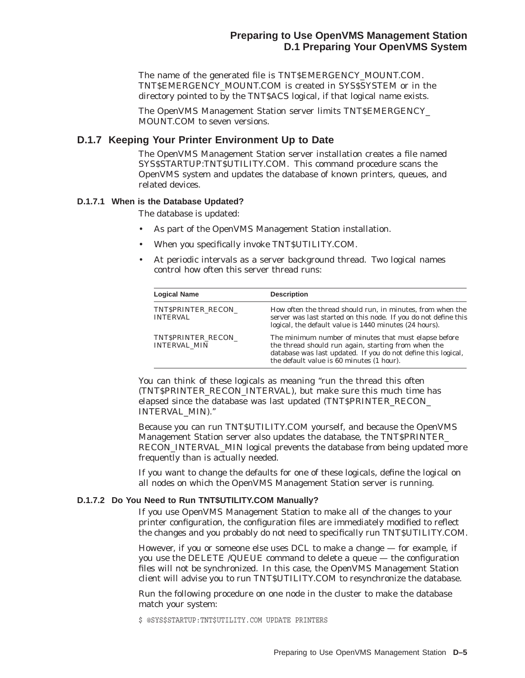The name of the generated file is TNT\$EMERGENCY\_MOUNT.COM. TNT\$EMERGENCY\_MOUNT.COM is created in SYS\$SYSTEM or in the directory pointed to by the TNT\$ACS logical, if that logical name exists.

The OpenVMS Management Station server limits TNT\$EMERGENCY\_ MOUNT.COM to seven versions.

## **D.1.7 Keeping Your Printer Environment Up to Date**

The OpenVMS Management Station server installation creates a file named SYS\$STARTUP:TNT\$UTILITY.COM. This command procedure scans the OpenVMS system and updates the database of known printers, queues, and related devices.

#### **D.1.7.1 When is the Database Updated?**

The database is updated:

- As part of the OpenVMS Management Station installation.
- When you specifically invoke TNT\$UTILITY.COM.
- At periodic intervals as a server background thread. Two logical names control how often this server thread runs:

| <b>Logical Name</b>                       | <b>Description</b>                                                                                                                                                                                                         |
|-------------------------------------------|----------------------------------------------------------------------------------------------------------------------------------------------------------------------------------------------------------------------------|
| TNT\$PRINTER RECON<br><b>INTERVAL</b>     | How often the thread should run, in minutes, from when the<br>server was last started on this node. If you do not define this<br>logical, the default value is 1440 minutes (24 hours).                                    |
| TNT\$PRINTER RECON<br><b>INTERVAL MIN</b> | The minimum number of minutes that must elapse before<br>the thread should run again, starting from when the<br>database was last updated. If you do not define this logical,<br>the default value is 60 minutes (1 hour). |

You can think of these logicals as meaning "run the thread this often (TNT\$PRINTER\_RECON\_INTERVAL), but make sure this much time has elapsed since the database was last updated (TNT\$PRINTER\_RECON\_ INTERVAL\_MIN).''

Because you can run TNT\$UTILITY.COM yourself, and because the OpenVMS Management Station server also updates the database, the TNT\$PRINTER\_ RECON\_INTERVAL\_MIN logical prevents the database from being updated more frequently than is actually needed.

If you want to change the defaults for one of these logicals, define the logical on all nodes on which the OpenVMS Management Station server is running.

#### **D.1.7.2 Do You Need to Run TNT\$UTILITY.COM Manually?**

If you use OpenVMS Management Station to make all of the changes to your printer configuration, the configuration files are immediately modified to reflect the changes and you probably do not need to specifically run TNT\$UTILITY.COM.

However, if you or someone else uses DCL to make a change — for example, if you use the DELETE /QUEUE command to delete a queue — the configuration files will not be synchronized. In this case, the OpenVMS Management Station client will advise you to run TNT\$UTILITY.COM to resynchronize the database.

Run the following procedure on one node in the cluster to make the database match your system:

\$ @SYS\$STARTUP:TNT\$UTILITY.COM UPDATE PRINTERS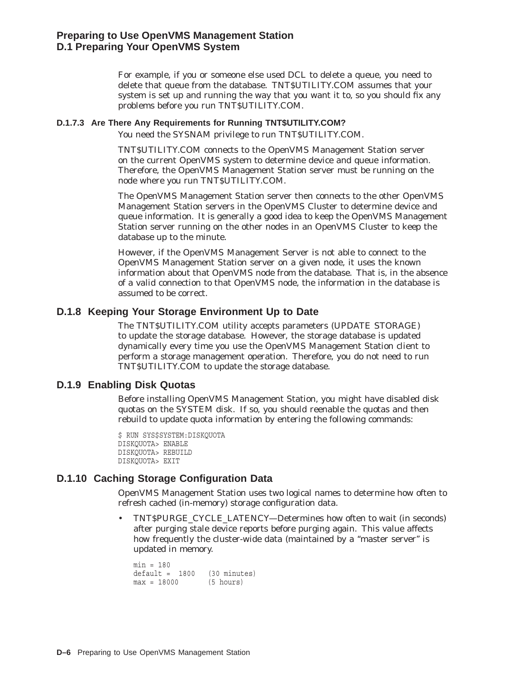For example, if you or someone else used DCL to delete a queue, you need to delete that queue from the database. TNT\$UTILITY.COM assumes that your system is set up and running the way that you want it to, so you should fix any problems before you run TNT\$UTILITY.COM.

#### **D.1.7.3 Are There Any Requirements for Running TNT\$UTILITY.COM?**

You need the SYSNAM privilege to run TNT\$UTILITY.COM.

TNT\$UTILITY.COM connects to the OpenVMS Management Station server on the current OpenVMS system to determine device and queue information. Therefore, the OpenVMS Management Station server must be running on the node where you run TNT\$UTILITY.COM.

The OpenVMS Management Station server then connects to the other OpenVMS Management Station servers in the OpenVMS Cluster to determine device and queue information. It is generally a good idea to keep the OpenVMS Management Station server running on the other nodes in an OpenVMS Cluster to keep the database up to the minute.

However, if the OpenVMS Management Server is not able to connect to the OpenVMS Management Station server on a given node, it uses the known information about that OpenVMS node from the database. That is, in the absence of a valid connection to that OpenVMS node, the information in the database is assumed to be correct.

## **D.1.8 Keeping Your Storage Environment Up to Date**

The TNT\$UTILITY.COM utility accepts parameters (UPDATE STORAGE) to update the storage database. However, the storage database is updated dynamically every time you use the OpenVMS Management Station client to perform a storage management operation. Therefore, you do not need to run TNT\$UTILITY.COM to update the storage database.

# **D.1.9 Enabling Disk Quotas**

Before installing OpenVMS Management Station, you might have disabled disk quotas on the SYSTEM disk. If so, you should reenable the quotas and then rebuild to update quota information by entering the following commands:

```
$ RUN SYS$SYSTEM:DISKQUOTA
DISKQUOTA> ENABLE
DISKQUOTA> REBUILD
DISKQUOTA> EXIT
```
# **D.1.10 Caching Storage Configuration Data**

OpenVMS Management Station uses two logical names to determine how often to refresh cached (in-memory) storage configuration data.

• TNT\$PURGE\_CYCLE\_LATENCY—Determines how often to wait (in seconds) after purging stale device reports before purging again. This value affects how frequently the cluster-wide data (maintained by a "master server" is updated in memory.

```
min = 180default = 1800 (30 minutes)
max = 18000 (5 hours)
```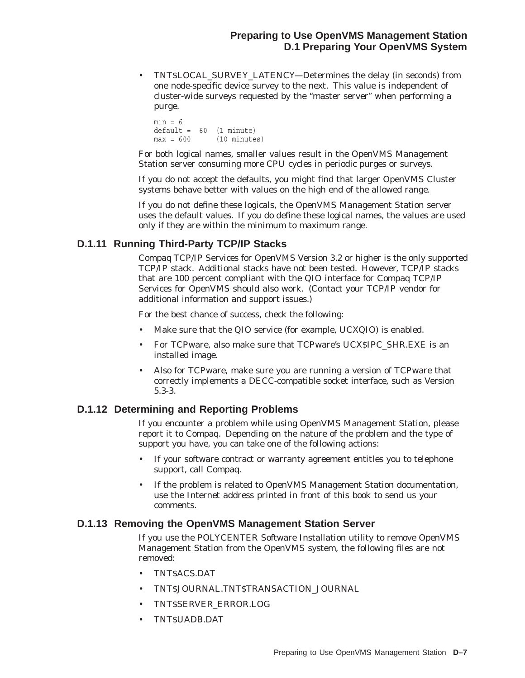• TNT\$LOCAL\_SURVEY\_LATENCY—Determines the delay (in seconds) from one node-specific device survey to the next. This value is independent of cluster-wide surveys requested by the ''master server'' when performing a purge.

```
min = 6default = 60 (1 minute)
max = 600 (10 minutes)
```
For both logical names, smaller values result in the OpenVMS Management Station server consuming more CPU cycles in periodic purges or surveys.

If you do not accept the defaults, you might find that larger OpenVMS Cluster systems behave better with values on the high end of the allowed range.

If you do not define these logicals, the OpenVMS Management Station server uses the default values. If you do define these logical names, the values are used only if they are within the minimum to maximum range.

# **D.1.11 Running Third-Party TCP/IP Stacks**

Compaq TCP/IP Services for OpenVMS Version 3.2 or higher is the only supported TCP/IP stack. Additional stacks have not been tested. However, TCP/IP stacks that are 100 percent compliant with the QIO interface for Compaq TCP/IP Services for OpenVMS should also work. (Contact your TCP/IP vendor for additional information and support issues.)

For the best chance of success, check the following:

- Make sure that the QIO service (for example, UCXQIO) is enabled.
- For TCPware, also make sure that TCPware's UCX\$IPC\_SHR.EXE is an installed image.
- Also for TCPware, make sure you are running a version of TCPware that correctly implements a DECC-compatible socket interface, such as Version 5.3-3.

# **D.1.12 Determining and Reporting Problems**

If you encounter a problem while using OpenVMS Management Station, please report it to Compaq. Depending on the nature of the problem and the type of support you have, you can take one of the following actions:

- If your software contract or warranty agreement entitles you to telephone support, call Compaq.
- If the problem is related to OpenVMS Management Station documentation, use the Internet address printed in front of this book to send us your comments.

## **D.1.13 Removing the OpenVMS Management Station Server**

If you use the POLYCENTER Software Installation utility to remove OpenVMS Management Station from the OpenVMS system, the following files are not removed:

- TNT\$ACS.DAT
- TNT\$JOURNAL.TNT\$TRANSACTION\_JOURNAL
- TNT\$SERVER\_ERROR.LOG
- TNT\$UADB.DAT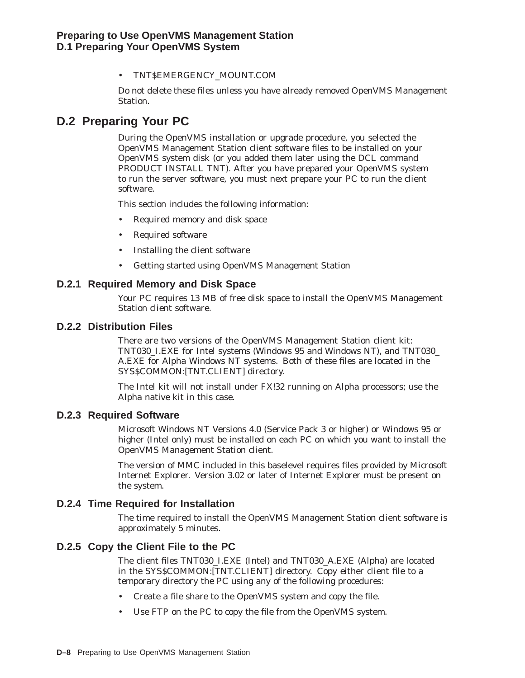• TNT\$EMERGENCY\_MOUNT.COM

Do not delete these files unless you have already removed OpenVMS Management Station.

# **D.2 Preparing Your PC**

During the OpenVMS installation or upgrade procedure, you selected the OpenVMS Management Station client software files to be installed on your OpenVMS system disk (or you added them later using the DCL command PRODUCT INSTALL TNT). After you have prepared your OpenVMS system to run the server software, you must next prepare your PC to run the client software.

This section includes the following information:

- Required memory and disk space
- Required software
- Installing the client software
- Getting started using OpenVMS Management Station

## **D.2.1 Required Memory and Disk Space**

Your PC requires 13 MB of free disk space to install the OpenVMS Management Station client software.

## **D.2.2 Distribution Files**

There are two versions of the OpenVMS Management Station client kit: TNT030\_I.EXE for Intel systems (Windows 95 and Windows NT), and TNT030\_ A.EXE for Alpha Windows NT systems. Both of these files are located in the SYS\$COMMON:[TNT.CLIENT] directory.

The Intel kit will not install under FX!32 running on Alpha processors; use the Alpha native kit in this case.

## **D.2.3 Required Software**

Microsoft Windows NT Versions 4.0 (Service Pack 3 or higher) or Windows 95 or higher (Intel only) must be installed on each PC on which you want to install the OpenVMS Management Station client.

The version of MMC included in this baselevel requires files provided by Microsoft Internet Explorer. Version 3.02 or later of Internet Explorer must be present on the system.

# **D.2.4 Time Required for Installation**

The time required to install the OpenVMS Management Station client software is approximately 5 minutes.

# **D.2.5 Copy the Client File to the PC**

The client files TNT030\_I.EXE (Intel) and TNT030\_A.EXE (Alpha) are located in the SYS\$COMMON:[TNT.CLIENT] directory. Copy either client file to a temporary directory the PC using any of the following procedures:

- Create a file share to the OpenVMS system and copy the file.
- Use FTP on the PC to copy the file from the OpenVMS system.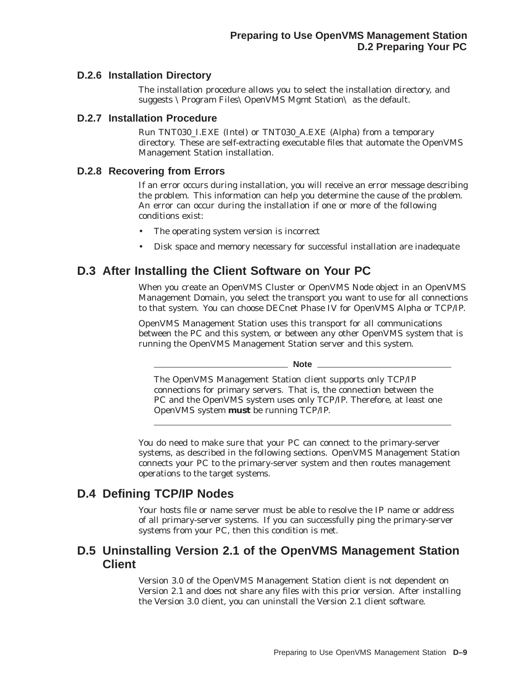# **D.2.6 Installation Directory**

The installation procedure allows you to select the installation directory, and suggests \Program Files\OpenVMS Mgmt Station\ as the default.

# **D.2.7 Installation Procedure**

Run TNT030\_I.EXE (Intel) or TNT030\_A.EXE (Alpha) from a temporary directory. These are self-extracting executable files that automate the OpenVMS Management Station installation.

## **D.2.8 Recovering from Errors**

If an error occurs during installation, you will receive an error message describing the problem. This information can help you determine the cause of the problem. An error can occur during the installation if one or more of the following conditions exist:

- The operating system version is incorrect
- Disk space and memory necessary for successful installation are inadequate

# **D.3 After Installing the Client Software on Your PC**

When you create an OpenVMS Cluster or OpenVMS Node object in an OpenVMS Management Domain, you select the transport you want to use for all connections to that system. You can choose DECnet Phase IV for OpenVMS Alpha or TCP/IP.

OpenVMS Management Station uses this transport for all communications between the PC and this system, or between any other OpenVMS system that is running the OpenVMS Management Station server and this system.

#### **Note**

The OpenVMS Management Station client supports only TCP/IP connections for primary servers. That is, the connection between the PC and the OpenVMS system uses only TCP/IP. Therefore, at least one OpenVMS system **must** be running TCP/IP.

You do need to make sure that your PC can connect to the primary-server systems, as described in the following sections. OpenVMS Management Station connects your PC to the primary-server system and then routes management operations to the target systems.

# **D.4 Defining TCP/IP Nodes**

Your hosts file or name server must be able to resolve the IP name or address of all primary-server systems. If you can successfully ping the primary-server systems from your PC, then this condition is met.

# **D.5 Uninstalling Version 2.1 of the OpenVMS Management Station Client**

Version 3.0 of the OpenVMS Management Station client is not dependent on Version 2.1 and does not share any files with this prior version. After installing the Version 3.0 client, you can uninstall the Version 2.1 client software.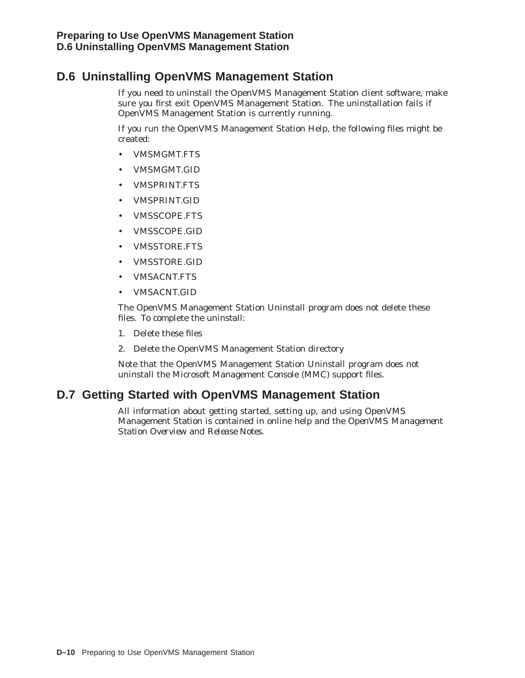# **D.6 Uninstalling OpenVMS Management Station**

If you need to uninstall the OpenVMS Management Station client software, make sure you first exit OpenVMS Management Station. The uninstallation fails if OpenVMS Management Station is currently running.

If you run the OpenVMS Management Station Help, the following files might be created:

- VMSMGMT.FTS
- VMSMGMT.GID
- VMSPRINT.FTS
- VMSPRINT.GID
- VMSSCOPE.FTS
- VMSSCOPE.GID
- VMSSTORE.FTS
- VMSSTORE.GID
- VMSACNT.FTS
- VMSACNT.GID

The OpenVMS Management Station Uninstall program does not delete these files. To complete the uninstall:

- 1. Delete these files
- 2. Delete the OpenVMS Management Station directory

Note that the OpenVMS Management Station Uninstall program does not uninstall the Microsoft Management Console (MMC) support files.

# **D.7 Getting Started with OpenVMS Management Station**

All information about getting started, setting up, and using OpenVMS Management Station is contained in online help and the *OpenVMS Management Station Overview and Release Notes*.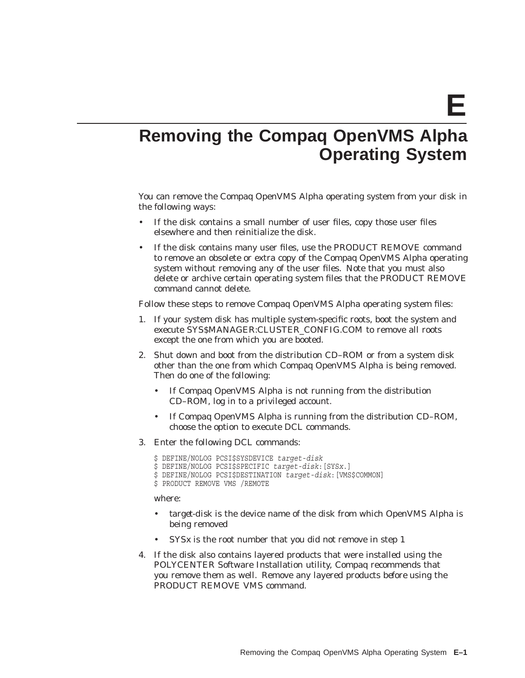**E**

# **Removing the Compaq OpenVMS Alpha Operating System**

You can remove the Compaq OpenVMS Alpha operating system from your disk in the following ways:

- If the disk contains a small number of user files, copy those user files elsewhere and then reinitialize the disk.
- If the disk contains many user files, use the PRODUCT REMOVE command to remove an obsolete or extra copy of the Compaq OpenVMS Alpha operating system without removing any of the user files. Note that you must also delete or archive certain operating system files that the PRODUCT REMOVE command cannot delete.

Follow these steps to remove Compaq OpenVMS Alpha operating system files:

- 1. If your system disk has multiple system-specific roots, boot the system and execute SYS\$MANAGER:CLUSTER\_CONFIG.COM to remove all roots except the one from which you are booted.
- 2. Shut down and boot from the distribution CD–ROM or from a system disk other than the one from which Compaq OpenVMS Alpha is being removed. Then do one of the following:
	- If Compaq OpenVMS Alpha is not running from the distribution CD–ROM, log in to a privileged account.
	- If Compaq OpenVMS Alpha is running from the distribution CD–ROM, choose the option to execute DCL commands.
- 3. Enter the following DCL commands:
	- \$ DEFINE/NOLOG PCSI\$SYSDEVICE *target-disk*
	- \$ DEFINE/NOLOG PCSI\$SPECIFIC *target-disk*:[SYS*x*.]
	- \$ DEFINE/NOLOG PCSI\$DESTINATION *target-disk*:[VMS\$COMMON]
	- \$ PRODUCT REMOVE VMS /REMOTE

where:

- *target-disk* is the device name of the disk from which OpenVMS Alpha is being removed
- SYS*x* is the root number that you did *not* remove in step 1
- 4. If the disk also contains layered products that were installed using the POLYCENTER Software Installation utility, Compaq recommends that you remove them as well. Remove any layered products *before* using the PRODUCT REMOVE VMS command.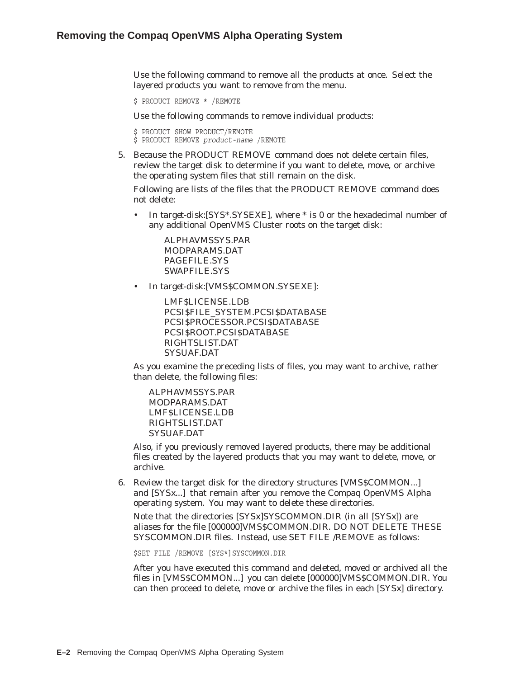Use the following command to remove all the products at once. Select the layered products you want to remove from the menu.

```
$ PRODUCT REMOVE * /REMOTE
```
Use the following commands to remove individual products:

```
$ PRODUCT SHOW PRODUCT/REMOTE
```
\$ PRODUCT REMOVE *product-name* /REMOTE

5. Because the PRODUCT REMOVE command does not delete certain files, review the target disk to determine if you want to delete, move, or archive the operating system files that still remain on the disk.

Following are lists of the files that the PRODUCT REMOVE command does not delete:

• In *target-disk*:[SYS\*.SYSEXE], where \* is 0 or the hexadecimal number of any additional OpenVMS Cluster roots on the target disk:

ALPHAVMSSYS.PAR MODPARAMS.DAT PAGEFILE.SYS SWAPFILE.SYS

• In *target-disk*:[VMS\$COMMON.SYSEXE]:

LMF\$LICENSE.LDB PCSI\$FILE\_SYSTEM.PCSI\$DATABASE PCSI\$PROCESSOR.PCSI\$DATABASE PCSI\$ROOT.PCSI\$DATABASE RIGHTSLIST.DAT SYSUAF.DAT

As you examine the preceding lists of files, you may want to archive, rather than delete, the following files:

ALPHAVMSSYS.PAR MODPARAMS.DAT LMF\$LICENSE.LDB RIGHTSLIST.DAT SYSUAF.DAT

Also, if you previously removed layered products, there may be additional files created by the layered products that you may want to delete, move, or archive.

6. Review the target disk for the directory structures [VMS\$COMMON...] and [SYS*x*...] that remain after you remove the Compaq OpenVMS Alpha operating system. You may want to delete these directories.

Note that the directories [SYSx]SYSCOMMON.DIR (in all [SYS*x*]) are aliases for the file [000000]VMS\$COMMON.DIR. DO NOT DELETE THESE SYSCOMMON.DIR files. Instead, use SET FILE /REMOVE as follows:

\$SET FILE /REMOVE [SYS\*]SYSCOMMON.DIR

After you have executed this command and deleted, moved or archived all the files in [VMS\$COMMON...] you can delete [000000]VMS\$COMMON.DIR. You can then proceed to delete, move or archive the files in each [SYS*x*] directory.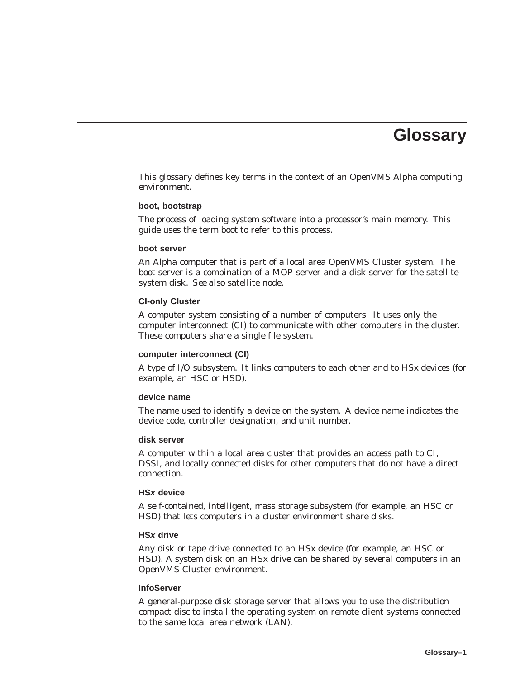# **Glossary**

This glossary defines key terms in the context of an OpenVMS Alpha computing environment.

#### **boot, bootstrap**

The process of loading system software into a processor's main memory. This guide uses the term *boot* to refer to this process.

#### **boot server**

An Alpha computer that is part of a local area OpenVMS Cluster system. The boot server is a combination of a MOP server and a disk server for the satellite system disk. *See also* satellite node.

#### **CI-only Cluster**

A computer system consisting of a number of computers. It uses only the computer interconnect (CI) to communicate with other computers in the cluster. These computers share a single file system.

#### **computer interconnect (CI)**

A type of I/O subsystem. It links computers to each other and to HS*x* devices (for example, an HSC or HSD).

#### **device name**

The name used to identify a device on the system. A device name indicates the device code, controller designation, and unit number.

#### **disk server**

A computer within a local area cluster that provides an access path to CI, DSSI, and locally connected disks for other computers that do not have a direct connection.

#### **HSx device**

A self-contained, intelligent, mass storage subsystem (for example, an HSC or HSD) that lets computers in a cluster environment share disks.

#### **HSx drive**

Any disk or tape drive connected to an HS*x* device (for example, an HSC or HSD). A system disk on an HS*x* drive can be shared by several computers in an OpenVMS Cluster environment.

#### **InfoServer**

A general-purpose disk storage server that allows you to use the distribution compact disc to install the operating system on remote client systems connected to the same local area network (LAN).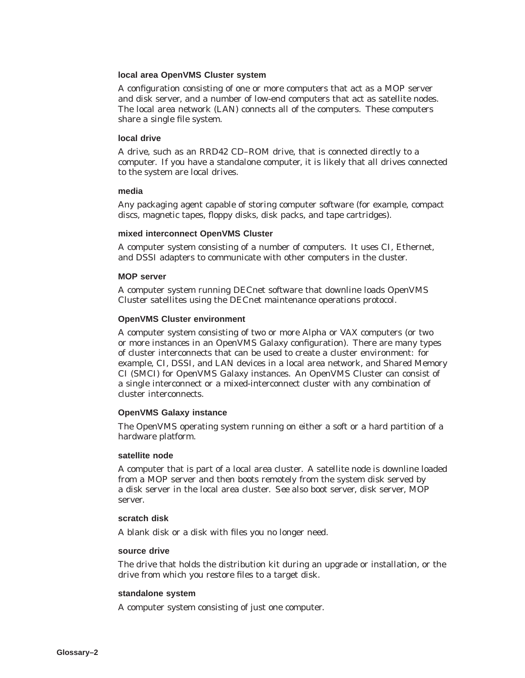#### **local area OpenVMS Cluster system**

A configuration consisting of one or more computers that act as a MOP server and disk server, and a number of low-end computers that act as satellite nodes. The local area network (LAN) connects all of the computers. These computers share a single file system.

#### **local drive**

A drive, such as an RRD42 CD–ROM drive, that is connected directly to a computer. If you have a standalone computer, it is likely that all drives connected to the system are local drives.

#### **media**

Any packaging agent capable of storing computer software (for example, compact discs, magnetic tapes, floppy disks, disk packs, and tape cartridges).

#### **mixed interconnect OpenVMS Cluster**

A computer system consisting of a number of computers. It uses CI, Ethernet, and DSSI adapters to communicate with other computers in the cluster.

#### **MOP server**

A computer system running DECnet software that downline loads OpenVMS Cluster satellites using the DECnet maintenance operations protocol.

#### **OpenVMS Cluster environment**

A computer system consisting of two or more Alpha or VAX computers (or two or more instances in an OpenVMS Galaxy configuration). There are many types of cluster interconnects that can be used to create a cluster environment: for example, CI, DSSI, and LAN devices in a local area network, and Shared Memory CI (SMCI) for OpenVMS Galaxy instances. An OpenVMS Cluster can consist of a single interconnect or a mixed-interconnect cluster with any combination of cluster interconnects.

#### **OpenVMS Galaxy instance**

The OpenVMS operating system running on either a soft or a hard partition of a hardware platform.

#### **satellite node**

A computer that is part of a local area cluster. A satellite node is downline loaded from a MOP server and then boots remotely from the system disk served by a disk server in the local area cluster. *See also* boot server, disk server, MOP server.

#### **scratch disk**

A blank disk or a disk with files you no longer need.

#### **source drive**

The drive that holds the distribution kit during an upgrade or installation, or the drive from which you restore files to a target disk.

#### **standalone system**

A computer system consisting of just one computer.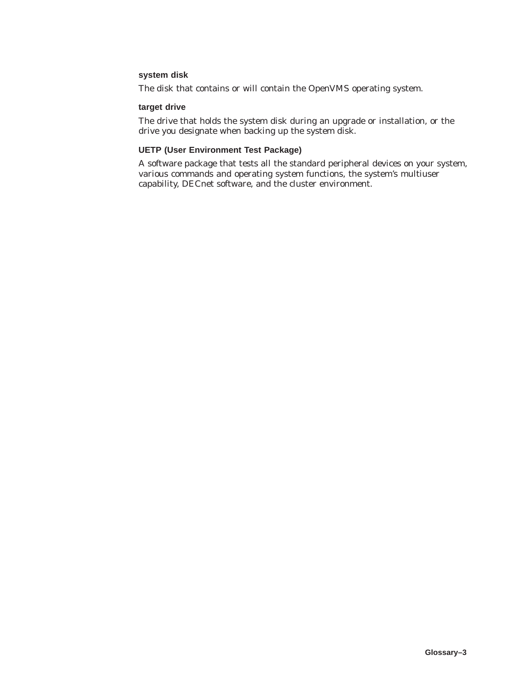#### **system disk**

The disk that contains or will contain the OpenVMS operating system.

#### **target drive**

The drive that holds the system disk during an upgrade or installation, or the drive you designate when backing up the system disk.

#### **UETP (User Environment Test Package)**

A software package that tests all the standard peripheral devices on your system, various commands and operating system functions, the system's multiuser capability, DECnet software, and the cluster environment.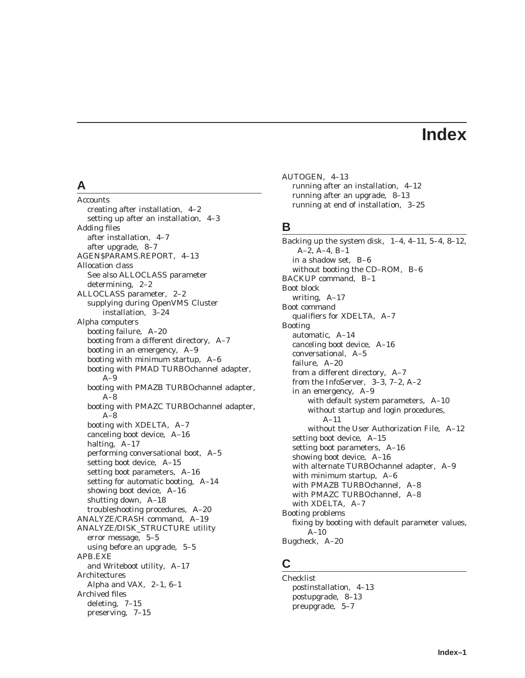# **Index**

# **A**

Accounts creating after installation, 4–2 setting up after an installation, 4–3 Adding files after installation, 4–7 after upgrade, 8–7 AGEN\$PARAMS.REPORT, 4–13 Allocation class See also ALLOCLASS parameter determining, 2–2 ALLOCLASS parameter, 2–2 supplying during OpenVMS Cluster installation, 3–24 Alpha computers booting failure, A–20 booting from a different directory, A–7 booting in an emergency, A–9 booting with minimum startup, A–6 booting with PMAD TURBOchannel adapter,  $A-9$ booting with PMAZB TURBOchannel adapter, A–8 booting with PMAZC TURBOchannel adapter,  $A-8$ booting with XDELTA, A–7 canceling boot device, A–16 halting, A–17 performing conversational boot, A–5 setting boot device, A–15 setting boot parameters, A–16 setting for automatic booting, A–14 showing boot device, A–16 shutting down, A–18 troubleshooting procedures, A–20 ANALYZE/CRASH command, A–19 ANALYZE/DISK\_STRUCTURE utility error message, 5–5 using before an upgrade, 5–5 APB.EXE and Writeboot utility, A–17 Architectures Alpha and VAX, 2–1, 6–1 Archived files deleting, 7–15 preserving, 7–15

AUTOGEN, 4–13 running after an installation, 4–12 running after an upgrade, 8–13 running at end of installation, 3–25

## **B**

Backing up the system disk, 1–4, 4–11, 5–4, 8–12, A–2, A–4, B–1 in a shadow set, B–6 without booting the CD–ROM, B–6 BACKUP command, B–1 Boot block writing, A–17 Boot command qualifiers for XDELTA, A–7 Booting automatic, A–14 canceling boot device, A–16 conversational, A–5 failure, A–20 from a different directory, A–7 from the InfoServer, 3–3, 7–2, A–2 in an emergency, A–9 with default system parameters, A–10 without startup and login procedures, A–11 without the User Authorization File, A–12 setting boot device, A–15 setting boot parameters, A–16 showing boot device, A–16 with alternate TURBOchannel adapter, A–9 with minimum startup, A–6 with PMAZB TURBOchannel, A–8 with PMAZC TURBOchannel, A–8 with XDELTA, A–7 Booting problems fixing by booting with default parameter values, A–10 Bugcheck, A–20

# **C**

Checklist postinstallation, 4–13 postupgrade, 8–13 preupgrade, 5–7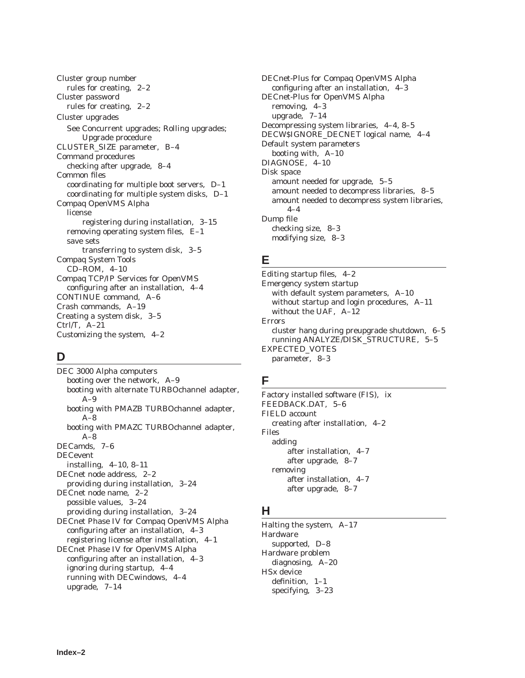Cluster group number rules for creating, 2–2 Cluster password rules for creating, 2–2 Cluster upgrades See Concurrent upgrades; Rolling upgrades; Upgrade procedure CLUSTER\_SIZE parameter, B–4 Command procedures checking after upgrade, 8–4 Common files coordinating for multiple boot servers, D–1 coordinating for multiple system disks, D–1 Compaq OpenVMS Alpha license registering during installation, 3–15 removing operating system files, E–1 save sets transferring to system disk, 3–5 Compaq System Tools CD–ROM, 4–10 Compaq TCP/IP Services for OpenVMS configuring after an installation, 4–4 CONTINUE command, A–6 Crash commands, A–19 Creating a system disk, 3–5 Ctrl/T, A–21 Customizing the system, 4–2

# **D**

DEC 3000 Alpha computers booting over the network, A–9 booting with alternate TURBOchannel adapter,  $A-9$ booting with PMAZB TURBOchannel adapter,  $A-8$ booting with PMAZC TURBOchannel adapter,  $A-8$ DECamds, 7–6 DECevent installing, 4–10, 8–11 DECnet node address, 2–2 providing during installation, 3–24 DECnet node name, 2–2 possible values, 3–24 providing during installation, 3–24 DECnet Phase IV for Compaq OpenVMS Alpha configuring after an installation, 4–3 registering license after installation, 4–1 DECnet Phase IV for OpenVMS Alpha configuring after an installation, 4–3 ignoring during startup, 4–4 running with DECwindows, 4–4 upgrade, 7–14

DECnet-Plus for Compaq OpenVMS Alpha configuring after an installation, 4–3 DECnet-Plus for OpenVMS Alpha removing, 4–3 upgrade, 7–14 Decompressing system libraries, 4–4, 8–5 DECW\$IGNORE\_DECNET logical name, 4–4 Default system parameters booting with, A–10 DIAGNOSE, 4–10 Disk space amount needed for upgrade, 5–5 amount needed to decompress libraries, 8–5 amount needed to decompress system libraries, 4–4 Dump file checking size, 8–3 modifying size, 8–3

# **E**

Editing startup files, 4–2 Emergency system startup with default system parameters, A–10 without startup and login procedures, A–11 without the UAF, A–12 Errors cluster hang during preupgrade shutdown, 6–5 running ANALYZE/DISK\_STRUCTURE, 5–5 EXPECTED\_VOTES parameter, 8–3

# **F**

Factory installed software (FIS), ix FEEDBACK.DAT, 5–6 FIELD account creating after installation, 4–2 Files adding after installation, 4–7 after upgrade, 8–7 removing after installation, 4–7 after upgrade, 8–7

# **H**

Halting the system, A–17 Hardware supported, D–8 Hardware problem diagnosing, A–20 HS*x* device definition, 1–1 specifying, 3–23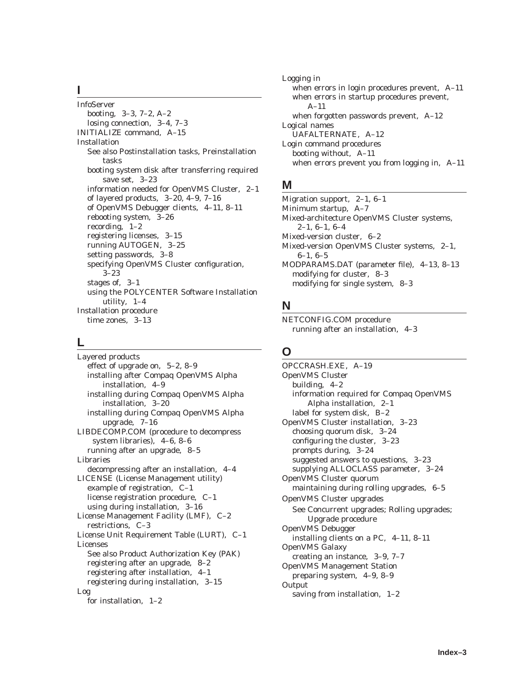## **I**

InfoServer booting, 3–3, 7–2, A–2 losing connection, 3–4, 7–3 INITIALIZE command, A–15 Installation See also Postinstallation tasks, Preinstallation tasks booting system disk after transferring required save set, 3–23 information needed for OpenVMS Cluster, 2–1 of layered products, 3–20, 4–9, 7–16 of OpenVMS Debugger clients, 4–11, 8–11 rebooting system, 3–26 recording, 1–2 registering licenses, 3–15 running AUTOGEN, 3–25 setting passwords, 3–8 specifying OpenVMS Cluster configuration, 3–23 stages of, 3–1 using the POLYCENTER Software Installation utility, 1–4 Installation procedure time zones, 3–13

# **L**

Layered products effect of upgrade on, 5–2, 8–9 installing after Compaq OpenVMS Alpha installation, 4–9 installing during Compaq OpenVMS Alpha installation, 3–20 installing during Compaq OpenVMS Alpha upgrade, 7–16 LIBDECOMP.COM (procedure to decompress system libraries), 4–6, 8–6 running after an upgrade, 8–5 Libraries decompressing after an installation, 4–4 LICENSE (License Management utility) example of registration, C–1 license registration procedure, C–1 using during installation, 3–16 License Management Facility (LMF), C–2 restrictions, C–3 License Unit Requirement Table (LURT), C–1 Licenses See also Product Authorization Key (PAK) registering after an upgrade, 8–2 registering after installation, 4–1 registering during installation, 3–15 Log for installation, 1–2

Logging in when errors in login procedures prevent, A–11 when errors in startup procedures prevent, A–11 when forgotten passwords prevent, A–12 Logical names UAFALTERNATE, A–12 Login command procedures booting without, A–11 when errors prevent you from logging in, A–11

# **M**

Migration support, 2–1, 6–1 Minimum startup, A–7 Mixed-architecture OpenVMS Cluster systems, 2–1, 6–1, 6–4 Mixed-version cluster, 6–2 Mixed-version OpenVMS Cluster systems, 2–1, 6–1, 6–5 MODPARAMS.DAT (parameter file), 4–13, 8–13 modifying for cluster, 8–3 modifying for single system, 8–3

# **N**

NETCONFIG.COM procedure running after an installation, 4–3

# **O**

OPCCRASH.EXE, A–19 OpenVMS Cluster building, 4–2 information required for Compaq OpenVMS Alpha installation, 2–1 label for system disk, B–2 OpenVMS Cluster installation, 3–23 choosing quorum disk, 3–24 configuring the cluster, 3–23 prompts during, 3–24 suggested answers to questions, 3–23 supplying ALLOCLASS parameter, 3–24 OpenVMS Cluster quorum maintaining during rolling upgrades, 6–5 OpenVMS Cluster upgrades See Concurrent upgrades; Rolling upgrades; Upgrade procedure OpenVMS Debugger installing clients on a PC, 4–11, 8–11 OpenVMS Galaxy creating an instance, 3–9, 7–7 OpenVMS Management Station preparing system, 4–9, 8–9 Output saving from installation, 1–2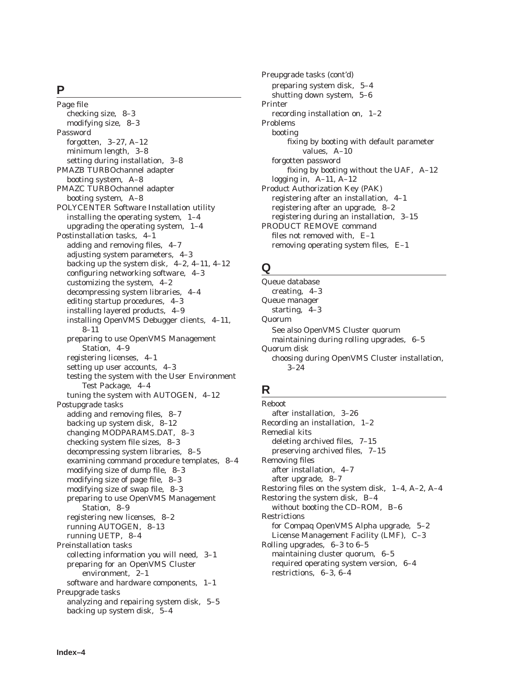#### **P**

Page file checking size, 8–3 modifying size, 8–3 Password forgotten, 3–27, A–12 minimum length, 3–8 setting during installation, 3–8 PMAZB TURBOchannel adapter booting system, A–8 PMAZC TURBOchannel adapter booting system, A–8 POLYCENTER Software Installation utility installing the operating system, 1–4 upgrading the operating system, 1–4 Postinstallation tasks, 4–1 adding and removing files, 4–7 adjusting system parameters, 4–3 backing up the system disk, 4–2, 4–11, 4–12 configuring networking software, 4–3 customizing the system, 4–2 decompressing system libraries, 4–4 editing startup procedures, 4–3 installing layered products, 4–9 installing OpenVMS Debugger clients, 4–11, 8–11 preparing to use OpenVMS Management Station, 4–9 registering licenses, 4–1 setting up user accounts, 4–3 testing the system with the User Environment Test Package, 4–4 tuning the system with AUTOGEN, 4–12 Postupgrade tasks adding and removing files, 8–7 backing up system disk, 8–12 changing MODPARAMS.DAT, 8–3 checking system file sizes, 8–3 decompressing system libraries, 8–5 examining command procedure templates, 8–4 modifying size of dump file, 8–3 modifying size of page file, 8–3 modifying size of swap file, 8–3 preparing to use OpenVMS Management Station, 8–9 registering new licenses, 8–2 running AUTOGEN, 8–13 running UETP, 8–4 Preinstallation tasks collecting information you will need, 3–1 preparing for an OpenVMS Cluster environment, 2–1 software and hardware components, 1–1 Preupgrade tasks analyzing and repairing system disk, 5–5 backing up system disk, 5–4

Preupgrade tasks (cont'd) preparing system disk, 5–4 shutting down system, 5–6 Printer recording installation on, 1–2 Problems booting fixing by booting with default parameter values, A–10 forgotten password fixing by booting without the UAF, A–12 logging in, A–11, A–12 Product Authorization Key (PAK) registering after an installation, 4–1 registering after an upgrade, 8–2 registering during an installation, 3–15 PRODUCT REMOVE command files not removed with, E–1 removing operating system files, E–1

# **Q**

Queue database creating, 4–3 Queue manager starting, 4–3 Quorum See also OpenVMS Cluster quorum maintaining during rolling upgrades, 6–5 Quorum disk choosing during OpenVMS Cluster installation, 3–24

# **R**

Reboot after installation, 3–26 Recording an installation, 1–2 Remedial kits deleting archived files, 7–15 preserving archived files, 7–15 Removing files after installation, 4–7 after upgrade, 8–7 Restoring files on the system disk, 1–4, A–2, A–4 Restoring the system disk, B–4 without booting the CD–ROM, B–6 Restrictions for Compaq OpenVMS Alpha upgrade, 5–2 License Management Facility (LMF), C–3 Rolling upgrades, 6–3 to 6–5 maintaining cluster quorum, 6–5 required operating system version, 6–4 restrictions, 6–3, 6–4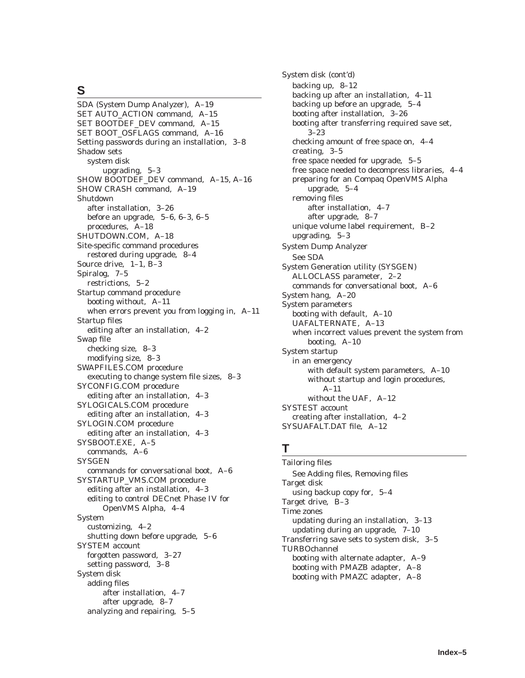# **S**

SDA (System Dump Analyzer), A–19 SET AUTO\_ACTION command, A–15 SET BOOTDEF\_DEV command, A–15 SET BOOT\_OSFLAGS command, A–16 Setting passwords during an installation, 3–8 Shadow sets system disk upgrading, 5–3 SHOW BOOTDEF\_DEV command, A–15, A–16 SHOW CRASH command, A–19 Shutdown after installation, 3–26 before an upgrade, 5–6, 6–3, 6–5 procedures, A–18 SHUTDOWN.COM, A–18 Site-specific command procedures restored during upgrade, 8–4 Source drive, 1–1, B–3 Spiralog, 7–5 restrictions, 5–2 Startup command procedure booting without, A–11 when errors prevent you from logging in, A–11 Startup files editing after an installation, 4–2 Swap file checking size, 8–3 modifying size, 8–3 SWAPFILES.COM procedure executing to change system file sizes, 8–3 SYCONFIG.COM procedure editing after an installation, 4–3 SYLOGICALS.COM procedure editing after an installation, 4–3 SYLOGIN.COM procedure editing after an installation, 4–3 SYSBOOT.EXE, A–5 commands, A–6 **SYSGEN** commands for conversational boot, A–6 SYSTARTUP\_VMS.COM procedure editing after an installation, 4–3 editing to control DECnet Phase IV for OpenVMS Alpha, 4–4 System customizing, 4–2 shutting down before upgrade, 5–6 SYSTEM account forgotten password, 3–27 setting password, 3–8 System disk adding files after installation, 4–7 after upgrade, 8–7 analyzing and repairing, 5–5

System disk (cont'd) backing up, 8–12 backing up after an installation, 4–11 backing up before an upgrade, 5–4 booting after installation, 3–26 booting after transferring required save set, 3–23 checking amount of free space on, 4–4 creating, 3–5 free space needed for upgrade, 5–5 free space needed to decompress libraries, 4–4 preparing for an Compaq OpenVMS Alpha upgrade, 5–4 removing files after installation, 4–7 after upgrade, 8–7 unique volume label requirement, B–2 upgrading, 5–3 System Dump Analyzer See SDA System Generation utility (SYSGEN) ALLOCLASS parameter, 2–2 commands for conversational boot, A–6 System hang, A–20 System parameters booting with default, A–10 UAFALTERNATE, A–13 when incorrect values prevent the system from booting, A–10 System startup in an emergency with default system parameters, A–10 without startup and login procedures, A–11 without the UAF, A–12 SYSTEST account creating after installation, 4–2 SYSUAFALT.DAT file, A–12

# **T**

Tailoring files See Adding files, Removing files Target disk using backup copy for, 5–4 Target drive, B–3 Time zones updating during an installation, 3–13 updating during an upgrade, 7–10 Transferring save sets to system disk, 3–5 TURBOchannel booting with alternate adapter, A–9 booting with PMAZB adapter, A–8 booting with PMAZC adapter, A–8